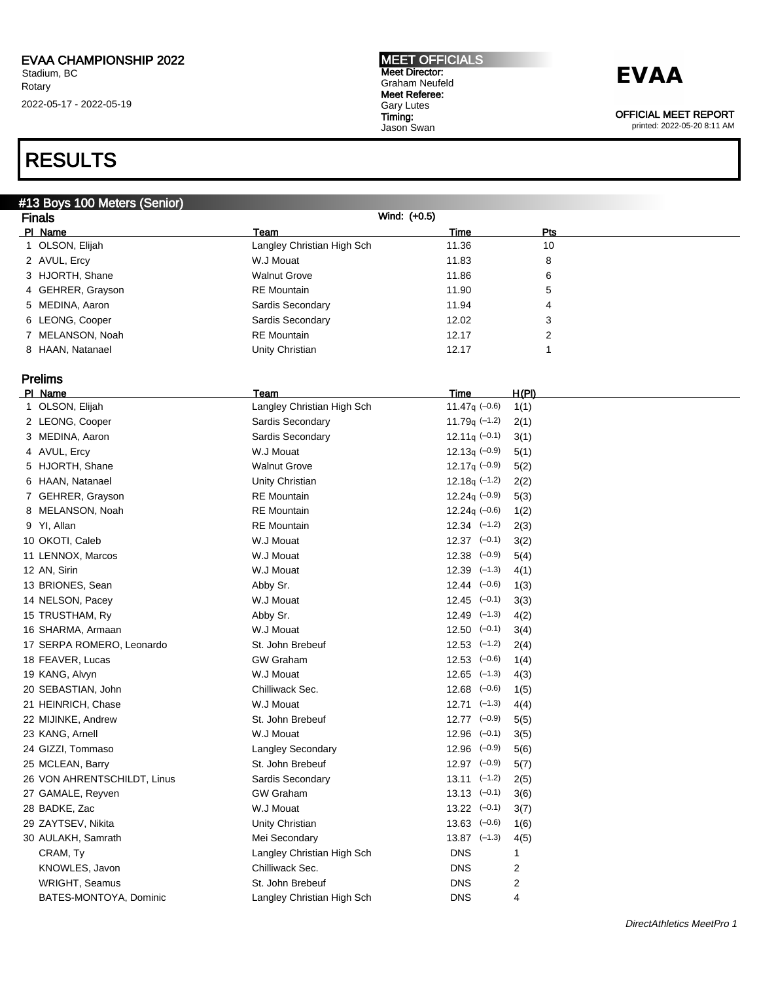### RESULTS

### #13 Boys 100 Meters (Senior)

| <b>Finals</b>     |                            | Wind: (+0.5) |     |  |
|-------------------|----------------------------|--------------|-----|--|
| PI Name           | Team                       | Time         | Pts |  |
| 1 OLSON, Elijah   | Langley Christian High Sch | 11.36        | 10  |  |
| 2 AVUL, Ercy      | W.J Mouat                  | 11.83        | 8   |  |
| 3 HJORTH, Shane   | <b>Walnut Grove</b>        | 11.86        | 6   |  |
| 4 GEHRER, Grayson | <b>RE</b> Mountain         | 11.90        | 5   |  |
| 5 MEDINA, Aaron   | Sardis Secondary           | 11.94        | 4   |  |
| 6 LEONG, Cooper   | Sardis Secondary           | 12.02        | 3   |  |
| 7 MELANSON, Noah  | <b>RE</b> Mountain         | 12.17        | 2   |  |
| 8 HAAN, Natanael  | Unity Christian            | 12.17        |     |  |

### Prelims

| PI Name                     | Team                       | <u>Time</u>      | <u>H(PI)</u>                                                                                                         |
|-----------------------------|----------------------------|------------------|----------------------------------------------------------------------------------------------------------------------|
| 1 OLSON, Elijah             | Langley Christian High Sch | 11.47 $q$ (-0.6) | 1(1)                                                                                                                 |
| 2 LEONG, Cooper             | Sardis Secondary           | 11.79 $q(-1.2)$  | 2(1)                                                                                                                 |
| 3 MEDINA, Aaron             | Sardis Secondary           | $12.11q (-0.1)$  | 3(1)                                                                                                                 |
| 4 AVUL, Ercy                | W.J Mouat                  | 12.13 $q$ (-0.9) | 5(1)                                                                                                                 |
| 5 HJORTH, Shane             | <b>Walnut Grove</b>        | 12.17q $(-0.9)$  | 5(2)                                                                                                                 |
| 6 HAAN, Natanael            | Unity Christian            | 12.18 $q$ (-1.2) | 2(2)                                                                                                                 |
| 7 GEHRER, Grayson           | <b>RE</b> Mountain         | 12.24 $q$ (-0.9) | 5(3)                                                                                                                 |
| 8 MELANSON, Noah            | <b>RE</b> Mountain         | $12.24q (-0.6)$  | 1(2)                                                                                                                 |
| 9 YI, Allan                 | <b>RE</b> Mountain         | $12.34$ $(-1.2)$ | 2(3)                                                                                                                 |
| 10 OKOTI, Caleb             | W.J Mouat                  | $12.37$ $(-0.1)$ | 3(2)                                                                                                                 |
| 11 LENNOX, Marcos           | W.J Mouat                  |                  | 5(4)                                                                                                                 |
| 12 AN, Sirin                | W.J Mouat                  | $12.39$ $(-1.3)$ | 4(1)                                                                                                                 |
| 13 BRIONES, Sean            | Abby Sr.                   | $12.44$ $(-0.6)$ | 1(3)                                                                                                                 |
| 14 NELSON, Pacey            | W.J Mouat                  | $12.45$ $(-0.1)$ | 3(3)                                                                                                                 |
| 15 TRUSTHAM, Ry             | Abby Sr.                   | $12.49$ $(-1.3)$ | 4(2)                                                                                                                 |
| 16 SHARMA, Armaan           | W.J Mouat                  |                  | 3(4)                                                                                                                 |
| 17 SERPA ROMERO, Leonardo   | St. John Brebeuf           |                  | 2(4)                                                                                                                 |
| 18 FEAVER, Lucas            | <b>GW Graham</b>           | $12.53$ $(-0.6)$ | 1(4)                                                                                                                 |
| 19 KANG, Alvyn              | W.J Mouat                  | $12.65$ $(-1.3)$ | 4(3)                                                                                                                 |
| 20 SEBASTIAN, John          | Chilliwack Sec.            | $12.68$ $(-0.6)$ | 1(5)                                                                                                                 |
| 21 HEINRICH, Chase          | W.J Mouat                  |                  | 4(4)                                                                                                                 |
| 22 MIJINKE, Andrew          | St. John Brebeuf           |                  | 5(5)                                                                                                                 |
| 23 KANG, Arnell             | W.J Mouat                  |                  | 3(5)                                                                                                                 |
| 24 GIZZI, Tommaso           | <b>Langley Secondary</b>   | $12.96$ $(-0.9)$ | 5(6)                                                                                                                 |
| 25 MCLEAN, Barry            | St. John Brebeuf           | $12.97$ $(-0.9)$ | 5(7)                                                                                                                 |
| 26 VON AHRENTSCHILDT, Linus | Sardis Secondary           | $13.11$ $(-1.2)$ | 2(5)                                                                                                                 |
| 27 GAMALE, Reyven           | <b>GW Graham</b>           | $13.13$ $(-0.1)$ | 3(6)                                                                                                                 |
| 28 BADKE, Zac               | W.J Mouat                  | $13.22$ $(-0.1)$ | 3(7)                                                                                                                 |
| 29 ZAYTSEV, Nikita          | Unity Christian            | $13.63$ $(-0.6)$ | 1(6)                                                                                                                 |
| 30 AULAKH, Samrath          | Mei Secondary              | $13.87$ $(-1.3)$ | 4(5)                                                                                                                 |
| CRAM, Ty                    | Langley Christian High Sch | <b>DNS</b>       | 1                                                                                                                    |
| KNOWLES, Javon              | Chilliwack Sec.            | <b>DNS</b>       | 2                                                                                                                    |
| <b>WRIGHT, Seamus</b>       | St. John Brebeuf           | <b>DNS</b>       | 2                                                                                                                    |
| BATES-MONTOYA, Dominic      | Langley Christian High Sch | <b>DNS</b>       | 4                                                                                                                    |
|                             |                            |                  | $12.38$ $(-0.9)$<br>$12.50$ $(-0.1)$<br>$12.53$ $(-1.2)$<br>$12.71$ $(-1.3)$<br>$12.77$ $(-0.9)$<br>$12.96$ $(-0.1)$ |

MEET OFFICIALS Meet Director: Graham Neufeld Meet Referee: Gary Lutes Timing: Jason Swan

## **EVAA**

OFFICIAL MEET REPORT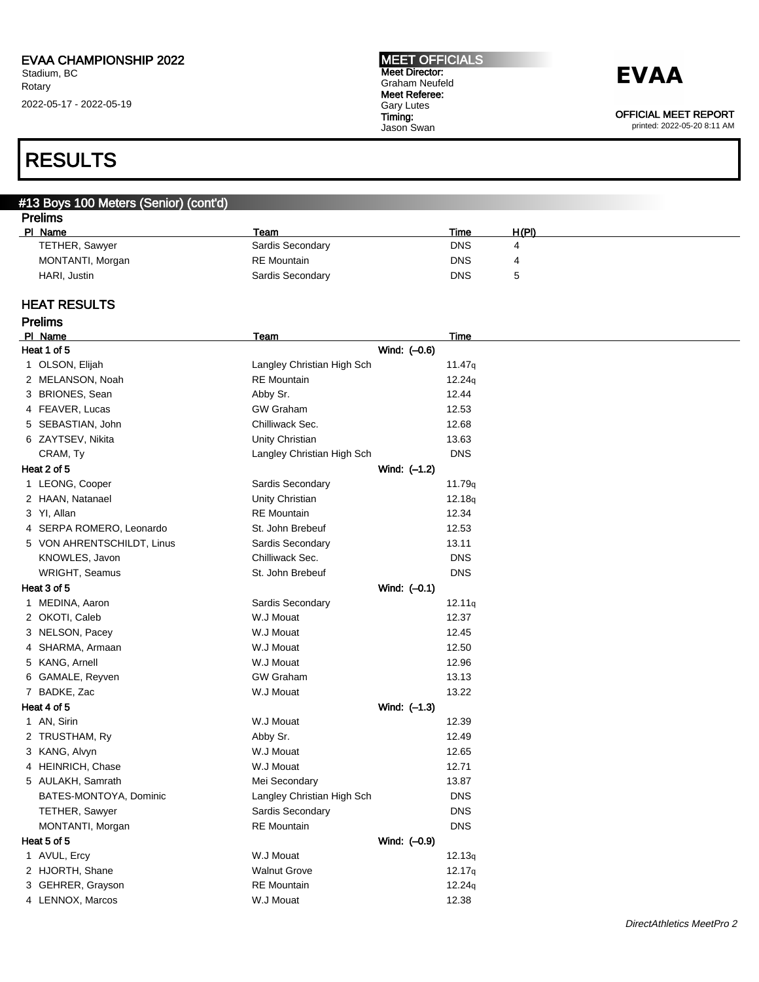#### MEET OFFICIALS Meet Director: Graham Neufeld Meet Referee: Gary Lutes Timing: Jason Swan

## **EVAA**

OFFICIAL MEET REPORT

printed: 2022-05-20 8:11 AM

### RESULTS

#### #13 Boys 100 Meters (Senior) (cont'd) **Prelims**

| гтышэ |                  |                    |            |       |  |
|-------|------------------|--------------------|------------|-------|--|
|       | PI Name          | Team               | Time       | H(PI) |  |
|       | TETHER, Sawyer   | Sardis Secondary   | <b>DNS</b> | 4     |  |
|       | MONTANTI, Morgan | <b>RE</b> Mountain | <b>DNS</b> | 4     |  |
|       | HARI, Justin     | Sardis Secondary   | <b>DNS</b> | ∽     |  |
|       |                  |                    |            |       |  |

#### HEAT RESULTS

| <b>Prelims</b>             |                            |                    |  |
|----------------------------|----------------------------|--------------------|--|
| PI Name                    | Team                       | Time               |  |
| Heat 1 of 5                | Wind: (-0.6)               |                    |  |
| 1 OLSON, Elijah            | Langley Christian High Sch | 11.47q             |  |
| 2 MELANSON, Noah           | <b>RE</b> Mountain         | 12.24q             |  |
| 3 BRIONES, Sean            | Abby Sr.                   | 12.44              |  |
| 4 FEAVER, Lucas            | <b>GW Graham</b>           | 12.53              |  |
| 5 SEBASTIAN, John          | Chilliwack Sec.            | 12.68              |  |
| 6 ZAYTSEV, Nikita          | Unity Christian            | 13.63              |  |
| CRAM, Ty                   | Langley Christian High Sch | <b>DNS</b>         |  |
| Heat 2 of 5                | Wind: (-1.2)               |                    |  |
| 1 LEONG, Cooper            | Sardis Secondary           | 11.79 <sub>q</sub> |  |
| 2 HAAN, Natanael           | Unity Christian            | 12.18q             |  |
| 3 YI, Allan                | <b>RE</b> Mountain         | 12.34              |  |
| 4 SERPA ROMERO, Leonardo   | St. John Brebeuf           | 12.53              |  |
| 5 VON AHRENTSCHILDT, Linus | Sardis Secondary           | 13.11              |  |
| KNOWLES, Javon             | Chilliwack Sec.            | <b>DNS</b>         |  |
| WRIGHT, Seamus             | St. John Brebeuf           | <b>DNS</b>         |  |
| Heat 3 of 5                | Wind: $(-0.1)$             |                    |  |
| 1 MEDINA, Aaron            | Sardis Secondary           | 12.11q             |  |
| 2 OKOTI, Caleb             | W.J Mouat                  | 12.37              |  |
| 3 NELSON, Pacey            | W.J Mouat                  | 12.45              |  |
| 4 SHARMA, Armaan           | W.J Mouat                  | 12.50              |  |
| 5 KANG, Arnell             | W.J Mouat                  | 12.96              |  |
| 6 GAMALE, Reyven           | <b>GW Graham</b>           | 13.13              |  |
| 7 BADKE, Zac               | W.J Mouat                  | 13.22              |  |
| Heat 4 of 5                | Wind: (-1.3)               |                    |  |
| 1 AN, Sirin                | W.J Mouat                  | 12.39              |  |
| 2 TRUSTHAM, Ry             | Abby Sr.                   | 12.49              |  |
| 3 KANG, Alvyn              | W.J Mouat                  | 12.65              |  |
| 4 HEINRICH, Chase          | W.J Mouat                  | 12.71              |  |
| 5 AULAKH, Samrath          | Mei Secondary              | 13.87              |  |
| BATES-MONTOYA, Dominic     | Langley Christian High Sch | <b>DNS</b>         |  |
| TETHER, Sawyer             | Sardis Secondary           | <b>DNS</b>         |  |
| MONTANTI, Morgan           | <b>RE</b> Mountain         | <b>DNS</b>         |  |
| Heat 5 of 5                | Wind: (-0.9)               |                    |  |
| 1 AVUL, Ercy               | W.J Mouat                  | 12.13q             |  |
| 2 HJORTH, Shane            | <b>Walnut Grove</b>        | 12.17q             |  |
| 3 GEHRER, Grayson          | <b>RE</b> Mountain         | 12.24q             |  |
| 4 LENNOX, Marcos           | W.J Mouat                  | 12.38              |  |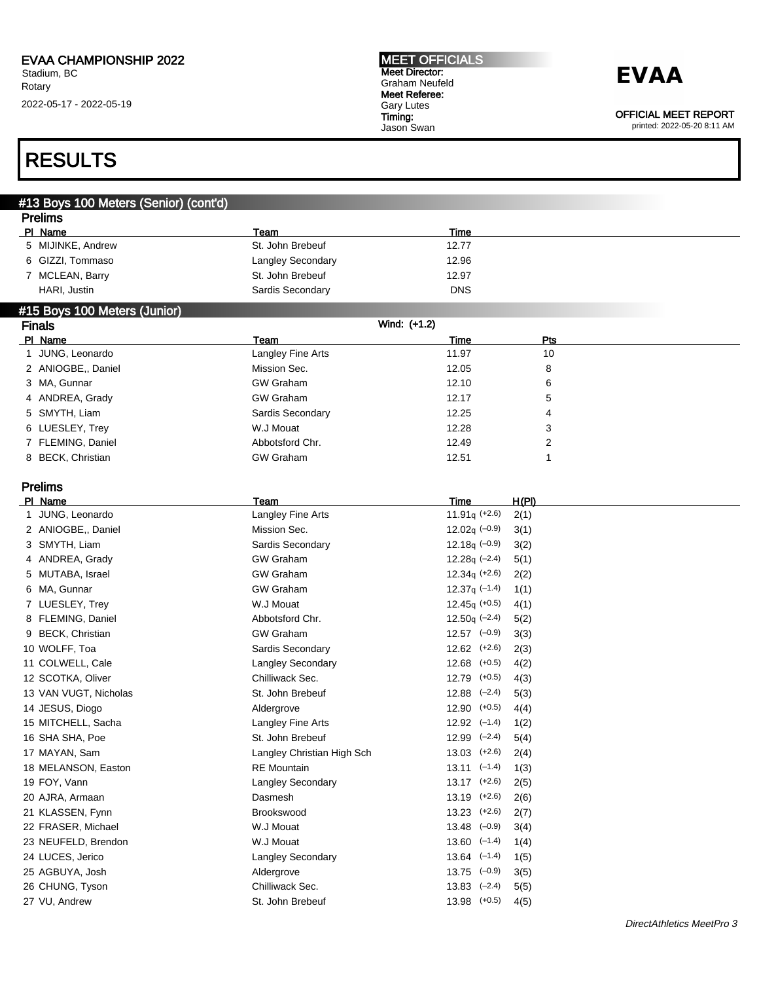#### MEET OFFICIALS Meet Director: Graham Neufeld Meet Referee: Gary Lutes Timing: Jason Swan

## **EVAA**

OFFICIAL MEET REPORT

printed: 2022-05-20 8:11 AM

## RESULTS

| #13 Boys 100 Meters (Senior) (cont'd) |                   |              |                |  |  |  |
|---------------------------------------|-------------------|--------------|----------------|--|--|--|
| <b>Prelims</b>                        |                   |              |                |  |  |  |
| PI Name                               | Team              | Time         |                |  |  |  |
| 5 MIJINKE, Andrew                     | St. John Brebeuf  | 12.77        |                |  |  |  |
| 6 GIZZI, Tommaso                      | Langley Secondary | 12.96        |                |  |  |  |
| 7 MCLEAN, Barry                       | St. John Brebeuf  | 12.97        |                |  |  |  |
| HARI, Justin                          | Sardis Secondary  | <b>DNS</b>   |                |  |  |  |
| #15 Boys 100 Meters (Junior)          |                   |              |                |  |  |  |
| <b>Finals</b>                         |                   | Wind: (+1.2) |                |  |  |  |
| PI Name                               | Team              | Time         | Pts            |  |  |  |
| 1 JUNG, Leonardo                      | Langley Fine Arts | 11.97        | 10             |  |  |  |
| 2 ANIOGBE,, Daniel                    | Mission Sec.      | 12.05        | 8              |  |  |  |
| 3 MA, Gunnar                          | <b>GW Graham</b>  | 12.10        | 6              |  |  |  |
| 4 ANDREA, Grady                       | <b>GW Graham</b>  | 12.17        | 5              |  |  |  |
| 5 SMYTH, Liam                         | Sardis Secondary  | 12.25        | 4              |  |  |  |
| 6 LUESLEY, Trey                       | W.J Mouat         | 12.28        | 3              |  |  |  |
| 7 FLEMING, Daniel                     | Abbotsford Chr.   | 12.49        | $\overline{2}$ |  |  |  |
| 8 BECK, Christian                     | <b>GW Graham</b>  | 12.51        | 1              |  |  |  |
| <b>Prelims</b>                        |                   |              |                |  |  |  |

| PI Name               | Team                       | Time              | H(PI) |
|-----------------------|----------------------------|-------------------|-------|
| JUNG, Leonardo        | Langley Fine Arts          | $11.91q$ (+2.6)   | 2(1)  |
| 2 ANIOGBE., Daniel    | Mission Sec.               | $12.02q$ (-0.9)   | 3(1)  |
| 3 SMYTH, Liam         | Sardis Secondary           | 12.18 $q$ (-0.9)  | 3(2)  |
| 4 ANDREA, Grady       | <b>GW Graham</b>           | $12.28q$ (-2.4)   | 5(1)  |
| 5 MUTABA, Israel      | <b>GW Graham</b>           | $12.34q (+2.6)$   | 2(2)  |
| 6 MA, Gunnar          | <b>GW Graham</b>           | $12.37q$ (-1.4)   | 1(1)  |
| 7 LUESLEY, Trey       | W.J Mouat                  | $12.45q (+0.5)$   | 4(1)  |
| 8 FLEMING, Daniel     | Abbotsford Chr.            | $12.50q (-2.4)$   | 5(2)  |
| 9 BECK, Christian     | <b>GW Graham</b>           | $12.57$ $(-0.9)$  | 3(3)  |
| 10 WOLFF, Toa         | Sardis Secondary           | $12.62$ $(+2.6)$  | 2(3)  |
| 11 COLWELL, Cale      | Langley Secondary          | $(+0.5)$<br>12.68 | 4(2)  |
| 12 SCOTKA, Oliver     | Chilliwack Sec.            | $(+0.5)$<br>12.79 | 4(3)  |
| 13 VAN VUGT, Nicholas | St. John Brebeuf           | 12.88<br>$(-2.4)$ | 5(3)  |
| 14 JESUS, Diogo       | Aldergrove                 | $12.90$ $(+0.5)$  | 4(4)  |
| 15 MITCHELL, Sacha    | Langley Fine Arts          | $12.92$ $(-1.4)$  | 1(2)  |
| 16 SHA SHA, Poe       | St. John Brebeuf           | $(-2.4)$<br>12.99 | 5(4)  |
| 17 MAYAN, Sam         | Langley Christian High Sch | $13.03$ $(+2.6)$  | 2(4)  |
| 18 MELANSON, Easton   | <b>RE</b> Mountain         | $13.11$ $(-1.4)$  | 1(3)  |
| 19 FOY, Vann          | Langley Secondary          | $13.17$ (+2.6)    | 2(5)  |
| 20 AJRA, Armaan       | Dasmesh                    | $13.19$ $(+2.6)$  | 2(6)  |
| 21 KLASSEN, Fynn      | Brookswood                 | $13.23$ $(+2.6)$  | 2(7)  |
| 22 FRASER, Michael    | W.J Mouat                  | $13.48$ $(-0.9)$  | 3(4)  |
| 23 NEUFELD, Brendon   | W.J Mouat                  | $13.60$ $(-1.4)$  | 1(4)  |
| 24 LUCES, Jerico      | <b>Langley Secondary</b>   | $13.64$ $(-1.4)$  | 1(5)  |
| 25 AGBUYA, Josh       | Aldergrove                 | $13.75$ $(-0.9)$  | 3(5)  |
| 26 CHUNG, Tyson       | Chilliwack Sec.            | $13.83$ $(-2.4)$  | 5(5)  |
| 27 VU, Andrew         | St. John Brebeuf           | $13.98$ $(+0.5)$  | 4(5)  |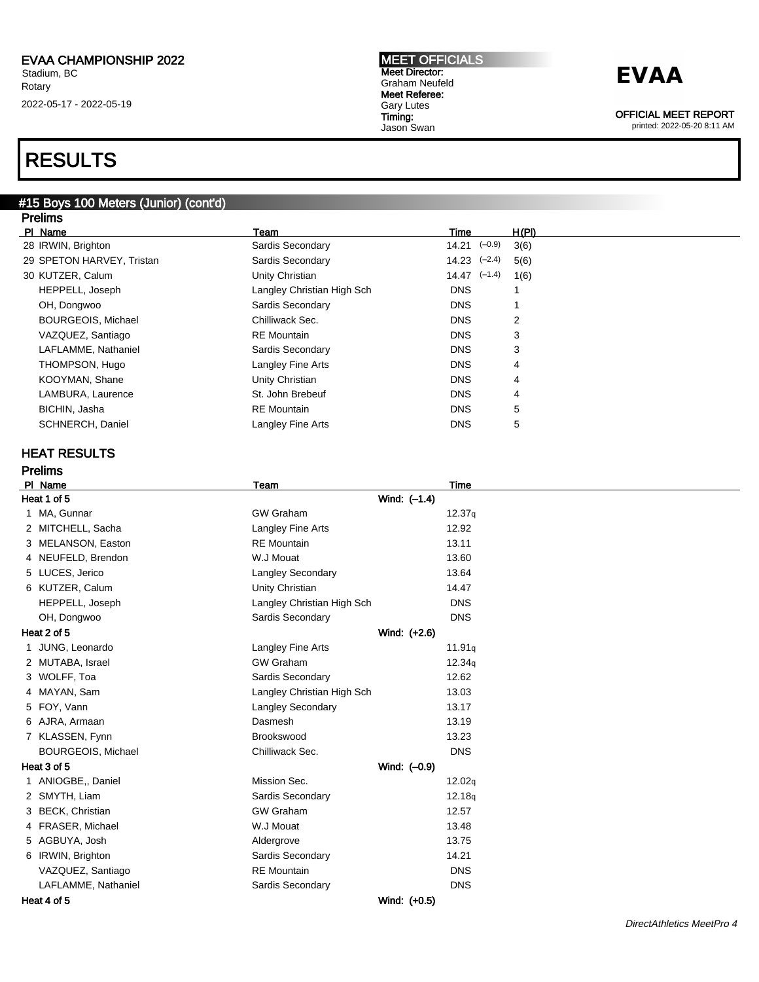### RESULTS

#### #15 Boys 100 Meters (Junior) (cont'd) Prelims

| טוווסוד                   |                            |                  |                |  |
|---------------------------|----------------------------|------------------|----------------|--|
| PI Name                   | Team                       | Time             | H(PI)          |  |
| 28 IRWIN, Brighton        | Sardis Secondary           | $14.21$ $(-0.9)$ | 3(6)           |  |
| 29 SPETON HARVEY, Tristan | Sardis Secondary           | $14.23$ $(-2.4)$ | 5(6)           |  |
| 30 KUTZER, Calum          | Unity Christian            | $14.47$ $(-1.4)$ | 1(6)           |  |
| HEPPELL, Joseph           | Langley Christian High Sch | <b>DNS</b>       | 1              |  |
| OH, Dongwoo               | Sardis Secondary           | <b>DNS</b>       | 1              |  |
| <b>BOURGEOIS, Michael</b> | Chilliwack Sec.            | <b>DNS</b>       | $\overline{2}$ |  |
| VAZQUEZ, Santiago         | <b>RE</b> Mountain         | <b>DNS</b>       | 3              |  |
| LAFLAMME, Nathaniel       | Sardis Secondary           | <b>DNS</b>       | 3              |  |
| THOMPSON, Hugo            | Langley Fine Arts          | <b>DNS</b>       | 4              |  |
| KOOYMAN, Shane            | Unity Christian            | <b>DNS</b>       | 4              |  |
| LAMBURA, Laurence         | St. John Brebeuf           | <b>DNS</b>       | 4              |  |
| BICHIN, Jasha             | <b>RE</b> Mountain         | <b>DNS</b>       | 5              |  |
| SCHNERCH, Daniel          | Langley Fine Arts          | <b>DNS</b>       | 5              |  |
| <b>HEAT RESULTS</b>       |                            |                  |                |  |
| <b>Prelims</b>            |                            |                  |                |  |
| PI Name                   | <b>Team</b>                | <b>Time</b>      |                |  |
| Heat 1 of 5               | Wind: $(-1.4)$             |                  |                |  |
| 1 MA, Gunnar              | <b>GW Graham</b>           | 12.37q           |                |  |
| 2 MITCHELL, Sacha         | Langley Fine Arts          | 12.92            |                |  |
| 3 MELANSON, Easton        | <b>RE</b> Mountain         | 13.11            |                |  |
| 4 NEUFELD, Brendon        | W.J Mouat                  | 13.60            |                |  |
| 5 LUCES, Jerico           | Langley Secondary          | 13.64            |                |  |
| 6 KUTZER, Calum           | Unity Christian            | 14.47            |                |  |
| HEPPELL, Joseph           | Langley Christian High Sch | <b>DNS</b>       |                |  |
| OH, Dongwoo               | Sardis Secondary           | <b>DNS</b>       |                |  |
| Heat 2 of 5               | Wind: (+2.6)               |                  |                |  |
| 1 JUNG, Leonardo          | Langley Fine Arts          | 11.91q           |                |  |
| 2 MUTABA, Israel          | <b>GW Graham</b>           | 12.34g           |                |  |
| 3 WOLFF, Toa              | Sardis Secondary           | 12.62            |                |  |
| 4 MAYAN, Sam              | Langley Christian High Sch | 13.03            |                |  |
| 5 FOY, Vann               | <b>Langley Secondary</b>   | 13.17            |                |  |
| 6 AJRA, Armaan            | Dasmesh                    | 13.19            |                |  |
| 7 KLASSEN, Fynn           | Brookswood                 | 13.23            |                |  |
| <b>BOURGEOIS, Michael</b> | Chilliwack Sec.            | <b>DNS</b>       |                |  |
| Heat 3 of 5               | Wind: (-0.9)               |                  |                |  |
| 1 ANIOGBE,, Daniel        | Mission Sec.               | 12.02q           |                |  |
| 2 SMYTH, Liam             | Sardis Secondary           | 12.18q           |                |  |
| 3 BECK, Christian         | <b>GW Graham</b>           | 12.57            |                |  |
| 4 FRASER, Michael         | W.J Mouat                  | 13.48            |                |  |
| 5 AGBUYA, Josh            | Aldergrove                 | 13.75            |                |  |

6 IRWIN, Brighton **Sardis Secondary** 6 IRWIN, Brighton 14.21 VAZQUEZ, Santiago **RE Mountain** RE Mountain **DNS** LAFLAMME, Nathaniel **Sardis Secondary** DNS

Heat 4 of 5 Wind: (+0.5)

MEET OFFICIALS Meet Director: Graham Neufeld Meet Referee: Gary Lutes Timing: Jason Swan



OFFICIAL MEET REPORT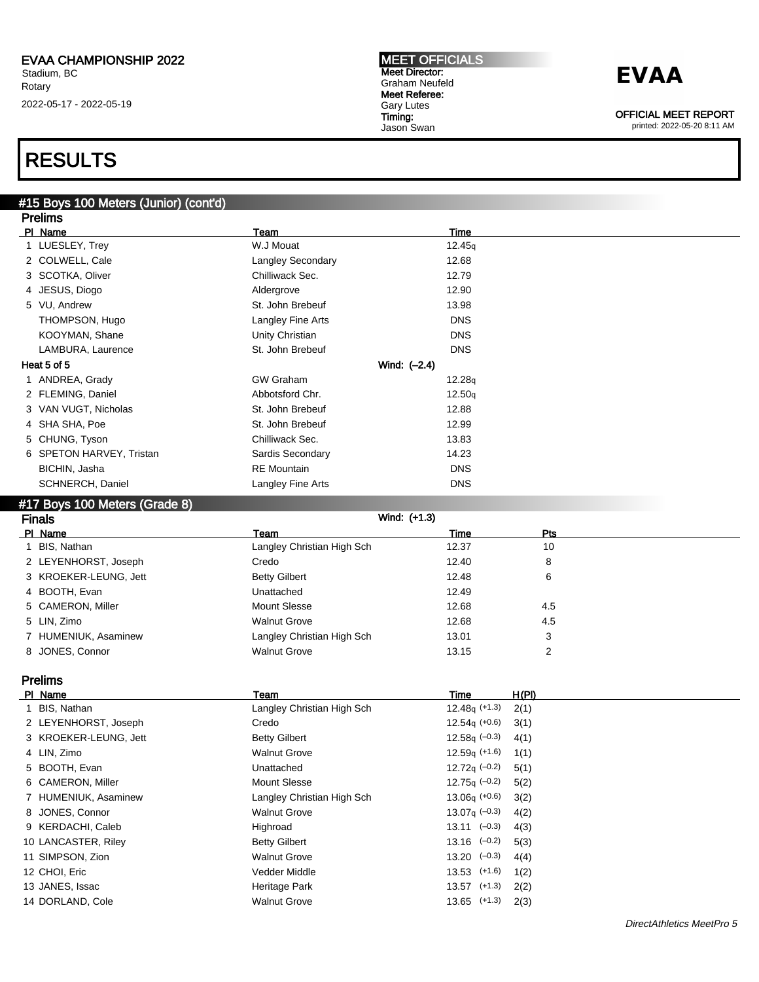#### MEET OFFICIALS Meet Director: Graham Neufeld Meet Referee: Gary Lutes Timing: Jason Swan

## **EVAA**

OFFICIAL MEET REPORT

printed: 2022-05-20 8:11 AM

### RESULTS

#### #15 Boys 100 Meters (Junior) (cont'd) Prelims

| г гошнэ                       |                          |                |  |
|-------------------------------|--------------------------|----------------|--|
| PI Name                       | Team                     | Time           |  |
| 1 LUESLEY, Trey               | W.J Mouat                | 12.45q         |  |
| 2 COLWELL, Cale               | <b>Langley Secondary</b> | 12.68          |  |
| 3 SCOTKA, Oliver              | Chilliwack Sec.          | 12.79          |  |
| 4 JESUS, Diogo                | Aldergrove               | 12.90          |  |
| 5 VU, Andrew                  | St. John Brebeuf         | 13.98          |  |
| THOMPSON, Hugo                | Langley Fine Arts        | <b>DNS</b>     |  |
| KOOYMAN, Shane                | Unity Christian          | <b>DNS</b>     |  |
| LAMBURA, Laurence             | St. John Brebeuf         | <b>DNS</b>     |  |
| Heat 5 of 5                   |                          | Wind: $(-2.4)$ |  |
| 1 ANDREA, Grady               | <b>GW Graham</b>         | 12.28q         |  |
| 2 FLEMING, Daniel             | Abbotsford Chr.          | 12.50q         |  |
| 3 VAN VUGT, Nicholas          | St. John Brebeuf         | 12.88          |  |
| 4 SHA SHA, Poe                | St. John Brebeuf         | 12.99          |  |
| 5 CHUNG, Tyson                | Chilliwack Sec.          | 13.83          |  |
| 6 SPETON HARVEY, Tristan      | Sardis Secondary         | 14.23          |  |
| BICHIN, Jasha                 | <b>RE</b> Mountain       | <b>DNS</b>     |  |
| SCHNERCH, Daniel              | Langley Fine Arts        | <b>DNS</b>     |  |
| #17 Boys 100 Meters (Grade 8) |                          |                |  |

| <b>Finals</b>         | Wind: (+1.3)               |       |     |  |
|-----------------------|----------------------------|-------|-----|--|
| PI Name               | Team                       | Time  | Pts |  |
| BIS, Nathan           | Langley Christian High Sch | 12.37 | 10  |  |
| 2 LEYENHORST, Joseph  | Credo                      | 12.40 | 8   |  |
| 3 KROEKER-LEUNG, Jett | <b>Betty Gilbert</b>       | 12.48 | 6   |  |
| 4 BOOTH, Evan         | Unattached                 | 12.49 |     |  |
| 5 CAMERON, Miller     | Mount Slesse               | 12.68 | 4.5 |  |
| 5 LIN, Zimo           | <b>Walnut Grove</b>        | 12.68 | 4.5 |  |
| 7 HUMENIUK, Asaminew  | Langley Christian High Sch | 13.01 | 3   |  |
| 8 JONES, Connor       | <b>Walnut Grove</b>        | 13.15 | 2   |  |

#### Prelims

| PI Name               | Team                       | Time                        | H(PI) |
|-----------------------|----------------------------|-----------------------------|-------|
| 1 BIS, Nathan         | Langley Christian High Sch | $12.48q$ (+1.3)             | 2(1)  |
| 2 LEYENHORST, Joseph  | Credo                      | $12.54q$ (+0.6)             | 3(1)  |
| 3 KROEKER-LEUNG, Jett | <b>Betty Gilbert</b>       | 12.58 $q(-0.3)$             | 4(1)  |
| 4 LIN, Zimo           | <b>Walnut Grove</b>        | $12.59q$ (+1.6)             | 1(1)  |
| 5 BOOTH, Evan         | Unattached                 | 12.72 $q(-0.2)$             | 5(1)  |
| 6 CAMERON, Miller     | Mount Slesse               | 12.75 $q(-0.2)$             | 5(2)  |
| 7 HUMENIUK, Asaminew  | Langley Christian High Sch | $13.06q (+0.6)$             | 3(2)  |
| 8 JONES, Connor       | <b>Walnut Grove</b>        | 13.07 $\sigma$ (-0.3)       | 4(2)  |
| 9 KERDACHI, Caleb     | Highroad                   | $13.11 \left( -0.3 \right)$ | 4(3)  |
| 10 LANCASTER, Riley   | <b>Betty Gilbert</b>       | $13.16$ $(-0.2)$            | 5(3)  |
| 11 SIMPSON, Zion      | <b>Walnut Grove</b>        | $13.20 \left(-0.3\right)$   | 4(4)  |
| 12 CHOI, Eric         | Vedder Middle              | $13.53$ $(+1.6)$            | 1(2)  |
| 13 JANES, Issac       | Heritage Park              | $13.57$ $(+1.3)$            | 2(2)  |
| 14 DORLAND, Cole      | <b>Walnut Grove</b>        | $13.65$ $(+1.3)$            | 2(3)  |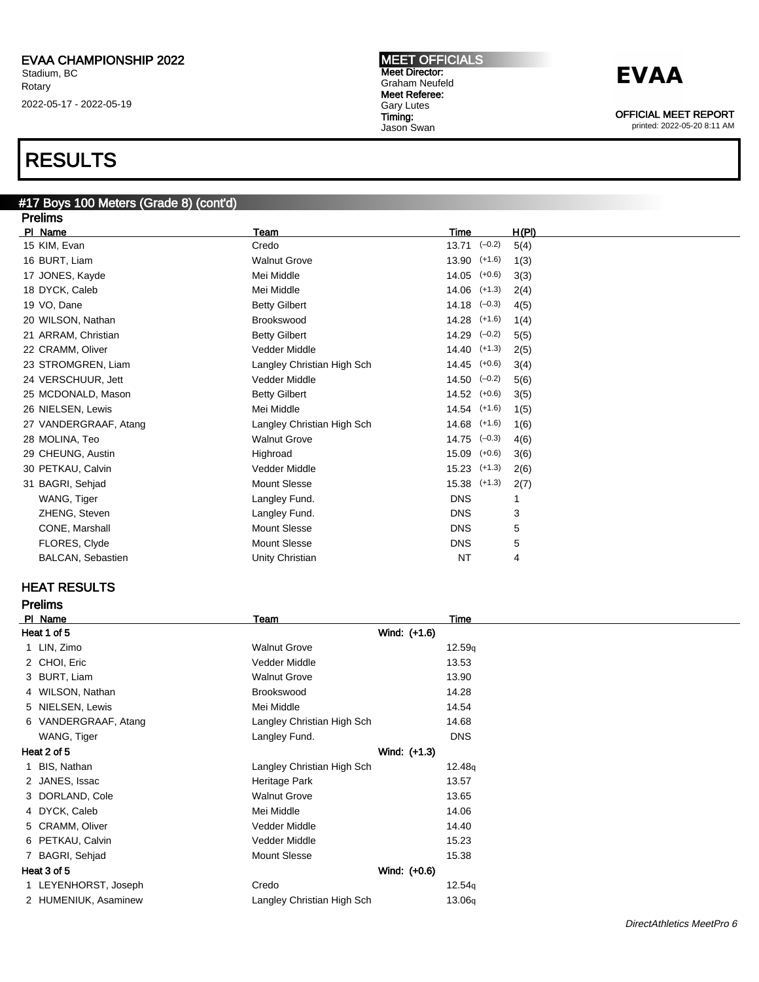### RESULTS

#### #17 Boys 100 Meters (Grade 8) (cont'd) **Prelims**

| гтыштэ                   |                            |                  |       |
|--------------------------|----------------------------|------------------|-------|
| PI Name                  | Team                       | Time             | H(PI) |
| 15 KIM, Evan             | Credo                      | $13.71$ $(-0.2)$ | 5(4)  |
| 16 BURT, Liam            | <b>Walnut Grove</b>        | $13.90$ $(+1.6)$ | 1(3)  |
| 17 JONES, Kayde          | Mei Middle                 | $14.05$ $(+0.6)$ | 3(3)  |
| 18 DYCK, Caleb           | Mei Middle                 | $14.06$ $(+1.3)$ | 2(4)  |
| 19 VO, Dane              | <b>Betty Gilbert</b>       | $14.18$ $(-0.3)$ | 4(5)  |
| 20 WILSON, Nathan        | <b>Brookswood</b>          | $14.28$ $(+1.6)$ | 1(4)  |
| 21 ARRAM, Christian      | <b>Betty Gilbert</b>       | $14.29$ $(-0.2)$ | 5(5)  |
| 22 CRAMM, Oliver         | Vedder Middle              | $14.40$ $(+1.3)$ | 2(5)  |
| 23 STROMGREN, Liam       | Langley Christian High Sch | $14.45$ $(+0.6)$ | 3(4)  |
| 24 VERSCHUUR, Jett       | <b>Vedder Middle</b>       | $14.50 (-0.2)$   | 5(6)  |
| 25 MCDONALD, Mason       | <b>Betty Gilbert</b>       | $14.52$ $(+0.6)$ | 3(5)  |
| 26 NIELSEN, Lewis        | Mei Middle                 | $14.54$ $(+1.6)$ | 1(5)  |
| 27 VANDERGRAAF, Atang    | Langley Christian High Sch | $14.68$ $(+1.6)$ | 1(6)  |
| 28 MOLINA, Teo           | <b>Walnut Grove</b>        | $14.75$ $(-0.3)$ | 4(6)  |
| 29 CHEUNG, Austin        | Highroad                   | $15.09$ $(+0.6)$ | 3(6)  |
| 30 PETKAU, Calvin        | Vedder Middle              | $15.23$ $(+1.3)$ | 2(6)  |
| 31 BAGRI, Sehjad         | <b>Mount Slesse</b>        | $15.38$ $(+1.3)$ | 2(7)  |
| WANG, Tiger              | Langley Fund.              | <b>DNS</b>       | 1     |
| ZHENG, Steven            | Langley Fund.              | <b>DNS</b>       | 3     |
| CONE, Marshall           | <b>Mount Slesse</b>        | <b>DNS</b>       | 5     |
| FLORES, Clyde            | <b>Mount Slesse</b>        | <b>DNS</b>       | 5     |
| <b>BALCAN, Sebastien</b> | Unity Christian            | <b>NT</b>        | 4     |
|                          |                            |                  |       |

### HEAT RESULTS

| <b>Prelims</b>       |                            |            |  |
|----------------------|----------------------------|------------|--|
| PI Name              | Team                       | Time       |  |
| Heat 1 of 5          | Wind: (+1.6)               |            |  |
| 1 LIN, Zimo          | <b>Walnut Grove</b>        | 12.59q     |  |
| 2 CHOI, Eric         | Vedder Middle              | 13.53      |  |
| 3 BURT, Liam         | <b>Walnut Grove</b>        | 13.90      |  |
| 4 WILSON, Nathan     | Brookswood                 | 14.28      |  |
| 5 NIELSEN, Lewis     | Mei Middle                 | 14.54      |  |
| 6 VANDERGRAAF, Atang | Langley Christian High Sch | 14.68      |  |
| WANG, Tiger          | Langley Fund.              | <b>DNS</b> |  |
| Heat 2 of 5          | Wind: (+1.3)               |            |  |
| 1 BIS, Nathan        | Langley Christian High Sch | 12.48q     |  |
| 2 JANES, Issac       | Heritage Park              | 13.57      |  |
| 3 DORLAND, Cole      | <b>Walnut Grove</b>        | 13.65      |  |
| 4 DYCK, Caleb        | Mei Middle                 | 14.06      |  |
| 5 CRAMM, Oliver      | Vedder Middle              | 14.40      |  |
| 6 PETKAU, Calvin     | Vedder Middle              | 15.23      |  |
| 7 BAGRI, Sehjad      | <b>Mount Slesse</b>        | 15.38      |  |
| Heat 3 of 5          | Wind: (+0.6)               |            |  |
| 1 LEYENHORST, Joseph | Credo                      | 12.54q     |  |
| 2 HUMENIUK, Asaminew | Langley Christian High Sch | 13.06q     |  |
|                      |                            |            |  |

MEET OFFICIALS

Gary Lutes Timing:



OFFICIAL MEET REPORT printed: 2022-05-20 8:11 AM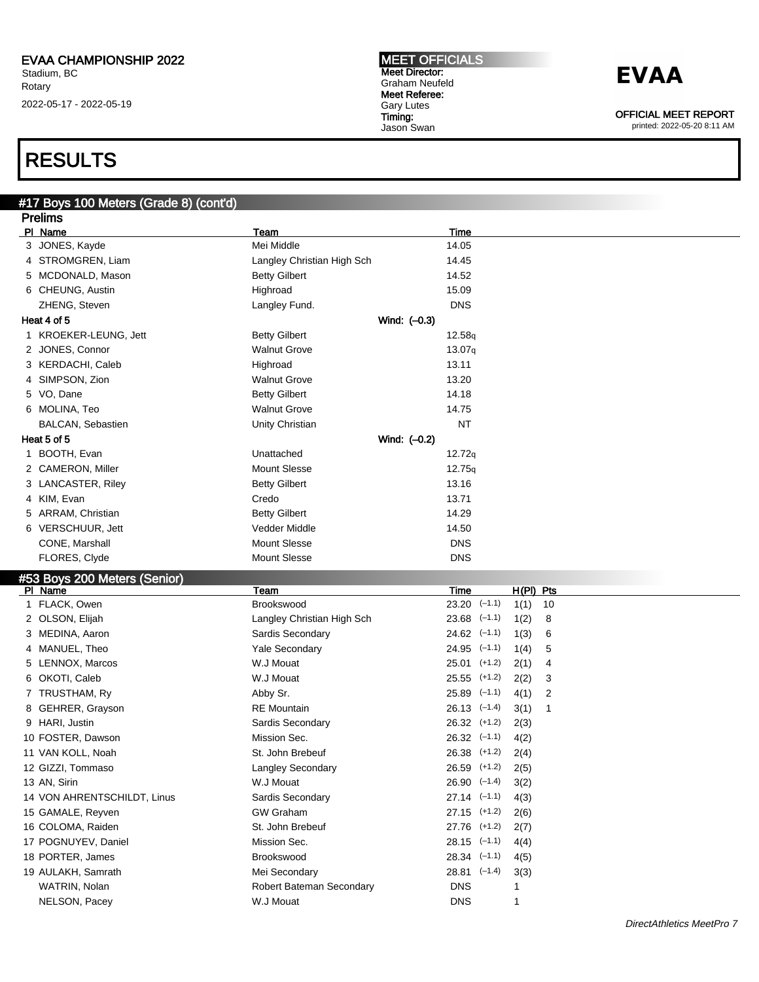#### MEET OFFICIALS Meet Director: Graham Neufeld Meet Referee: Gary Lutes Timing: Jason Swan

## **EVAA**

OFFICIAL MEET REPORT

printed: 2022-05-20 8:11 AM

### RESULTS

### #17 Boys 100 Meters (Grade 8) (cont'd)

|   | <b>Prelims</b>               |                            |                                   |
|---|------------------------------|----------------------------|-----------------------------------|
|   | PI Name                      | Team                       | Time                              |
|   | 3 JONES, Kayde               | Mei Middle                 | 14.05                             |
|   | 4 STROMGREN, Liam            | Langley Christian High Sch | 14.45                             |
|   | 5 MCDONALD, Mason            | <b>Betty Gilbert</b>       | 14.52                             |
|   | 6 CHEUNG, Austin             | Highroad                   | 15.09                             |
|   | ZHENG, Steven                | Langley Fund.              | <b>DNS</b>                        |
|   | Heat 4 of 5                  | Wind: $(-0.3)$             |                                   |
|   | 1 KROEKER-LEUNG, Jett        | <b>Betty Gilbert</b>       | 12.58q                            |
|   | 2 JONES, Connor              | <b>Walnut Grove</b>        | 13.07q                            |
|   | 3 KERDACHI, Caleb            | Highroad                   | 13.11                             |
|   | 4 SIMPSON, Zion              | <b>Walnut Grove</b>        | 13.20                             |
|   | 5 VO, Dane                   | <b>Betty Gilbert</b>       | 14.18                             |
|   | 6 MOLINA, Teo                | <b>Walnut Grove</b>        | 14.75                             |
|   | <b>BALCAN, Sebastien</b>     | Unity Christian            | <b>NT</b>                         |
|   | Heat 5 of 5                  | Wind: $(-0.2)$             |                                   |
|   | 1 BOOTH, Evan                | Unattached                 | 12.72q                            |
|   | 2 CAMERON, Miller            | <b>Mount Slesse</b>        | 12.75q                            |
|   | 3 LANCASTER, Riley           | <b>Betty Gilbert</b>       | 13.16                             |
|   | 4 KIM, Evan                  | Credo                      | 13.71                             |
|   | 5 ARRAM, Christian           | <b>Betty Gilbert</b>       | 14.29                             |
|   | 6 VERSCHUUR, Jett            | Vedder Middle              | 14.50                             |
|   | CONE, Marshall               | <b>Mount Slesse</b>        | <b>DNS</b>                        |
|   | FLORES, Clyde                | Mount Slesse               | <b>DNS</b>                        |
|   | #53 Boys 200 Meters (Senior) |                            |                                   |
|   | PI Name                      | Team                       | $H(PI)$ Pts<br><b>Time</b>        |
|   | 1 FLACK, Owen                | <b>Brookswood</b>          | $23.20$ $(-1.1)$<br>1(1)<br>10    |
|   | 2 OLSON, Elijah              | Langley Christian High Sch | $23.68$ $(-1.1)$<br>8<br>1(2)     |
|   | 3 MEDINA, Aaron              | Sardis Secondary           | $24.62$ $(-1.1)$<br>1(3)<br>6     |
|   | 4 MANUEL, Theo               | Yale Secondary             | $24.95$ $(-1.1)$<br>5<br>1(4)     |
|   | 5 LENNOX, Marcos             | W.J Mouat                  | 25.01<br>$(+1.2)$<br>2(1)<br>4    |
| 6 | OKOTI, Caleb                 | W.J Mouat                  | 25.55<br>$(+1.2)$<br>2(2)<br>3    |
|   | 7 TRUSTHAM, Ry               | Abby Sr.                   | $25.89$ $(-1.1)$<br>4(1)<br>2     |
| 8 | GEHRER, Grayson              | <b>RE</b> Mountain         | $26.13$ $(-1.4)$<br>3(1)<br>1     |
|   | 9 HARI, Justin               | Sardis Secondary           | $26.32$ $(+1.2)$<br>2(3)          |
|   | 10 FOSTER, Dawson            | Mission Sec.               | $26.32$ $(-1.1)$<br>4(2)          |
|   | 11 VAN KOLL, Noah            | St. John Brebeuf           | $26.38$ $(+1.2)$<br>2(4)          |
|   | 12 GIZZI, Tommaso            | Langley Secondary          | 26.59 (+1.2)<br>2(5)              |
|   | 13 AN, Sirin                 | W.J Mouat                  | $26.90 \left(-1.4\right)$<br>3(2) |
|   | 14 VON AHRENTSCHILDT, Linus  | Sardis Secondary           | $27.14$ $(-1.1)$<br>4(3)          |
|   | 15 GAMALE, Reyven            | <b>GW Graham</b>           | $27.15$ (+1.2)<br>2(6)            |
|   |                              |                            |                                   |
|   | 16 COLOMA, Raiden            | St. John Brebeuf           | 27.76<br>$(+1.2)$<br>2(7)         |
|   | 17 POGNUYEV, Daniel          | Mission Sec.               | $28.15$ $(-1.1)$<br>4(4)          |
|   | 18 PORTER, James             | Brookswood                 | $28.34$ $(-1.1)$<br>4(5)          |
|   | 19 AULAKH, Samrath           | Mei Secondary              | $28.81$ $(-1.4)$<br>3(3)          |
|   | WATRIN, Nolan                | Robert Bateman Secondary   | <b>DNS</b><br>1                   |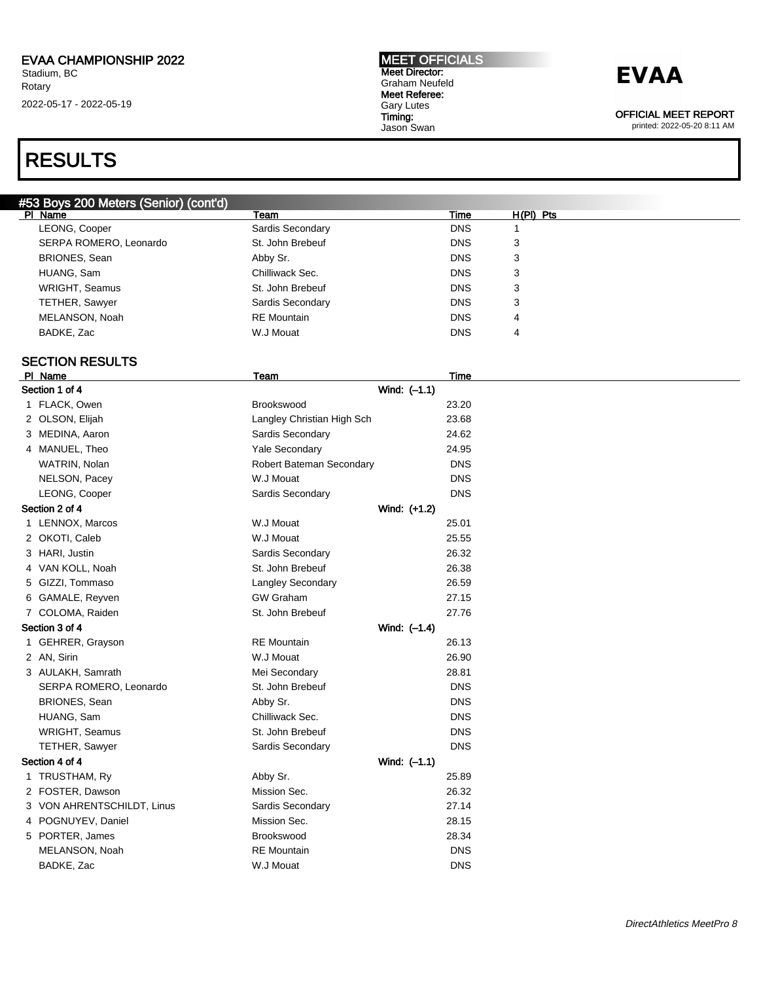## RESULTS

#### #53 Boys 200 Meters (Senior) (cont'd)

| PI Name                | Team               | Time       | $H(PI)$ Pts |
|------------------------|--------------------|------------|-------------|
| LEONG, Cooper          | Sardis Secondary   | <b>DNS</b> |             |
| SERPA ROMERO, Leonardo | St. John Brebeuf   | <b>DNS</b> | 3           |
| <b>BRIONES, Sean</b>   | Abby Sr.           | <b>DNS</b> | 3           |
| HUANG, Sam             | Chilliwack Sec.    | <b>DNS</b> | 3           |
| WRIGHT, Seamus         | St. John Brebeuf   | <b>DNS</b> | 3           |
| <b>TETHER, Sawyer</b>  | Sardis Secondary   | <b>DNS</b> | 3           |
| MELANSON, Noah         | <b>RE</b> Mountain | <b>DNS</b> | 4           |
| BADKE, Zac             | W.J Mouat          | <b>DNS</b> | 4           |
|                        |                    |            |             |

MEET OFFICIALS Meet Director: Graham Neufeld Meet Referee: Gary Lutes Timing: Jason Swan

### SECTION RESULTS

|                | PI Name                    | Team                       | Time       |  |
|----------------|----------------------------|----------------------------|------------|--|
|                | Section 1 of 4             | Wind: $(-1.1)$             |            |  |
|                | 1 FLACK, Owen              | Brookswood                 | 23.20      |  |
|                | 2 OLSON, Elijah            | Langley Christian High Sch | 23.68      |  |
|                | 3 MEDINA, Aaron            | Sardis Secondary           | 24.62      |  |
|                | 4 MANUEL, Theo             | Yale Secondary             | 24.95      |  |
|                | WATRIN, Nolan              | Robert Bateman Secondary   | <b>DNS</b> |  |
|                | NELSON, Pacey              | W.J Mouat                  | <b>DNS</b> |  |
|                | LEONG, Cooper              | Sardis Secondary           | <b>DNS</b> |  |
|                | Section 2 of 4             | Wind: (+1.2)               |            |  |
|                | 1 LENNOX, Marcos           | W.J Mouat                  | 25.01      |  |
|                | 2 OKOTI, Caleb             | W.J Mouat                  | 25.55      |  |
|                | 3 HARI, Justin             | Sardis Secondary           | 26.32      |  |
|                | 4 VAN KOLL, Noah           | St. John Brebeuf           | 26.38      |  |
|                | 5 GIZZI, Tommaso           | Langley Secondary          | 26.59      |  |
|                | 6 GAMALE, Reyven           | <b>GW Graham</b>           | 27.15      |  |
|                | 7 COLOMA, Raiden           | St. John Brebeuf           | 27.76      |  |
| Section 3 of 4 |                            | Wind: (-1.4)               |            |  |
|                | 1 GEHRER, Grayson          | <b>RE</b> Mountain         | 26.13      |  |
|                | 2 AN, Sirin                | W.J Mouat                  | 26.90      |  |
|                | 3 AULAKH, Samrath          | Mei Secondary              | 28.81      |  |
|                | SERPA ROMERO, Leonardo     | St. John Brebeuf           | <b>DNS</b> |  |
|                | BRIONES, Sean              | Abby Sr.                   | <b>DNS</b> |  |
|                | HUANG, Sam                 | Chilliwack Sec.            | <b>DNS</b> |  |
|                | WRIGHT, Seamus             | St. John Brebeuf           | <b>DNS</b> |  |
|                | TETHER, Sawyer             | Sardis Secondary           | <b>DNS</b> |  |
|                | Section 4 of 4             | Wind: $(-1.1)$             |            |  |
|                | 1 TRUSTHAM, Ry             | Abby Sr.                   | 25.89      |  |
|                | 2 FOSTER, Dawson           | Mission Sec.               | 26.32      |  |
|                | 3 VON AHRENTSCHILDT, Linus | Sardis Secondary           | 27.14      |  |
|                | 4 POGNUYEV, Daniel         | Mission Sec.               | 28.15      |  |
|                | 5 PORTER, James            | Brookswood                 | 28.34      |  |
|                | MELANSON, Noah             | <b>RE</b> Mountain         | <b>DNS</b> |  |
|                | BADKE, Zac                 | W.J Mouat                  | <b>DNS</b> |  |
|                |                            |                            |            |  |

OFFICIAL MEET REPORT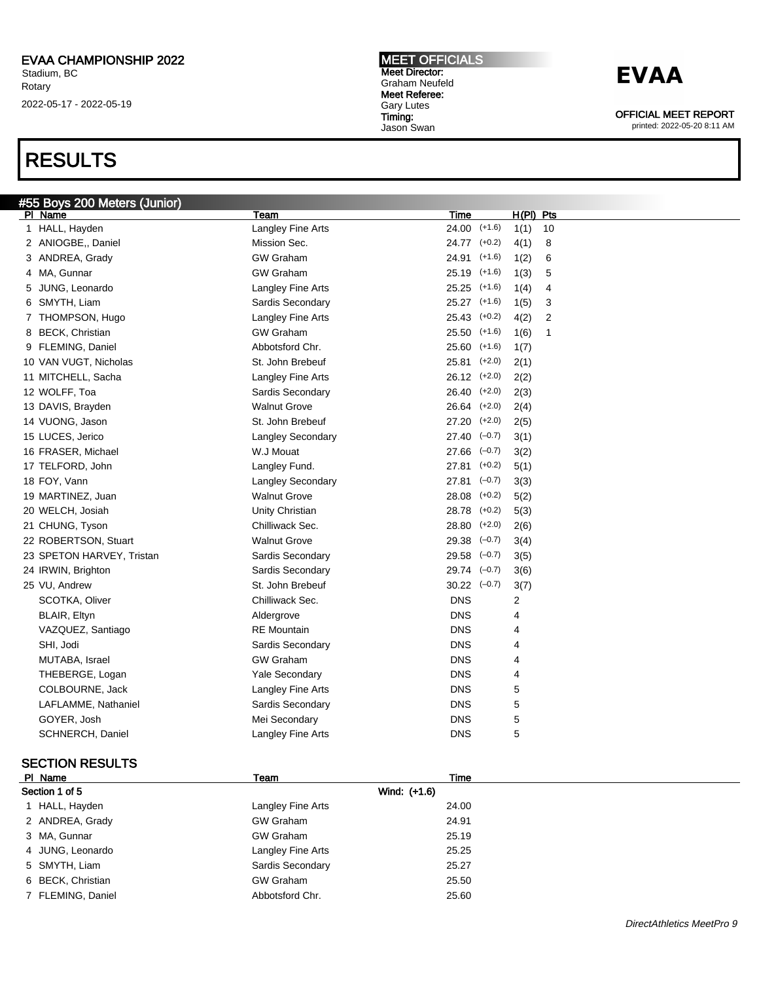### RESULTS

MEET OFFICIALS Meet Director: Graham Neufeld Meet Referee: Gary Lutes Timing: Jason Swan

### **EVAA**

OFFICIAL MEET REPORT

printed: 2022-05-20 8:11 AM

| #55 Boys 200 Meters (Junior) |                          |                           |             |                |
|------------------------------|--------------------------|---------------------------|-------------|----------------|
| PI Name                      | Team                     | Time                      | $H(PI)$ Pts |                |
| 1 HALL, Hayden               | Langley Fine Arts        | $24.00$ (+1.6)            | 1(1)        | 10             |
| 2 ANIOGBE,, Daniel           | Mission Sec.             | 24.77 (+0.2)              | 4(1)        | 8              |
| 3 ANDREA, Grady              | <b>GW Graham</b>         | 24.91 (+1.6)              | 1(2)        | 6              |
| 4 MA, Gunnar                 | <b>GW Graham</b>         | 25.19 (+1.6)              | 1(3)        | 5              |
| 5 JUNG, Leonardo             | Langley Fine Arts        | $25.25$ $(+1.6)$          | 1(4)        | $\overline{4}$ |
| 6 SMYTH, Liam                | Sardis Secondary         | 25.27 (+1.6)              | 1(5)        | 3              |
| 7 THOMPSON, Hugo             | Langley Fine Arts        | $25.43$ $(+0.2)$          | 4(2)        | $\overline{2}$ |
| 8 BECK, Christian            | <b>GW Graham</b>         | $25.50$ (+1.6)            | 1(6)        | 1              |
| 9 FLEMING, Daniel            | Abbotsford Chr.          | $25.60$ (+1.6)            | 1(7)        |                |
| 10 VAN VUGT, Nicholas        | St. John Brebeuf         | $25.81$ $(+2.0)$          | 2(1)        |                |
| 11 MITCHELL, Sacha           | Langley Fine Arts        | $26.12$ $(+2.0)$          | 2(2)        |                |
| 12 WOLFF, Toa                | Sardis Secondary         | $26.40$ $(+2.0)$          | 2(3)        |                |
| 13 DAVIS, Brayden            | <b>Walnut Grove</b>      | 26.64 (+2.0)              | 2(4)        |                |
| 14 VUONG, Jason              | St. John Brebeuf         | $27.20$ $(+2.0)$          | 2(5)        |                |
| 15 LUCES, Jerico             | <b>Langley Secondary</b> | $27.40 \left(-0.7\right)$ | 3(1)        |                |
| 16 FRASER, Michael           | W.J Mouat                | $27.66$ $(-0.7)$          | 3(2)        |                |
| 17 TELFORD, John             | Langley Fund.            | $27.81$ (+0.2)            | 5(1)        |                |
| 18 FOY, Vann                 | Langley Secondary        | $27.81$ $(-0.7)$          | 3(3)        |                |
| 19 MARTINEZ, Juan            | <b>Walnut Grove</b>      | $28.08$ $(+0.2)$          | 5(2)        |                |
| 20 WELCH, Josiah             | Unity Christian          | 28.78 (+0.2)              | 5(3)        |                |
| 21 CHUNG, Tyson              | Chilliwack Sec.          | 28.80 (+2.0)              | 2(6)        |                |
| 22 ROBERTSON, Stuart         | <b>Walnut Grove</b>      | $29.38$ $(-0.7)$          | 3(4)        |                |
| 23 SPETON HARVEY, Tristan    | Sardis Secondary         | $29.58$ $(-0.7)$          | 3(5)        |                |
| 24 IRWIN, Brighton           | Sardis Secondary         | $29.74$ $(-0.7)$          | 3(6)        |                |
| 25 VU, Andrew                | St. John Brebeuf         | $30.22$ $(-0.7)$          | 3(7)        |                |
| SCOTKA, Oliver               | Chilliwack Sec.          | <b>DNS</b>                | 2           |                |
| BLAIR, Eltyn                 | Aldergrove               | <b>DNS</b>                | 4           |                |
| VAZQUEZ, Santiago            | RE Mountain              | <b>DNS</b>                | 4           |                |
| SHI, Jodi                    | Sardis Secondary         | <b>DNS</b>                | 4           |                |
| MUTABA, Israel               | <b>GW Graham</b>         | <b>DNS</b>                | 4           |                |
| THEBERGE, Logan              | <b>Yale Secondary</b>    | <b>DNS</b>                | 4           |                |
| COLBOURNE, Jack              | Langley Fine Arts        | <b>DNS</b>                | 5           |                |
| LAFLAMME, Nathaniel          | Sardis Secondary         | <b>DNS</b>                | 5           |                |
| GOYER, Josh                  | Mei Secondary            | <b>DNS</b>                | 5           |                |
| SCHNERCH, Daniel             | Langley Fine Arts        | <b>DNS</b>                | 5           |                |
|                              |                          |                           |             |                |

#### SECTION RESULTS

| PI Name           | Team              | Time  |
|-------------------|-------------------|-------|
| Section 1 of 5    | Wind: (+1.6)      |       |
| 1 HALL, Hayden    | Langley Fine Arts | 24.00 |
| 2 ANDREA, Grady   | <b>GW Graham</b>  | 24.91 |
| 3 MA, Gunnar      | <b>GW Graham</b>  | 25.19 |
| 4 JUNG, Leonardo  | Langley Fine Arts | 25.25 |
| 5 SMYTH, Liam     | Sardis Secondary  | 25.27 |
| 6 BECK, Christian | <b>GW Graham</b>  | 25.50 |
| 7 FLEMING, Daniel | Abbotsford Chr.   | 25.60 |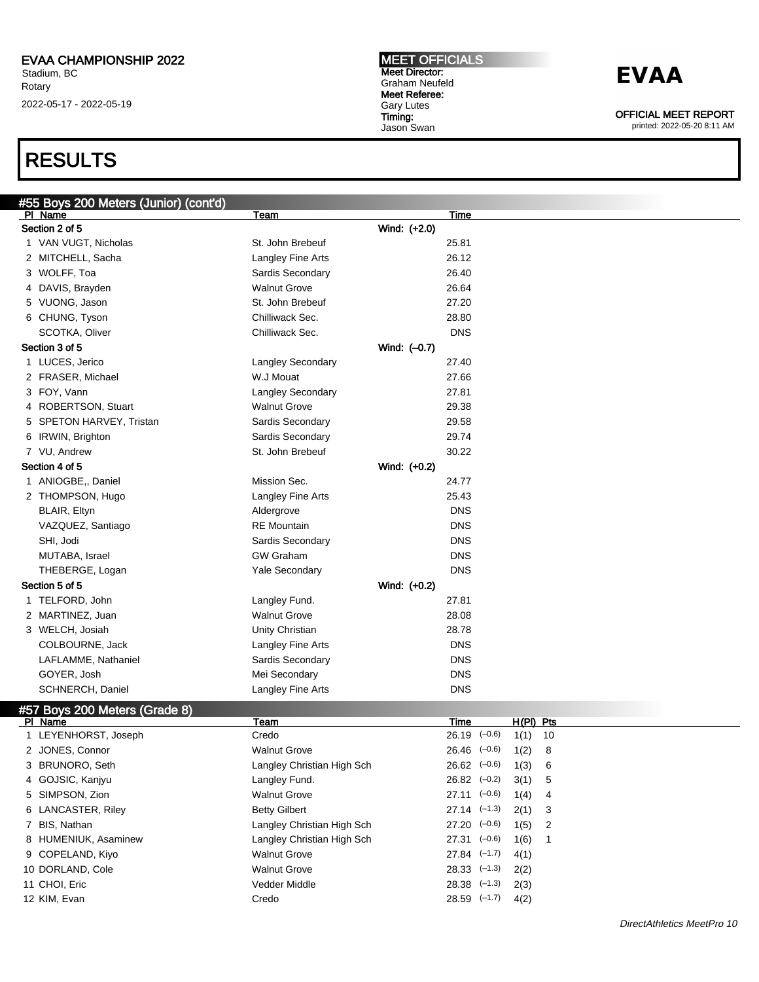### RESULTS

| #55 Boys 200 Meters (Junior) (cont'd) |                            |                                |  |
|---------------------------------------|----------------------------|--------------------------------|--|
| PI Name                               | Team                       | Time                           |  |
| Section 2 of 5                        | Wind: (+2.0)               |                                |  |
| 1 VAN VUGT, Nicholas                  | St. John Brebeuf           | 25.81                          |  |
| 2 MITCHELL, Sacha                     | Langley Fine Arts          | 26.12                          |  |
| 3 WOLFF, Toa                          | Sardis Secondary           | 26.40                          |  |
| 4 DAVIS, Brayden                      | <b>Walnut Grove</b>        | 26.64                          |  |
| 5 VUONG, Jason                        | St. John Brebeuf           | 27.20                          |  |
| 6 CHUNG, Tyson                        | Chilliwack Sec.            | 28.80                          |  |
| <b>SCOTKA, Oliver</b>                 | Chilliwack Sec.            | <b>DNS</b>                     |  |
| Section 3 of 5                        | Wind: (-0.7)               |                                |  |
| 1 LUCES, Jerico                       | Langley Secondary          | 27.40                          |  |
| 2 FRASER, Michael                     | W.J Mouat                  | 27.66                          |  |
| 3 FOY, Vann                           | Langley Secondary          | 27.81                          |  |
| 4 ROBERTSON, Stuart                   | <b>Walnut Grove</b>        | 29.38                          |  |
| 5 SPETON HARVEY, Tristan              | Sardis Secondary           | 29.58                          |  |
| 6 IRWIN, Brighton                     | Sardis Secondary           | 29.74                          |  |
| 7 VU, Andrew                          | St. John Brebeuf           | 30.22                          |  |
| Section 4 of 5                        | Wind: (+0.2)               |                                |  |
| 1 ANIOGBE,, Daniel                    | Mission Sec.               | 24.77                          |  |
| 2 THOMPSON, Hugo                      | Langley Fine Arts          | 25.43                          |  |
| BLAIR, Eltyn                          | Aldergrove                 | <b>DNS</b>                     |  |
| VAZQUEZ, Santiago                     | <b>RE</b> Mountain         | <b>DNS</b>                     |  |
| SHI, Jodi                             | Sardis Secondary           | <b>DNS</b>                     |  |
| MUTABA, Israel                        | <b>GW Graham</b>           | <b>DNS</b>                     |  |
| THEBERGE, Logan                       | <b>Yale Secondary</b>      | <b>DNS</b>                     |  |
| Section 5 of 5                        | Wind: $(+0.2)$             |                                |  |
| 1 TELFORD, John                       | Langley Fund.              | 27.81                          |  |
| 2 MARTINEZ, Juan                      | <b>Walnut Grove</b>        | 28.08                          |  |
| 3 WELCH, Josiah                       | Unity Christian            | 28.78                          |  |
| COLBOURNE, Jack                       | Langley Fine Arts          | <b>DNS</b>                     |  |
| LAFLAMME, Nathaniel                   | Sardis Secondary           | <b>DNS</b>                     |  |
| GOYER, Josh                           | Mei Secondary              | <b>DNS</b>                     |  |
| <b>SCHNERCH, Daniel</b>               | Langley Fine Arts          | <b>DNS</b>                     |  |
| #57 Boys 200 Meters (Grade 8)         |                            |                                |  |
| PI Name                               | Team                       | H(PI) Pts<br>Time              |  |
| 1 LEYENHORST, Joseph                  | Credo                      | $26.19$ $(-0.6)$<br>1(1)<br>10 |  |
| 2 JONES, Connor                       | <b>Walnut Grove</b>        | $26.46$ $(-0.6)$<br>1(2)<br>8  |  |
| 3 BRUNORO, Seth                       | Langley Christian High Sch | $26.62$ $(-0.6)$<br>1(3)<br>6  |  |
| 4 GOJSIC, Kanjyu                      | Langley Fund.              | $26.82$ $(-0.2)$<br>3(1)<br>5  |  |
| 5 SIMPSON, Zion                       | <b>Walnut Grove</b>        | $27.11$ $(-0.6)$<br>1(4)<br>4  |  |

6 LANCASTER, Riley Betty Gilbert 27.14 (–1.3) 2(1) 3 7 BIS, Nathan **Langley Christian High Sch** 27.20 (-0.6) 1(5) 2

8 HUMENIUK, Asaminew Langley Christian High Sch 27.31 (-0.6) 1(6) 1

9 COPELAND, Kiyo Walnut Grove 27.84 (–1.7) 4(1) 10 DORLAND, Cole Walnut Grove 28.33 (–1.3) 2(2)

11 CHOI, Eric Vedder Middle 28.38 (–1.3) 2(3)

12 KIM, Evan Credo 28.59 (–1.7) 4(2)

#### MEET OFFICIALS Meet Director: Graham Neufeld Meet Referee: Gary Lutes Timing:

Jason Swan

## **EVAA**

OFFICIAL MEET REPORT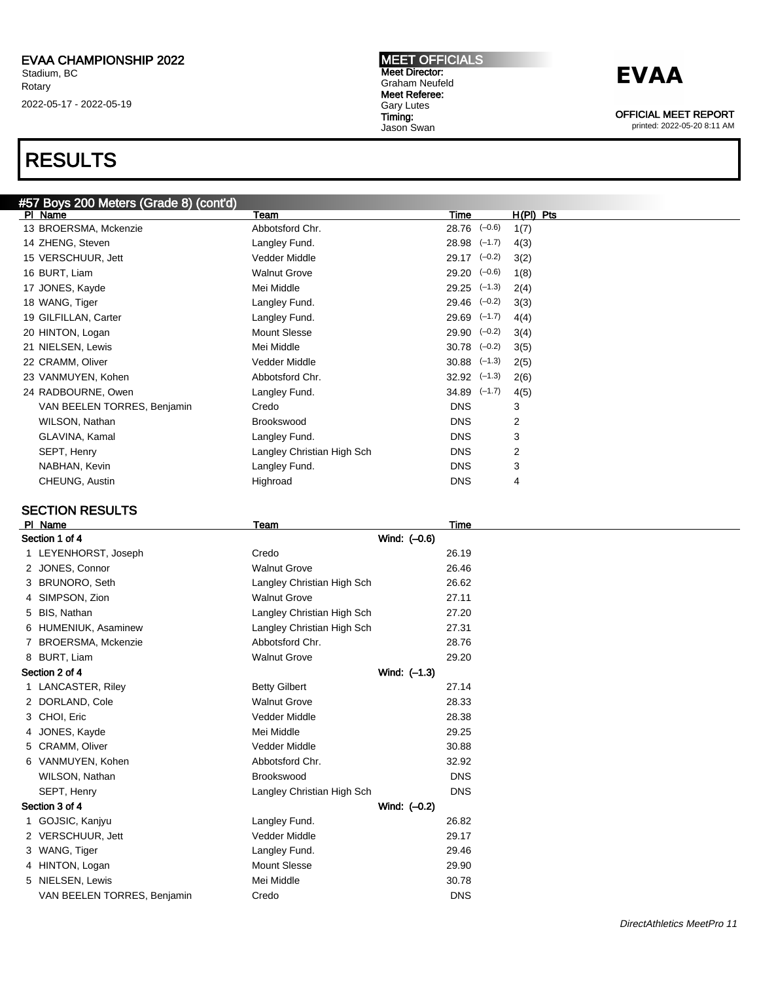### RESULTS

### #57 Boys 200 Meters (Grade 8) (cont'd)

| PI Name                     | Team                       | Time                        | $H(PI)$ Pts |
|-----------------------------|----------------------------|-----------------------------|-------------|
| 13 BROERSMA, Mckenzie       | Abbotsford Chr.            | $28.76$ $(-0.6)$            | 1(7)        |
| 14 ZHENG, Steven            | Langley Fund.              | $28.98$ $(-1.7)$            | 4(3)        |
| 15 VERSCHUUR, Jett          | Vedder Middle              | $29.17$ $(-0.2)$            | 3(2)        |
| 16 BURT, Liam               | <b>Walnut Grove</b>        | $29.20 \left(-0.6\right)$   | 1(8)        |
| 17 JONES, Kayde             | Mei Middle                 | $29.25$ $(-1.3)$            | 2(4)        |
| 18 WANG, Tiger              | Langley Fund.              | $29.46$ $(-0.2)$            | 3(3)        |
| 19 GILFILLAN, Carter        | Langley Fund.              | $29.69$ $(-1.7)$            | 4(4)        |
| 20 HINTON, Logan            | <b>Mount Slesse</b>        | $29.90 (-0.2)$              | 3(4)        |
| 21 NIELSEN, Lewis           | Mei Middle                 | $30.78$ $(-0.2)$            | 3(5)        |
| 22 CRAMM, Oliver            | Vedder Middle              | $30.88$ $(-1.3)$            | 2(5)        |
| 23 VANMUYEN, Kohen          | Abbotsford Chr.            | $32.92 \left( -1.3 \right)$ | 2(6)        |
| 24 RADBOURNE, Owen          | Langley Fund.              | $34.89$ $(-1.7)$            | 4(5)        |
| VAN BEELEN TORRES, Benjamin | Credo                      | <b>DNS</b>                  | 3           |
| WILSON, Nathan              | Brookswood                 | <b>DNS</b>                  | 2           |
| GLAVINA, Kamal              | Langley Fund.              | <b>DNS</b>                  | 3           |
| SEPT, Henry                 | Langley Christian High Sch | <b>DNS</b>                  | 2           |
| NABHAN, Kevin               | Langley Fund.              | <b>DNS</b>                  | 3           |
| CHEUNG, Austin              | Highroad                   | <b>DNS</b>                  | 4           |
|                             |                            |                             |             |

#### SECTION RESULTS

|                | PI Name                     | Team                       | Time         |  |
|----------------|-----------------------------|----------------------------|--------------|--|
| Section 1 of 4 |                             |                            | Wind: (-0.6) |  |
|                | 1 LEYENHORST, Joseph        | Credo                      | 26.19        |  |
|                | 2 JONES, Connor             | <b>Walnut Grove</b>        | 26.46        |  |
|                | 3 BRUNORO, Seth             | Langley Christian High Sch | 26.62        |  |
|                | 4 SIMPSON, Zion             | <b>Walnut Grove</b>        | 27.11        |  |
|                | 5 BIS, Nathan               | Langley Christian High Sch | 27.20        |  |
|                | 6 HUMENIUK, Asaminew        | Langley Christian High Sch | 27.31        |  |
|                | 7 BROERSMA, Mckenzie        | Abbotsford Chr.            | 28.76        |  |
|                | 8 BURT, Liam                | <b>Walnut Grove</b>        | 29.20        |  |
|                | Section 2 of 4              |                            | Wind: (-1.3) |  |
|                | 1 LANCASTER, Riley          | <b>Betty Gilbert</b>       | 27.14        |  |
|                | 2 DORLAND, Cole             | <b>Walnut Grove</b>        | 28.33        |  |
|                | 3 CHOI, Eric                | Vedder Middle              | 28.38        |  |
|                | 4 JONES, Kayde              | Mei Middle                 | 29.25        |  |
|                | 5 CRAMM, Oliver             | Vedder Middle              | 30.88        |  |
|                | 6 VANMUYEN, Kohen           | Abbotsford Chr.            | 32.92        |  |
|                | WILSON, Nathan              | Brookswood                 | <b>DNS</b>   |  |
|                | SEPT, Henry                 | Langley Christian High Sch | <b>DNS</b>   |  |
|                | Section 3 of 4              |                            | Wind: (-0.2) |  |
|                | 1 GOJSIC, Kanjyu            | Langley Fund.              | 26.82        |  |
|                | 2 VERSCHUUR, Jett           | Vedder Middle              | 29.17        |  |
|                | 3 WANG, Tiger               | Langley Fund.              | 29.46        |  |
|                | 4 HINTON, Logan             | <b>Mount Slesse</b>        | 29.90        |  |
|                | 5 NIELSEN, Lewis            | Mei Middle                 | 30.78        |  |
|                | VAN BEELEN TORRES, Benjamin | Credo                      | <b>DNS</b>   |  |

MEET OFFICIALS Meet Director: Graham Neufeld Meet Referee: Gary Lutes Timing: Jason Swan

### **EVAA**

OFFICIAL MEET REPORT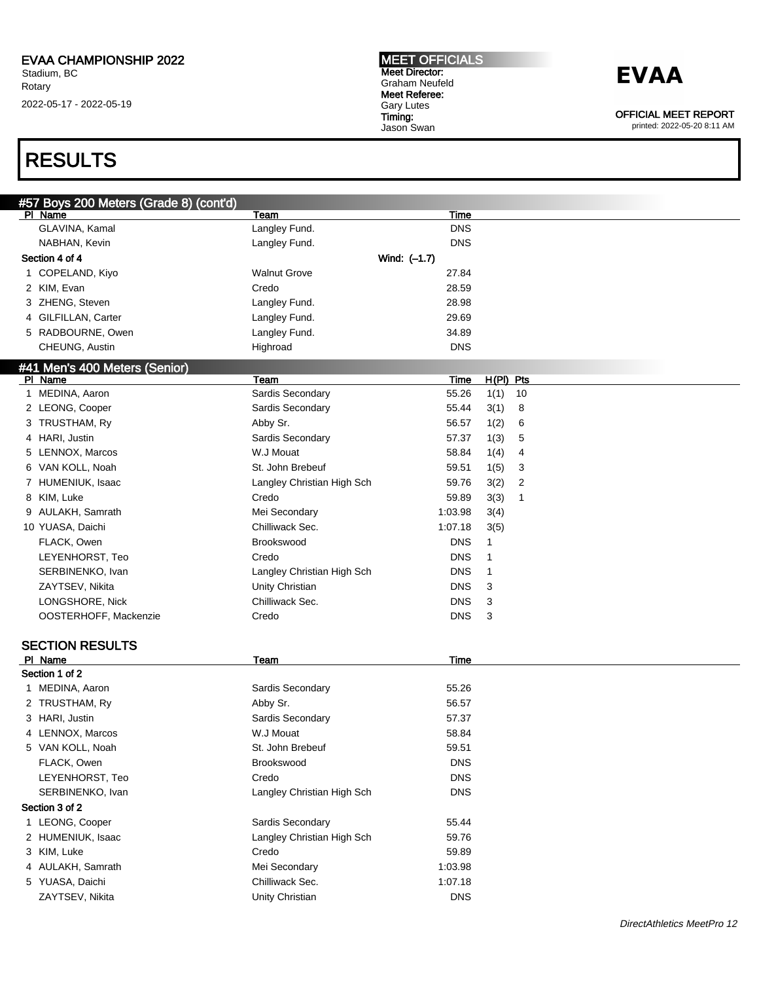### RESULTS

| #57 Boys 200 Meters (Grade 8) (cont'd)<br>PI Name | Team                       | Time         |      |             |  |
|---------------------------------------------------|----------------------------|--------------|------|-------------|--|
| GLAVINA, Kamal                                    | Langley Fund.              | <b>DNS</b>   |      |             |  |
| NABHAN, Kevin                                     | Langley Fund.              | <b>DNS</b>   |      |             |  |
| Section 4 of 4                                    |                            | Wind: (-1.7) |      |             |  |
|                                                   | <b>Walnut Grove</b>        |              |      |             |  |
| 1 COPELAND, Kiyo                                  |                            | 27.84        |      |             |  |
| 2 KIM, Evan                                       | Credo                      | 28.59        |      |             |  |
| 3 ZHENG, Steven                                   | Langley Fund.              | 28.98        |      |             |  |
| 4 GILFILLAN, Carter                               | Langley Fund.              | 29.69        |      |             |  |
| 5 RADBOURNE, Owen                                 | Langley Fund.              | 34.89        |      |             |  |
| CHEUNG, Austin                                    | Highroad                   | <b>DNS</b>   |      |             |  |
| <u>#41 Men's 400 Meters (Senior)</u>              |                            |              |      |             |  |
| PI Name                                           | Team                       | Time         |      | $H(PI)$ Pts |  |
| 1 MEDINA, Aaron                                   | Sardis Secondary           | 55.26        | 1(1) | 10          |  |
| 2 LEONG, Cooper                                   | Sardis Secondary           | 55.44        | 3(1) | 8           |  |
| 3 TRUSTHAM, Ry                                    | Abby Sr.                   | 56.57        | 1(2) | 6           |  |
| 4 HARI, Justin                                    | Sardis Secondary           | 57.37        | 1(3) | 5           |  |
| 5 LENNOX, Marcos                                  | W.J Mouat                  | 58.84        | 1(4) | 4           |  |
| 6 VAN KOLL, Noah                                  | St. John Brebeuf           | 59.51        | 1(5) | 3           |  |
| 7 HUMENIUK, Isaac                                 | Langley Christian High Sch | 59.76        | 3(2) | 2           |  |
| 8 KIM, Luke                                       | Credo                      | 59.89        | 3(3) | 1           |  |
| 9 AULAKH, Samrath                                 | Mei Secondary              | 1:03.98      | 3(4) |             |  |
| 10 YUASA, Daichi                                  | Chilliwack Sec.            | 1:07.18      | 3(5) |             |  |
| FLACK, Owen                                       | Brookswood                 | <b>DNS</b>   | 1    |             |  |
| LEYENHORST, Teo                                   | Credo                      | <b>DNS</b>   | 1    |             |  |
| SERBINENKO, Ivan                                  | Langley Christian High Sch | <b>DNS</b>   | -1   |             |  |
| ZAYTSEV, Nikita                                   | Unity Christian            | <b>DNS</b>   | 3    |             |  |
| LONGSHORE, Nick                                   | Chilliwack Sec.            | <b>DNS</b>   | 3    |             |  |
| OOSTERHOFF, Mackenzie                             | Credo                      | <b>DNS</b>   | 3    |             |  |
|                                                   |                            |              |      |             |  |
| <b>SECTION RESULTS</b>                            |                            |              |      |             |  |
| PI Name                                           | Team                       | <b>Time</b>  |      |             |  |
| Section 1 of 2                                    |                            |              |      |             |  |
| 1 MEDINA, Aaron                                   | Sardis Secondary           | 55.26        |      |             |  |
| 2 TRUSTHAM, Ry                                    | Abby Sr.                   | 56.57        |      |             |  |
| 3 HARI, Justin                                    | Sardis Secondary           | 57.37        |      |             |  |
| 4 LENNOX, Marcos                                  | W.J Mouat                  | 58.84        |      |             |  |
| 5 VAN KOLL, Noah                                  | St. John Brebeuf           | 59.51        |      |             |  |
| FLACK, Owen                                       | Brookswood                 | <b>DNS</b>   |      |             |  |
| LEYENHORST, Teo                                   | Credo                      | <b>DNS</b>   |      |             |  |
|                                                   |                            |              |      |             |  |
| SERBINENKO, Ivan                                  | Langley Christian High Sch | <b>DNS</b>   |      |             |  |
| Section 3 of 2                                    |                            |              |      |             |  |
| 1 LEONG, Cooper                                   | Sardis Secondary           | 55.44        |      |             |  |
| 2 HUMENIUK, Isaac                                 | Langley Christian High Sch | 59.76        |      |             |  |
| 3 KIM, Luke                                       | Credo                      | 59.89        |      |             |  |
| 4 AULAKH, Samrath                                 | Mei Secondary              | 1:03.98      |      |             |  |
| 5 YUASA, Daichi                                   | Chilliwack Sec.            | 1:07.18      |      |             |  |
| ZAYTSEV, Nikita                                   | Unity Christian            | <b>DNS</b>   |      |             |  |

MEET OFFICIALS Meet Director: Graham Neufeld Meet Referee: Gary Lutes Timing: Jason Swan



OFFICIAL MEET REPORT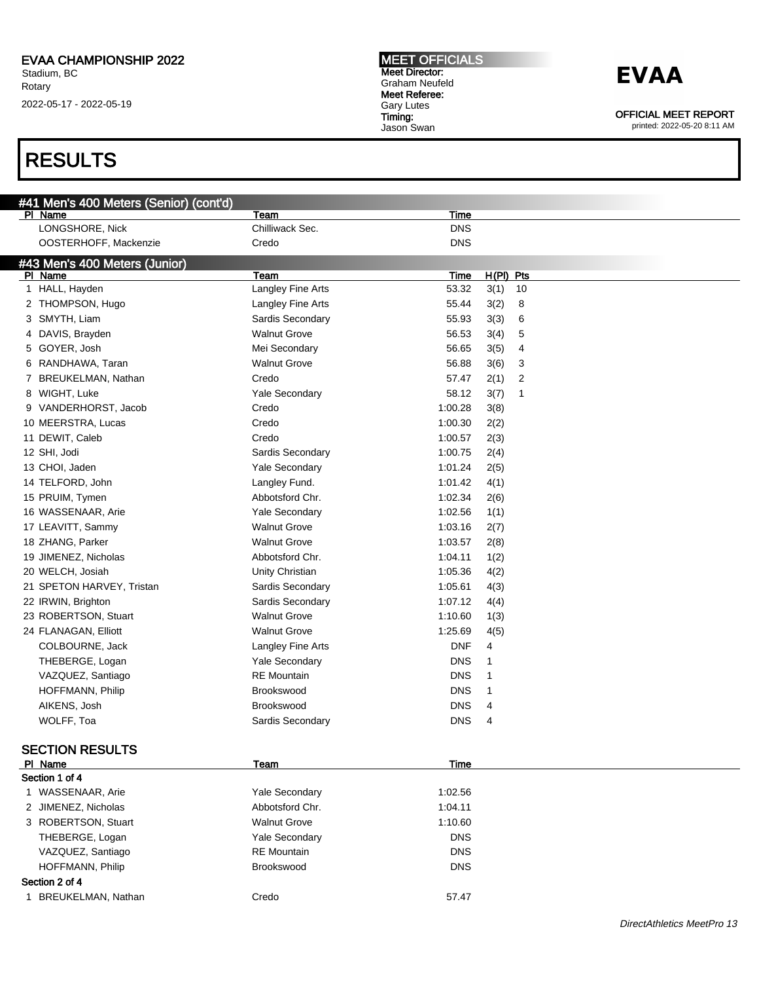### RESULTS

| #41 Men's 400 Meters (Senior) (cont'd) |                       |             |             |  |
|----------------------------------------|-----------------------|-------------|-------------|--|
| PI Name                                | Team                  | Time        |             |  |
| LONGSHORE, Nick                        | Chilliwack Sec.       | <b>DNS</b>  |             |  |
| OOSTERHOFF, Mackenzie                  | Credo                 | <b>DNS</b>  |             |  |
| #43 Men's 400 Meters (Junior)          |                       |             |             |  |
| PI Name                                | Team                  | Time        | $H(PI)$ Pts |  |
| 1 HALL, Hayden                         | Langley Fine Arts     | 53.32       | 3(1)<br>10  |  |
| 2 THOMPSON, Hugo                       | Langley Fine Arts     | 55.44       | 3(2)<br>8   |  |
| 3 SMYTH, Liam                          | Sardis Secondary      | 55.93       | 3(3)<br>6   |  |
| DAVIS, Brayden<br>4                    | <b>Walnut Grove</b>   | 56.53       | 3(4)<br>5   |  |
| 5 GOYER, Josh                          | Mei Secondary         | 56.65       | 3(5)<br>4   |  |
| RANDHAWA, Taran<br>6                   | <b>Walnut Grove</b>   | 56.88       | 3(6)<br>3   |  |
| BREUKELMAN, Nathan<br>7                | Credo                 | 57.47       | 2(1)<br>2   |  |
| 8 WIGHT, Luke                          | Yale Secondary        | 58.12       | 3(7)<br>1   |  |
| 9 VANDERHORST, Jacob                   | Credo                 | 1:00.28     | 3(8)        |  |
| 10 MEERSTRA, Lucas                     | Credo                 | 1:00.30     | 2(2)        |  |
| 11 DEWIT, Caleb                        | Credo                 | 1:00.57     | 2(3)        |  |
| 12 SHI, Jodi                           | Sardis Secondary      | 1:00.75     | 2(4)        |  |
| 13 CHOI, Jaden                         | <b>Yale Secondary</b> | 1:01.24     | 2(5)        |  |
| 14 TELFORD, John                       | Langley Fund.         | 1:01.42     | 4(1)        |  |
| 15 PRUIM, Tymen                        | Abbotsford Chr.       | 1:02.34     | 2(6)        |  |
| 16 WASSENAAR, Arie                     | Yale Secondary        | 1:02.56     | 1(1)        |  |
| 17 LEAVITT, Sammy                      | <b>Walnut Grove</b>   | 1:03.16     | 2(7)        |  |
| 18 ZHANG, Parker                       | <b>Walnut Grove</b>   | 1:03.57     | 2(8)        |  |
| 19 JIMENEZ, Nicholas                   | Abbotsford Chr.       | 1:04.11     | 1(2)        |  |
| 20 WELCH, Josiah                       | Unity Christian       | 1:05.36     | 4(2)        |  |
| 21 SPETON HARVEY, Tristan              | Sardis Secondary      | 1:05.61     | 4(3)        |  |
| 22 IRWIN, Brighton                     | Sardis Secondary      | 1:07.12     | 4(4)        |  |
| 23 ROBERTSON, Stuart                   | <b>Walnut Grove</b>   | 1:10.60     | 1(3)        |  |
| 24 FLANAGAN, Elliott                   | <b>Walnut Grove</b>   | 1:25.69     | 4(5)        |  |
| COLBOURNE, Jack                        | Langley Fine Arts     | <b>DNF</b>  | 4           |  |
| THEBERGE, Logan                        | <b>Yale Secondary</b> | <b>DNS</b>  | 1           |  |
| VAZQUEZ, Santiago                      | <b>RE</b> Mountain    | <b>DNS</b>  | 1           |  |
| HOFFMANN, Philip                       | Brookswood            | <b>DNS</b>  | 1           |  |
| AIKENS, Josh                           | <b>Brookswood</b>     | <b>DNS</b>  | 4           |  |
| WOLFF, Toa                             | Sardis Secondary      | <b>DNS</b>  | 4           |  |
|                                        |                       |             |             |  |
| <b>SECTION RESULTS</b>                 |                       |             |             |  |
| PI Name                                | Team                  | <b>Time</b> |             |  |
| Section 1 of 4                         |                       |             |             |  |
| 1 WASSENAAR, Arie                      | Yale Secondary        | 1:02.56     |             |  |
| 2 JIMENEZ, Nicholas                    | Abbotsford Chr.       | 1:04.11     |             |  |
| 3 ROBERTSON, Stuart                    | <b>Walnut Grove</b>   | 1:10.60     |             |  |
| THEBERGE, Logan                        | Yale Secondary        | <b>DNS</b>  |             |  |
| VAZQUEZ, Santiago                      | <b>RE</b> Mountain    | <b>DNS</b>  |             |  |
| HOFFMANN, Philip                       | Brookswood            | <b>DNS</b>  |             |  |
| Section 2 of 4                         |                       |             |             |  |
| 1 BREUKELMAN, Nathan                   | Credo                 | 57.47       |             |  |
|                                        |                       |             |             |  |

MEET OFFICIALS Meet Director: Graham Neufeld Meet Referee: Gary Lutes Timing: Jason Swan

### **EVAA**

OFFICIAL MEET REPORT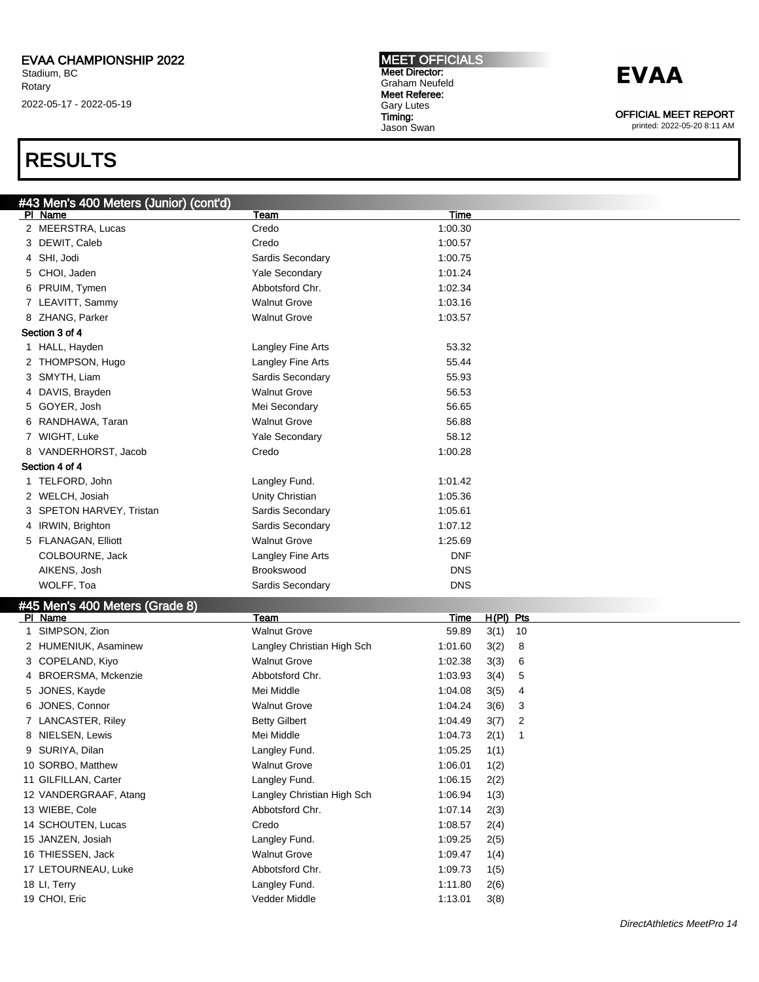#### MEET OFFICIALS Meet Director: Graham Neufeld Meet Referee: Gary Lutes Timing: Jason Swan

## **EVAA**

OFFICIAL MEET REPORT

printed: 2022-05-20 8:11 AM

### RESULTS

| #43 Men's 400 Meters (Junior) (cont'd) |                            |            |            |
|----------------------------------------|----------------------------|------------|------------|
| PI Name                                | Team                       | Time       |            |
| 2 MEERSTRA, Lucas                      | Credo                      | 1:00.30    |            |
| 3 DEWIT, Caleb                         | Credo                      | 1:00.57    |            |
| 4 SHI, Jodi                            | Sardis Secondary           | 1:00.75    |            |
| 5 CHOI, Jaden                          | Yale Secondary             | 1:01.24    |            |
| 6 PRUIM, Tymen                         | Abbotsford Chr.            | 1:02.34    |            |
| 7 LEAVITT, Sammy                       | <b>Walnut Grove</b>        | 1:03.16    |            |
| 8 ZHANG, Parker                        | <b>Walnut Grove</b>        | 1:03.57    |            |
| Section 3 of 4                         |                            |            |            |
| 1 HALL, Hayden                         | <b>Langley Fine Arts</b>   | 53.32      |            |
| 2 THOMPSON, Hugo                       | Langley Fine Arts          | 55.44      |            |
| 3 SMYTH, Liam                          | Sardis Secondary           | 55.93      |            |
| 4 DAVIS, Brayden                       | <b>Walnut Grove</b>        | 56.53      |            |
| 5 GOYER, Josh                          | Mei Secondary              | 56.65      |            |
| 6 RANDHAWA, Taran                      | <b>Walnut Grove</b>        | 56.88      |            |
| 7 WIGHT, Luke                          | Yale Secondary             | 58.12      |            |
| 8 VANDERHORST, Jacob                   | Credo                      | 1:00.28    |            |
| Section 4 of 4                         |                            |            |            |
| 1 TELFORD, John                        | Langley Fund.              | 1:01.42    |            |
| 2 WELCH, Josiah                        | Unity Christian            | 1:05.36    |            |
| 3 SPETON HARVEY, Tristan               | Sardis Secondary           | 1:05.61    |            |
| 4 IRWIN, Brighton                      | Sardis Secondary           | 1:07.12    |            |
| 5 FLANAGAN, Elliott                    | <b>Walnut Grove</b>        | 1:25.69    |            |
| COLBOURNE, Jack                        | Langley Fine Arts          | <b>DNF</b> |            |
| AIKENS, Josh                           | Brookswood                 | <b>DNS</b> |            |
| WOLFF, Toa                             | Sardis Secondary           | <b>DNS</b> |            |
| #45 Men's 400 Meters (Grade 8)         |                            |            |            |
| PI Name                                | Team                       | Time       | H(PI) Pts  |
| SIMPSON, Zion                          | <b>Walnut Grove</b>        | 59.89      | 3(1)<br>10 |
| 2 HUMENIUK, Asaminew                   | Langley Christian High Sch | 1:01.60    | 3(2)<br>8  |
| 3 COPELAND, Kiyo                       | <b>Walnut Grove</b>        | 1:02.38    | 3(3)<br>6  |

4 BROERSMA, Mckenzie Abbotsford Chr. 1:03.93 3(4) 5 5 JONES, Kayde Mei Middle 1:04.08 3(5) 4 6 JONES, Connor Walnut Grove 1:04.24 3(6) 3 7 LANCASTER, Riley Betty Gilbert 1:04.49 3(7) 2 8 NIELSEN, Lewis 2(1) 22(1) 22(1) 1:04.73 2(1) 1:04.73 2(1) 1:04.73 2(1) 1:04.73 2(1) 1:04.73 2(1) 1:04.73 2(1) 1:04.73 2(1) 1:04.73 2(1) 1:04.73 2(1) 1:04.73 2(1) 1:04.73 2(1) 1:04.73 2(1) 1:04.73 2(1) 1:04.73 2(1) 1:04.7 9 SURIYA, Dilan **Langley Fund.** Campley Fund. 1:05.25 1(1) 10 SORBO, Matthew **1:06.01** Walnut Grove 1:06.01 1(2) 11 GILFILLAN, Carter **Langley Fund.** Langley Fund. 1:06.15 2(2) 12 VANDERGRAAF, Atang Langley Christian High Sch 1:06.94 1(3) 13 WIEBE, Cole **Abbotsford Chr.** 1:07.14 2(3) 14 SCHOUTEN, Lucas Credo 1:08.57 2(4) 15 JANZEN, Josiah Langley Fund. 1:09.25 2(5) 16 THIESSEN, Jack 1:09.47 1(4) 17 LETOURNEAU, Luke Abbotsford Chr. 1:09.73 1(5) 18 LI, Terry Langley Fund. 1:11.80 2(6) 19 CHOI, Eric Vedder Middle 1:13.01 3(8)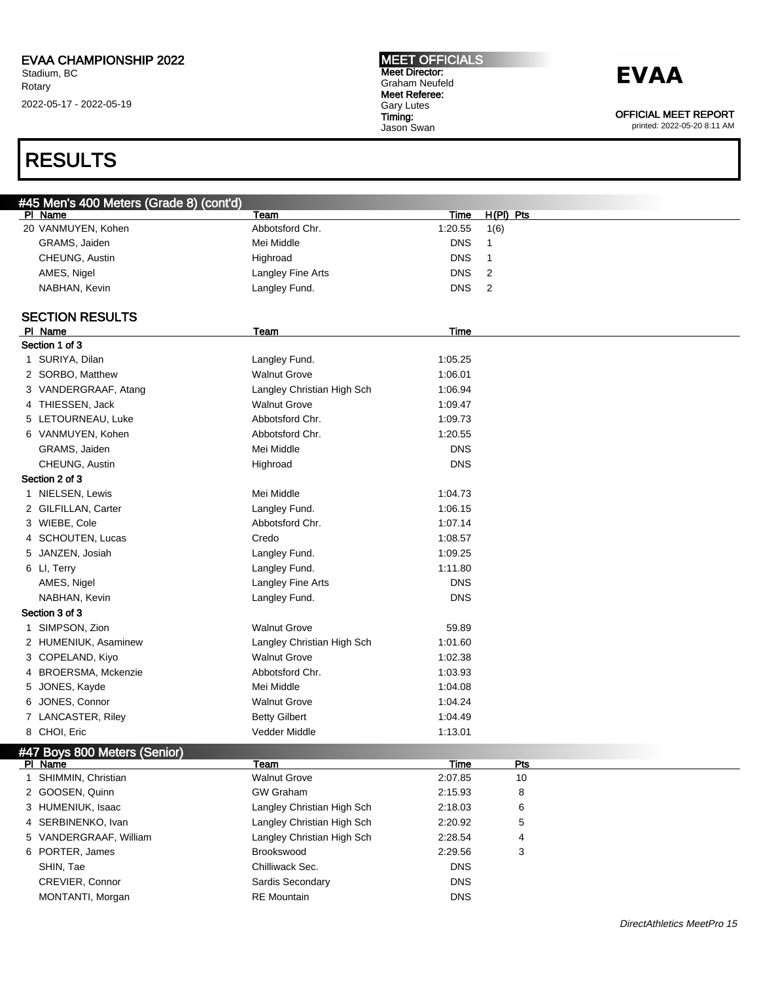## RESULTS

| <b>IMEET OFFICIALS</b> |
|------------------------|
| <b>Meet Director:</b>  |
| Graham Neufeld         |
| Meet Referee:          |
| <b>Gary Lutes</b>      |
| Timing:                |
| Jason Swan             |

**EVAA** 

OFFICIAL MEET REPORT

|              | #45 Men's 400 Meters (Grade 8) (cont'd) |                            |             |                |
|--------------|-----------------------------------------|----------------------------|-------------|----------------|
|              | PI Name                                 | Team                       | Time        | $H(PI)$ Pts    |
|              | 20 VANMUYEN, Kohen                      | Abbotsford Chr.            | 1:20.55     | 1(6)           |
|              | GRAMS, Jaiden                           | Mei Middle                 | <b>DNS</b>  | $\mathbf{1}$   |
|              | CHEUNG, Austin                          | Highroad                   | <b>DNS</b>  | $\mathbf{1}$   |
|              | AMES, Nigel                             | Langley Fine Arts          | <b>DNS</b>  | $\overline{c}$ |
|              | NABHAN, Kevin                           | Langley Fund.              | <b>DNS</b>  | 2              |
|              |                                         |                            |             |                |
|              | <b>SECTION RESULTS</b>                  |                            |             |                |
|              | PI Name                                 | Team                       | <b>Time</b> |                |
|              | Section 1 of 3                          |                            |             |                |
|              | 1 SURIYA, Dilan                         | Langley Fund.              | 1:05.25     |                |
|              | 2 SORBO, Matthew                        | <b>Walnut Grove</b>        | 1:06.01     |                |
|              | 3 VANDERGRAAF, Atang                    | Langley Christian High Sch | 1:06.94     |                |
|              | 4 THIESSEN, Jack                        | <b>Walnut Grove</b>        | 1:09.47     |                |
|              | 5 LETOURNEAU, Luke                      | Abbotsford Chr.            | 1:09.73     |                |
|              | 6 VANMUYEN, Kohen                       | Abbotsford Chr.            | 1:20.55     |                |
|              | GRAMS, Jaiden                           | Mei Middle                 | <b>DNS</b>  |                |
|              | CHEUNG, Austin                          | Highroad                   | <b>DNS</b>  |                |
|              | Section 2 of 3                          |                            |             |                |
|              | 1 NIELSEN, Lewis                        | Mei Middle                 | 1:04.73     |                |
|              | 2 GILFILLAN, Carter                     | Langley Fund.              | 1:06.15     |                |
|              | 3 WIEBE, Cole                           | Abbotsford Chr.            | 1:07.14     |                |
|              | 4 SCHOUTEN, Lucas                       | Credo                      | 1:08.57     |                |
|              | 5 JANZEN, Josiah                        | Langley Fund.              | 1:09.25     |                |
|              | 6 LI, Terry                             | Langley Fund.              | 1:11.80     |                |
|              | AMES, Nigel                             | Langley Fine Arts          | <b>DNS</b>  |                |
|              | NABHAN, Kevin                           | Langley Fund.              | <b>DNS</b>  |                |
|              | Section 3 of 3                          |                            |             |                |
| 1            | SIMPSON, Zion                           | <b>Walnut Grove</b>        | 59.89       |                |
|              | 2 HUMENIUK, Asaminew                    | Langley Christian High Sch | 1:01.60     |                |
|              | 3 COPELAND, Kiyo                        | <b>Walnut Grove</b>        | 1:02.38     |                |
|              | 4 BROERSMA, Mckenzie                    | Abbotsford Chr.            | 1:03.93     |                |
|              | 5 JONES, Kayde                          | Mei Middle                 | 1:04.08     |                |
|              | 6 JONES, Connor                         | <b>Walnut Grove</b>        | 1:04.24     |                |
|              | 7 LANCASTER, Riley                      | <b>Betty Gilbert</b>       | 1:04.49     |                |
|              | 8 CHOI, Eric                            | Vedder Middle              | 1:13.01     |                |
|              | #47 Boys 800 Meters (Senior)            |                            |             |                |
|              | PI Name                                 | <b>Team</b>                | <b>Time</b> | <b>Pts</b>     |
| $\mathbf{1}$ | SHIMMIN, Christian                      | <b>Walnut Grove</b>        | 2:07.85     | 10             |
|              | 2 GOOSEN, Quinn                         | <b>GW Graham</b>           | 2:15.93     | 8              |
|              | 3 HUMENIUK, Isaac                       | Langley Christian High Sch | 2:18.03     | 6              |
|              | 4 SERBINENKO, Ivan                      | Langley Christian High Sch | 2:20.92     | 5              |
|              | 5 VANDERGRAAF, William                  | Langley Christian High Sch | 2:28.54     | 4              |
|              | 6 PORTER, James                         | Brookswood                 | 2:29.56     | 3              |
|              | SHIN, Tae                               | Chilliwack Sec.            | <b>DNS</b>  |                |
|              | CREVIER, Connor                         | Sardis Secondary           | <b>DNS</b>  |                |
|              | MONTANTI, Morgan                        | <b>RE</b> Mountain         | <b>DNS</b>  |                |
|              |                                         |                            |             |                |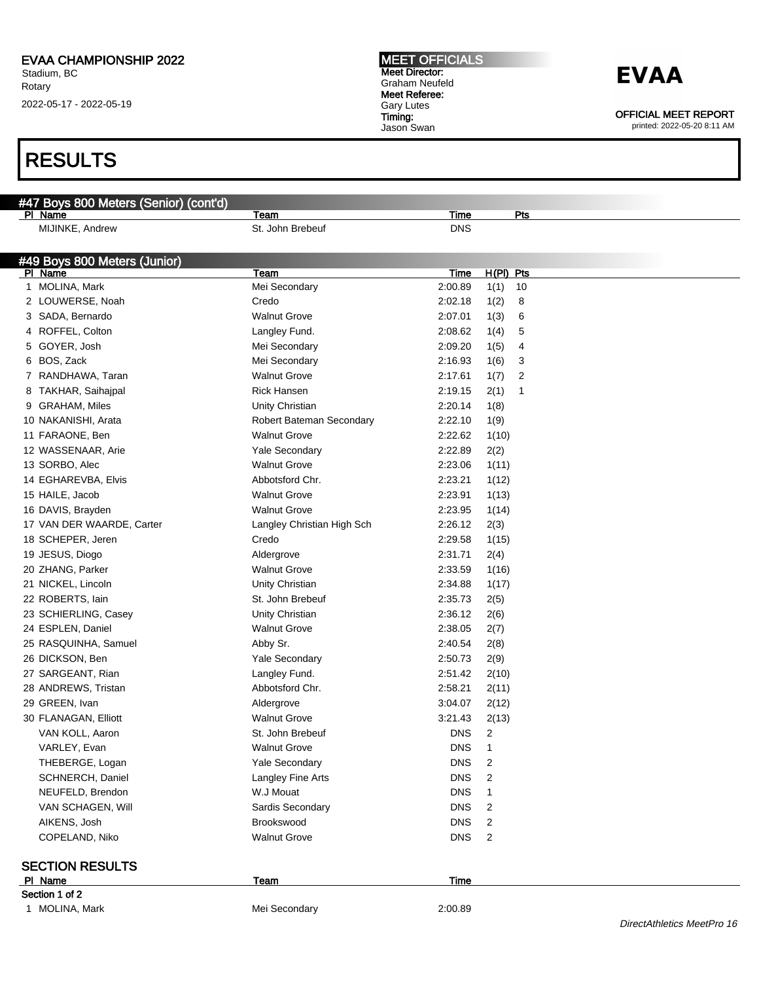#47 Boys 800 Meters (Senior) (cont'd)

Pl Name Team Time Pts

Stadium, BC Rotary 2022-05-17 - 2022-05-19

### RESULTS

| MIJINKE, Andrew              | St. John Brebeuf           | <b>DNS</b>  |                        |  |
|------------------------------|----------------------------|-------------|------------------------|--|
|                              |                            |             |                        |  |
| #49 Boys 800 Meters (Junior) |                            |             |                        |  |
| PI Name                      | Team                       | <b>Time</b> | H(PI) Pts              |  |
| 1 MOLINA, Mark               | Mei Secondary              | 2:00.89     | 1(1)<br>10             |  |
| 2 LOUWERSE, Noah             | Credo                      | 2:02.18     | 1(2)<br>8              |  |
| 3 SADA, Bernardo             | <b>Walnut Grove</b>        | 2:07.01     | 1(3)<br>6              |  |
| 4 ROFFEL, Colton             | Langley Fund.              | 2:08.62     | 1(4)<br>5              |  |
| 5 GOYER, Josh                | Mei Secondary              | 2:09.20     | 1(5)<br>4              |  |
| 6 BOS, Zack                  | Mei Secondary              | 2:16.93     | 1(6)<br>3              |  |
| 7 RANDHAWA, Taran            | <b>Walnut Grove</b>        | 2:17.61     | $\overline{2}$<br>1(7) |  |
| TAKHAR, Saihajpal<br>8       | <b>Rick Hansen</b>         | 2:19.15     | 2(1)<br>$\mathbf{1}$   |  |
| 9 GRAHAM, Miles              | Unity Christian            | 2:20.14     | 1(8)                   |  |
| 10 NAKANISHI, Arata          | Robert Bateman Secondary   | 2:22.10     | 1(9)                   |  |
| 11 FARAONE, Ben              | <b>Walnut Grove</b>        | 2:22.62     | 1(10)                  |  |
| 12 WASSENAAR, Arie           | <b>Yale Secondary</b>      | 2:22.89     | 2(2)                   |  |
| 13 SORBO, Alec               | <b>Walnut Grove</b>        | 2:23.06     | 1(11)                  |  |
| 14 EGHAREVBA, Elvis          | Abbotsford Chr.            | 2:23.21     | 1(12)                  |  |
| 15 HAILE, Jacob              | <b>Walnut Grove</b>        | 2:23.91     | 1(13)                  |  |
| 16 DAVIS, Brayden            | <b>Walnut Grove</b>        | 2:23.95     | 1(14)                  |  |
| 17 VAN DER WAARDE, Carter    | Langley Christian High Sch | 2:26.12     | 2(3)                   |  |
| 18 SCHEPER, Jeren            | Credo                      | 2:29.58     | 1(15)                  |  |
| 19 JESUS, Diogo              | Aldergrove                 | 2:31.71     | 2(4)                   |  |
| 20 ZHANG, Parker             | Walnut Grove               | 2:33.59     | 1(16)                  |  |
| 21 NICKEL, Lincoln           | Unity Christian            | 2:34.88     | 1(17)                  |  |
| 22 ROBERTS, lain             | St. John Brebeuf           | 2:35.73     | 2(5)                   |  |
| 23 SCHIERLING, Casey         | Unity Christian            | 2:36.12     | 2(6)                   |  |
| 24 ESPLEN, Daniel            | <b>Walnut Grove</b>        | 2:38.05     | 2(7)                   |  |
| 25 RASQUINHA, Samuel         | Abby Sr.                   | 2:40.54     | 2(8)                   |  |
| 26 DICKSON, Ben              | <b>Yale Secondary</b>      | 2:50.73     | 2(9)                   |  |
| 27 SARGEANT, Rian            | Langley Fund.              | 2:51.42     | 2(10)                  |  |
| 28 ANDREWS, Tristan          | Abbotsford Chr.            | 2:58.21     | 2(11)                  |  |
| 29 GREEN, Ivan               | Aldergrove                 | 3:04.07     | 2(12)                  |  |
| 30 FLANAGAN, Elliott         | Walnut Grove               | 3:21.43     | 2(13)                  |  |
| VAN KOLL, Aaron              | St. John Brebeuf           | <b>DNS</b>  | $\overline{2}$         |  |
| VARLEY, Evan                 | <b>Walnut Grove</b>        | <b>DNS</b>  | $\mathbf{1}$           |  |
| THEBERGE, Logan              | <b>Yale Secondary</b>      | <b>DNS</b>  | $\overline{2}$         |  |
| SCHNERCH, Daniel             | Langley Fine Arts          | DNS         | $\overline{2}$         |  |
| NEUFELD, Brendon             | W.J Mouat                  | <b>DNS</b>  | $\mathbf{1}$           |  |
| VAN SCHAGEN, Will            | Sardis Secondary           | <b>DNS</b>  | $\overline{c}$         |  |
| AIKENS, Josh                 | Brookswood                 | <b>DNS</b>  | $\overline{2}$         |  |
| COPELAND, Niko               | <b>Walnut Grove</b>        | <b>DNS</b>  | $\overline{c}$         |  |
| <b>SECTION RESULTS</b>       |                            |             |                        |  |
| PI Name                      | Team                       | <b>Time</b> |                        |  |
| Section 1 of 2               |                            |             |                        |  |
| 1 MOLINA, Mark               | Mei Secondary              | 2:00.89     |                        |  |

MEET OFFICIALS Meet Director: Graham Neufeld Meet Referee: Gary Lutes Timing:

Jason Swan

### **EVAA**

OFFICIAL MEET REPORT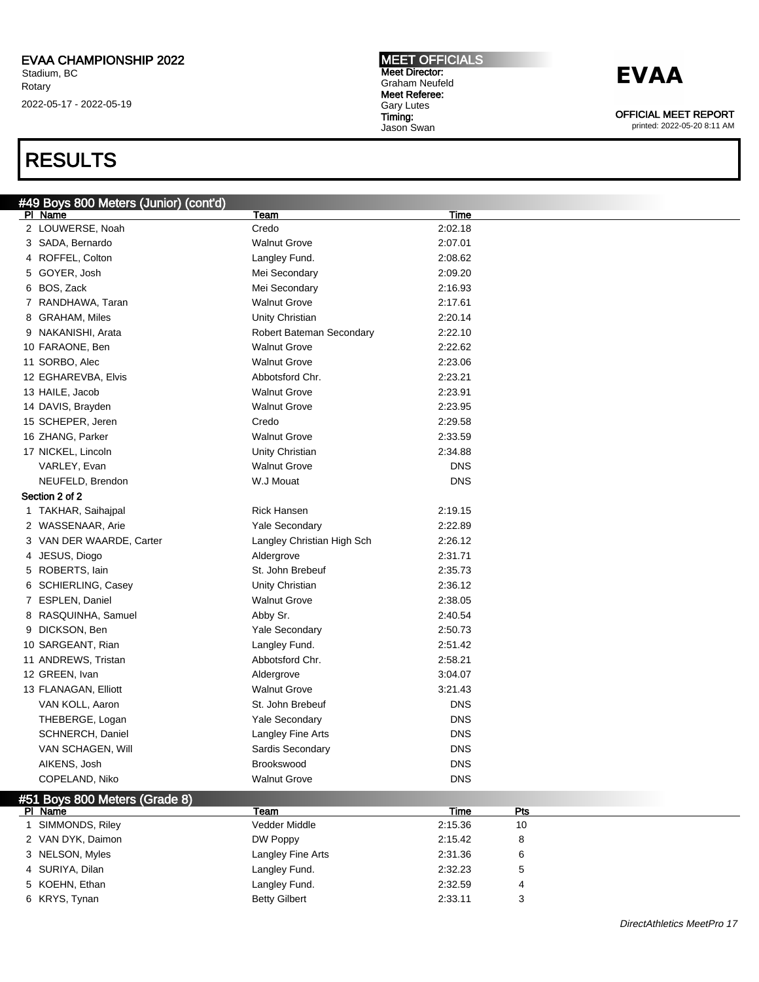### RESULTS

### #49 Boys 800 Meters (Junior) (cont'd)

| #49 DOYS OUU IVIEIEIS (JUNION) (CONTU)<br>PI Name | Team                       | <b>Time</b> |     |  |
|---------------------------------------------------|----------------------------|-------------|-----|--|
| 2 LOUWERSE, Noah                                  | Credo                      | 2:02.18     |     |  |
| 3 SADA, Bernardo                                  | <b>Walnut Grove</b>        | 2:07.01     |     |  |
| 4 ROFFEL, Colton                                  | Langley Fund.              | 2:08.62     |     |  |
| 5 GOYER, Josh                                     | Mei Secondary              | 2:09.20     |     |  |
| 6 BOS, Zack                                       | Mei Secondary              | 2:16.93     |     |  |
| 7 RANDHAWA, Taran                                 | <b>Walnut Grove</b>        | 2:17.61     |     |  |
| 8 GRAHAM, Miles                                   | Unity Christian            | 2:20.14     |     |  |
| 9 NAKANISHI, Arata                                | Robert Bateman Secondary   | 2:22.10     |     |  |
| 10 FARAONE, Ben                                   | <b>Walnut Grove</b>        | 2:22.62     |     |  |
| 11 SORBO, Alec                                    | <b>Walnut Grove</b>        | 2:23.06     |     |  |
| 12 EGHAREVBA, Elvis                               | Abbotsford Chr.            | 2:23.21     |     |  |
| 13 HAILE, Jacob                                   | <b>Walnut Grove</b>        | 2:23.91     |     |  |
| 14 DAVIS, Brayden                                 | <b>Walnut Grove</b>        | 2:23.95     |     |  |
| 15 SCHEPER, Jeren                                 | Credo                      | 2:29.58     |     |  |
| 16 ZHANG, Parker                                  | <b>Walnut Grove</b>        | 2:33.59     |     |  |
| 17 NICKEL, Lincoln                                | Unity Christian            | 2:34.88     |     |  |
| VARLEY, Evan                                      | <b>Walnut Grove</b>        | <b>DNS</b>  |     |  |
| NEUFELD, Brendon                                  | W.J Mouat                  | <b>DNS</b>  |     |  |
| Section 2 of 2                                    |                            |             |     |  |
| 1 TAKHAR, Saihajpal                               | <b>Rick Hansen</b>         | 2:19.15     |     |  |
| 2 WASSENAAR, Arie                                 | Yale Secondary             | 2:22.89     |     |  |
| 3 VAN DER WAARDE, Carter                          | Langley Christian High Sch | 2:26.12     |     |  |
| 4 JESUS, Diogo                                    | Aldergrove                 | 2:31.71     |     |  |
| 5 ROBERTS, lain                                   | St. John Brebeuf           | 2:35.73     |     |  |
| 6 SCHIERLING, Casey                               | Unity Christian            | 2:36.12     |     |  |
| 7 ESPLEN, Daniel                                  | <b>Walnut Grove</b>        | 2:38.05     |     |  |
| 8 RASQUINHA, Samuel                               | Abby Sr.                   | 2:40.54     |     |  |
| 9 DICKSON, Ben                                    | Yale Secondary             | 2:50.73     |     |  |
| 10 SARGEANT, Rian                                 | Langley Fund.              | 2:51.42     |     |  |
| 11 ANDREWS, Tristan                               | Abbotsford Chr.            | 2:58.21     |     |  |
| 12 GREEN, Ivan                                    | Aldergrove                 | 3:04.07     |     |  |
| 13 FLANAGAN, Elliott                              | <b>Walnut Grove</b>        | 3:21.43     |     |  |
| VAN KOLL, Aaron                                   | St. John Brebeuf           | <b>DNS</b>  |     |  |
| THEBERGE, Logan                                   | Yale Secondary             | <b>DNS</b>  |     |  |
| SCHNERCH, Daniel                                  | Langley Fine Arts          | <b>DNS</b>  |     |  |
| VAN SCHAGEN, Will                                 | Sardis Secondary           | <b>DNS</b>  |     |  |
| AIKENS, Josh                                      | Brookswood                 | <b>DNS</b>  |     |  |
| COPELAND, Niko                                    | <b>Walnut Grove</b>        | <b>DNS</b>  |     |  |
|                                                   |                            |             |     |  |
| #51 Boys 800 Meters (Grade 8)<br>PI Name          | Team                       | <b>Time</b> | Pts |  |
| SIMMONDS, Riley<br>$\mathbf{1}$                   | Vedder Middle              | 2:15.36     | 10  |  |
| 2 VAN DYK, Daimon                                 | DW Poppy                   | 2:15.42     | 8   |  |
| 3 NELSON, Myles                                   | Langley Fine Arts          | 2:31.36     | 6   |  |
| 4 SURIYA, Dilan                                   | Langley Fund.              | 2:32.23     | 5   |  |
|                                                   |                            |             |     |  |

5 KOEHN, Ethan **Langley Fund.** 2:32.59 4 6 KRYS, Tynan Betty Gilbert 2:33.11 3

# MEET OFFICIALS

Meet Director: Graham Neufeld Meet Referee: Gary Lutes Timing: Jason Swan

**EVAA** 

OFFICIAL MEET REPORT printed: 2022-05-20 8:11 AM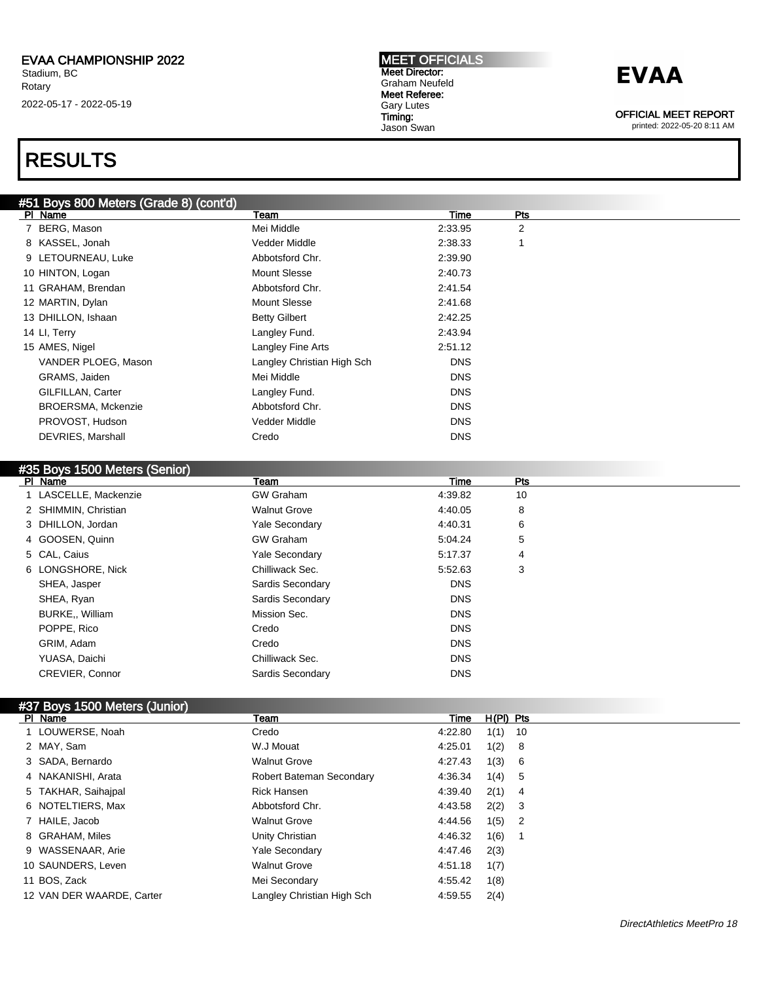### RESULTS

#### #51 Boys 800 Meters (Grade 8) (cont'd)

| Team                 | Time                | Pts                        |  |
|----------------------|---------------------|----------------------------|--|
| Mei Middle           | 2:33.95             | 2                          |  |
| Vedder Middle        | 2:38.33             |                            |  |
| Abbotsford Chr.      | 2:39.90             |                            |  |
| <b>Mount Slesse</b>  | 2:40.73             |                            |  |
| Abbotsford Chr.      | 2:41.54             |                            |  |
| <b>Mount Slesse</b>  | 2:41.68             |                            |  |
| <b>Betty Gilbert</b> | 2:42.25             |                            |  |
| Langley Fund.        | 2:43.94             |                            |  |
| Langley Fine Arts    | 2:51.12             |                            |  |
|                      | <b>DNS</b>          |                            |  |
| Mei Middle           | <b>DNS</b>          |                            |  |
| Langley Fund.        | <b>DNS</b>          |                            |  |
| Abbotsford Chr.      | <b>DNS</b>          |                            |  |
| Vedder Middle        | <b>DNS</b>          |                            |  |
| Credo                | <b>DNS</b>          |                            |  |
|                      | VANDER PLOEG, Mason | Langley Christian High Sch |  |

#### #35 Boys 1500 Meters (Senior)<br>PL Name PI Name Particle Property of the Team Time Present Property of the Present Present Present Present Present Pre 1 LASCELLE, Mackenzie GW Graham 4:39.82 10 2 SHIMMIN, Christian **12 SHIMMIN, Christian** 12 SHIMMIN, Christian 12 SHIMMIN, Christian 12 SHIMMIN, 2012 SHIMMIN, 2012 SHIMMIN, 2012 SHIMMIN, 2012 SHIMMIN, 2012 SHIMMIN, 2012 SHIMMIN, 2012 SHIMMIN, 2012 SHIMMIN, 2012 SHIM 3 DHILLON, Jordan Yale Secondary 4:40.31 6 4 GOOSEN, Quinn 6:000 SEN GW Graham 6:04.24 5 5 CAL, Caius **19 CAL, Caius 19 CAL, Caius 19 CAL**, Caius 19 CAL, Caius 19 CAL, Caius 19 CAL, Caius 19 CAL, Caius 1 6 LONGSHORE, Nick Chilliwack Sec. 5:52.63 3 SHEA, Jasper DNS SHEA, Ryan **DNS** Sardis Secondary **SARGIS** Secondary **DNS** BURKE,, William **DISPONS** Mission Sec. POPPE, Rico **DNS** Credo Credo **DNS** GRIM, Adam Credo DNS YUASA, Daichi **Chilliwack Sec.** Chilliwack Sec. **DNS** CREVIER, Connor **DNS** Sardis Secondary **DNS** DNS

### #37 Boys 1500 Meters (Junior)

| PI Name                   | Team                       | Time    | $H(PI)$ Pts |     |
|---------------------------|----------------------------|---------|-------------|-----|
| 1 LOUWERSE, Noah          | Credo                      | 4:22.80 | $1(1)$ 10   |     |
| 2 MAY, Sam                | W.J Mouat                  | 4:25.01 | 1(2) 8      |     |
| 3 SADA, Bernardo          | <b>Walnut Grove</b>        | 4:27.43 | 1(3) 6      |     |
| 4 NAKANISHI, Arata        | Robert Bateman Secondary   | 4:36.34 | 1(4) 5      |     |
| 5 TAKHAR, Saihaipal       | <b>Rick Hansen</b>         | 4:39.40 | $2(1)$ 4    |     |
| 6 NOTELTIERS, Max         | Abbotsford Chr.            | 4:43.58 | $2(2)$ 3    |     |
| 7 HAILE, Jacob            | <b>Walnut Grove</b>        | 4:44.56 | $1(5)$ 2    |     |
| 8 GRAHAM, Miles           | Unity Christian            | 4:46.32 | 1(6)        | - 1 |
| 9 WASSENAAR, Arie         | <b>Yale Secondary</b>      | 4:47.46 | 2(3)        |     |
| 10 SAUNDERS, Leven        | <b>Walnut Grove</b>        | 4:51.18 | 1(7)        |     |
| 11 BOS, Zack              | Mei Secondary              | 4:55.42 | 1(8)        |     |
| 12 VAN DER WAARDE, Carter | Langley Christian High Sch | 4:59.55 | 2(4)        |     |

MEET OFFICIALS Meet Director: Graham Neufeld Meet Referee: Gary Lutes Timing: Jason Swan



OFFICIAL MEET REPORT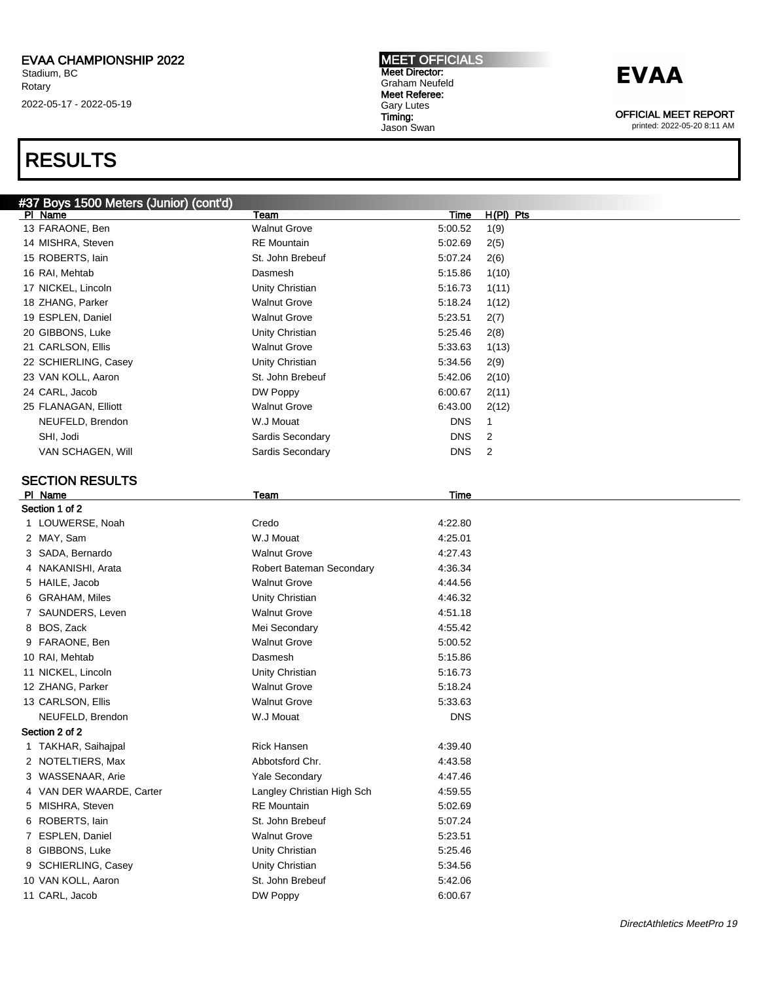## RESULTS

#### MEET OFFICIALS Meet Director: Graham Neufeld Meet Referee: Gary Lutes Timing: Jason Swan

## **EVAA**

OFFICIAL MEET REPORT

|   | #37 Boys 1500 Meters (Junior) (cont'd) |                                        |             |             |
|---|----------------------------------------|----------------------------------------|-------------|-------------|
|   | PI Name                                | Team                                   | <b>Time</b> | $H(PI)$ Pts |
|   | 13 FARAONE, Ben                        | <b>Walnut Grove</b>                    | 5:00.52     | 1(9)        |
|   | 14 MISHRA, Steven                      | <b>RE</b> Mountain                     | 5:02.69     | 2(5)        |
|   | 15 ROBERTS, lain                       | St. John Brebeuf                       | 5:07.24     | 2(6)        |
|   | 16 RAI, Mehtab                         | Dasmesh                                | 5:15.86     | 1(10)       |
|   | 17 NICKEL, Lincoln                     | Unity Christian                        | 5:16.73     | 1(11)       |
|   | 18 ZHANG, Parker                       | <b>Walnut Grove</b>                    | 5:18.24     | 1(12)       |
|   | 19 ESPLEN, Daniel                      | <b>Walnut Grove</b>                    | 5:23.51     | 2(7)        |
|   | 20 GIBBONS, Luke                       | Unity Christian                        | 5:25.46     | 2(8)        |
|   | 21 CARLSON, Ellis                      | <b>Walnut Grove</b>                    | 5:33.63     | 1(13)       |
|   | 22 SCHIERLING, Casey                   | Unity Christian                        | 5:34.56     | 2(9)        |
|   | 23 VAN KOLL, Aaron                     | St. John Brebeuf                       | 5:42.06     | 2(10)       |
|   | 24 CARL, Jacob                         | DW Poppy                               | 6:00.67     | 2(11)       |
|   | 25 FLANAGAN, Elliott                   | <b>Walnut Grove</b>                    | 6:43.00     | 2(12)       |
|   | NEUFELD, Brendon                       | W.J Mouat                              | <b>DNS</b>  | 1           |
|   | SHI, Jodi                              | Sardis Secondary                       | <b>DNS</b>  | 2           |
|   | VAN SCHAGEN, Will                      | Sardis Secondary                       | <b>DNS</b>  | 2           |
|   |                                        |                                        |             |             |
|   | <b>SECTION RESULTS</b>                 |                                        |             |             |
|   | PI Name<br>Section 1 of 2              | <u>Team</u>                            | Time        |             |
|   |                                        | Credo                                  |             |             |
|   | 1 LOUWERSE, Noah                       | W.J Mouat                              | 4:22.80     |             |
|   | 2 MAY, Sam                             | <b>Walnut Grove</b>                    | 4:25.01     |             |
|   | 3 SADA, Bernardo<br>4 NAKANISHI, Arata | Robert Bateman Secondary               | 4:27.43     |             |
|   | 5 HAILE, Jacob                         |                                        | 4:36.34     |             |
|   |                                        | <b>Walnut Grove</b>                    | 4:44.56     |             |
|   | 6 GRAHAM, Miles                        | Unity Christian<br><b>Walnut Grove</b> | 4:46.32     |             |
|   | 7 SAUNDERS, Leven<br>8 BOS, Zack       | Mei Secondary                          | 4:51.18     |             |
|   |                                        |                                        | 4:55.42     |             |
|   | 9 FARAONE, Ben                         | <b>Walnut Grove</b>                    | 5:00.52     |             |
|   | 10 RAI, Mehtab                         | Dasmesh                                | 5:15.86     |             |
|   | 11 NICKEL, Lincoln                     | Unity Christian                        | 5:16.73     |             |
|   | 12 ZHANG, Parker                       | <b>Walnut Grove</b>                    | 5:18.24     |             |
|   | 13 CARLSON, Ellis                      | <b>Walnut Grove</b>                    | 5:33.63     |             |
|   | NEUFELD, Brendon                       | W.J Mouat                              | <b>DNS</b>  |             |
|   | Section 2 of 2                         |                                        |             |             |
|   | 1 TAKHAR, Saihajpal                    | <b>Rick Hansen</b>                     | 4:39.40     |             |
|   | 2 NOTELTIERS, Max                      | Abbotsford Chr.                        | 4:43.58     |             |
| 3 | WASSENAAR, Arie                        | Yale Secondary                         | 4:47.46     |             |
| 4 | VAN DER WAARDE, Carter                 | Langley Christian High Sch             | 4:59.55     |             |
| 5 | MISHRA, Steven                         | <b>RE</b> Mountain                     | 5:02.69     |             |
| 6 | ROBERTS, lain                          | St. John Brebeuf                       | 5:07.24     |             |
| 7 | ESPLEN, Daniel                         | <b>Walnut Grove</b>                    | 5:23.51     |             |
| 8 | GIBBONS, Luke                          | Unity Christian                        | 5:25.46     |             |
| 9 | SCHIERLING, Casey                      | Unity Christian                        | 5:34.56     |             |
|   | 10 VAN KOLL, Aaron                     | St. John Brebeuf                       | 5:42.06     |             |
|   | 11 CARL, Jacob                         | DW Poppy                               | 6:00.67     |             |
|   |                                        |                                        |             |             |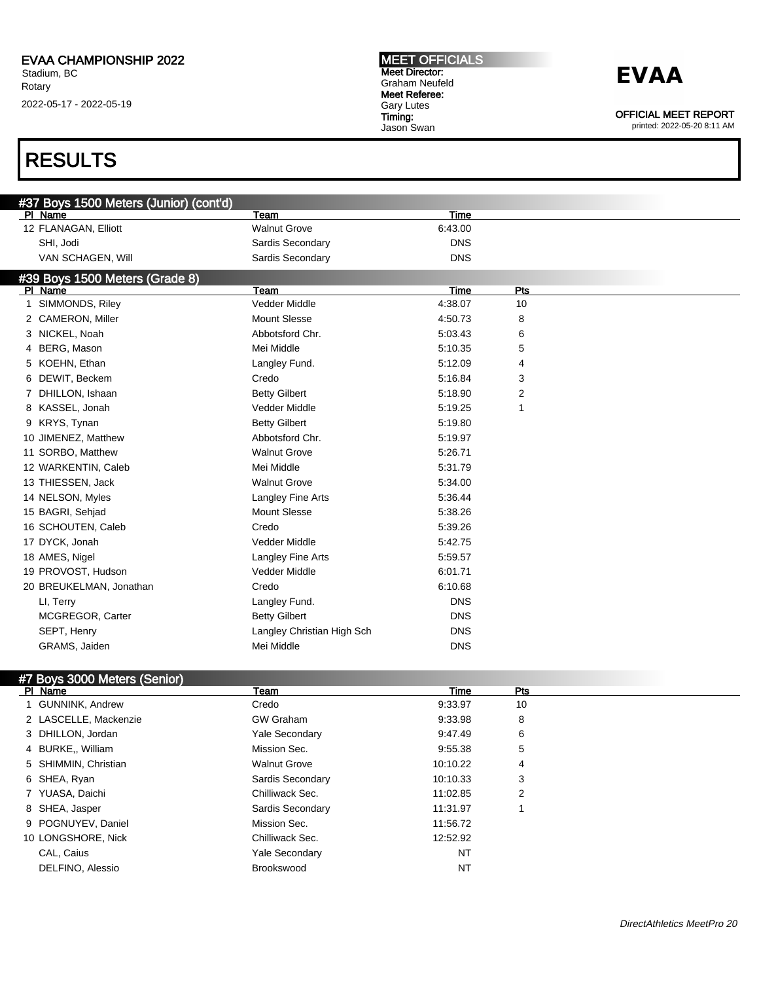### RESULTS

| #37 Boys 1500 Meters (Junior) (cont'd) |                            |             |     |  |
|----------------------------------------|----------------------------|-------------|-----|--|
| PI Name                                | Team                       | Time        |     |  |
| 12 FLANAGAN, Elliott                   | <b>Walnut Grove</b>        | 6:43.00     |     |  |
| SHI, Jodi                              | Sardis Secondary           | <b>DNS</b>  |     |  |
| VAN SCHAGEN, Will                      | Sardis Secondary           | <b>DNS</b>  |     |  |
| #39 Boys 1500 Meters (Grade 8)         |                            |             |     |  |
| PI Name                                | Team                       | <b>Time</b> | Pts |  |
| 1 SIMMONDS, Riley                      | Vedder Middle              | 4:38.07     | 10  |  |
| 2 CAMERON, Miller                      | <b>Mount Slesse</b>        | 4:50.73     | 8   |  |
| 3 NICKEL, Noah                         | Abbotsford Chr.            | 5:03.43     | 6   |  |
| BERG, Mason<br>4                       | Mei Middle                 | 5:10.35     | 5   |  |
| 5 KOEHN, Ethan                         | Langley Fund.              | 5:12.09     | 4   |  |
| DEWIT, Beckem<br>6.                    | Credo                      | 5:16.84     | 3   |  |
| 7 DHILLON, Ishaan                      | <b>Betty Gilbert</b>       | 5:18.90     | 2   |  |
| 8 KASSEL, Jonah                        | Vedder Middle              | 5:19.25     | 1   |  |
| 9 KRYS, Tynan                          | <b>Betty Gilbert</b>       | 5:19.80     |     |  |
| 10 JIMENEZ, Matthew                    | Abbotsford Chr.            | 5:19.97     |     |  |
| 11 SORBO, Matthew                      | <b>Walnut Grove</b>        | 5:26.71     |     |  |
| 12 WARKENTIN, Caleb                    | Mei Middle                 | 5:31.79     |     |  |
| 13 THIESSEN, Jack                      | <b>Walnut Grove</b>        | 5:34.00     |     |  |
| 14 NELSON, Myles                       | Langley Fine Arts          | 5:36.44     |     |  |
| 15 BAGRI, Sehjad                       | <b>Mount Slesse</b>        | 5:38.26     |     |  |
| 16 SCHOUTEN, Caleb                     | Credo                      | 5:39.26     |     |  |
| 17 DYCK, Jonah                         | Vedder Middle              | 5:42.75     |     |  |
| 18 AMES, Nigel                         | Langley Fine Arts          | 5:59.57     |     |  |
| 19 PROVOST, Hudson                     | Vedder Middle              | 6:01.71     |     |  |
| 20 BREUKELMAN, Jonathan                | Credo                      | 6:10.68     |     |  |
| LI, Terry                              | Langley Fund.              | <b>DNS</b>  |     |  |
| MCGREGOR, Carter                       | <b>Betty Gilbert</b>       | <b>DNS</b>  |     |  |
| SEPT, Henry                            | Langley Christian High Sch | <b>DNS</b>  |     |  |
| GRAMS, Jaiden                          | Mei Middle                 | <b>DNS</b>  |     |  |

#### #7 Boys 3000 Meters (Senior)

| PI Name               | Team                  | Time     | Pts |  |
|-----------------------|-----------------------|----------|-----|--|
| 1 GUNNINK, Andrew     | Credo                 | 9:33.97  | 10  |  |
| 2 LASCELLE, Mackenzie | <b>GW Graham</b>      | 9:33.98  | 8   |  |
| 3 DHILLON, Jordan     | <b>Yale Secondary</b> | 9:47.49  | 6   |  |
| 4 BURKE., William     | Mission Sec.          | 9:55.38  | 5   |  |
| 5 SHIMMIN, Christian  | <b>Walnut Grove</b>   | 10:10.22 | 4   |  |
| 6 SHEA, Ryan          | Sardis Secondary      | 10:10.33 | 3   |  |
| 7 YUASA, Daichi       | Chilliwack Sec.       | 11:02.85 | 2   |  |
| 8 SHEA, Jasper        | Sardis Secondary      | 11:31.97 |     |  |
| 9 POGNUYEV, Daniel    | Mission Sec.          | 11:56.72 |     |  |
| 10 LONGSHORE, Nick    | Chilliwack Sec.       | 12:52.92 |     |  |
| CAL, Caius            | <b>Yale Secondary</b> | NT       |     |  |
| DELFINO, Alessio      | <b>Brookswood</b>     | ΝT       |     |  |

MEET OFFICIALS Meet Director: Graham Neufeld Meet Referee: Gary Lutes Timing: Jason Swan



OFFICIAL MEET REPORT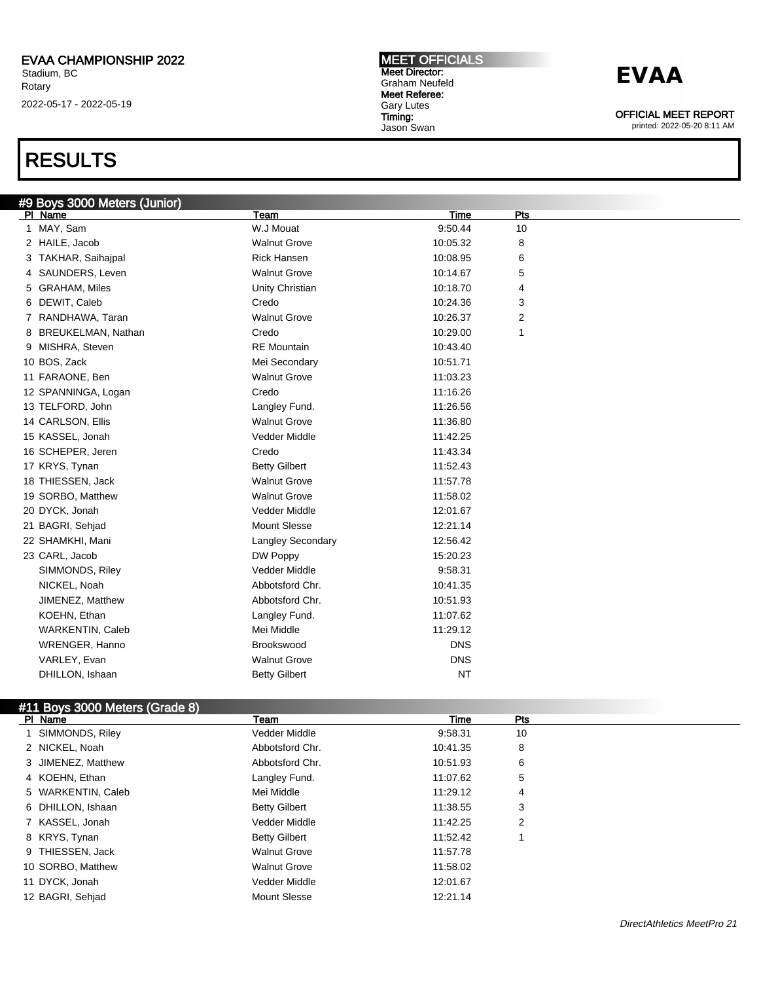### RESULTS

#### #9 Boys 3000 Meters (Junior)<br>|PL Name Pl Name Team Time Pts 1 MAY, Sam W.J Mouat 9:50.44 10 2 HAILE, Jacob 2 10:05.32 8 3 TAKHAR, Saihajpal **10:08.95** 6 **6** 4 SAUNDERS, Leven **10:14.67** S 5 GRAHAM, Miles **10:18.70** 4 Unity Christian 10:18.70 4 6 DEWIT, Caleb Credo 10:24.36 3 7 RANDHAWA, Taran 10:26.37 2 8 BREUKELMAN, Nathan 10:29.00 1 Credo 10:29.00 1 9 MISHRA, Steven **RE Mountain** RE Mountain 10:43.40 10 BOS, Zack **Mei Secondary** 10:51.71 11 FARAONE, Ben Walnut Grove 11:03.23 12 SPANNINGA, Logan Credo 11:16.26 13 TELFORD, John Langley Fund. Langley Fund. 11:26.56 14 CARLSON, Ellis Walnut Grove Walnut Grove 11:36.80 15 KASSEL, Jonah Vedder Middle 11:42.25 16 SCHEPER, Jeren Credo 11:43.34 17 KRYS, Tynan Betty Gilbert 11:52.43 18 THIESSEN, Jack Walnut Grove 11:57.78 19 SORBO, Matthew Walnut Grove 11:58.02 20 DYCK, Jonah 12:01.67 Nedder Middle 12:01.67 21 BAGRI, Sehjad Mount Slesse 12:21.14

| 22 SHAMKHI, Mani | <b>Langley Secondary</b> | 12:56.42   |  |
|------------------|--------------------------|------------|--|
| 23 CARL, Jacob   | DW Poppy                 | 15:20.23   |  |
| SIMMONDS, Riley  | Vedder Middle            | 9:58.31    |  |
| NICKEL, Noah     | Abbotsford Chr.          | 10:41.35   |  |
| JIMENEZ, Matthew | Abbotsford Chr.          | 10:51.93   |  |
| KOEHN, Ethan     | Langley Fund.            | 11:07.62   |  |
| WARKENTIN, Caleb | Mei Middle               | 11:29.12   |  |
| WRENGER, Hanno   | Brookswood               | <b>DNS</b> |  |
| VARLEY, Evan     | <b>Walnut Grove</b>      | <b>DNS</b> |  |
| DHILLON, Ishaan  | <b>Betty Gilbert</b>     | <b>NT</b>  |  |
|                  |                          |            |  |

### #11 Boys 3000 Meters (Grade 8)

| PI Name            | Team                 | Time     | <b>Pts</b> |  |
|--------------------|----------------------|----------|------------|--|
| SIMMONDS, Riley    | Vedder Middle        | 9:58.31  | 10         |  |
| 2 NICKEL, Noah     | Abbotsford Chr.      | 10:41.35 | 8          |  |
| 3 JIMENEZ, Matthew | Abbotsford Chr.      | 10:51.93 | 6          |  |
| 4 KOEHN, Ethan     | Langley Fund.        | 11:07.62 | 5          |  |
| 5 WARKENTIN, Caleb | Mei Middle           | 11:29.12 | 4          |  |
| 6 DHILLON, Ishaan  | <b>Betty Gilbert</b> | 11:38.55 | 3          |  |
| 7 KASSEL, Jonah    | Vedder Middle        | 11:42.25 | 2          |  |
| 8 KRYS, Tynan      | <b>Betty Gilbert</b> | 11:52.42 |            |  |
| 9 THIESSEN, Jack   | <b>Walnut Grove</b>  | 11:57.78 |            |  |
| 10 SORBO, Matthew  | <b>Walnut Grove</b>  | 11:58.02 |            |  |
| 11 DYCK, Jonah     | Vedder Middle        | 12:01.67 |            |  |
| 12 BAGRI, Sehjad   | <b>Mount Slesse</b>  | 12:21.14 |            |  |

MEET OFFICIALS Meet Director: Graham Neufeld Meet Referee: Gary Lutes Timing: Jason Swan



OFFICIAL MEET REPORT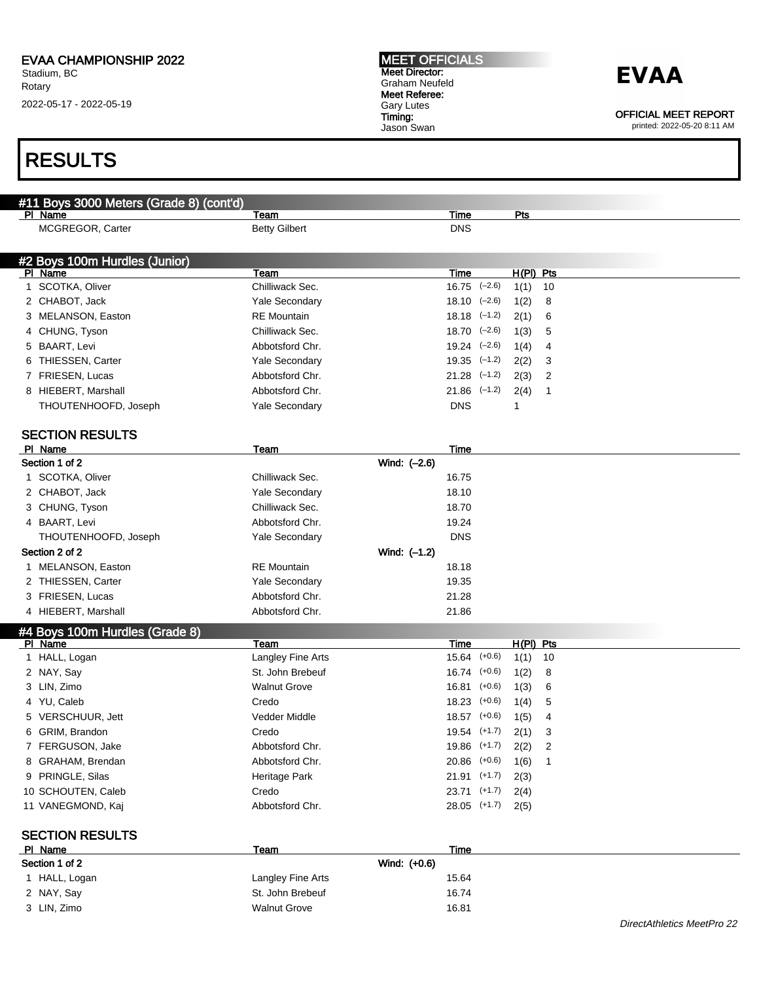### RESULTS

| #11 Boys 3000 Meters (Grade 8) (cont'd)  |                       |              |                             |             |      |
|------------------------------------------|-----------------------|--------------|-----------------------------|-------------|------|
| PI Name                                  | Team                  |              | Time                        | Pts         |      |
| MCGREGOR, Carter                         | <b>Betty Gilbert</b>  |              | <b>DNS</b>                  |             |      |
|                                          |                       |              |                             |             |      |
| #2 Boys 100m Hurdles (Junior)<br>PI Name | Team                  |              | Time                        | $H(PI)$ Pts |      |
| 1 SCOTKA, Oliver                         | Chilliwack Sec.       |              | $16.75$ $(-2.6)$            | 1(1)        | 10   |
| 2 CHABOT, Jack                           | Yale Secondary        |              | $18.10 \left( -2.6 \right)$ | 1(2)        | 8    |
| 3 MELANSON, Easton                       | <b>RE</b> Mountain    |              | $18.18$ $(-1.2)$            | 2(1)        | 6    |
| 4 CHUNG, Tyson                           | Chilliwack Sec.       |              | $18.70 \quad (-2.6)$        | 1(3)        | 5    |
| 5 BAART, Levi                            | Abbotsford Chr.       |              | $19.24$ $(-2.6)$            | 1(4)        | 4    |
| 6 THIESSEN, Carter                       | Yale Secondary        |              | $19.35$ $(-1.2)$            | 2(2)        | 3    |
| 7 FRIESEN, Lucas                         | Abbotsford Chr.       |              | $21.28$ $(-1.2)$            | 2(3)        | 2    |
| 8 HIEBERT, Marshall                      | Abbotsford Chr.       |              | $21.86$ $(-1.2)$            | 2(4)        | 1    |
| THOUTENHOOFD, Joseph                     | Yale Secondary        |              | <b>DNS</b>                  | 1           |      |
|                                          |                       |              |                             |             |      |
| <b>SECTION RESULTS</b>                   |                       |              |                             |             |      |
| PI Name                                  | Team                  |              | Time                        |             |      |
| Section 1 of 2                           |                       | Wind: (-2.6) |                             |             |      |
| 1 SCOTKA, Oliver                         | Chilliwack Sec.       |              | 16.75                       |             |      |
| 2 CHABOT, Jack                           | <b>Yale Secondary</b> |              | 18.10                       |             |      |
| 3 CHUNG, Tyson                           | Chilliwack Sec.       |              | 18.70                       |             |      |
| 4 BAART, Levi                            | Abbotsford Chr.       |              | 19.24                       |             |      |
| THOUTENHOOFD, Joseph                     | <b>Yale Secondary</b> |              | <b>DNS</b>                  |             |      |
| Section 2 of 2                           |                       | Wind: (-1.2) |                             |             |      |
| 1 MELANSON, Easton                       | <b>RE</b> Mountain    |              | 18.18                       |             |      |
| 2 THIESSEN, Carter                       | <b>Yale Secondary</b> |              | 19.35                       |             |      |
| 3 FRIESEN, Lucas                         | Abbotsford Chr.       |              | 21.28                       |             |      |
| 4 HIEBERT, Marshall                      | Abbotsford Chr.       |              | 21.86                       |             |      |
| #4 Boys 100m Hurdles (Grade 8)           |                       |              |                             |             |      |
| PI Name                                  | Team                  |              | Time                        | H(PI) Pts   |      |
| 1 HALL, Logan                            | Langley Fine Arts     |              | $15.64$ $(+0.6)$            | 1(1)        | - 10 |
| 2 NAY, Say                               | St. John Brebeuf      |              | $16.74$ $(+0.6)$            | 1(2)        | 8    |
| 3 LIN, Zimo                              | <b>Walnut Grove</b>   |              | $16.81$ (+0.6)              | 1(3)        | 6    |
| 4 YU, Caleb                              | Credo                 |              | $18.23$ $(+0.6)$            | 1(4)        | 5    |
| 5 VERSCHUUR, Jett                        | Vedder Middle         |              | $18.57$ (+0.6)              | 1(5)        | 4    |
| 6 GRIM, Brandon                          | Credo                 |              | $19.54$ $(+1.7)$            | 2(1)        | 3    |
| 7 FERGUSON, Jake                         | Abbotsford Chr.       |              | $19.86$ $(+1.7)$            | 2(2)        | 2    |
| 8 GRAHAM, Brendan                        | Abbotsford Chr.       |              | $20.86$ $(+0.6)$            | 1(6)        | 1    |
| 9 PRINGLE, Silas                         | Heritage Park         |              | $21.91$ (+1.7)              | 2(3)        |      |
| 10 SCHOUTEN, Caleb                       | Credo                 |              | $23.71$ (+1.7)              | 2(4)        |      |
| 11 VANEGMOND, Kaj                        | Abbotsford Chr.       |              | $28.05$ (+1.7)              | 2(5)        |      |
| <b>SECTION RESULTS</b>                   |                       |              |                             |             |      |
| PI Name                                  | Team                  |              | Time                        |             |      |
| Section 1 of 2                           |                       | Wind: (+0.6) |                             |             |      |
| 1 HALL, Logan                            | Langley Fine Arts     |              | 15.64                       |             |      |
| 2 NAY, Say                               | St. John Brebeuf      |              | 16.74                       |             |      |

3 LIN, Zimo 16.81

MEET OFFICIALS Meet Director: Graham Neufeld Meet Referee: Gary Lutes Timing:

Jason Swan

### **EVAA**

OFFICIAL MEET REPORT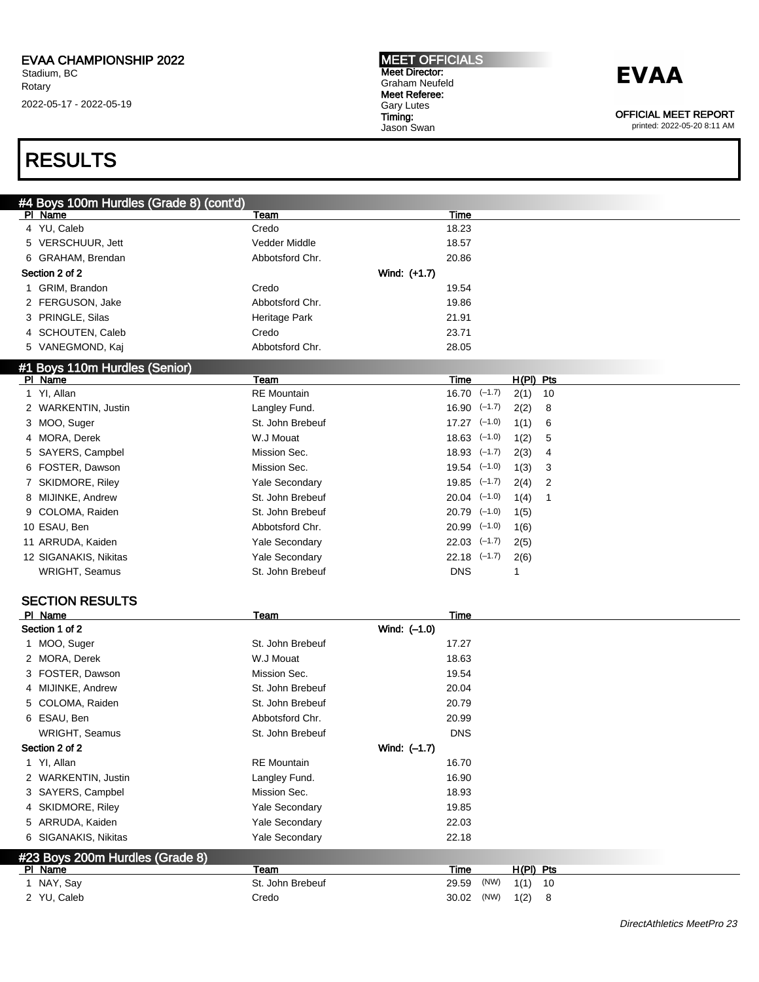MEET OFFICIALS Meet Director: Graham Neufeld Meet Referee: Gary Lutes Timing: Jason Swan

## **EVAA**

OFFICIAL MEET REPORT

printed: 2022-05-20 8:11 AM

### RESULTS

| #4 Boys 100m Hurdles (Grade 8) (cont'd) |                          |              |                      |      |             |    |  |
|-----------------------------------------|--------------------------|--------------|----------------------|------|-------------|----|--|
| PI Name                                 | Team                     |              | Time                 |      |             |    |  |
| 4 YU, Caleb                             | Credo                    |              | 18.23                |      |             |    |  |
| 5 VERSCHUUR, Jett                       | Vedder Middle            |              | 18.57                |      |             |    |  |
| 6 GRAHAM, Brendan                       | Abbotsford Chr.          |              | 20.86                |      |             |    |  |
| Section 2 of 2                          |                          | Wind: (+1.7) |                      |      |             |    |  |
| 1 GRIM, Brandon                         | Credo                    |              | 19.54                |      |             |    |  |
| 2 FERGUSON, Jake                        | Abbotsford Chr.          |              | 19.86                |      |             |    |  |
| 3 PRINGLE, Silas                        | Heritage Park            |              | 21.91                |      |             |    |  |
| 4 SCHOUTEN, Caleb                       | Credo                    |              | 23.71                |      |             |    |  |
| 5 VANEGMOND, Kaj                        | Abbotsford Chr.          |              | 28.05                |      |             |    |  |
| #1 Boys 110m Hurdles (Senior)           |                          |              |                      |      |             |    |  |
| PI Name                                 | Team                     |              | Time                 |      | $H(PI)$ Pts |    |  |
| 1 YI, Allan                             | <b>RE</b> Mountain       |              | $16.70 \quad (-1.7)$ |      | 2(1)        | 10 |  |
| 2 WARKENTIN, Justin                     | Langley Fund.            |              | $16.90$ $(-1.7)$     |      | 2(2)        | 8  |  |
| 3 MOO, Suger                            | St. John Brebeuf         |              | $17.27$ $(-1.0)$     |      | 1(1)        | 6  |  |
| 4 MORA, Derek                           | W.J Mouat                |              | $18.63$ $(-1.0)$     |      | 1(2)        | 5  |  |
| 5 SAYERS, Campbel                       | Mission Sec.             |              | $18.93$ $(-1.7)$     |      | 2(3)        | 4  |  |
| 6 FOSTER, Dawson                        | Mission Sec.             |              | $19.54$ $(-1.0)$     |      | 1(3)        | 3  |  |
| 7 SKIDMORE, Riley                       | Yale Secondary           |              | $19.85$ $(-1.7)$     |      | 2(4)        | 2  |  |
| 8 MIJINKE, Andrew                       | St. John Brebeuf         |              | $20.04$ $(-1.0)$     |      | 1(4)        | 1  |  |
| 9 COLOMA, Raiden                        | St. John Brebeuf         |              | $20.79$ $(-1.0)$     |      | 1(5)        |    |  |
| 10 ESAU, Ben                            | Abbotsford Chr.          |              | $20.99$ $(-1.0)$     |      | 1(6)        |    |  |
| 11 ARRUDA, Kaiden                       | Yale Secondary           |              | $22.03$ $(-1.7)$     |      | 2(5)        |    |  |
| 12 SIGANAKIS, Nikitas                   | Yale Secondary           |              | $22.18$ $(-1.7)$     |      | 2(6)        |    |  |
| WRIGHT, Seamus                          | St. John Brebeuf         |              | <b>DNS</b>           |      | 1           |    |  |
|                                         |                          |              |                      |      |             |    |  |
| <b>SECTION RESULTS</b>                  |                          |              |                      |      |             |    |  |
| PI Name                                 | <u>Team</u>              |              | <b>Time</b>          |      |             |    |  |
| Section 1 of 2                          |                          | Wind: (-1.0) |                      |      |             |    |  |
| 1 MOO, Suger                            | St. John Brebeuf         |              | 17.27                |      |             |    |  |
| 2 MORA, Derek                           | W.J Mouat                |              | 18.63                |      |             |    |  |
| 3 FOSTER, Dawson                        | Mission Sec.             |              | 19.54                |      |             |    |  |
| 4 MIJINKE, Andrew                       | St. John Brebeuf         |              | 20.04                |      |             |    |  |
| 5 COLOMA, Raiden                        | St. John Brebeuf         |              | 20.79                |      |             |    |  |
| 6 ESAU, Ben                             | Abbotsford Chr.          |              | 20.99                |      |             |    |  |
| WRIGHT, Seamus                          | St. John Brebeuf         |              | <b>DNS</b>           |      |             |    |  |
| Section 2 of 2                          |                          | Wind: (-1.7) |                      |      |             |    |  |
| 1 YI, Allan                             | <b>RE</b> Mountain       |              | 16.70                |      |             |    |  |
| 2 WARKENTIN, Justin                     | Langley Fund.            |              | 16.90                |      |             |    |  |
| 3 SAYERS, Campbel                       | Mission Sec.             |              | 18.93                |      |             |    |  |
| 4 SKIDMORE, Riley                       | Yale Secondary           |              | 19.85                |      |             |    |  |
| 5 ARRUDA, Kaiden                        | Yale Secondary           |              | 22.03                |      |             |    |  |
| 6 SIGANAKIS, Nikitas                    | Yale Secondary           |              | 22.18                |      |             |    |  |
|                                         |                          |              |                      |      |             |    |  |
| #23 Boys 200m Hurdles (Grade 8)         |                          |              |                      |      |             |    |  |
| PI Name<br>1 NAY, Say                   | Team<br>St. John Brebeuf |              | <b>Time</b>          | (NW) | $H(PI)$ Pts |    |  |
|                                         |                          |              | 29.59                |      | 1(1)        | 10 |  |
| 2 YU, Caleb                             | Credo                    |              | 30.02                | (NW) | 1(2)        | 8  |  |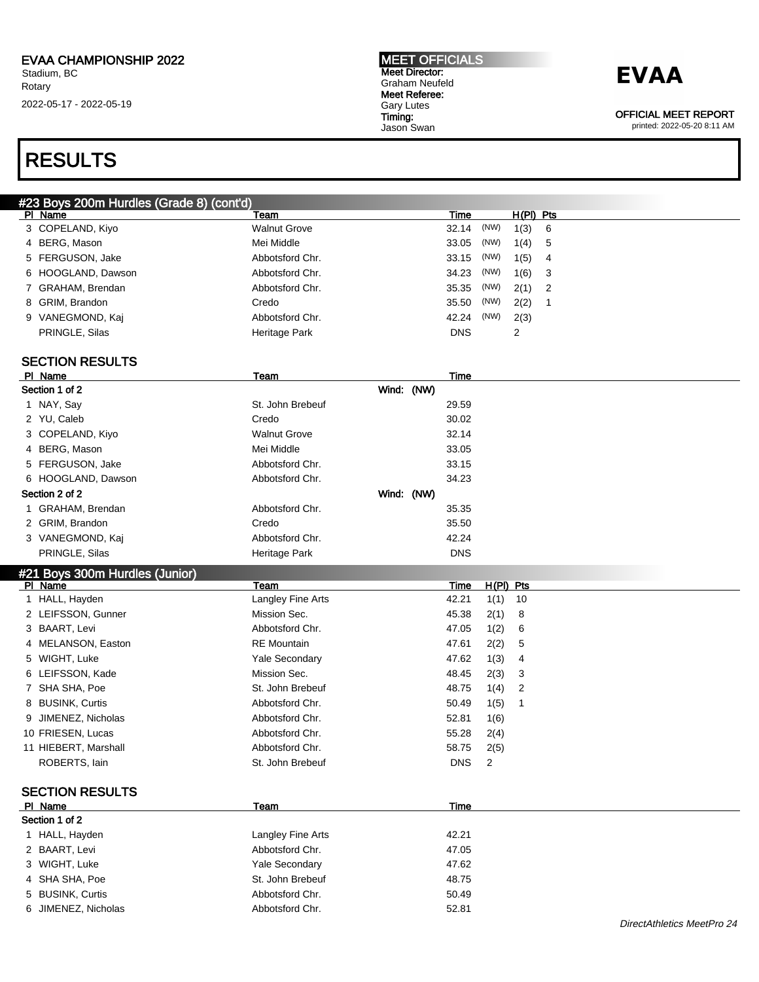#### MEET OFFICIALS Meet Director: Graham Neufeld Meet Referee: Gary Lutes Timing: Jason Swan

### **EVAA**

OFFICIAL MEET REPORT

printed: 2022-05-20 8:11 AM

### RESULTS

| #23 Boys 200m Hurdles (Grade 8) (cont'd) |                    |                     |               |             |        |
|------------------------------------------|--------------------|---------------------|---------------|-------------|--------|
|                                          | PI Name            | Team                | Time          | $H(PI)$ Pts |        |
|                                          | 3 COPELAND, Kiyo   | <b>Walnut Grove</b> | 32.14 (NW)    | 1(3)        | - 6    |
|                                          | 4 BERG, Mason      | Mei Middle          | (NW)<br>33.05 | 1(4) 5      |        |
|                                          | 5 FERGUSON, Jake   | Abbotsford Chr.     | (NW)<br>33.15 | 1(5)        | - 4    |
|                                          | 6 HOOGLAND, Dawson | Abbotsford Chr.     | (NW)<br>34.23 | 1(6)        | $_{3}$ |
|                                          | 7 GRAHAM, Brendan  | Abbotsford Chr.     | 35.35 (NW)    | $2(1)$ 2    |        |
|                                          | 8 GRIM, Brandon    | Credo               | (NW)<br>35.50 | 2(2)        |        |
|                                          | 9 VANEGMOND, Kaj   | Abbotsford Chr.     | (NW)<br>42.24 | 2(3)        |        |
|                                          | PRINGLE, Silas     | Heritage Park       | <b>DNS</b>    | 2           |        |
|                                          |                    |                     |               |             |        |

### SECTION RESULTS

| PI Name                        | Team                  | Time       |      |             |
|--------------------------------|-----------------------|------------|------|-------------|
| Section 1 of 2                 | Wind: (NW)            |            |      |             |
| 1 NAY, Say                     | St. John Brebeuf      | 29.59      |      |             |
| 2 YU, Caleb                    | Credo                 | 30.02      |      |             |
| 3 COPELAND, Kiyo               | <b>Walnut Grove</b>   | 32.14      |      |             |
| 4 BERG, Mason                  | Mei Middle            | 33.05      |      |             |
| 5 FERGUSON, Jake               | Abbotsford Chr.       | 33.15      |      |             |
| 6 HOOGLAND, Dawson             | Abbotsford Chr.       | 34.23      |      |             |
| Section 2 of 2                 | Wind: (NW)            |            |      |             |
| 1 GRAHAM, Brendan              | Abbotsford Chr.       | 35.35      |      |             |
| 2 GRIM, Brandon                | Credo                 | 35.50      |      |             |
| 3 VANEGMOND, Kaj               | Abbotsford Chr.       | 42.24      |      |             |
| PRINGLE, Silas                 | Heritage Park         | <b>DNS</b> |      |             |
| #21 Boys 300m Hurdles (Junior) |                       |            |      |             |
| PI Name                        | Team                  | Time       |      | $H(PI)$ Pts |
| 1 HALL, Hayden                 | Langley Fine Arts     | 42.21      | 1(1) | 10          |
| 2 LEIFSSON, Gunner             | Mission Sec.          | 45.38      | 2(1) | 8           |
| 3 BAART, Levi                  | Abbotsford Chr.       | 47.05      | 1(2) | 6           |
| 4 MELANSON, Easton             | <b>RE</b> Mountain    | 47.61      | 2(2) | 5           |
| 5 WIGHT, Luke                  | Yale Secondary        | 47.62      | 1(3) | 4           |
| 6 LEIFSSON, Kade               | Mission Sec.          | 48.45      | 2(3) | 3           |
| 7 SHA SHA, Poe                 | St. John Brebeuf      | 48.75      | 1(4) | 2           |
| 8 BUSINK, Curtis               | Abbotsford Chr.       | 50.49      | 1(5) | 1           |
| 9 JIMENEZ, Nicholas            | Abbotsford Chr.       | 52.81      | 1(6) |             |
| 10 FRIESEN, Lucas              | Abbotsford Chr.       | 55.28      | 2(4) |             |
| 11 HIEBERT, Marshall           | Abbotsford Chr.       | 58.75      | 2(5) |             |
| ROBERTS, lain                  | St. John Brebeuf      | <b>DNS</b> | 2    |             |
| <b>SECTION RESULTS</b>         |                       |            |      |             |
| PI Name                        | Team                  | Time       |      |             |
| Section 1 of 2                 |                       |            |      |             |
| 1 HALL, Hayden                 | Langley Fine Arts     | 42.21      |      |             |
| 2 BAART, Levi                  | Abbotsford Chr.       | 47.05      |      |             |
| 3 WIGHT, Luke                  | <b>Yale Secondary</b> | 47.62      |      |             |
| 4 SHA SHA, Poe                 | St. John Brebeuf      | 48.75      |      |             |
| 5 BUSINK, Curtis               | Abbotsford Chr.       | 50.49      |      |             |
| 6 JIMENEZ, Nicholas            | Abbotsford Chr.       | 52.81      |      |             |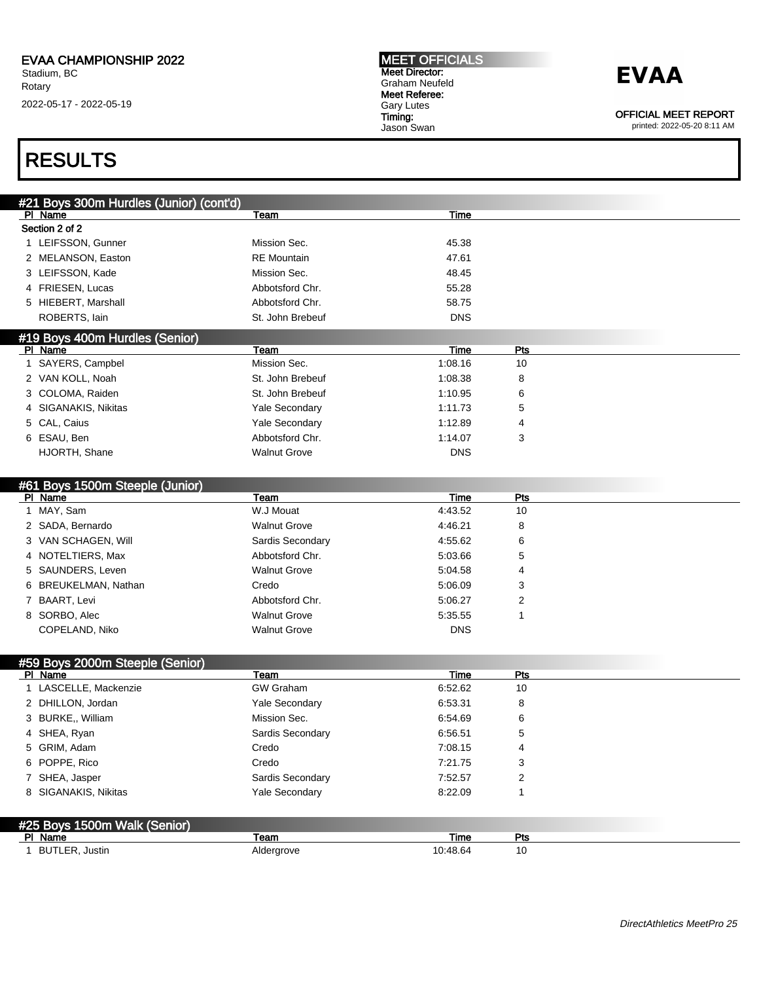### **EVAA**

OFFICIAL MEET REPORT

printed: 2022-05-20 8:11 AM

### RESULTS

| #21 Boys 300m Hurdles (Junior) (cont'd) |                     |            |      |  |  |  |
|-----------------------------------------|---------------------|------------|------|--|--|--|
| PI Name                                 | Team                | Time       |      |  |  |  |
| Section 2 of 2                          |                     |            |      |  |  |  |
| 1 LEIFSSON, Gunner                      | Mission Sec.        | 45.38      |      |  |  |  |
| 2 MELANSON, Easton                      | <b>RE</b> Mountain  | 47.61      |      |  |  |  |
| 3 LEIFSSON, Kade                        | Mission Sec.        | 48.45      |      |  |  |  |
| 4 FRIESEN, Lucas                        | Abbotsford Chr.     | 55.28      |      |  |  |  |
| 5 HIEBERT, Marshall                     | Abbotsford Chr.     | 58.75      |      |  |  |  |
| ROBERTS, lain                           | St. John Brebeuf    | <b>DNS</b> |      |  |  |  |
| #19 Boys 400m Hurdles (Senior)          |                     |            |      |  |  |  |
| PI Name                                 | Team                | Time       | Pts  |  |  |  |
| 1 SAYERS, Campbel                       | Mission Sec.        | 1:08.16    | 10   |  |  |  |
| 2 VAN KOLL, Noah                        | St. John Brebeuf    | 1:08.38    | 8    |  |  |  |
| 3 COLOMA, Raiden                        | St. John Brebeuf    | 1:10.95    | 6    |  |  |  |
| 4 SIGANAKIS, Nikitas                    | Yale Secondary      | 1:11.73    | 5    |  |  |  |
| 5 CAL, Caius                            | Yale Secondary      | 1:12.89    | 4    |  |  |  |
| 6 ESAU, Ben                             | Abbotsford Chr.     | 1:14.07    | 3    |  |  |  |
| HJORTH, Shane                           | <b>Walnut Grove</b> | <b>DNS</b> |      |  |  |  |
|                                         |                     |            |      |  |  |  |
| #61 Boys 1500m Steeple (Junior)         |                     |            |      |  |  |  |
| PI Name                                 | Team                | Time       | Pts  |  |  |  |
| 1 MAY, Sam                              | W.J Mouat           | 4:43.52    | 10   |  |  |  |
| 2 SADA, Bernardo                        | <b>Walnut Grove</b> | 4:46.21    | 8    |  |  |  |
| 3 VAN SCHAGEN, Will                     | Sardis Secondary    | 4:55.62    | 6    |  |  |  |
| 4 NOTELTIERS, Max                       | Abbotsford Chr.     | 5:03.66    | 5    |  |  |  |
| 5 SAUNDERS, Leven                       | <b>Walnut Grove</b> | 5:04.58    | 4    |  |  |  |
| 6 BREUKELMAN, Nathan                    | Credo               | 5:06.09    | 3    |  |  |  |
| 7 BAART, Levi                           | Abbotsford Chr.     | 5:06.27    | 2    |  |  |  |
| 8 SORBO, Alec                           | <b>Walnut Grove</b> | 5:35.55    | 1    |  |  |  |
| COPELAND, Niko                          | <b>Walnut Grove</b> | <b>DNS</b> |      |  |  |  |
|                                         |                     |            |      |  |  |  |
| #59 Boys 2000m Steeple (Senior)         |                     |            |      |  |  |  |
| PI Name                                 | Team                | Time       | Pts  |  |  |  |
| 1 LASCELLE, Mackenzie                   | <b>GW Graham</b>    | 6:52.62    | 10   |  |  |  |
| 2 DHILLON, Jordan                       | Yale Secondary      | 6:53.31    | 8    |  |  |  |
| 3 BURKE,, William                       | Mission Sec.        | 6:54.69    | 6    |  |  |  |
| 4 SHEA, Ryan                            | Sardis Secondary    | 6:56.51    | 5    |  |  |  |
| 5 GRIM, Adam                            | Credo               | 7:08.15    | 4    |  |  |  |
| 6 POPPE, Rico                           | Credo               | 7:21.75    | 3    |  |  |  |
| 7 SHEA, Jasper                          | Sardis Secondary    | 7:52.57    | 2    |  |  |  |
| 8 SIGANAKIS, Nikitas                    | Yale Secondary      | 8:22.09    | 1    |  |  |  |
|                                         |                     |            |      |  |  |  |
| #25 Boys 1500m Walk (Senior)            |                     |            |      |  |  |  |
| PI Name                                 | Team                | Time       | Pts  |  |  |  |
| 1 BUTLER, Justin                        | Aldergrove          | 10:48.64   | $10$ |  |  |  |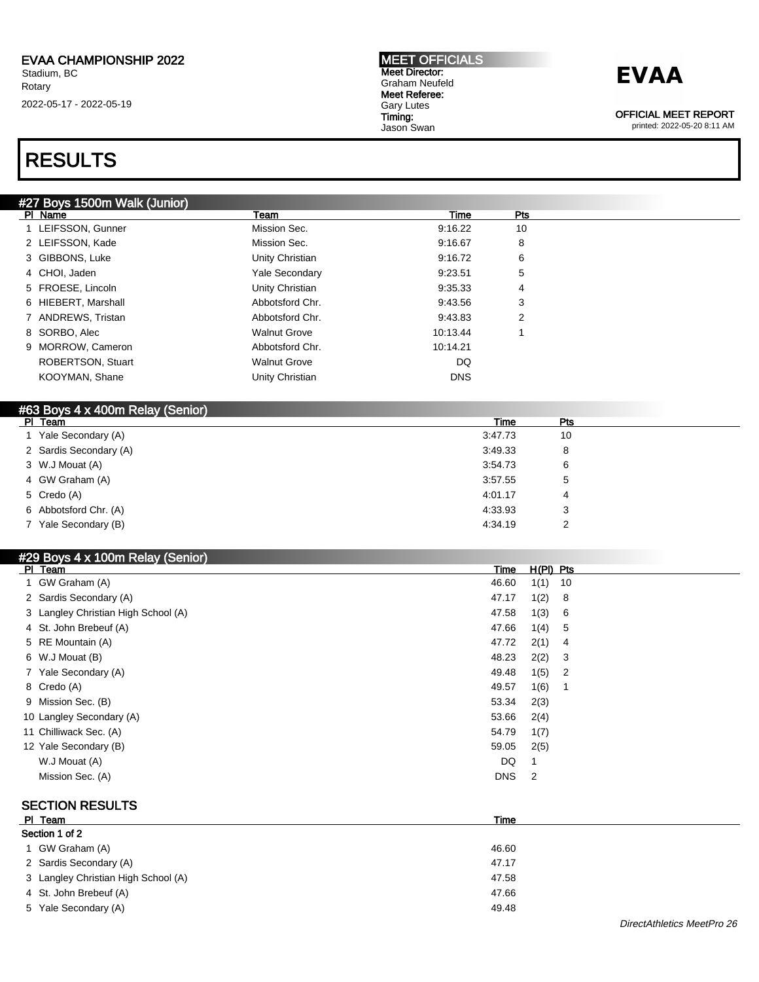#### MEET OFFICIALS Meet Director: Graham Neufeld Meet Referee: Gary Lutes Timing: Jason Swan

## **EVAA**

OFFICIAL MEET REPORT

printed: 2022-05-20 8:11 AM

## RESULTS

|  |  |  |  | #27 Boys 1500m Walk (Junior) |
|--|--|--|--|------------------------------|
|--|--|--|--|------------------------------|

| 1 LEIFSSON, Gunner               | Mission Sec.<br>9:16.22<br>9:16.67 | 10 |  |
|----------------------------------|------------------------------------|----|--|
|                                  |                                    |    |  |
| 2 LEIFSSON, Kade<br>Mission Sec. |                                    | 8  |  |
| 3 GIBBONS, Luke                  | Unity Christian<br>9:16.72         | 6  |  |
| 4 CHOI. Jaden                    | <b>Yale Secondary</b><br>9:23.51   | 5  |  |
| 5 FROESE, Lincoln                | Unity Christian<br>9:35.33         | 4  |  |
| 6 HIEBERT, Marshall              | Abbotsford Chr.<br>9:43.56         | 3  |  |
| 7 ANDREWS, Tristan               | Abbotsford Chr.<br>9:43.83         | 2  |  |
| 8 SORBO, Alec                    | <b>Walnut Grove</b><br>10:13.44    |    |  |
| 9 MORROW, Cameron                | Abbotsford Chr.<br>10:14.21        |    |  |
| <b>ROBERTSON, Stuart</b>         | <b>Walnut Grove</b><br>DQ          |    |  |
| KOOYMAN, Shane                   | Unity Christian<br><b>DNS</b>      |    |  |

| #63 Boys 4 x 400m Relay (Senior) |         |            |  |
|----------------------------------|---------|------------|--|
| PI Team                          | Time    | <b>Pts</b> |  |
| Yale Secondary (A)               | 3:47.73 | 10         |  |
| 2 Sardis Secondary (A)           | 3:49.33 | 8          |  |
| 3 W.J Mouat (A)                  | 3:54.73 | 6          |  |
| 4 GW Graham (A)                  | 3:57.55 | 5          |  |
| 5 Credo (A)                      | 4:01.17 | 4          |  |
| 6 Abbotsford Chr. (A)            | 4:33.93 | 3          |  |
| 7 Yale Secondary (B)             | 4:34.19 | 2          |  |

### #29 Boys 4 x 100m Relay (Senior)

| PI Team                             | Time       | $H(PI)$ Pts |                            |
|-------------------------------------|------------|-------------|----------------------------|
| 1 GW Graham (A)                     | 46.60      | 1(1)        | 10                         |
| 2 Sardis Secondary (A)              | 47.17      | 1(2)        | - 8                        |
| 3 Langley Christian High School (A) | 47.58      | 1(3)        | - 6                        |
| 4 St. John Brebeuf (A)              | 47.66      | 1(4)        | - 5                        |
| 5 RE Mountain (A)                   | 47.72      | 2(1)        | $\overline{4}$             |
| 6 W.J Mouat (B)                     | 48.23      | 2(2)        | $\overline{\mathbf{3}}$    |
| 7 Yale Secondary (A)                | 49.48      | 1(5)        | $\overline{\phantom{0}}^2$ |
| 8 Credo (A)                         | 49.57      | 1(6)        | - 1                        |
| 9 Mission Sec. (B)                  | 53.34      | 2(3)        |                            |
| 10 Langley Secondary (A)            | 53.66      | 2(4)        |                            |
| 11 Chilliwack Sec. (A)              | 54.79      | 1(7)        |                            |
| 12 Yale Secondary (B)               | 59.05      | 2(5)        |                            |
| W.J Mouat (A)                       | DQ         |             |                            |
| Mission Sec. (A)                    | <b>DNS</b> | 2           |                            |
|                                     |            |             |                            |

### SECTION RESULTS

| PI Team                             | Time  |  |  |  |  |  |
|-------------------------------------|-------|--|--|--|--|--|
| Section 1 of 2                      |       |  |  |  |  |  |
| 1 GW Graham (A)                     | 46.60 |  |  |  |  |  |
| 2 Sardis Secondary (A)              | 47.17 |  |  |  |  |  |
| 3 Langley Christian High School (A) | 47.58 |  |  |  |  |  |
| 4 St. John Brebeuf (A)              | 47.66 |  |  |  |  |  |
| 5 Yale Secondary (A)                | 49.48 |  |  |  |  |  |
|                                     |       |  |  |  |  |  |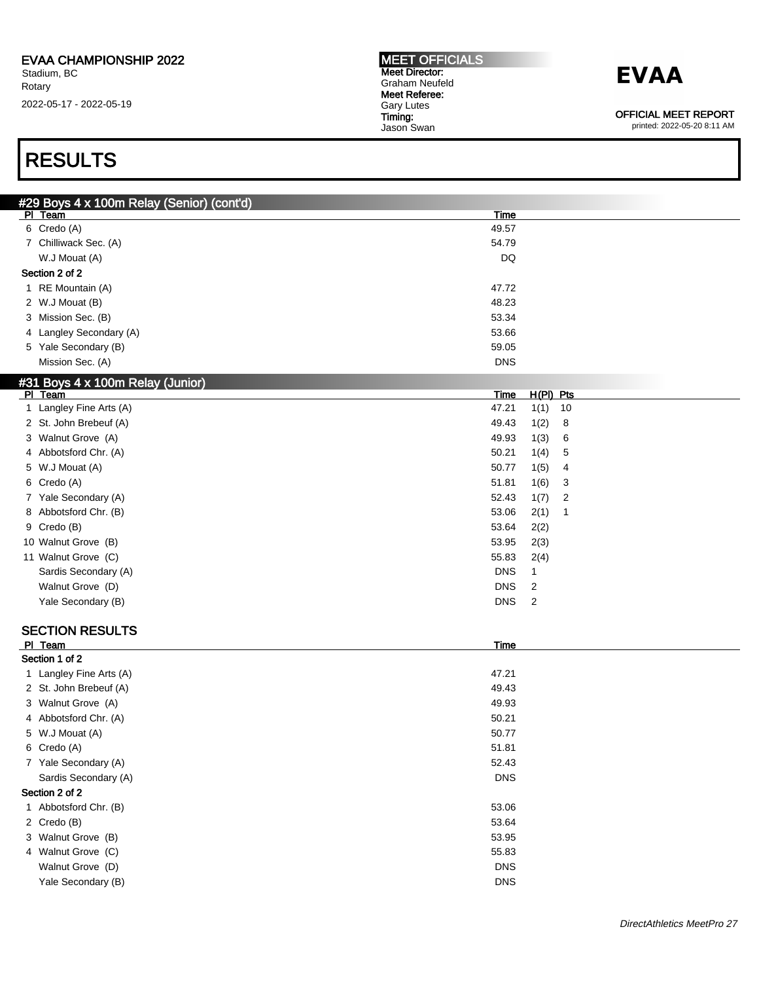## **EVAA**

OFFICIAL MEET REPORT

printed: 2022-05-20 8:11 AM

### RESULTS

| #29 Boys 4 x 100m Relay (Senior) (cont'd)   |                                       |  |
|---------------------------------------------|---------------------------------------|--|
| PI Team                                     | <b>Time</b>                           |  |
| 6 Credo (A)                                 | 49.57                                 |  |
| 7 Chilliwack Sec. (A)                       | 54.79                                 |  |
| W.J Mouat (A)                               | DQ                                    |  |
| Section 2 of 2                              |                                       |  |
| 1 RE Mountain (A)                           | 47.72                                 |  |
| 2 W.J Mouat (B)                             | 48.23                                 |  |
| 3 Mission Sec. (B)                          | 53.34                                 |  |
| 4 Langley Secondary (A)                     | 53.66                                 |  |
| 5 Yale Secondary (B)                        | 59.05                                 |  |
| Mission Sec. (A)                            | <b>DNS</b>                            |  |
|                                             |                                       |  |
| #31 Boys 4 x 100m Relay (Junior)<br>PI Team | Time<br>$H(PI)$ Pts                   |  |
| 1 Langley Fine Arts (A)                     | 47.21<br>1(1)<br>10                   |  |
| 2 St. John Brebeuf (A)                      | 49.43<br>1(2)<br>8                    |  |
| 3 Walnut Grove (A)                          | 49.93<br>1(3)<br>6                    |  |
| 4 Abbotsford Chr. (A)                       | 50.21<br>1(4)<br>5                    |  |
| 5 W.J Mouat (A)                             | 50.77                                 |  |
| 6 Credo (A)                                 | 1(5)<br>4<br>51.81                    |  |
|                                             | 1(6)<br>3                             |  |
| 7 Yale Secondary (A)                        | 52.43<br>1(7)<br>$\overline{2}$       |  |
| 8 Abbotsford Chr. (B)                       | 53.06<br>2(1)<br>$\mathbf{1}$         |  |
| 9 Credo (B)                                 | 53.64<br>2(2)                         |  |
| 10 Walnut Grove (B)                         | 53.95<br>2(3)                         |  |
| 11 Walnut Grove (C)                         | 55.83<br>2(4)                         |  |
| Sardis Secondary (A)                        | <b>DNS</b><br>1                       |  |
| Walnut Grove (D)                            | <b>DNS</b><br>$\overline{\mathbf{c}}$ |  |
| Yale Secondary (B)                          | <b>DNS</b><br>$\overline{c}$          |  |
|                                             |                                       |  |
| <b>SECTION RESULTS</b>                      |                                       |  |
| PI Team                                     | <b>Time</b>                           |  |
| Section 1 of 2                              |                                       |  |
| 1 Langley Fine Arts (A)                     | 47.21                                 |  |
| 2 St. John Brebeuf (A)                      | 49.43                                 |  |
| 3 Walnut Grove (A)                          | 49.93                                 |  |
| 4 Abbotsford Chr. (A)                       | 50.21                                 |  |
| 5 W.J Mouat (A)                             | 50.77                                 |  |
| 6 Credo (A)                                 | 51.81                                 |  |
| 7 Yale Secondary (A)                        | 52.43                                 |  |
| Sardis Secondary (A)                        | <b>DNS</b>                            |  |
| Section 2 of 2                              |                                       |  |
| 1 Abbotsford Chr. (B)                       | 53.06                                 |  |
| 2 Credo (B)                                 | 53.64                                 |  |
| 3 Walnut Grove (B)                          | 53.95                                 |  |
| 4 Walnut Grove (C)                          | 55.83                                 |  |
| Walnut Grove (D)                            | <b>DNS</b>                            |  |
| Yale Secondary (B)                          | <b>DNS</b>                            |  |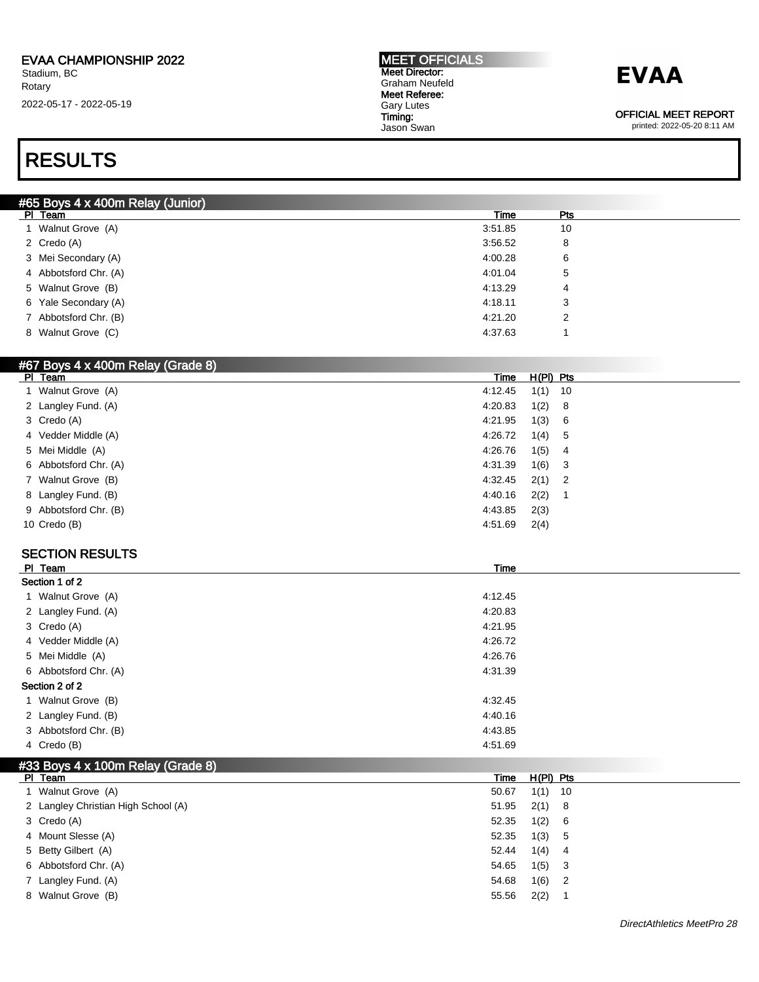## **EVAA**

OFFICIAL MEET REPORT

printed: 2022-05-20 8:11 AM

### RESULTS

| #65 Boys 4 x 400m Relay (Junior) |         |     |  |  |  |  |
|----------------------------------|---------|-----|--|--|--|--|
| PI Team                          | Time    | Pts |  |  |  |  |
| 1 Walnut Grove (A)               | 3:51.85 | 10  |  |  |  |  |
| 2 Credo (A)                      | 3:56.52 | 8   |  |  |  |  |
| 3 Mei Secondary (A)              | 4:00.28 | 6   |  |  |  |  |
| 4 Abbotsford Chr. (A)            | 4:01.04 | 5   |  |  |  |  |
| 5 Walnut Grove (B)               | 4:13.29 | 4   |  |  |  |  |
| 6 Yale Secondary (A)             | 4:18.11 | 3   |  |  |  |  |
| 7 Abbotsford Chr. (B)            | 4:21.20 | 2   |  |  |  |  |
| 8 Walnut Grove (C)               | 4:37.63 |     |  |  |  |  |
|                                  |         |     |  |  |  |  |

#### #67 Boys 4 x 400m Relay (Grade 8)

| PI Team               | Time    | H(PI) Pts |  |
|-----------------------|---------|-----------|--|
| 1 Walnut Grove (A)    | 4:12.45 | $1(1)$ 10 |  |
| 2 Langley Fund. (A)   | 4:20.83 | 1(2) 8    |  |
| 3 Credo (A)           | 4:21.95 | 1(3) 6    |  |
| 4 Vedder Middle (A)   | 4:26.72 | 1(4) 5    |  |
| 5 Mei Middle (A)      | 4:26.76 | $1(5)$ 4  |  |
| 6 Abbotsford Chr. (A) | 4:31.39 | $1(6)$ 3  |  |
| 7 Walnut Grove (B)    | 4:32.45 | $2(1)$ 2  |  |
| 8 Langley Fund. (B)   | 4:40.16 | 2(2)      |  |
| 9 Abbotsford Chr. (B) | 4:43.85 | 2(3)      |  |
| 10 Credo (B)          | 4:51.69 | 2(4)      |  |

### SECTION RESULTS

| PI Team               | Time    |
|-----------------------|---------|
| Section 1 of 2        |         |
| 1 Walnut Grove (A)    | 4:12.45 |
| 2 Langley Fund. (A)   | 4:20.83 |
| 3 Credo (A)           | 4:21.95 |
| 4 Vedder Middle (A)   | 4:26.72 |
| 5 Mei Middle (A)      | 4:26.76 |
| 6 Abbotsford Chr. (A) | 4:31.39 |
| Section 2 of 2        |         |
| 1 Walnut Grove (B)    | 4:32.45 |
| 2 Langley Fund. (B)   | 4:40.16 |
| 3 Abbotsford Chr. (B) | 4:43.85 |
| 4 Credo (B)           | 4:51.69 |

### #33 Boys 4 x 100m Relay (Grade 8)

| PI Team                             | Time  | $H(PI)$ Pts |                            |
|-------------------------------------|-------|-------------|----------------------------|
| 1 Walnut Grove (A)                  | 50.67 | $1(1)$ 10   |                            |
| 2 Langley Christian High School (A) | 51.95 | $2(1)$ 8    |                            |
| 3 Credo (A)                         | 52.35 | 1(2)        | - 6                        |
| 4 Mount Slesse (A)                  | 52.35 | 1(3)        | - 5                        |
| 5 Betty Gilbert (A)                 | 52.44 | 1(4)        | - 4                        |
| 6 Abbotsford Chr. (A)               | 54.65 | 1(5)        | - 3                        |
| 7 Langley Fund. (A)                 | 54.68 | 1(6)        | $\overline{\phantom{0}}^2$ |
| 8 Walnut Grove (B)                  | 55.56 | 2(2)        |                            |
|                                     |       |             |                            |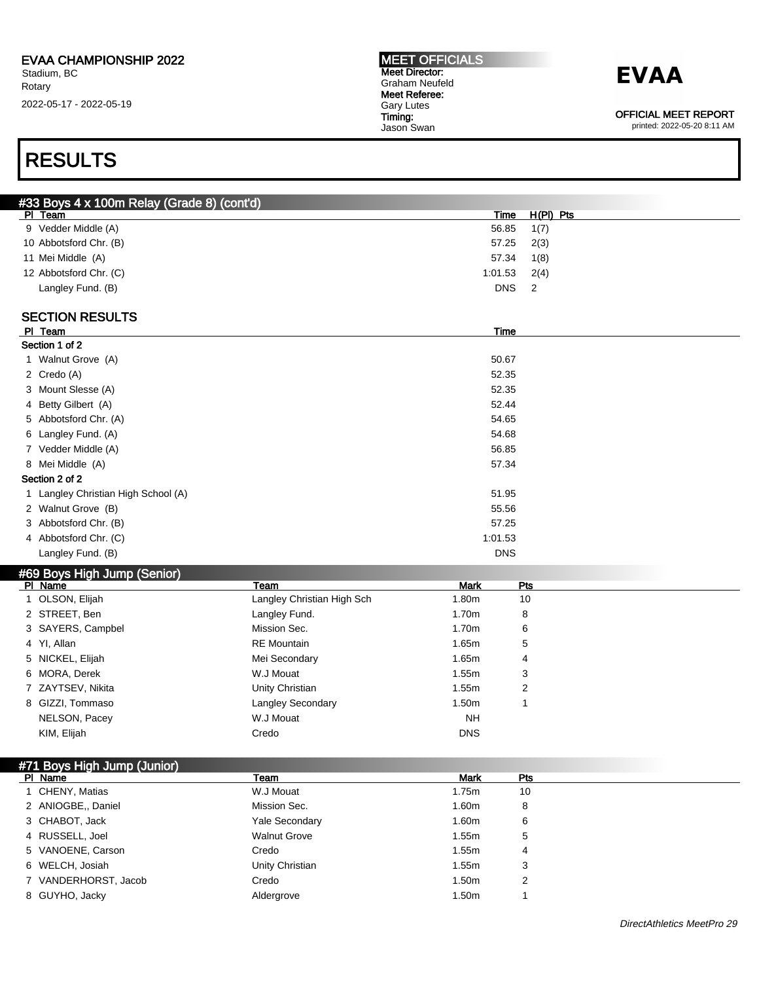### **EVAA**

OFFICIAL MEET REPORT

printed: 2022-05-20 8:11 AM

### RESULTS

|   | #33 Boys 4 x 100m Relay (Grade 8) (cont'd) |                            |             |                |  |
|---|--------------------------------------------|----------------------------|-------------|----------------|--|
|   | PI Team                                    |                            | <b>Time</b> | $H(PI)$ Pts    |  |
|   | 9 Vedder Middle (A)                        |                            | 56.85       | 1(7)           |  |
|   | 10 Abbotsford Chr. (B)                     |                            | 57.25       | 2(3)           |  |
|   | 11 Mei Middle (A)                          |                            | 57.34       | 1(8)           |  |
|   | 12 Abbotsford Chr. (C)                     |                            | 1:01.53     | 2(4)           |  |
|   | Langley Fund. (B)                          |                            | <b>DNS</b>  | $\overline{2}$ |  |
|   |                                            |                            |             |                |  |
|   | <b>SECTION RESULTS</b>                     |                            |             |                |  |
|   | PI Team                                    |                            | <b>Time</b> |                |  |
|   | Section 1 of 2                             |                            |             |                |  |
|   | 1 Walnut Grove (A)                         |                            | 50.67       |                |  |
|   | 2 Credo (A)                                |                            | 52.35       |                |  |
|   | 3 Mount Slesse (A)                         |                            | 52.35       |                |  |
| 4 | Betty Gilbert (A)                          |                            | 52.44       |                |  |
|   | 5 Abbotsford Chr. (A)                      |                            | 54.65       |                |  |
|   | 6 Langley Fund. (A)                        |                            | 54.68       |                |  |
|   | 7 Vedder Middle (A)                        |                            | 56.85       |                |  |
|   | 8 Mei Middle (A)                           |                            | 57.34       |                |  |
|   | Section 2 of 2                             |                            |             |                |  |
|   | 1 Langley Christian High School (A)        |                            | 51.95       |                |  |
|   | 2 Walnut Grove (B)                         |                            | 55.56       |                |  |
|   | 3 Abbotsford Chr. (B)                      |                            | 57.25       |                |  |
|   | 4 Abbotsford Chr. (C)                      |                            | 1:01.53     |                |  |
|   | Langley Fund. (B)                          |                            | <b>DNS</b>  |                |  |
|   | #69 Boys High Jump (Senior)                |                            |             |                |  |
|   | PI Name                                    | Team                       | <b>Mark</b> | Pts            |  |
|   | 1 OLSON, Elijah                            | Langley Christian High Sch | 1.80m       | 10             |  |
|   | 2 STREET, Ben                              | Langley Fund.              | 1.70m       | 8              |  |
|   | 3 SAYERS, Campbel                          | Mission Sec.               | 1.70m       | 6              |  |
|   | 4 YI, Allan                                | <b>RE</b> Mountain         | 1.65m       | 5              |  |
| 5 | NICKEL, Elijah                             | Mei Secondary              | 1.65m       | 4              |  |
| 6 | MORA, Derek                                | W.J Mouat                  | 1.55m       | 3              |  |
|   | 7 ZAYTSEV, Nikita                          | Unity Christian            | 1.55m       | 2              |  |
|   | 8 GIZZI, Tommaso                           | <b>Langley Secondary</b>   | 1.50m       | 1              |  |
|   | NELSON, Pacey                              | W.J Mouat                  | <b>NH</b>   |                |  |
|   | KIM, Elijah                                | Credo                      | <b>DNS</b>  |                |  |
|   |                                            |                            |             |                |  |
|   |                                            |                            |             |                |  |
|   | #71 Boys High Jump (Junior)<br>PI Name     | Team                       | <b>Mark</b> | Pts            |  |
|   | 1 CHENY, Matias                            | W.J Mouat                  | 1.75m       | 10             |  |
|   | 2 ANIOGBE,, Daniel                         | Mission Sec.               | 1.60m       | 8              |  |
|   | 3 CHABOT, Jack                             | Yale Secondary             | 1.60m       | 6              |  |
|   | 4 RUSSELL, Joel                            | <b>Walnut Grove</b>        | 1.55m       | 5              |  |
|   | 5 VANOENE, Carson                          | Credo                      | 1.55m       | 4              |  |
|   | 6 WELCH, Josiah                            | Unity Christian            | 1.55m       | 3              |  |
|   | 7 VANDERHORST, Jacob                       | Credo                      | 1.50m       | 2              |  |
|   | 8 GUYHO, Jacky                             | Aldergrove                 | 1.50m       |                |  |
|   |                                            |                            |             | 1              |  |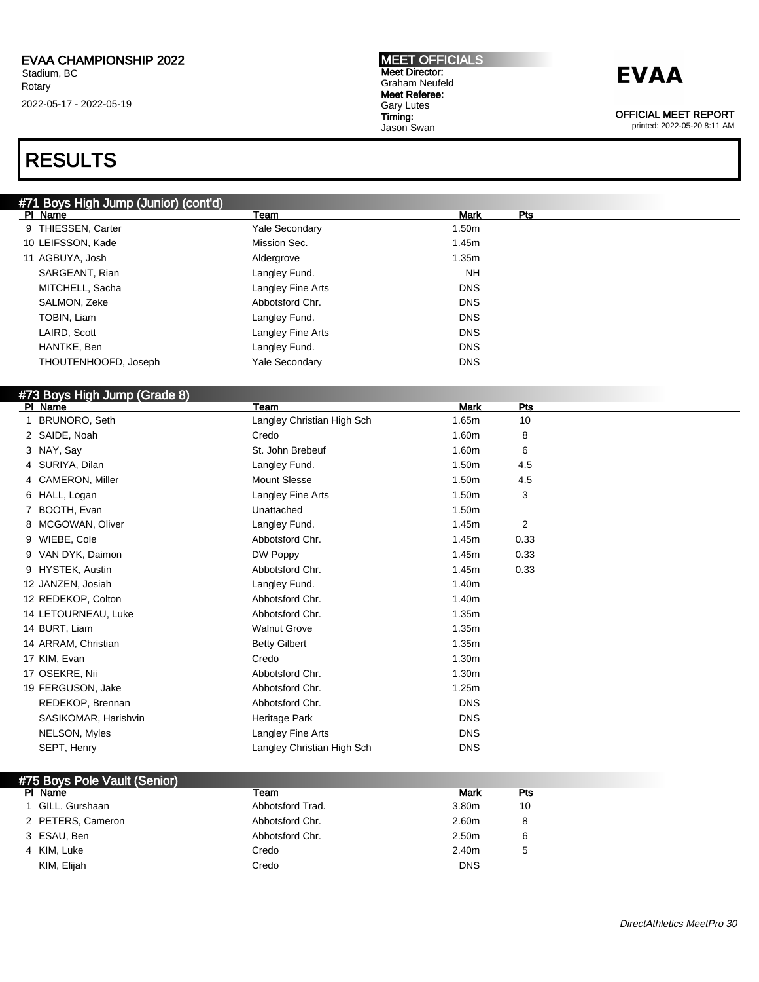## RESULTS

#### #71 Boys High Jump (Junior) (cont'd)

| PI Name              | Team                  | <b>Mark</b> | Pts |
|----------------------|-----------------------|-------------|-----|
| 9 THIESSEN, Carter   | <b>Yale Secondary</b> | 1.50m       |     |
| 10 LEIFSSON, Kade    | Mission Sec.          | 1.45m       |     |
| 11 AGBUYA, Josh      | Aldergrove            | 1.35m       |     |
| SARGEANT, Rian       | Langley Fund.         | <b>NH</b>   |     |
| MITCHELL, Sacha      | Langley Fine Arts     | <b>DNS</b>  |     |
| SALMON, Zeke         | Abbotsford Chr.       | <b>DNS</b>  |     |
| TOBIN, Liam          | Langley Fund.         | <b>DNS</b>  |     |
| LAIRD, Scott         | Langley Fine Arts     | <b>DNS</b>  |     |
| HANTKE, Ben          | Langley Fund.         | <b>DNS</b>  |     |
| THOUTENHOOFD, Joseph | <b>Yale Secondary</b> | <b>DNS</b>  |     |

### #73 Boys High Jump (Grade 8)

| PI Name              | Team                       | <b>Mark</b> | <b>Pts</b>     |  |
|----------------------|----------------------------|-------------|----------------|--|
| BRUNORO, Seth        | Langley Christian High Sch | 1.65m       | 10             |  |
| 2 SAIDE, Noah        | Credo                      | 1.60m       | 8              |  |
| 3 NAY, Say           | St. John Brebeuf           | 1.60m       | 6              |  |
| 4 SURIYA, Dilan      | Langley Fund.              | 1.50m       | 4.5            |  |
| 4 CAMERON, Miller    | <b>Mount Slesse</b>        | 1.50m       | 4.5            |  |
| 6 HALL, Logan        | Langley Fine Arts          | 1.50m       | 3              |  |
| BOOTH, Evan          | Unattached                 | 1.50m       |                |  |
| 8 MCGOWAN, Oliver    | Langley Fund.              | 1.45m       | $\overline{2}$ |  |
| 9 WIEBE, Cole        | Abbotsford Chr.            | 1.45m       | 0.33           |  |
| 9 VAN DYK, Daimon    | DW Poppy                   | 1.45m       | 0.33           |  |
| 9 HYSTEK, Austin     | Abbotsford Chr.            | 1.45m       | 0.33           |  |
| 12 JANZEN, Josiah    | Langley Fund.              | 1.40m       |                |  |
| 12 REDEKOP, Colton   | Abbotsford Chr.            | 1.40m       |                |  |
| 14 LETOURNEAU, Luke  | Abbotsford Chr.            | 1.35m       |                |  |
| 14 BURT, Liam        | <b>Walnut Grove</b>        | 1.35m       |                |  |
| 14 ARRAM, Christian  | <b>Betty Gilbert</b>       | 1.35m       |                |  |
| 17 KIM, Evan         | Credo                      | 1.30m       |                |  |
| 17 OSEKRE, Nii       | Abbotsford Chr.            | 1.30m       |                |  |
| 19 FERGUSON, Jake    | Abbotsford Chr.            | 1.25m       |                |  |
| REDEKOP, Brennan     | Abbotsford Chr.            | <b>DNS</b>  |                |  |
| SASIKOMAR, Harishvin | Heritage Park              | <b>DNS</b>  |                |  |
| NELSON, Myles        | Langley Fine Arts          | <b>DNS</b>  |                |  |
| SEPT, Henry          | Langley Christian High Sch | <b>DNS</b>  |                |  |

| #75 Boys Pole Vault (Senior) |                  |                   |              |  |  |
|------------------------------|------------------|-------------------|--------------|--|--|
| PI Name                      | Team             | Mark              | Pts          |  |  |
| 1 GILL, Gurshaan             | Abbotsford Trad. | 3.80m             | 10           |  |  |
| 2 PETERS, Cameron            | Abbotsford Chr.  | 2.60m             | 8            |  |  |
| 3 ESAU, Ben                  | Abbotsford Chr.  | 2.50 <sub>m</sub> | 6            |  |  |
| 4 KIM, Luke                  | Credo            | 2.40m             | <sub>5</sub> |  |  |
| KIM, Elijah                  | Credo            | <b>DNS</b>        |              |  |  |



OFFICIAL MEET REPORT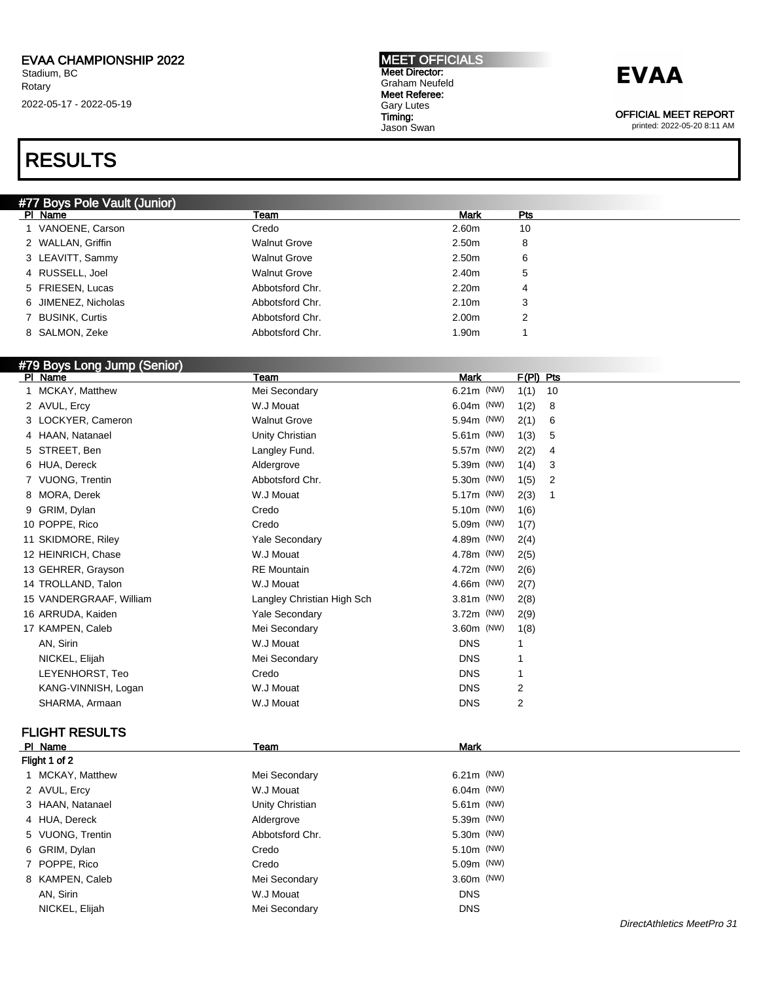### RESULTS

| <b>MEET OFFICIALS</b> |
|-----------------------|
| <b>Meet Director:</b> |
| Graham Neufeld        |
| Meet Referee:         |
| <b>Gary Lutes</b>     |
| Timing:               |
| Jason Swan            |

### **EVAA**

OFFICIAL MEET REPORT

printed: 2022-05-20 8:11 AM

| #77 Boys Pole Vault (Junior) |                     |                   |     |
|------------------------------|---------------------|-------------------|-----|
| PI Name                      | Team                | <b>Mark</b>       | Pts |
| 1 VANOENE, Carson            | Credo               | 2.60m             | 10  |
| 2 WALLAN, Griffin            | <b>Walnut Grove</b> | 2.50m             | 8   |
| 3 LEAVITT, Sammy             | <b>Walnut Grove</b> | 2.50m             | 6   |
| 4 RUSSELL, Joel              | <b>Walnut Grove</b> | 2.40m             | 5   |
| 5 FRIESEN, Lucas             | Abbotsford Chr.     | 2.20 <sub>m</sub> | 4   |
| 6 JIMENEZ, Nicholas          | Abbotsford Chr.     | 2.10 <sub>m</sub> | 3   |
| 7 BUSINK, Curtis             | Abbotsford Chr.     | 2.00m             | 2   |
| 8 SALMON, Zeke               | Abbotsford Chr.     | 1.90m             |     |
|                              |                     |                   |     |

### #79 Boys Long Jump (Senior)

| PI Name                 | Team                       | Mark         | F(PI) Pts |    |
|-------------------------|----------------------------|--------------|-----------|----|
| 1 MCKAY, Matthew        | Mei Secondary              | 6.21m (NW)   | 1(1)      | 10 |
| 2 AVUL, Ercy            | W.J Mouat                  | $6.04m$ (NW) | 1(2)      | 8  |
| 3 LOCKYER, Cameron      | <b>Walnut Grove</b>        | 5.94m (NW)   | 2(1)      | 6  |
| 4 HAAN, Natanael        | Unity Christian            | 5.61m (NW)   | 1(3)      | 5  |
| 5 STREET, Ben           | Langley Fund.              | 5.57m (NW)   | 2(2)      | 4  |
| 6 HUA, Dereck           | Aldergrove                 | 5.39m (NW)   | 1(4)      | 3  |
| 7 VUONG, Trentin        | Abbotsford Chr.            | 5.30m (NW)   | 1(5)      | 2  |
| 8 MORA, Derek           | W.J Mouat                  | 5.17m (NW)   | 2(3)      | 1  |
| 9 GRIM, Dylan           | Credo                      | 5.10m (NW)   | 1(6)      |    |
| 10 POPPE, Rico          | Credo                      | 5.09m (NW)   | 1(7)      |    |
| 11 SKIDMORE, Riley      | Yale Secondary             | 4.89m (NW)   | 2(4)      |    |
| 12 HEINRICH, Chase      | W.J Mouat                  | 4.78m (NW)   | 2(5)      |    |
| 13 GEHRER, Grayson      | <b>RE</b> Mountain         | 4.72m (NW)   | 2(6)      |    |
| 14 TROLLAND, Talon      | W.J Mouat                  | 4.66m (NW)   | 2(7)      |    |
| 15 VANDERGRAAF, William | Langley Christian High Sch | $3.81m$ (NW) | 2(8)      |    |
| 16 ARRUDA, Kaiden       | <b>Yale Secondary</b>      | 3.72m (NW)   | 2(9)      |    |
| 17 KAMPEN, Caleb        | Mei Secondary              | 3.60m (NW)   | 1(8)      |    |
| AN, Sirin               | W.J Mouat                  | <b>DNS</b>   |           |    |
| NICKEL, Elijah          | Mei Secondary              | <b>DNS</b>   |           |    |
| LEYENHORST, Teo         | Credo                      | <b>DNS</b>   |           |    |
| KANG-VINNISH, Logan     | W.J Mouat                  | <b>DNS</b>   | 2         |    |
| SHARMA, Armaan          | W.J Mouat                  | <b>DNS</b>   | 2         |    |
|                         |                            |              |           |    |

### FLIGHT RESULTS

| PI Name          | Team            | <b>Mark</b>  |  |  |  |  |  |
|------------------|-----------------|--------------|--|--|--|--|--|
| Flight 1 of 2    |                 |              |  |  |  |  |  |
| 1 MCKAY, Matthew | Mei Secondary   | $6.21m$ (NW) |  |  |  |  |  |
| 2 AVUL, Ercy     | W.J Mouat       | $6.04m$ (NW) |  |  |  |  |  |
| 3 HAAN, Natanael | Unity Christian | $5.61m$ (NW) |  |  |  |  |  |
| 4 HUA, Dereck    | Aldergrove      | 5.39m (NW)   |  |  |  |  |  |
| 5 VUONG, Trentin | Abbotsford Chr. | 5.30m (NW)   |  |  |  |  |  |
| 6 GRIM, Dylan    | Credo           | 5.10m (NW)   |  |  |  |  |  |
| 7 POPPE, Rico    | Credo           | $5.09m$ (NW) |  |  |  |  |  |
| 8 KAMPEN, Caleb  | Mei Secondary   | $3.60m$ (NW) |  |  |  |  |  |
| AN, Sirin        | W.J Mouat       | <b>DNS</b>   |  |  |  |  |  |
| NICKEL, Elijah   | Mei Secondary   | <b>DNS</b>   |  |  |  |  |  |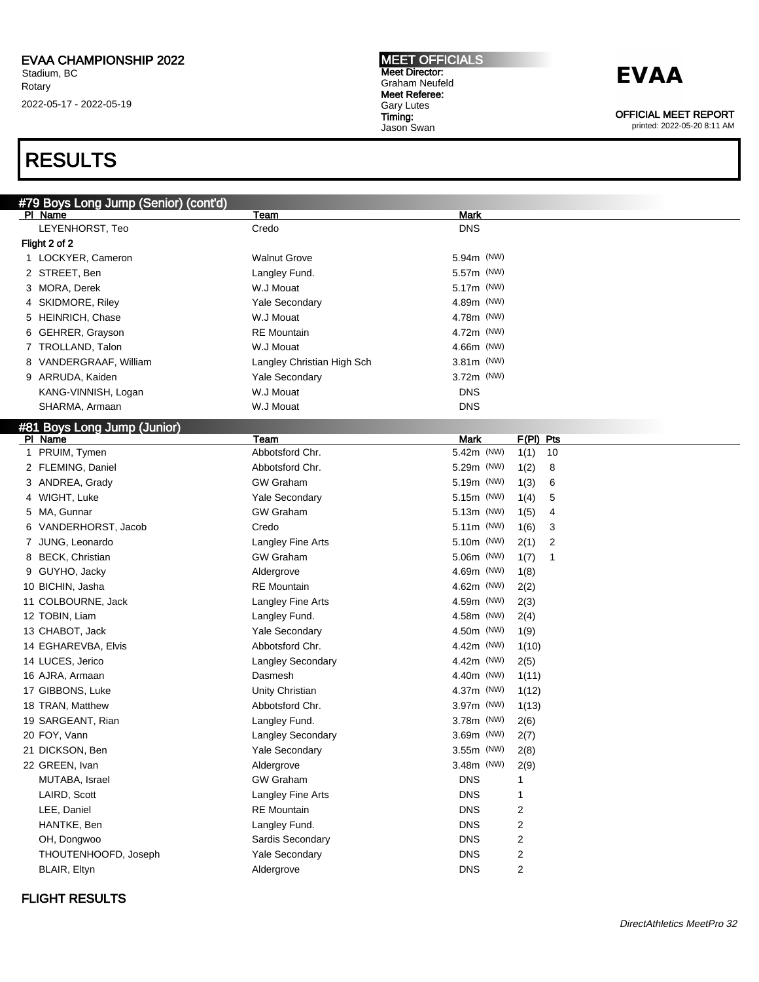### RESULTS

MEET OFFICIALS Meet Director: Graham Neufeld Meet Referee: Gary Lutes Timing: Jason Swan

### **EVAA**

OFFICIAL MEET REPORT

printed: 2022-05-20 8:11 AM

| #79 Boys Long Jump (Senior) (cont'd) |                            |                          |
|--------------------------------------|----------------------------|--------------------------|
| PI Name                              | Team                       | Mark                     |
| LEYENHORST, Teo                      | Credo                      | <b>DNS</b>               |
| Flight 2 of 2                        |                            |                          |
| 1 LOCKYER, Cameron                   | <b>Walnut Grove</b>        | 5.94m (NW)               |
| 2 STREET, Ben                        | Langley Fund.              | 5.57m (NW)               |
| 3 MORA, Derek                        | W.J Mouat                  | 5.17m (NW)               |
| 4 SKIDMORE, Riley                    | Yale Secondary             | 4.89m (NW)               |
| 5 HEINRICH, Chase                    | W.J Mouat                  | 4.78m (NW)               |
| 6 GEHRER, Grayson                    | <b>RE</b> Mountain         | 4.72m (NW)               |
| 7 TROLLAND, Talon                    | W.J Mouat                  | 4.66m (NW)               |
| VANDERGRAAF, William<br>8            | Langley Christian High Sch | 3.81m (NW)               |
| 9 ARRUDA, Kaiden                     | Yale Secondary             | 3.72m (NW)               |
| KANG-VINNISH, Logan                  | W.J Mouat                  | <b>DNS</b>               |
| SHARMA, Armaan                       | W.J Mouat                  | <b>DNS</b>               |
| #81 Boys Long Jump (Junior)          |                            |                          |
| PI Name                              | Team                       | Mark<br>$F(PI)$ Pts      |
| 1 PRUIM, Tymen                       | Abbotsford Chr.            | 5.42m (NW)<br>10<br>1(1) |
| 2 FLEMING, Daniel                    | Abbotsford Chr.            | 5.29m (NW)<br>1(2)<br>8  |
| 3 ANDREA, Grady                      | <b>GW Graham</b>           | 5.19m (NW)<br>1(3)<br>6  |
| 4 WIGHT, Luke                        | <b>Yale Secondary</b>      | 5.15m (NW)<br>1(4)<br>5  |
| 5 MA, Gunnar                         | <b>GW Graham</b>           | 5.13m (NW)<br>1(5)<br>4  |
| 6 VANDERHORST, Jacob                 | Credo                      | 5.11m (NW)<br>1(6)<br>3  |
| 7 JUNG, Leonardo                     | Langley Fine Arts          | 5.10m (NW)<br>2(1)<br>2  |
| 8 BECK, Christian                    | <b>GW Graham</b>           | 5.06m (NW)<br>1(7)<br>1  |
| 9 GUYHO, Jacky                       | Aldergrove                 | 4.69m (NW)<br>1(8)       |
| 10 BICHIN, Jasha                     | <b>RE</b> Mountain         | 4.62m (NW)<br>2(2)       |
| 11 COLBOURNE, Jack                   | Langley Fine Arts          | 4.59m (NW)<br>2(3)       |
| 12 TOBIN, Liam                       | Langley Fund.              | 4.58m (NW)<br>2(4)       |
| 13 CHABOT, Jack                      | <b>Yale Secondary</b>      | 4.50m (NW)<br>1(9)       |
| 14 EGHAREVBA, Elvis                  | Abbotsford Chr.            | 4.42m (NW)<br>1(10)      |
| 14 LUCES, Jerico                     | <b>Langley Secondary</b>   | 4.42m (NW)<br>2(5)       |
| 16 AJRA, Armaan                      | Dasmesh                    | 4.40m (NW)<br>1(11)      |
| 17 GIBBONS, Luke                     | Unity Christian            | 4.37m (NW)<br>1(12)      |
| 18 TRAN, Matthew                     | Abbotsford Chr.            | 3.97m (NW)<br>1(13)      |
| 19 SARGEANT, Rian                    | Langley Fund.              | 3.78m (NW)<br>2(6)       |
| 20 FOY, Vann                         | <b>Langley Secondary</b>   | 3.69m (NW)<br>2(7)       |
| 21 DICKSON, Ben                      | Yale Secondary             | 3.55m (NW)<br>2(8)       |
| 22 GREEN, Ivan                       | Aldergrove                 | 3.48m (NW)<br>2(9)       |
| MUTABA, Israel                       | <b>GW Graham</b>           | <b>DNS</b>               |
| LAIRD, Scott                         | Langley Fine Arts          | <b>DNS</b><br>1          |
| LEE, Daniel                          | <b>RE</b> Mountain         | <b>DNS</b><br>2          |
| HANTKE, Ben                          | Langley Fund.              | 2<br><b>DNS</b>          |
| OH, Dongwoo                          | Sardis Secondary           | 2<br><b>DNS</b>          |
| THOUTENHOOFD, Joseph                 | Yale Secondary             | 2<br><b>DNS</b>          |
| BLAIR, Eltyn                         | Aldergrove                 | 2<br><b>DNS</b>          |
|                                      |                            |                          |

### FLIGHT RESULTS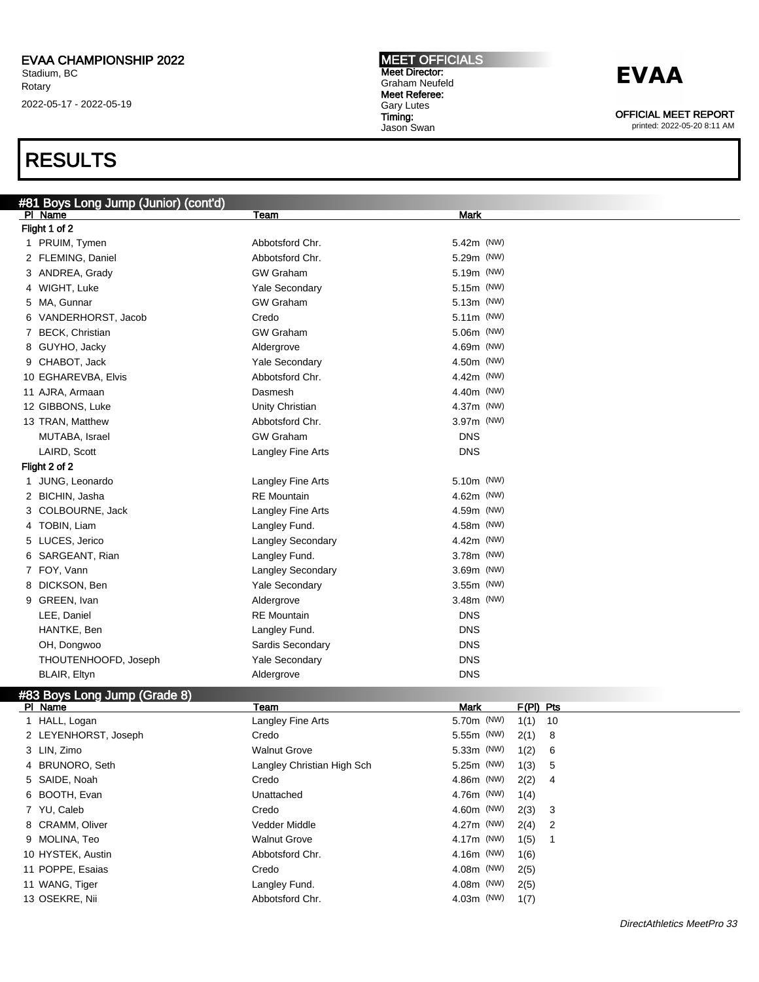### RESULTS

| #81 Boys Long Jump (Junior) (cont'd)    |                            |              |  |           |    |  |
|-----------------------------------------|----------------------------|--------------|--|-----------|----|--|
| PI Name                                 | Team                       | Mark         |  |           |    |  |
| Flight 1 of 2                           |                            |              |  |           |    |  |
| 1 PRUIM, Tymen                          | Abbotsford Chr.            | 5.42m (NW)   |  |           |    |  |
| 2 FLEMING, Daniel                       | Abbotsford Chr.            | 5.29m (NW)   |  |           |    |  |
| 3 ANDREA, Grady                         | <b>GW Graham</b>           | 5.19m (NW)   |  |           |    |  |
| 4 WIGHT, Luke                           | Yale Secondary             | 5.15m (NW)   |  |           |    |  |
| 5 MA, Gunnar                            | <b>GW Graham</b>           | $5.13m$ (NW) |  |           |    |  |
| 6 VANDERHORST, Jacob                    | Credo                      | $5.11m$ (NW) |  |           |    |  |
| 7 BECK, Christian                       | <b>GW Graham</b>           | 5.06m (NW)   |  |           |    |  |
| 8 GUYHO, Jacky                          | Aldergrove                 | 4.69m (NW)   |  |           |    |  |
| 9 CHABOT, Jack                          | Yale Secondary             | 4.50m (NW)   |  |           |    |  |
| 10 EGHAREVBA, Elvis                     | Abbotsford Chr.            | 4.42m (NW)   |  |           |    |  |
| 11 AJRA, Armaan                         | Dasmesh                    | 4.40m (NW)   |  |           |    |  |
| 12 GIBBONS, Luke                        | Unity Christian            | 4.37m (NW)   |  |           |    |  |
| 13 TRAN, Matthew                        | Abbotsford Chr.            | 3.97m (NW)   |  |           |    |  |
| MUTABA, Israel                          | <b>GW Graham</b>           | <b>DNS</b>   |  |           |    |  |
| LAIRD, Scott                            | Langley Fine Arts          | <b>DNS</b>   |  |           |    |  |
| Flight 2 of 2                           |                            |              |  |           |    |  |
| 1 JUNG, Leonardo                        | Langley Fine Arts          | 5.10m (NW)   |  |           |    |  |
| 2 BICHIN, Jasha                         | <b>RE</b> Mountain         | 4.62m (NW)   |  |           |    |  |
| 3 COLBOURNE, Jack                       | Langley Fine Arts          | 4.59m (NW)   |  |           |    |  |
| 4 TOBIN, Liam                           | Langley Fund.              | 4.58m (NW)   |  |           |    |  |
| 5 LUCES, Jerico                         | Langley Secondary          | 4.42m (NW)   |  |           |    |  |
| 6 SARGEANT, Rian                        | Langley Fund.              | 3.78m (NW)   |  |           |    |  |
| 7 FOY, Vann                             | Langley Secondary          | 3.69m (NW)   |  |           |    |  |
| 8 DICKSON, Ben                          | Yale Secondary             | 3.55m (NW)   |  |           |    |  |
| 9 GREEN, Ivan                           | Aldergrove                 | 3.48m (NW)   |  |           |    |  |
| LEE, Daniel                             | <b>RE</b> Mountain         | <b>DNS</b>   |  |           |    |  |
| HANTKE, Ben                             | Langley Fund.              | <b>DNS</b>   |  |           |    |  |
| OH, Dongwoo                             | Sardis Secondary           | <b>DNS</b>   |  |           |    |  |
| THOUTENHOOFD, Joseph                    | Yale Secondary             | <b>DNS</b>   |  |           |    |  |
| BLAIR, Eltyn                            | Aldergrove                 | <b>DNS</b>   |  |           |    |  |
|                                         |                            |              |  |           |    |  |
| #83 Boys Long Jump (Grade 8)<br>PI Name | Team                       | <b>Mark</b>  |  | F(PI) Pts |    |  |
| 1 HALL, Logan                           | Langley Fine Arts          | 5.70m (NW)   |  | 1(1)      | 10 |  |
| 2 LEYENHORST, Joseph                    | Credo                      | 5.55m (NW)   |  | 2(1)      | 8  |  |
| 3 LIN, Zimo                             | <b>Walnut Grove</b>        | 5.33m (NW)   |  | 1(2)      | 6  |  |
| 4 BRUNORO, Seth                         | Langley Christian High Sch | 5.25m (NW)   |  | 1(3)      | 5  |  |
| 5 SAIDE, Noah                           | Credo                      | 4.86m (NW)   |  | 2(2)      | 4  |  |
| 6 BOOTH, Evan                           | Unattached                 | 4.76m (NW)   |  | 1(4)      |    |  |
| 7 YU, Caleb                             | Credo                      | 4.60m (NW)   |  | 2(3)      | 3  |  |
| 8 CRAMM, Oliver                         | Vedder Middle              | 4.27m (NW)   |  | 2(4)      | 2  |  |
| 9 MOLINA, Teo                           | <b>Walnut Grove</b>        | 4.17m (NW)   |  | 1(5)      | 1  |  |
| 10 HYSTEK, Austin                       | Abbotsford Chr.            | 4.16m (NW)   |  | 1(6)      |    |  |
| 11 POPPE, Esaias                        | Credo                      | 4.08m (NW)   |  | 2(5)      |    |  |
| 11 WANG, Tiger                          | Langley Fund.              | 4.08m (NW)   |  | 2(5)      |    |  |
|                                         |                            |              |  |           |    |  |

13 OSEKRE, Nii and Abbotsford Chr. 4.03m (NW) 1(7)

OFFICIAL MEET REPORT

printed: 2022-05-20 8:11 AM

MEET OFFICIALS Meet Director: Graham Neufeld Meet Referee: Gary Lutes Timing: Jason Swan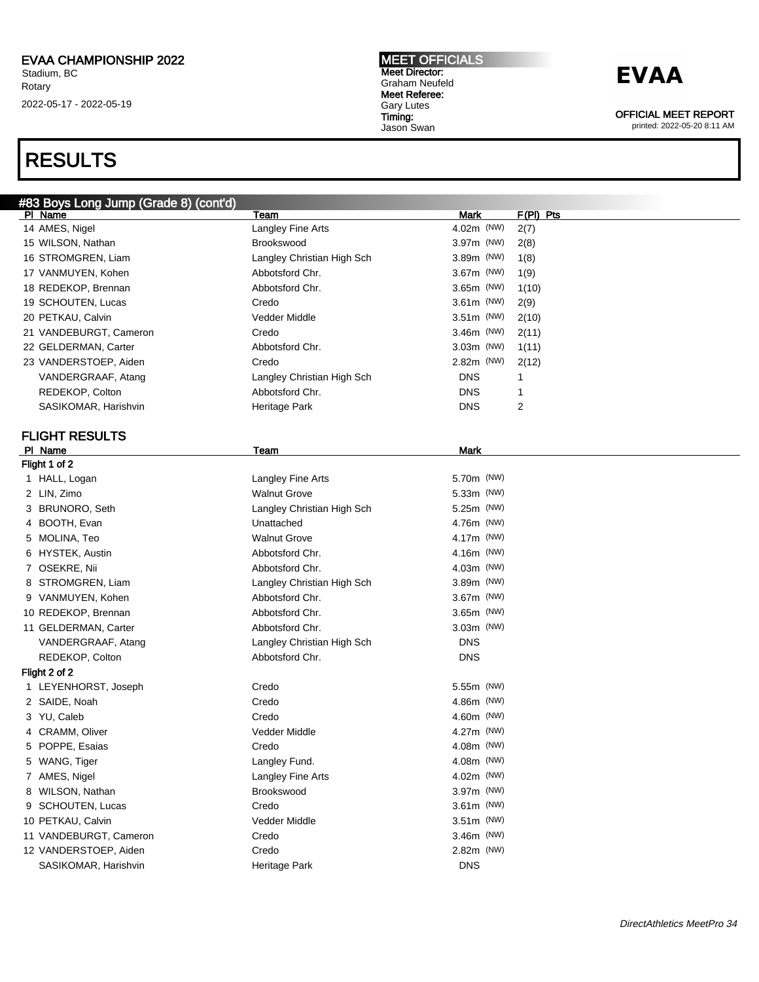### RESULTS

#### MEET OFFICIALS Meet Director: Graham Neufeld Meet Referee: Gary Lutes Timing: Jason Swan

## **EVAA**

OFFICIAL MEET REPORT

|   | #83 Boys Long Jump (Grade 8) (cont'd) |                            |              |             |
|---|---------------------------------------|----------------------------|--------------|-------------|
|   | PI Name                               | Team                       | Mark         | $F(PI)$ Pts |
|   | 14 AMES, Nigel                        | Langley Fine Arts          | 4.02m (NW)   | 2(7)        |
|   | 15 WILSON, Nathan                     | <b>Brookswood</b>          | 3.97m (NW)   | 2(8)        |
|   | 16 STROMGREN, Liam                    | Langley Christian High Sch | 3.89m (NW)   | 1(8)        |
|   | 17 VANMUYEN, Kohen                    | Abbotsford Chr.            | 3.67m (NW)   | 1(9)        |
|   | 18 REDEKOP, Brennan                   | Abbotsford Chr.            | 3.65m (NW)   | 1(10)       |
|   | 19 SCHOUTEN, Lucas                    | Credo                      | 3.61m (NW)   | 2(9)        |
|   | 20 PETKAU, Calvin                     | Vedder Middle              | 3.51m (NW)   | 2(10)       |
|   | 21 VANDEBURGT, Cameron                | Credo                      | 3.46m (NW)   | 2(11)       |
|   | 22 GELDERMAN, Carter                  | Abbotsford Chr.            | $3.03m$ (NW) | 1(11)       |
|   | 23 VANDERSTOEP, Aiden                 | Credo                      | 2.82m (NW)   | 2(12)       |
|   | VANDERGRAAF, Atang                    | Langley Christian High Sch | <b>DNS</b>   | 1           |
|   | REDEKOP, Colton                       | Abbotsford Chr.            | <b>DNS</b>   | 1           |
|   | SASIKOMAR, Harishvin                  | Heritage Park              | <b>DNS</b>   | 2           |
|   |                                       |                            |              |             |
|   | <b>FLIGHT RESULTS</b>                 |                            |              |             |
|   | PI Name                               | Team                       | Mark         |             |
|   | Flight 1 of 2                         |                            |              |             |
|   | 1 HALL, Logan                         | Langley Fine Arts          | 5.70m (NW)   |             |
|   | 2 LIN, Zimo                           | <b>Walnut Grove</b>        | 5.33m (NW)   |             |
|   | 3 BRUNORO, Seth                       | Langley Christian High Sch | 5.25m (NW)   |             |
|   | 4 BOOTH, Evan                         | Unattached                 | 4.76m (NW)   |             |
|   | 5 MOLINA, Teo                         | <b>Walnut Grove</b>        | 4.17m (NW)   |             |
|   | 6 HYSTEK, Austin                      | Abbotsford Chr.            | 4.16m (NW)   |             |
|   | 7 OSEKRE, Nii                         | Abbotsford Chr.            | $4.03m$ (NW) |             |
|   | 8 STROMGREN, Liam                     | Langley Christian High Sch | 3.89m (NW)   |             |
|   | 9 VANMUYEN, Kohen                     | Abbotsford Chr.            | $3.67m$ (NW) |             |
|   | 10 REDEKOP, Brennan                   | Abbotsford Chr.            | 3.65m (NW)   |             |
|   | 11 GELDERMAN, Carter                  | Abbotsford Chr.            | $3.03m$ (NW) |             |
|   | VANDERGRAAF, Atang                    | Langley Christian High Sch | <b>DNS</b>   |             |
|   | REDEKOP, Colton                       | Abbotsford Chr.            | <b>DNS</b>   |             |
|   | Flight 2 of 2                         |                            |              |             |
|   | 1 LEYENHORST, Joseph                  | Credo                      | 5.55m (NW)   |             |
|   | 2 SAIDE, Noah                         | Credo                      | 4.86m (NW)   |             |
|   | 3 YU, Caleb                           | Credo                      | 4.60m (NW)   |             |
|   | 4 CRAMM, Oliver                       | Vedder Middle              | 4.27m (NW)   |             |
|   | 5 POPPE, Esaias                       | Credo                      | 4.08m (NW)   |             |
|   | 5 WANG, Tiger                         | Langley Fund.              | 4.08m (NW)   |             |
|   | 7 AMES, Nigel                         | Langley Fine Arts          | 4.02m (NW)   |             |
| 8 | WILSON, Nathan                        | Brookswood                 | 3.97m (NW)   |             |
| 9 | SCHOUTEN, Lucas                       | Credo                      | 3.61m (NW)   |             |
|   | 10 PETKAU, Calvin                     | Vedder Middle              | 3.51m (NW)   |             |
|   | 11 VANDEBURGT, Cameron                | Credo                      | 3.46m (NW)   |             |
|   | 12 VANDERSTOEP, Aiden                 | Credo                      | 2.82m (NW)   |             |
|   | SASIKOMAR, Harishvin                  | Heritage Park              | <b>DNS</b>   |             |
|   |                                       |                            |              |             |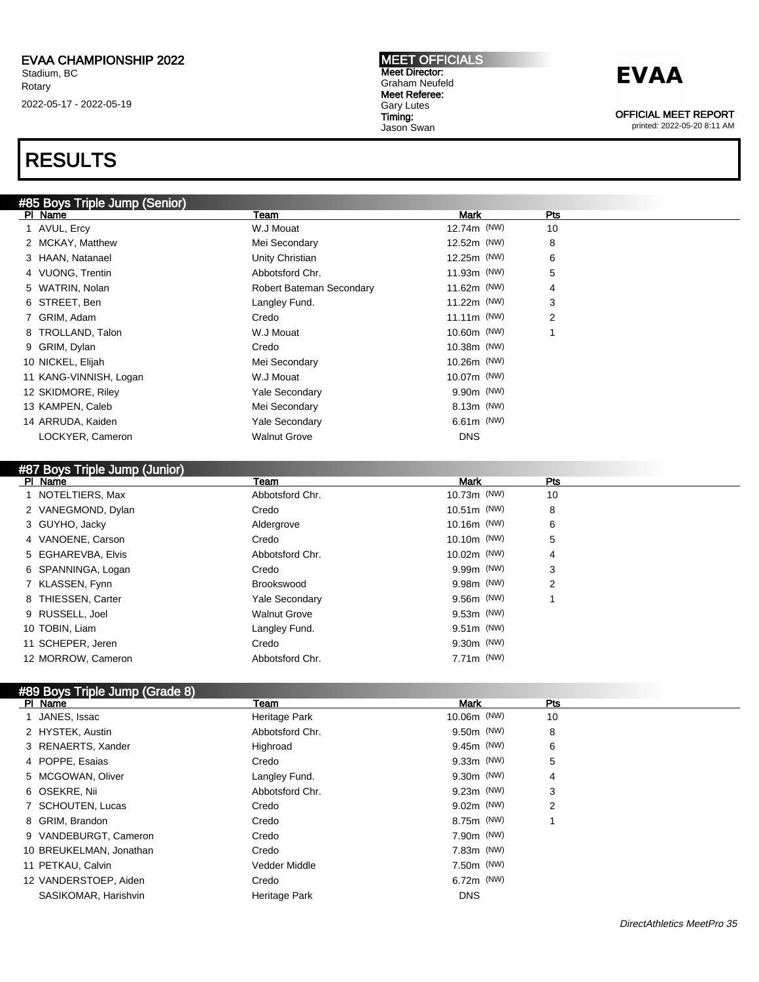## RESULTS

#### MEET OFFICIALS Meet Director: Graham Neufeld Meet Referee: Gary Lutes Timing: Jason Swan

## **EVAA**

OFFICIAL MEET REPORT

printed: 2022-05-20 8:11 AM

| #85 Boys Triple Jump (Senior) |                          |               |                |  |
|-------------------------------|--------------------------|---------------|----------------|--|
| PI Name                       | Team                     | Mark          | Pts            |  |
| 1 AVUL, Ercy                  | W.J Mouat                | 12.74m (NW)   | 10             |  |
| 2 MCKAY, Matthew              | Mei Secondary            | 12.52m (NW)   | 8              |  |
| 3 HAAN, Natanael              | Unity Christian          | 12.25m (NW)   | 6              |  |
| 4 VUONG, Trentin              | Abbotsford Chr.          | 11.93m (NW)   | 5              |  |
| 5 WATRIN, Nolan               | Robert Bateman Secondary | 11.62m (NW)   | 4              |  |
| 6 STREET, Ben                 | Langley Fund.            | 11.22m (NW)   | 3              |  |
| 7 GRIM, Adam                  | Credo                    | $11.11m$ (NW) | $\overline{2}$ |  |
| 8 TROLLAND, Talon             | W.J Mouat                | 10.60m (NW)   | 4              |  |
| 9 GRIM, Dylan                 | Credo                    | 10.38m (NW)   |                |  |
| 10 NICKEL, Elijah             | Mei Secondary            | $10.26m$ (NW) |                |  |
| 11 KANG-VINNISH, Logan        | W.J Mouat                | 10.07m (NW)   |                |  |
| 12 SKIDMORE, Riley            | <b>Yale Secondary</b>    | 9.90m (NW)    |                |  |
| 13 KAMPEN, Caleb              | Mei Secondary            | 8.13m (NW)    |                |  |
| 14 ARRUDA, Kaiden             | <b>Yale Secondary</b>    | $6.61m$ (NW)  |                |  |
| LOCKYER, Cameron              | <b>Walnut Grove</b>      | <b>DNS</b>    |                |  |
|                               |                          |               |                |  |

| HOT DUYS THUR JUIND (JUINUE) |                       |               |     |
|------------------------------|-----------------------|---------------|-----|
| PI Name                      | Team                  | <b>Mark</b>   | Pts |
| 1 NOTELTIERS, Max            | Abbotsford Chr.       | 10.73m (NW)   | 10  |
| 2 VANEGMOND, Dylan           | Credo                 | 10.51m (NW)   | 8   |
| 3 GUYHO, Jacky               | Aldergrove            | $10.16m$ (NW) | 6   |
| 4 VANOENE, Carson            | Credo                 | $10.10m$ (NW) | 5   |
| 5 EGHAREVBA, Elvis           | Abbotsford Chr.       | 10.02m (NW)   | 4   |
| 6 SPANNINGA, Logan           | Credo                 | $9.99m$ (NW)  | 3   |
| 7 KLASSEN, Fynn              | Brookswood            | $9.98m$ (NW)  | 2   |
| 8 THIESSEN, Carter           | <b>Yale Secondary</b> | $9.56m$ (NW)  |     |
| 9 RUSSELL, Joel              | <b>Walnut Grove</b>   | $9.53m$ (NW)  |     |
| 10 TOBIN, Liam               | Langley Fund.         | $9.51m$ (NW)  |     |
| 11 SCHEPER, Jeren            | Credo                 | $9.30m$ (NW)  |     |
| 12 MORROW, Cameron           | Abbotsford Chr.       | $7.71m$ (NW)  |     |

#### #89 Boys Triple Jump (Grade 8)

#87 Boys Triple Jump (Junior)

| PI Name                 | Team            | <b>Mark</b>  | Pts |  |
|-------------------------|-----------------|--------------|-----|--|
| 1 JANES, Issac          | Heritage Park   | 10.06m (NW)  | 10  |  |
| 2 HYSTEK, Austin        | Abbotsford Chr. | 9.50m (NW)   | 8   |  |
| 3 RENAERTS, Xander      | Highroad        | $9.45m$ (NW) | 6   |  |
| 4 POPPE, Esaias         | Credo           | $9.33m$ (NW) | 5   |  |
| 5 MCGOWAN, Oliver       | Langley Fund.   | 9.30m (NW)   | 4   |  |
| 6 OSEKRE, Nii           | Abbotsford Chr. | $9.23m$ (NW) | 3   |  |
| 7 SCHOUTEN, Lucas       | Credo           | $9.02m$ (NW) | 2   |  |
| 8 GRIM, Brandon         | Credo           | 8.75m (NW)   |     |  |
| 9 VANDEBURGT, Cameron   | Credo           | 7.90m (NW)   |     |  |
| 10 BREUKELMAN, Jonathan | Credo           | $7.83m$ (NW) |     |  |
| 11 PETKAU, Calvin       | Vedder Middle   | 7.50m (NW)   |     |  |
| 12 VANDERSTOEP, Aiden   | Credo           | $6.72m$ (NW) |     |  |
| SASIKOMAR, Harishvin    | Heritage Park   | <b>DNS</b>   |     |  |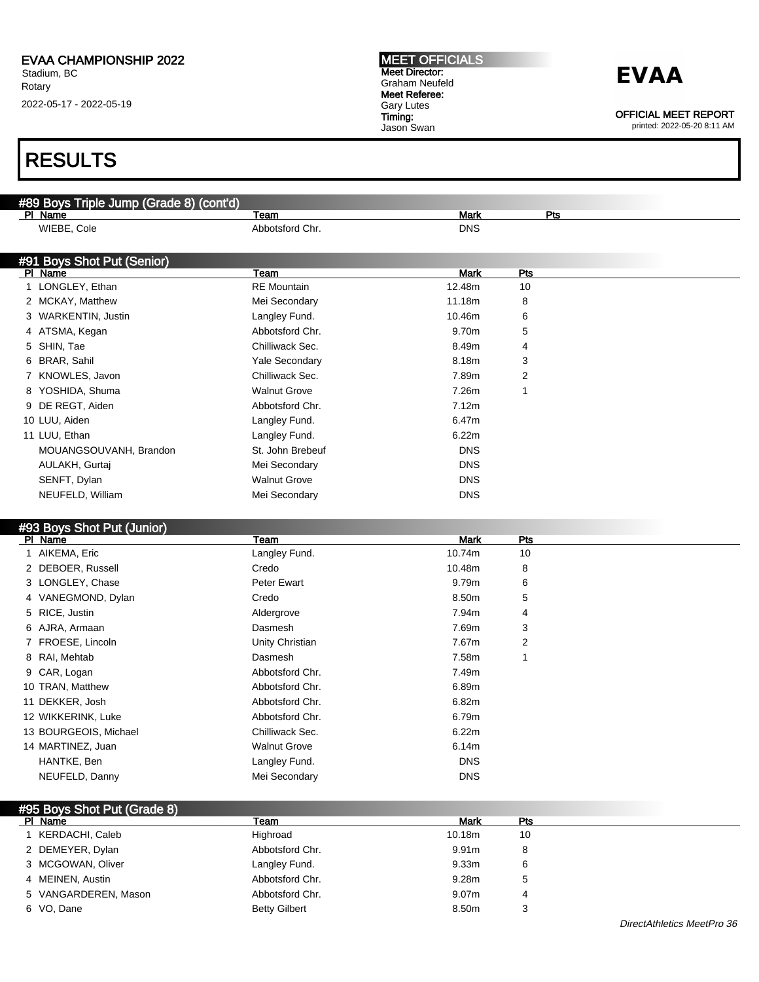### RESULTS

| #89 Boys Triple Jump (Grade 8) (cont'd) |                       |             |              |  |
|-----------------------------------------|-----------------------|-------------|--------------|--|
| PI Name                                 | Team                  | <b>Mark</b> | Pts          |  |
| WIEBE, Cole                             | Abbotsford Chr.       | <b>DNS</b>  |              |  |
|                                         |                       |             |              |  |
| #91 Boys Shot Put (Senior)              |                       |             |              |  |
| PI Name                                 | Team                  | <b>Mark</b> | Pts          |  |
| 1 LONGLEY, Ethan                        | <b>RE</b> Mountain    | 12.48m      | 10           |  |
| 2 MCKAY, Matthew                        | Mei Secondary         | 11.18m      | 8            |  |
| 3 WARKENTIN, Justin                     | Langley Fund.         | 10.46m      | 6            |  |
| 4 ATSMA, Kegan                          | Abbotsford Chr.       | 9.70m       | 5            |  |
| 5 SHIN, Tae                             | Chilliwack Sec.       | 8.49m       | 4            |  |
| 6 BRAR, Sahil                           | <b>Yale Secondary</b> | 8.18m       | 3            |  |
| 7 KNOWLES, Javon                        | Chilliwack Sec.       | 7.89m       | 2            |  |
| 8 YOSHIDA, Shuma                        | <b>Walnut Grove</b>   | 7.26m       | 1            |  |
| DE REGT, Aiden                          | Abbotsford Chr.       | 7.12m       |              |  |
| 10 LUU, Aiden                           | Langley Fund.         | 6.47m       |              |  |
| 11 LUU, Ethan                           | Langley Fund.         | 6.22m       |              |  |
| MOUANGSOUVANH, Brandon                  | St. John Brebeuf      | <b>DNS</b>  |              |  |
| AULAKH, Gurtaj                          | Mei Secondary         | <b>DNS</b>  |              |  |
| SENFT, Dylan                            | <b>Walnut Grove</b>   | <b>DNS</b>  |              |  |
| NEUFELD, William                        | Mei Secondary         | <b>DNS</b>  |              |  |
|                                         |                       |             |              |  |
| #93 Boys Shot Put (Junior)              |                       |             |              |  |
| PI Name                                 | Team                  | <b>Mark</b> | Pts          |  |
| 1 AIKEMA, Eric                          | Langley Fund.         | 10.74m      | 10           |  |
| 2 DEBOER, Russell                       | Credo                 | 10.48m      | 8            |  |
| 3 LONGLEY, Chase                        | <b>Peter Ewart</b>    | 9.79m       | 6            |  |
| 4 VANEGMOND, Dylan                      | Credo                 | 8.50m       | 5            |  |
| 5 RICE, Justin                          | Aldergrove            | 7.94m       | 4            |  |
| 6 AJRA, Armaan                          | Dasmesh               | 7.69m       | 3            |  |
| 7 FROESE, Lincoln                       | Unity Christian       | 7.67m       | 2            |  |
| 8 RAI, Mehtab                           | Dasmesh               | 7.58m       | $\mathbf{1}$ |  |
| 9 CAR, Logan                            | Abbotsford Chr.       | 7.49m       |              |  |
| 10 TRAN, Matthew                        | Abbotsford Chr.       | 6.89m       |              |  |
| 11 DEKKER, Josh                         | Abbotsford Chr.       | 6.82m       |              |  |
| 12 WIKKERINK, Luke                      | Abbotsford Chr.       | 6.79m       |              |  |
| 13 BOURGEOIS, Michael                   | Chilliwack Sec.       | 6.22m       |              |  |

| 13 BOURGEOIS, Michael | Chilliwack Sec.     | 6.22m      |
|-----------------------|---------------------|------------|
| 14 MARTINEZ, Juan     | <b>Walnut Grove</b> | 6.14m      |
| HANTKE, Ben           | Langley Fund.       | <b>DNS</b> |
| NEUFELD, Danny        | Mei Secondary       | <b>DNS</b> |
|                       |                     |            |

### #95 Boys Shot Put (Grade 8)

#### MEET OFFICIALS Meet Director: Graham Neufeld Meet Referee: Gary Lutes Timing:

Jason Swan

### **EVAA**

OFFICIAL MEET REPORT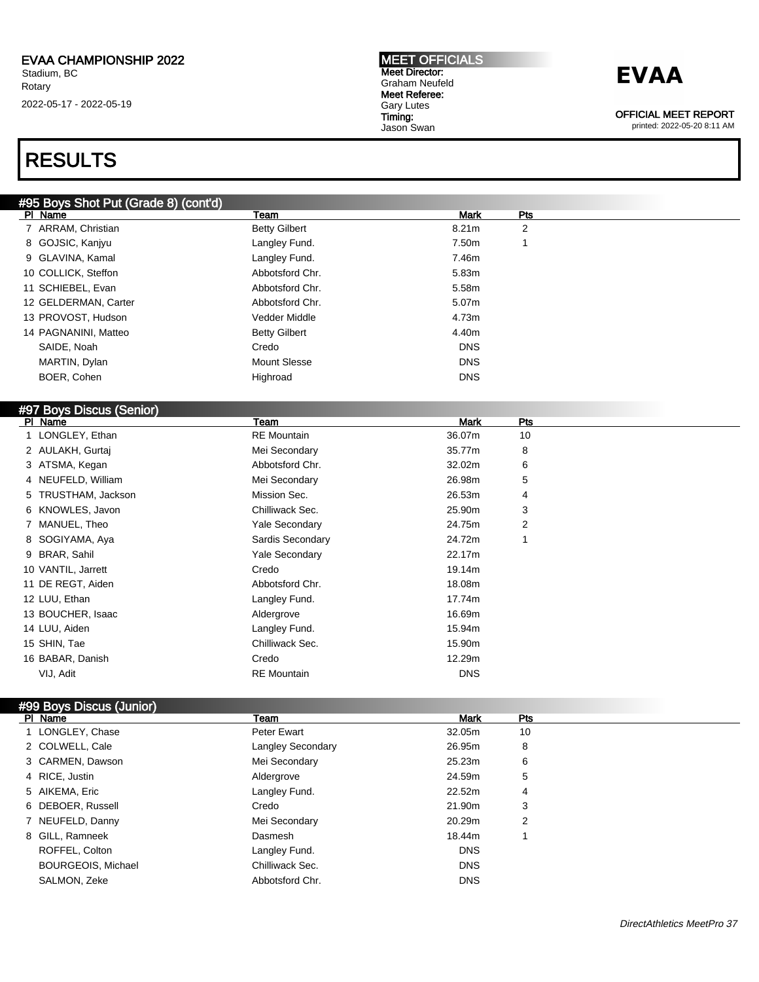### RESULTS

#### MEET OFFICIALS Meet Director: Graham Neufeld Meet Referee: Gary Lutes Timing: Jason Swan

## **EVAA**

OFFICIAL MEET REPORT

printed: 2022-05-20 8:11 AM

| #95 Boys Shot Put (Grade 8) (cont'd) |                      |             |                 |  |
|--------------------------------------|----------------------|-------------|-----------------|--|
| PI Name                              | Team                 | <b>Mark</b> | Pts             |  |
| 7 ARRAM, Christian                   | <b>Betty Gilbert</b> | 8.21m       | $\overline{2}$  |  |
| 8 GOJSIC, Kanjyu                     | Langley Fund.        | 7.50m       | 1               |  |
| 9 GLAVINA, Kamal                     | Langley Fund.        | 7.46m       |                 |  |
| 10 COLLICK, Steffon                  | Abbotsford Chr.      | 5.83m       |                 |  |
| 11 SCHIEBEL, Evan                    | Abbotsford Chr.      | 5.58m       |                 |  |
| 12 GELDERMAN, Carter                 | Abbotsford Chr.      | 5.07m       |                 |  |
| 13 PROVOST, Hudson                   | Vedder Middle        | 4.73m       |                 |  |
| 14 PAGNANINI, Matteo                 | <b>Betty Gilbert</b> | 4.40m       |                 |  |
| SAIDE, Noah                          | Credo                | <b>DNS</b>  |                 |  |
| MARTIN, Dylan                        | Mount Slesse         | <b>DNS</b>  |                 |  |
| BOER, Cohen                          | Highroad             | <b>DNS</b>  |                 |  |
|                                      |                      |             |                 |  |
| #97 Boys Discus (Senior)             |                      |             |                 |  |
| PI Name                              | Team                 | <b>Mark</b> | <b>Pts</b>      |  |
| 1 LONGLEY, Ethan                     | <b>RE</b> Mountain   | 36.07m      | 10              |  |
| 2 AULAKH, Gurtaj                     | Mei Secondary        | 35.77m      | 8               |  |
| 3 ATSMA, Kegan                       | Abbotsford Chr.      | 32.02m      | 6               |  |
| 4 NEUFELD, William                   | Mei Secondary        | 26.98m      | 5               |  |
| TRUSTHAM, Jackson<br>5               | Mission Sec.         | 26.53m      | 4               |  |
| 6 KNOWLES, Javon                     | Chilliwack Sec.      | 25.90m      | 3               |  |
| 7 MANUEL, Theo                       | Yale Secondary       | 24.75m      | $\overline{2}$  |  |
| 8 SOGIYAMA, Aya                      | Sardis Secondary     | 24.72m      | 1               |  |
| 9 BRAR, Sahil                        | Yale Secondary       | 22.17m      |                 |  |
| 10 VANTIL, Jarrett                   | Credo                | 19.14m      |                 |  |
| 11 DE REGT, Aiden                    | Abbotsford Chr.      | 18.08m      |                 |  |
| 12 LUU, Ethan                        | Langley Fund.        | 17.74m      |                 |  |
| 13 BOUCHER, Isaac                    | Aldergrove           | 16.69m      |                 |  |
| 14 LUU, Aiden                        | Langley Fund.        | 15.94m      |                 |  |
| 15 SHIN, Tae                         | Chilliwack Sec.      | 15.90m      |                 |  |
| 16 BABAR, Danish                     | Credo                | 12.29m      |                 |  |
| VIJ, Adit                            | <b>RE</b> Mountain   | <b>DNS</b>  |                 |  |
|                                      |                      |             |                 |  |
| #99 Boys Discus (Junior)             |                      |             |                 |  |
|                                      | <b>Toom</b>          | Mode        | D <sub>fo</sub> |  |

#### Pl Name Team Mark Pts 1 LONGLEY, Chase **Peter Ewart** Peter Ewart 32.05m 10 2 COLWELL, Cale **Langley Secondary** 26.95m 8 3 CARMEN, Dawson Mei Secondary 25.23m 6 4 RICE, Justin **1988 1988 24.59m** 5 5 AIKEMA, Eric **Canadian Community Community Community** Langley Fund. 22.52m 4 6 DEBOER, Russell Credo 21.90m 3 7 NEUFELD, Danny **20.29m** Mei Secondary 20.29m 2 8 GILL, Ramneek Dasmesh 18.44m 1 ROFFEL, Colton **Langley Fund.** COLLOCATE LAND CONS BOURGEOIS, Michael **Chilliwack Sec. Chilliwack Sec. DNS** SALMON, Zeke **Abbotsford Chr.** Abbotsford Chr.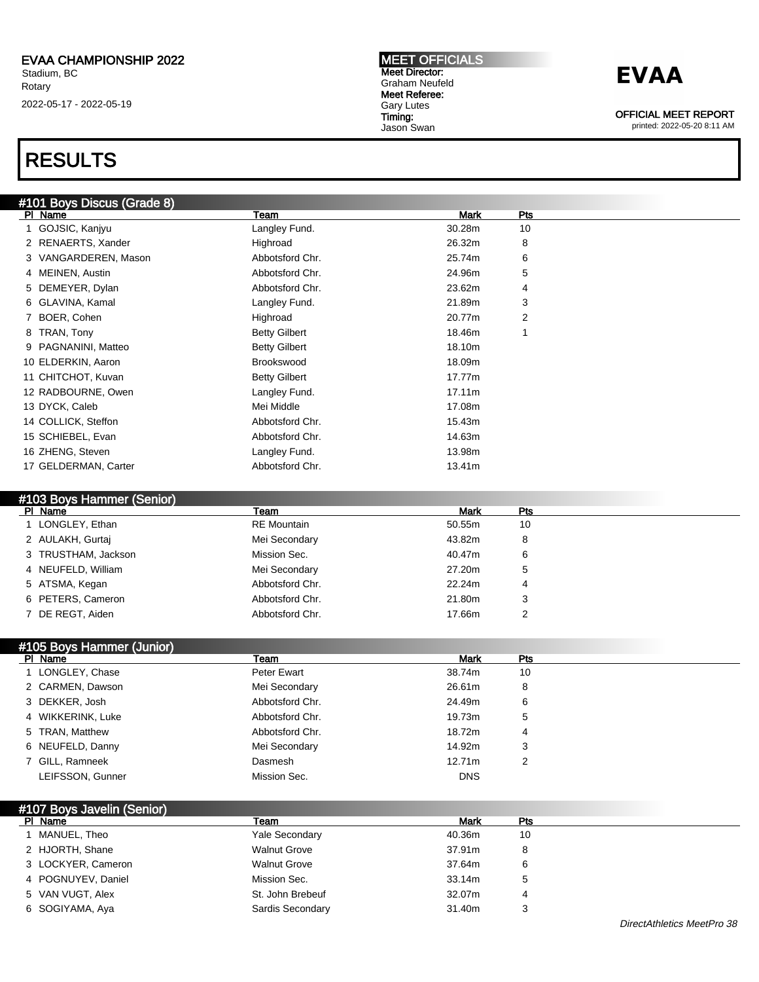## RESULTS

| #101 Boys Discus (Grade 8) |                      |        |     |  |
|----------------------------|----------------------|--------|-----|--|
| PI Name                    | Team                 | Mark   | Pts |  |
| GOJSIC, Kanjyu             | Langley Fund.        | 30.28m | 10  |  |
| 2 RENAERTS, Xander         | Highroad             | 26.32m | 8   |  |
| 3 VANGARDEREN, Mason       | Abbotsford Chr.      | 25.74m | 6   |  |
| 4 MEINEN, Austin           | Abbotsford Chr.      | 24.96m | 5   |  |
| 5 DEMEYER, Dylan           | Abbotsford Chr.      | 23.62m | 4   |  |
| 6 GLAVINA, Kamal           | Langley Fund.        | 21.89m | 3   |  |
| 7 BOER, Cohen              | Highroad             | 20.77m | 2   |  |
| 8 TRAN, Tony               | <b>Betty Gilbert</b> | 18.46m | 1   |  |
| 9 PAGNANINI, Matteo        | <b>Betty Gilbert</b> | 18.10m |     |  |
| 10 ELDERKIN, Aaron         | Brookswood           | 18.09m |     |  |
| 11 CHITCHOT, Kuvan         | <b>Betty Gilbert</b> | 17.77m |     |  |
| 12 RADBOURNE, Owen         | Langley Fund.        | 17.11m |     |  |
| 13 DYCK, Caleb             | Mei Middle           | 17.08m |     |  |
| 14 COLLICK, Steffon        | Abbotsford Chr.      | 15.43m |     |  |
| 15 SCHIEBEL, Evan          | Abbotsford Chr.      | 14.63m |     |  |
| 16 ZHENG, Steven           | Langley Fund.        | 13.98m |     |  |
| 17 GELDERMAN, Carter       | Abbotsford Chr.      | 13.41m |     |  |
|                            |                      |        |     |  |

MEET OFFICIALS Meet Director: Graham Neufeld Meet Referee: Gary Lutes Timing: Jason Swan

#### #103 Boys Hammer (Senior)

| PI Name             | Team               | <b>Mark</b> | <b>Pts</b> |
|---------------------|--------------------|-------------|------------|
| 1 LONGLEY, Ethan    | <b>RE</b> Mountain | 50.55m      | 10         |
| 2 AULAKH, Gurtaj    | Mei Secondary      | 43.82m      | 8          |
| 3 TRUSTHAM, Jackson | Mission Sec.       | 40.47m      | 6          |
| 4 NEUFELD, William  | Mei Secondary      | 27.20m      | 5          |
| 5 ATSMA, Kegan      | Abbotsford Chr.    | 22.24m      | 4          |
| 6 PETERS, Cameron   | Abbotsford Chr.    | 21.80m      | 3          |
| 7 DE REGT, Aiden    | Abbotsford Chr.    | 17.66m      | ≏          |

#### #105 Boys Hammer (Junior)

| PI Name           | Team            | <b>Mark</b> | Pts |  |
|-------------------|-----------------|-------------|-----|--|
| 1 LONGLEY, Chase  | Peter Ewart     | 38.74m      | 10  |  |
| 2 CARMEN, Dawson  | Mei Secondary   | 26.61m      | 8   |  |
| 3 DEKKER, Josh    | Abbotsford Chr. | 24.49m      | 6   |  |
| 4 WIKKERINK, Luke | Abbotsford Chr. | 19.73m      | 5   |  |
| 5 TRAN, Matthew   | Abbotsford Chr. | 18.72m      | 4   |  |
| 6 NEUFELD, Danny  | Mei Secondary   | 14.92m      | 3   |  |
| 7 GILL, Ramneek   | Dasmesh         | 12.71m      | 2   |  |
| LEIFSSON, Gunner  | Mission Sec.    | <b>DNS</b>  |     |  |

### #107 Boys Javelin (Senior)

| PI Name            | Team                  | <b>Mark</b> | Pts |  |
|--------------------|-----------------------|-------------|-----|--|
| MANUEL, Theo       | <b>Yale Secondary</b> | 40.36m      | 10  |  |
| 2 HJORTH, Shane    | <b>Walnut Grove</b>   | 37.91m      | 8   |  |
| 3 LOCKYER, Cameron | <b>Walnut Grove</b>   | 37.64m      | 6   |  |
| 4 POGNUYEV, Daniel | Mission Sec.          | 33.14m      | 5   |  |
| 5 VAN VUGT, Alex   | St. John Brebeuf      | 32.07m      | 4   |  |
| 6 SOGIYAMA, Aya    | Sardis Secondary      | 31.40m      |     |  |

## **EVAA**

OFFICIAL MEET REPORT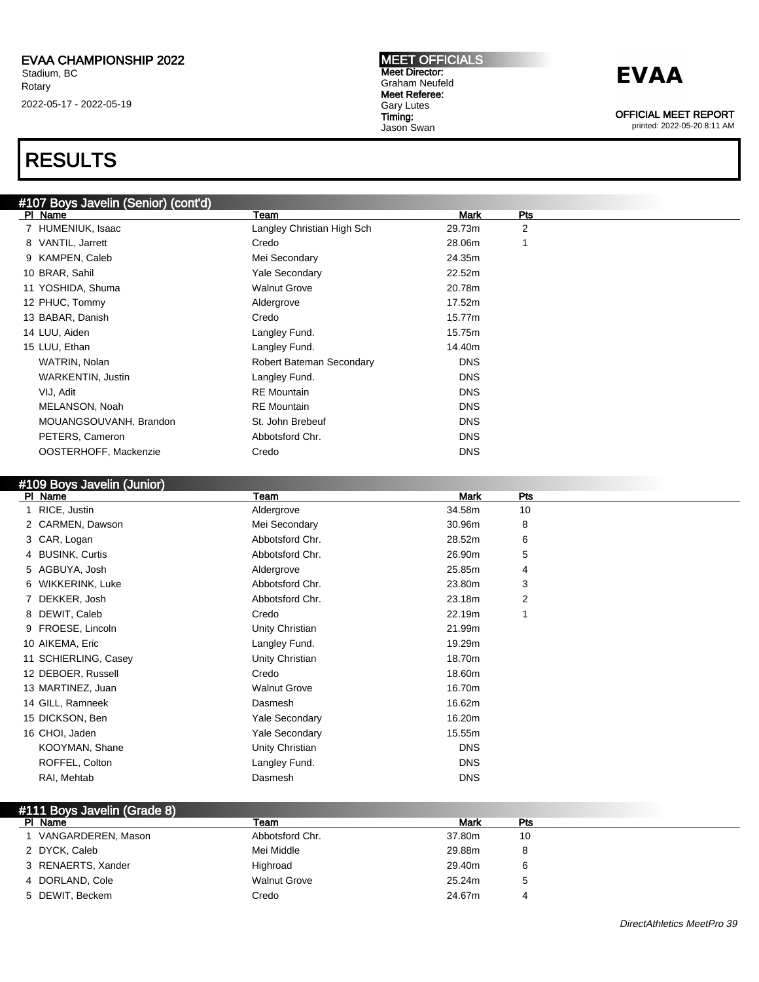### RESULTS

### #107 Boys Javelin (Senior) (cont'd)

| PI Name                | Team                       | <b>Mark</b> | Pts |
|------------------------|----------------------------|-------------|-----|
| 7 HUMENIUK, Isaac      | Langley Christian High Sch | 29.73m      | 2   |
| 8 VANTIL, Jarrett      | Credo                      | 28.06m      |     |
| 9 KAMPEN, Caleb        | Mei Secondary              | 24.35m      |     |
| 10 BRAR, Sahil         | <b>Yale Secondary</b>      | 22.52m      |     |
| 11 YOSHIDA, Shuma      | <b>Walnut Grove</b>        | 20.78m      |     |
| 12 PHUC, Tommy         | Aldergrove                 | 17.52m      |     |
| 13 BABAR, Danish       | Credo                      | 15.77m      |     |
| 14 LUU, Aiden          | Langley Fund.              | 15.75m      |     |
| 15 LUU, Ethan          | Langley Fund.              | 14.40m      |     |
| WATRIN, Nolan          | Robert Bateman Secondary   | <b>DNS</b>  |     |
| WARKENTIN, Justin      | Langley Fund.              | <b>DNS</b>  |     |
| VIJ, Adit              | <b>RE</b> Mountain         | <b>DNS</b>  |     |
| MELANSON, Noah         | <b>RE</b> Mountain         | <b>DNS</b>  |     |
| MOUANGSOUVANH, Brandon | St. John Brebeuf           | <b>DNS</b>  |     |
| PETERS, Cameron        | Abbotsford Chr.            | <b>DNS</b>  |     |
| OOSTERHOFF, Mackenzie  | Credo                      | <b>DNS</b>  |     |
|                        |                            |             |     |

#### #109 Boys Javelin (Junior)

| PI Name              | Team                  | Mark       | Pts |
|----------------------|-----------------------|------------|-----|
| 1 RICE, Justin       | Aldergrove            | 34.58m     | 10  |
| 2 CARMEN, Dawson     | Mei Secondary         | 30.96m     | 8   |
| 3 CAR, Logan         | Abbotsford Chr.       | 28.52m     | 6   |
| 4 BUSINK, Curtis     | Abbotsford Chr.       | 26.90m     | 5   |
| 5 AGBUYA, Josh       | Aldergrove            | 25.85m     | 4   |
| 6 WIKKERINK, Luke    | Abbotsford Chr.       | 23.80m     | 3   |
| 7 DEKKER, Josh       | Abbotsford Chr.       | 23.18m     | 2   |
| 8 DEWIT, Caleb       | Credo                 | 22.19m     | 1   |
| 9 FROESE, Lincoln    | Unity Christian       | 21.99m     |     |
| 10 AIKEMA, Eric      | Langley Fund.         | 19.29m     |     |
| 11 SCHIERLING, Casey | Unity Christian       | 18.70m     |     |
| 12 DEBOER, Russell   | Credo                 | 18.60m     |     |
| 13 MARTINEZ, Juan    | <b>Walnut Grove</b>   | 16.70m     |     |
| 14 GILL, Ramneek     | Dasmesh               | 16.62m     |     |
| 15 DICKSON, Ben      | <b>Yale Secondary</b> | 16.20m     |     |
| 16 CHOI, Jaden       | <b>Yale Secondary</b> | 15.55m     |     |
| KOOYMAN, Shane       | Unity Christian       | <b>DNS</b> |     |
| ROFFEL, Colton       | Langley Fund.         | <b>DNS</b> |     |
| RAI, Mehtab          | Dasmesh               | <b>DNS</b> |     |

#### #111 Boys Javelin (Grade 8)

| PI Name            | Team                | Mark   | Pts |  |
|--------------------|---------------------|--------|-----|--|
| VANGARDEREN, Mason | Abbotsford Chr.     | 37.80m | 10  |  |
| 2 DYCK, Caleb      | Mei Middle          | 29.88m | 8   |  |
| 3 RENAERTS, Xander | Highroad            | 29.40m | 6   |  |
| 4 DORLAND, Cole    | <b>Walnut Grove</b> | 25.24m |     |  |
| 5 DEWIT, Beckem    | Credo               | 24.67m |     |  |

MEET OFFICIALS Meet Director: Graham Neufeld Meet Referee: Gary Lutes Timing:

Jason Swan

### **EVAA**

OFFICIAL MEET REPORT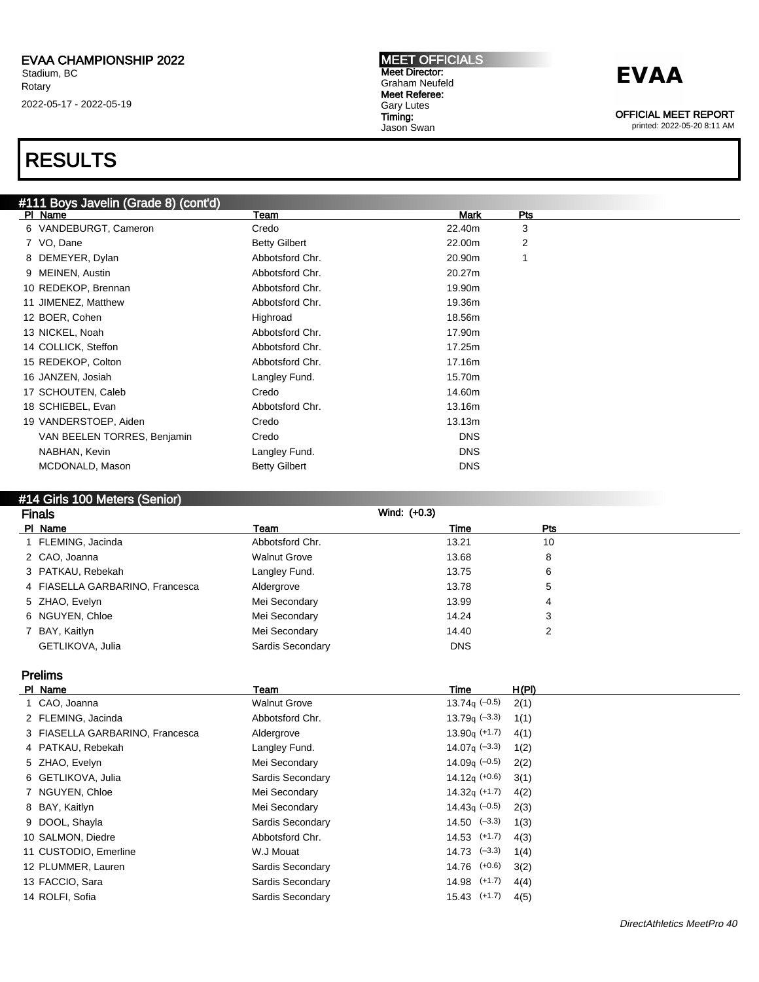#### MEET OFFICIALS Meet Director: Graham Neufeld Meet Referee: Gary Lutes Timing: Jason Swan

### **EVAA**

OFFICIAL MEET REPORT

printed: 2022-05-20 8:11 AM

### RESULTS

### #111 Boys Javelin (Grade 8) (cont'd)

| PI Name                     | Team                 | <b>Mark</b> | Pts |  |
|-----------------------------|----------------------|-------------|-----|--|
| 6 VANDEBURGT, Cameron       | Credo                | 22.40m      | 3   |  |
| 7 VO, Dane                  | <b>Betty Gilbert</b> | 22.00m      | 2   |  |
| 8 DEMEYER, Dylan            | Abbotsford Chr.      | 20.90m      | 1   |  |
| 9 MEINEN, Austin            | Abbotsford Chr.      | 20.27m      |     |  |
| 10 REDEKOP, Brennan         | Abbotsford Chr.      | 19.90m      |     |  |
| 11 JIMENEZ, Matthew         | Abbotsford Chr.      | 19.36m      |     |  |
| 12 BOER, Cohen              | Highroad             | 18.56m      |     |  |
| 13 NICKEL, Noah             | Abbotsford Chr.      | 17.90m      |     |  |
| 14 COLLICK, Steffon         | Abbotsford Chr.      | 17.25m      |     |  |
| 15 REDEKOP, Colton          | Abbotsford Chr.      | 17.16m      |     |  |
| 16 JANZEN, Josiah           | Langley Fund.        | 15.70m      |     |  |
| 17 SCHOUTEN, Caleb          | Credo                | 14.60m      |     |  |
| 18 SCHIEBEL, Evan           | Abbotsford Chr.      | 13.16m      |     |  |
| 19 VANDERSTOEP, Aiden       | Credo                | 13.13m      |     |  |
| VAN BEELEN TORRES, Benjamin | Credo                | <b>DNS</b>  |     |  |
| NABHAN, Kevin               | Langley Fund.        | <b>DNS</b>  |     |  |
| MCDONALD, Mason             | <b>Betty Gilbert</b> | <b>DNS</b>  |     |  |

### #14 Girls 100 Meters (Senior)

| <b>Finals</b>                   |                     | Wind: (+0.3) |     |  |
|---------------------------------|---------------------|--------------|-----|--|
| PI Name                         | Team                | Time         | Pts |  |
| FLEMING, Jacinda                | Abbotsford Chr.     | 13.21        | 10  |  |
| 2 CAO, Joanna                   | <b>Walnut Grove</b> | 13.68        | 8   |  |
| 3 PATKAU, Rebekah               | Langley Fund.       | 13.75        | 6   |  |
| 4 FIASELLA GARBARINO, Francesca | Aldergrove          | 13.78        | 5   |  |
| 5 ZHAO, Evelyn                  | Mei Secondary       | 13.99        | 4   |  |
| 6 NGUYEN, Chloe                 | Mei Secondary       | 14.24        | 3   |  |
| 7 BAY, Kaitlyn                  | Mei Secondary       | 14.40        | 2   |  |
| GETLIKOVA, Julia                | Sardis Secondary    | <b>DNS</b>   |     |  |

### Prelims

| PI Name                         | Team                | Time                  | H(PI) |
|---------------------------------|---------------------|-----------------------|-------|
| 1 CAO, Joanna                   | <b>Walnut Grove</b> | 13.74 $\sigma$ (-0.5) | 2(1)  |
| 2 FLEMING, Jacinda              | Abbotsford Chr.     | 13.79 $\sigma$ (-3.3) | 1(1)  |
| 3 FIASELLA GARBARINO, Francesca | Aldergrove          | $13.90q (+1.7)$       | 4(1)  |
| 4 PATKAU, Rebekah               | Langley Fund.       | 14.07 $\sigma$ (-3.3) | 1(2)  |
| 5 ZHAO, Evelyn                  | Mei Secondary       | 14.09 $\sigma$ (-0.5) | 2(2)  |
| 6 GETLIKOVA, Julia              | Sardis Secondary    | 14.12 $q$ (+0.6)      | 3(1)  |
| 7 NGUYEN, Chloe                 | Mei Secondary       | $14.32q$ (+1.7)       | 4(2)  |
| 8 BAY, Kaitlyn                  | Mei Secondary       | 14.43 $\sigma$ (-0.5) | 2(3)  |
| 9 DOOL, Shayla                  | Sardis Secondary    | $14.50 \quad (-3.3)$  | 1(3)  |
| 10 SALMON, Diedre               | Abbotsford Chr.     | $14.53$ $(+1.7)$      | 4(3)  |
| 11 CUSTODIO, Emerline           | W.J Mouat           | $14.73$ $(-3.3)$      | 1(4)  |
| 12 PLUMMER, Lauren              | Sardis Secondary    | $14.76$ $(+0.6)$      | 3(2)  |
| 13 FACCIO, Sara                 | Sardis Secondary    | $14.98$ $(+1.7)$      | 4(4)  |
| 14 ROLFI, Sofia                 | Sardis Secondary    | $15.43$ $(+1.7)$      | 4(5)  |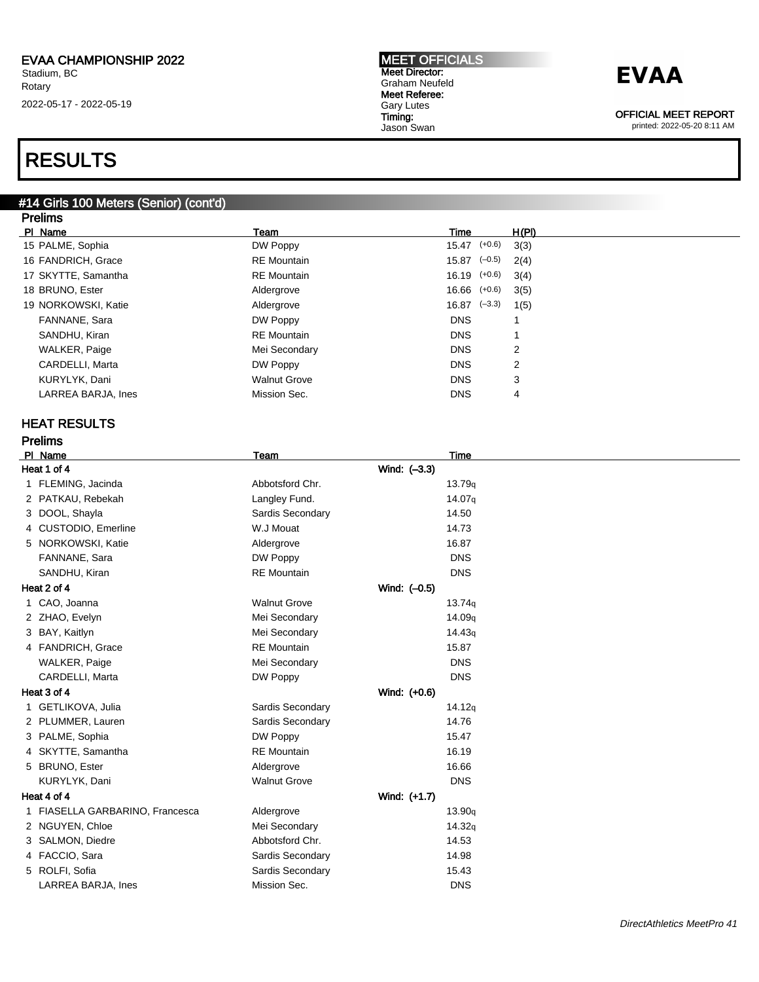## RESULTS

#### #14 Girls 100 Meters (Senior) (cont'd) Prelims

| PI Name             | Team                | Time             | H(PI) |
|---------------------|---------------------|------------------|-------|
| 15 PALME, Sophia    | DW Poppy            | $15.47$ $(+0.6)$ | 3(3)  |
| 16 FANDRICH, Grace  | <b>RE</b> Mountain  | $15.87$ $(-0.5)$ | 2(4)  |
| 17 SKYTTE, Samantha | <b>RE</b> Mountain  | $16.19$ $(+0.6)$ | 3(4)  |
| 18 BRUNO, Ester     | Aldergrove          | $16.66$ $(+0.6)$ | 3(5)  |
| 19 NORKOWSKI, Katie | Aldergrove          | $16.87$ $(-3.3)$ | 1(5)  |
| FANNANE, Sara       | DW Poppy            | <b>DNS</b>       |       |
| SANDHU, Kiran       | <b>RE</b> Mountain  | <b>DNS</b>       |       |
| WALKER, Paige       | Mei Secondary       | <b>DNS</b>       | 2     |
| CARDELLI, Marta     | DW Poppy            | <b>DNS</b>       | 2     |
| KURYLYK, Dani       | <b>Walnut Grove</b> | <b>DNS</b>       | 3     |
| LARREA BARJA, Ines  | Mission Sec.        | <b>DNS</b>       | 4     |
|                     |                     |                  |       |

### HEAT RESULTS

| <b>Prelims</b>                  |                     |                    |  |  |
|---------------------------------|---------------------|--------------------|--|--|
| PI Name                         | Team                | <b>Time</b>        |  |  |
| Heat 1 of 4                     |                     | Wind: (-3.3)       |  |  |
| 1 FLEMING, Jacinda              | Abbotsford Chr.     | 13.79q             |  |  |
| 2 PATKAU, Rebekah               | Langley Fund.       | 14.07g             |  |  |
| 3 DOOL, Shayla                  | Sardis Secondary    | 14.50              |  |  |
| 4 CUSTODIO, Emerline            | W.J Mouat           | 14.73              |  |  |
| 5 NORKOWSKI, Katie              | Aldergrove          | 16.87              |  |  |
| FANNANE, Sara                   | DW Poppy            | <b>DNS</b>         |  |  |
| SANDHU, Kiran                   | <b>RE</b> Mountain  | <b>DNS</b>         |  |  |
| Heat 2 of 4                     |                     | Wind: (-0.5)       |  |  |
| 1 CAO, Joanna                   | <b>Walnut Grove</b> | 13.74q             |  |  |
| 2 ZHAO, Evelyn                  | Mei Secondary       | 14.09 <sub>q</sub> |  |  |
| 3 BAY, Kaitlyn                  | Mei Secondary       | 14.43 <sub>q</sub> |  |  |
| 4 FANDRICH, Grace               | <b>RE</b> Mountain  | 15.87              |  |  |
| <b>WALKER, Paige</b>            | Mei Secondary       | <b>DNS</b>         |  |  |
| CARDELLI, Marta                 | DW Poppy            | <b>DNS</b>         |  |  |
| Heat 3 of 4                     |                     | Wind: (+0.6)       |  |  |
| 1 GETLIKOVA, Julia              | Sardis Secondary    | 14.12q             |  |  |
| 2 PLUMMER, Lauren               | Sardis Secondary    | 14.76              |  |  |
| 3 PALME, Sophia                 | DW Poppy            | 15.47              |  |  |
| 4 SKYTTE, Samantha              | <b>RE</b> Mountain  | 16.19              |  |  |
| 5 BRUNO, Ester                  | Aldergrove          | 16.66              |  |  |
| KURYLYK, Dani                   | <b>Walnut Grove</b> | <b>DNS</b>         |  |  |
| Heat 4 of 4                     |                     | Wind: (+1.7)       |  |  |
| 1 FIASELLA GARBARINO, Francesca | Aldergrove          | 13.90q             |  |  |
| 2 NGUYEN, Chloe                 | Mei Secondary       | 14.32q             |  |  |
| 3 SALMON, Diedre                | Abbotsford Chr.     | 14.53              |  |  |
| 4 FACCIO, Sara                  | Sardis Secondary    | 14.98              |  |  |
| 5 ROLFI, Sofia                  | Sardis Secondary    | 15.43              |  |  |
| LARREA BARJA, Ines              | Mission Sec.        | <b>DNS</b>         |  |  |

MEET OFFICIALS Meet Director: Graham Neufeld Meet Referee: Gary Lutes Timing: Jason Swan



OFFICIAL MEET REPORT printed: 2022-05-20 8:11 AM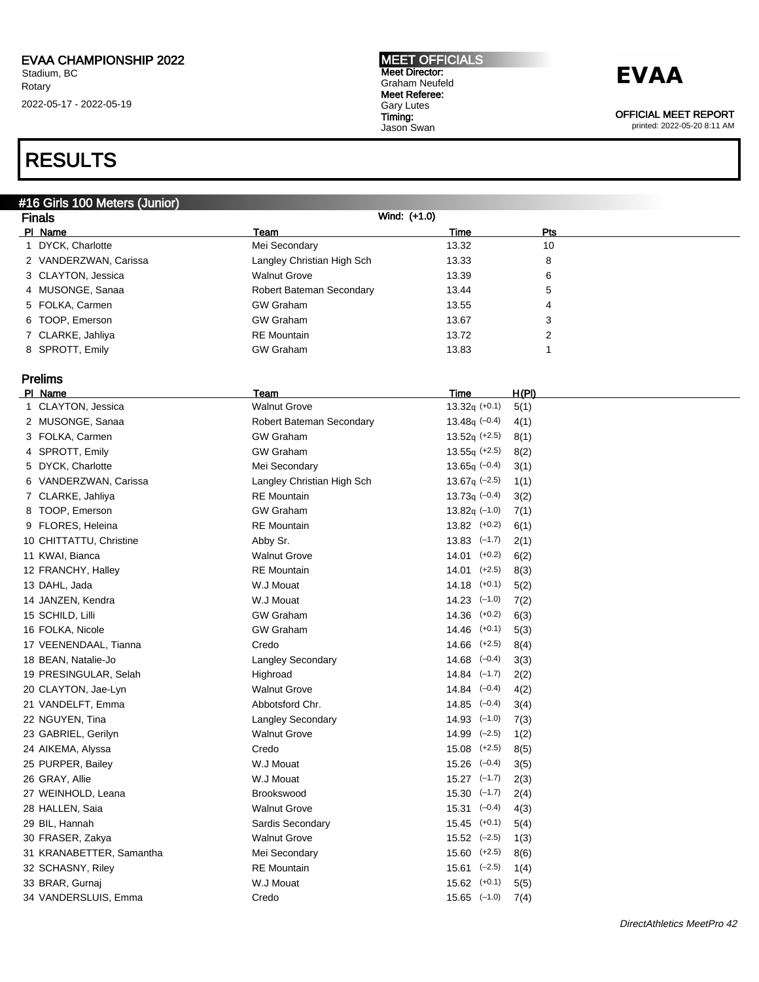### RESULTS

### #16 Girls 100 Meters (Junior)

| <b>Finals</b>         |                            | Wind: (+1.0) |            |  |
|-----------------------|----------------------------|--------------|------------|--|
| PI Name               | Team                       | Time         | <b>Pts</b> |  |
| DYCK, Charlotte       | Mei Secondary              | 13.32        | 10         |  |
| 2 VANDERZWAN, Carissa | Langley Christian High Sch | 13.33        | 8          |  |
| 3 CLAYTON, Jessica    | <b>Walnut Grove</b>        | 13.39        | 6          |  |
| 4 MUSONGE, Sanaa      | Robert Bateman Secondary   | 13.44        | 5          |  |
| 5 FOLKA, Carmen       | <b>GW Graham</b>           | 13.55        | 4          |  |
| 6 TOOP, Emerson       | <b>GW Graham</b>           | 13.67        | 3          |  |
| 7 CLARKE, Jahliya     | <b>RE</b> Mountain         | 13.72        | 2          |  |
| 8 SPROTT, Emily       | <b>GW Graham</b>           | 13.83        |            |  |

### Prelims

| <b>PI Name</b>           | Team                       | Time                        | <u>H(PI)</u> |
|--------------------------|----------------------------|-----------------------------|--------------|
| 1 CLAYTON, Jessica       | <b>Walnut Grove</b>        | $13.32q (+0.1)$             | 5(1)         |
| 2 MUSONGE, Sanaa         | Robert Bateman Secondary   | 13.48 $q$ (-0.4)            | 4(1)         |
| 3 FOLKA, Carmen          | <b>GW Graham</b>           | $13.52q$ (+2.5)             | 8(1)         |
| 4 SPROTT, Emily          | <b>GW Graham</b>           | $13.55q (+2.5)$             | 8(2)         |
| 5 DYCK, Charlotte        | Mei Secondary              | 13.65q $(-0.4)$             | 3(1)         |
| 6 VANDERZWAN, Carissa    | Langley Christian High Sch | $13.67q$ (-2.5)             | 1(1)         |
| 7 CLARKE, Jahliya        | <b>RE</b> Mountain         | $13.73q (-0.4)$             | 3(2)         |
| 8 TOOP, Emerson          | <b>GW Graham</b>           | $13.82q$ (-1.0)             | 7(1)         |
| 9 FLORES, Heleina        | <b>RE</b> Mountain         | $13.82$ $(+0.2)$            | 6(1)         |
| 10 CHITTATTU, Christine  | Abby Sr.                   | $13.83$ $(-1.7)$            | 2(1)         |
| 11 KWAI, Bianca          | <b>Walnut Grove</b>        | $14.01$ $(+0.2)$            | 6(2)         |
| 12 FRANCHY, Halley       | <b>RE</b> Mountain         | $14.01$ (+2.5)              | 8(3)         |
| 13 DAHL, Jada            | W.J Mouat                  | $14.18$ $(+0.1)$            | 5(2)         |
| 14 JANZEN, Kendra        | W.J Mouat                  | $14.23$ $(-1.0)$            | 7(2)         |
| 15 SCHILD, Lilli         | <b>GW Graham</b>           | $14.36$ $(+0.2)$            | 6(3)         |
| 16 FOLKA, Nicole         | <b>GW Graham</b>           | $14.46$ $(+0.1)$            | 5(3)         |
| 17 VEENENDAAL, Tianna    | Credo                      | $14.66$ $(+2.5)$            | 8(4)         |
| 18 BEAN, Natalie-Jo      | <b>Langley Secondary</b>   | $14.68$ $(-0.4)$            | 3(3)         |
| 19 PRESINGULAR, Selah    | Highroad                   | $14.84$ $(-1.7)$            | 2(2)         |
| 20 CLAYTON, Jae-Lyn      | <b>Walnut Grove</b>        | $14.84$ $(-0.4)$            | 4(2)         |
| 21 VANDELFT, Emma        | Abbotsford Chr.            | $14.85$ $(-0.4)$            | 3(4)         |
| 22 NGUYEN, Tina          | <b>Langley Secondary</b>   | $14.93$ $(-1.0)$            | 7(3)         |
| 23 GABRIEL, Gerilyn      | <b>Walnut Grove</b>        | $14.99$ $(-2.5)$            | 1(2)         |
| 24 AIKEMA, Alyssa        | Credo                      | $15.08$ $(+2.5)$            | 8(5)         |
| 25 PURPER, Bailey        | W.J Mouat                  | $15.26$ $(-0.4)$            | 3(5)         |
| 26 GRAY, Allie           | W.J Mouat                  | $15.27$ $(-1.7)$            | 2(3)         |
| 27 WEINHOLD, Leana       | Brookswood                 | $15.30 \left( -1.7 \right)$ | 2(4)         |
| 28 HALLEN, Saia          | <b>Walnut Grove</b>        | $15.31 \left(-0.4\right)$   | 4(3)         |
| 29 BIL, Hannah           | Sardis Secondary           | $15.45$ (+0.1)              | 5(4)         |
| 30 FRASER, Zakya         | <b>Walnut Grove</b>        | $15.52$ $(-2.5)$            | 1(3)         |
| 31 KRANABETTER, Samantha | Mei Secondary              | $15.60$ $(+2.5)$            | 8(6)         |
| 32 SCHASNY, Riley        | <b>RE</b> Mountain         | $15.61$ $(-2.5)$            | 1(4)         |
| 33 BRAR, Gurnaj          | W.J Mouat                  | $15.62$ $(+0.1)$            | 5(5)         |
| 34 VANDERSLUIS, Emma     | Credo                      | $15.65$ $(-1.0)$            | 7(4)         |
|                          |                            |                             |              |

#### MEET OFFICIALS Meet Director: Graham Neufeld Meet Referee: Gary Lutes Timing: Jason Swan

## **EVAA**

OFFICIAL MEET REPORT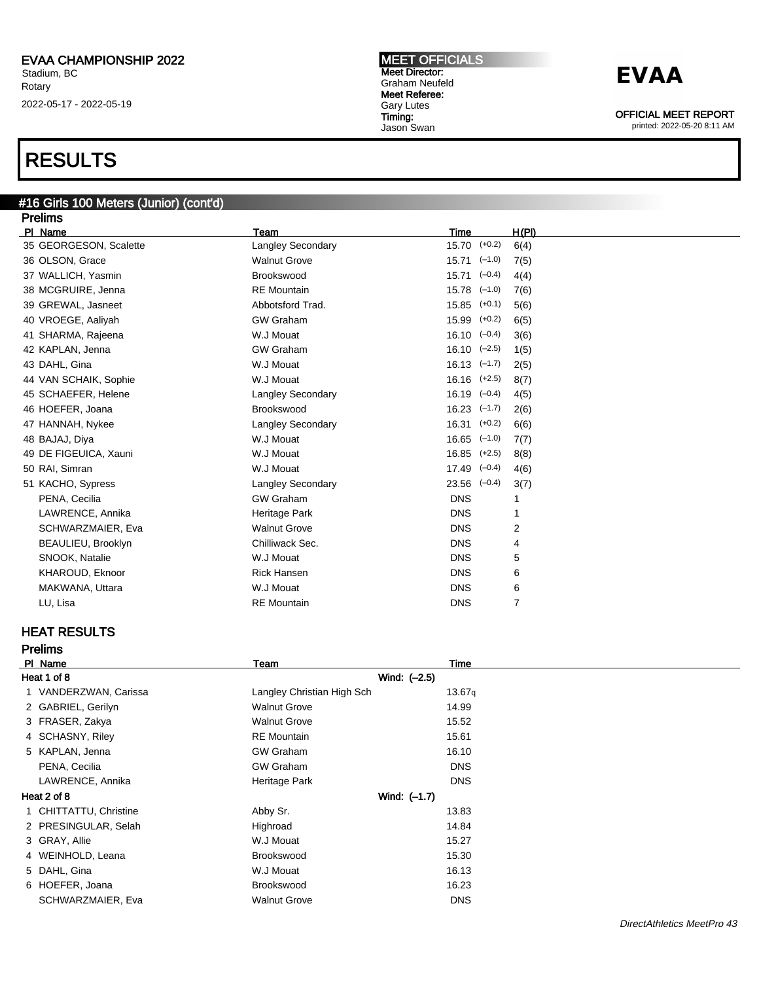### RESULTS

#### #16 Girls 100 Meters (Junior) (cont'd) Prelims

| <b>Prellms</b>         |                          |                           |                |
|------------------------|--------------------------|---------------------------|----------------|
| PI Name                | Team                     | <b>Time</b>               | H(PI)          |
| 35 GEORGESON, Scalette | <b>Langley Secondary</b> | $15.70$ $(+0.2)$          | 6(4)           |
| 36 OLSON, Grace        | <b>Walnut Grove</b>      | $15.71$ $(-1.0)$          | 7(5)           |
| 37 WALLICH, Yasmin     | Brookswood               | $15.71$ $(-0.4)$          | 4(4)           |
| 38 MCGRUIRE, Jenna     | <b>RE</b> Mountain       | $15.78$ $(-1.0)$          | 7(6)           |
| 39 GREWAL, Jasneet     | Abbotsford Trad.         | $15.85$ $(+0.1)$          | 5(6)           |
| 40 VROEGE, Aaliyah     | <b>GW Graham</b>         | $15.99$ $(+0.2)$          | 6(5)           |
| 41 SHARMA, Rajeena     | W.J Mouat                | $16.10 \left(-0.4\right)$ | 3(6)           |
| 42 KAPLAN, Jenna       | <b>GW Graham</b>         | $16.10 \left(-2.5\right)$ | 1(5)           |
| 43 DAHL, Gina          | W.J Mouat                | $16.13$ $(-1.7)$          | 2(5)           |
| 44 VAN SCHAIK, Sophie  | W.J Mouat                | $16.16$ $(+2.5)$          | 8(7)           |
| 45 SCHAEFER, Helene    | <b>Langley Secondary</b> | $16.19$ $(-0.4)$          | 4(5)           |
| 46 HOEFER, Joana       | Brookswood               | $16.23$ $(-1.7)$          | 2(6)           |
| 47 HANNAH, Nykee       | <b>Langley Secondary</b> | $16.31$ $(+0.2)$          | 6(6)           |
| 48 BAJAJ, Diya         | W.J Mouat                | $16.65$ $(-1.0)$          | 7(7)           |
| 49 DE FIGEUICA, Xauni  | W.J Mouat                | $16.85$ $(+2.5)$          | 8(8)           |
| 50 RAI, Simran         | W.J Mouat                | $17.49$ $(-0.4)$          | 4(6)           |
| 51 KACHO, Sypress      | <b>Langley Secondary</b> | $23.56$ $(-0.4)$          | 3(7)           |
| PENA, Cecilia          | <b>GW Graham</b>         | <b>DNS</b>                | -1             |
| LAWRENCE, Annika       | Heritage Park            | <b>DNS</b>                | 1              |
| SCHWARZMAIER, Eva      | <b>Walnut Grove</b>      | <b>DNS</b>                | 2              |
| BEAULIEU, Brooklyn     | Chilliwack Sec.          | <b>DNS</b>                | 4              |
| SNOOK, Natalie         | W.J Mouat                | <b>DNS</b>                | 5              |
| KHAROUD, Eknoor        | <b>Rick Hansen</b>       | <b>DNS</b>                | 6              |
| MAKWANA, Uttara        | W.J Mouat                | <b>DNS</b>                | 6              |
| LU, Lisa               | <b>RE</b> Mountain       | <b>DNS</b>                | $\overline{7}$ |
|                        |                          |                           |                |

### HEAT RESULTS

Prelims

|             | PI Name                | Team                       | Time       |
|-------------|------------------------|----------------------------|------------|
| Heat 1 of 8 |                        | Wind: (-2.5)               |            |
|             | 1 VANDERZWAN, Carissa  | Langley Christian High Sch | 13.67q     |
|             | 2 GABRIEL, Gerilyn     | <b>Walnut Grove</b>        | 14.99      |
|             | 3 FRASER, Zakya        | <b>Walnut Grove</b>        | 15.52      |
|             | 4 SCHASNY, Riley       | <b>RE</b> Mountain         | 15.61      |
|             | 5 KAPLAN, Jenna        | <b>GW Graham</b>           | 16.10      |
|             | PENA, Cecilia          | <b>GW Graham</b>           | <b>DNS</b> |
|             | LAWRENCE, Annika       | Heritage Park              | <b>DNS</b> |
|             | Heat 2 of 8            | Wind: (-1.7)               |            |
|             | 1 CHITTATTU, Christine | Abby Sr.                   | 13.83      |
|             | 2 PRESINGULAR, Selah   | Highroad                   | 14.84      |
|             | 3 GRAY, Allie          | W.J Mouat                  | 15.27      |
|             | 4 WEINHOLD, Leana      | Brookswood                 | 15.30      |
|             | 5 DAHL, Gina           | W.J Mouat                  | 16.13      |
|             | 6 HOEFER, Joana        | Brookswood                 | 16.23      |
|             | SCHWARZMAIER, Eva      | <b>Walnut Grove</b>        | <b>DNS</b> |

MEET OFFICIALS Meet Director: Graham Neufeld Meet Referee: Gary Lutes Timing: Jason Swan

### **EVAA**

OFFICIAL MEET REPORT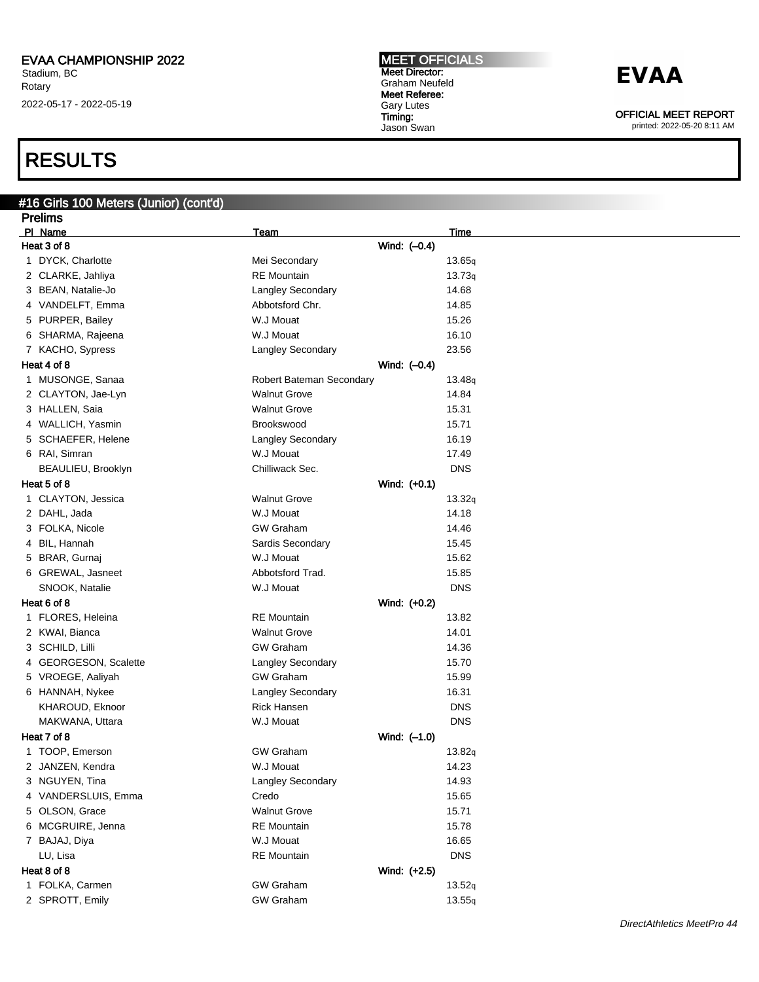### RESULTS

### #16 Girls 100 Meters (Junior) (cont'd)

| <b>Prelims</b>        |                          |                |             |
|-----------------------|--------------------------|----------------|-------------|
| PI Name               | <u>Team</u>              |                | <u>Time</u> |
| Heat 3 of 8           |                          | Wind: (-0.4)   |             |
| 1 DYCK, Charlotte     | Mei Secondary            |                | 13.65q      |
| 2 CLARKE, Jahliya     | <b>RE</b> Mountain       |                | 13.73q      |
| 3 BEAN, Natalie-Jo    | <b>Langley Secondary</b> |                | 14.68       |
| 4 VANDELFT, Emma      | Abbotsford Chr.          |                | 14.85       |
| 5 PURPER, Bailey      | W.J Mouat                |                | 15.26       |
| 6 SHARMA, Rajeena     | W.J Mouat                |                | 16.10       |
| 7 KACHO, Sypress      | Langley Secondary        |                | 23.56       |
| Heat 4 of 8           |                          | Wind: $(-0.4)$ |             |
| 1 MUSONGE, Sanaa      | Robert Bateman Secondary |                | 13.48q      |
| 2 CLAYTON, Jae-Lyn    | <b>Walnut Grove</b>      |                | 14.84       |
| 3 HALLEN, Saia        | <b>Walnut Grove</b>      |                | 15.31       |
| 4 WALLICH, Yasmin     | Brookswood               |                | 15.71       |
| 5 SCHAEFER, Helene    | Langley Secondary        |                | 16.19       |
| 6 RAI, Simran         | W.J Mouat                |                | 17.49       |
| BEAULIEU, Brooklyn    | Chilliwack Sec.          |                | <b>DNS</b>  |
| Heat 5 of 8           |                          | Wind: (+0.1)   |             |
| 1 CLAYTON, Jessica    | <b>Walnut Grove</b>      |                | 13.32q      |
| 2 DAHL, Jada          | W.J Mouat                |                | 14.18       |
| 3 FOLKA, Nicole       | <b>GW Graham</b>         |                | 14.46       |
| 4 BIL, Hannah         | Sardis Secondary         |                | 15.45       |
| 5 BRAR, Gurnaj        | W.J Mouat                |                | 15.62       |
| 6 GREWAL, Jasneet     | Abbotsford Trad.         |                | 15.85       |
| SNOOK, Natalie        | W.J Mouat                |                | <b>DNS</b>  |
| Heat 6 of 8           |                          | Wind: (+0.2)   |             |
| 1 FLORES, Heleina     | <b>RE</b> Mountain       |                | 13.82       |
| 2 KWAI, Bianca        | <b>Walnut Grove</b>      |                | 14.01       |
| 3 SCHILD, Lilli       | <b>GW Graham</b>         |                | 14.36       |
| 4 GEORGESON, Scalette | Langley Secondary        |                | 15.70       |
| 5 VROEGE, Aaliyah     | <b>GW Graham</b>         |                | 15.99       |
| 6 HANNAH, Nykee       | Langley Secondary        |                | 16.31       |
| KHAROUD, Eknoor       | <b>Rick Hansen</b>       |                | <b>DNS</b>  |
| MAKWANA, Uttara       | W.J Mouat                |                | <b>DNS</b>  |
| Heat 7 of 8           |                          | Wind: $(-1.0)$ |             |
| 1 TOOP, Emerson       | <b>GW Graham</b>         |                | 13.82q      |
| 2 JANZEN, Kendra      | W.J Mouat                |                | 14.23       |
| 3 NGUYEN, Tina        | Langley Secondary        |                | 14.93       |
| 4 VANDERSLUIS, Emma   | Credo                    |                | 15.65       |
| 5 OLSON, Grace        | <b>Walnut Grove</b>      |                | 15.71       |
| 6 MCGRUIRE, Jenna     | <b>RE</b> Mountain       |                | 15.78       |
| 7 BAJAJ, Diya         | W.J Mouat                |                | 16.65       |
| LU, Lisa              | <b>RE</b> Mountain       |                | <b>DNS</b>  |
| Heat 8 of 8           |                          | Wind: (+2.5)   |             |
| 1 FOLKA, Carmen       | <b>GW Graham</b>         |                | 13.52q      |
| 2 SPROTT, Emily       | <b>GW Graham</b>         |                | 13.55q      |
|                       |                          |                |             |

MEET OFFICIALS Meet Director: Graham Neufeld Meet Referee: Gary Lutes Timing: Jason Swan

**EVAA** 

OFFICIAL MEET REPORT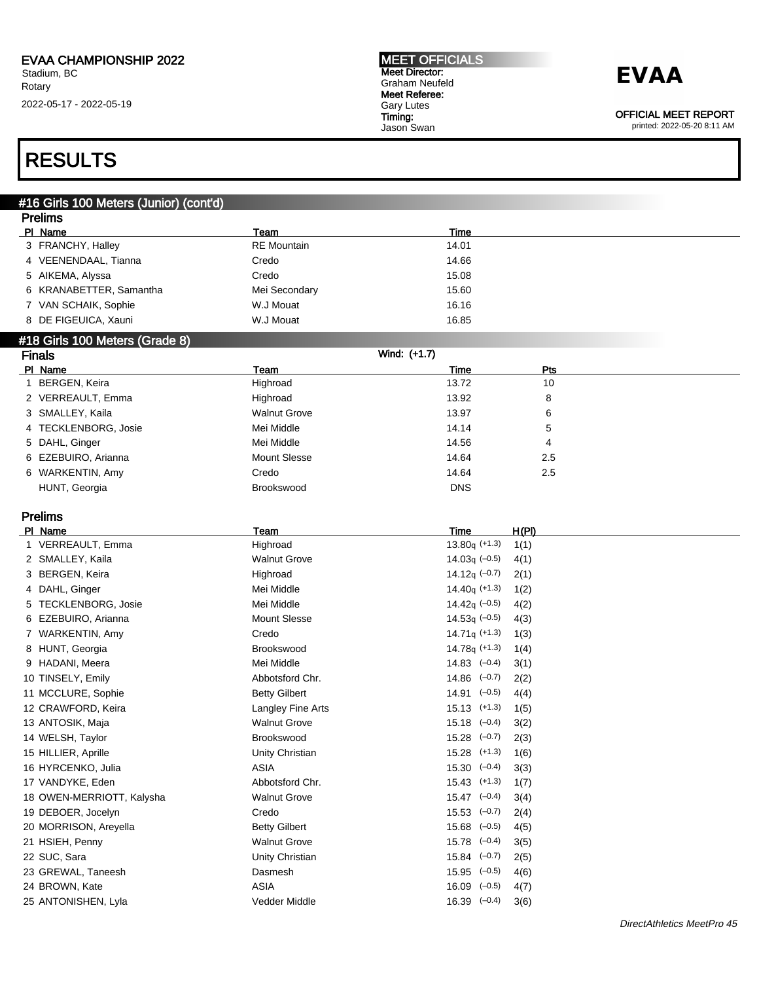#### MEET OFFICIALS Meet Director: Graham Neufeld Meet Referee: Gary Lutes Timing: Jason Swan

## **EVAA**

OFFICIAL MEET REPORT

printed: 2022-05-20 8:11 AM

### RESULTS

### #16 Girls 100 Meters (Junior) (cont'd)

| <b>Prelims</b>                 |                      |                              |  |
|--------------------------------|----------------------|------------------------------|--|
| PI_Name                        | Team                 | <b>Time</b>                  |  |
| 3 FRANCHY, Halley              | <b>RE</b> Mountain   | 14.01                        |  |
| 4 VEENENDAAL, Tianna           | Credo                | 14.66                        |  |
| 5 AIKEMA, Alyssa               | Credo                | 15.08                        |  |
| 6 KRANABETTER, Samantha        | Mei Secondary        | 15.60                        |  |
| 7 VAN SCHAIK, Sophie           | W.J Mouat            | 16.16                        |  |
| 8 DE FIGEUICA, Xauni           | W.J Mouat            | 16.85                        |  |
| #18 Girls 100 Meters (Grade 8) |                      |                              |  |
| <b>Finals</b>                  |                      | Wind: (+1.7)                 |  |
| PI Name                        | Team                 | Pts<br>Time                  |  |
| 1 BERGEN, Keira                | Highroad             | 13.72<br>10                  |  |
| 2 VERREAULT, Emma              | Highroad             | 8<br>13.92                   |  |
| 3 SMALLEY, Kaila               | <b>Walnut Grove</b>  | 13.97<br>6                   |  |
| 4 TECKLENBORG, Josie           | Mei Middle           | 14.14<br>5                   |  |
| 5 DAHL, Ginger                 | Mei Middle           | 14.56<br>4                   |  |
| 6 EZEBUIRO, Arianna            | <b>Mount Slesse</b>  | 14.64<br>2.5                 |  |
| 6 WARKENTIN, Amy               | Credo                | 14.64<br>2.5                 |  |
| HUNT, Georgia                  | <b>Brookswood</b>    | <b>DNS</b>                   |  |
|                                |                      |                              |  |
| <b>Prelims</b>                 |                      |                              |  |
| PI Name                        | Team                 | Time<br>H(PI)                |  |
| 1 VERREAULT, Emma              | Highroad             | $13.80q (+1.3)$<br>1(1)      |  |
| 2 SMALLEY, Kaila               | <b>Walnut Grove</b>  | 14.03q $(-0.5)$<br>4(1)      |  |
| 3 BERGEN, Keira                | Highroad             | 14.12 $q$ (-0.7)<br>2(1)     |  |
| 4 DAHL, Ginger                 | Mei Middle           | $14.40q$ (+1.3)<br>1(2)      |  |
| 5 TECKLENBORG, Josie           | Mei Middle           | 14.42 $q$ (-0.5)<br>4(2)     |  |
| 6 EZEBUIRO, Arianna            | <b>Mount Slesse</b>  | 14.53 $q$ (-0.5)<br>4(3)     |  |
| 7 WARKENTIN, Amy               | Credo                | $14.71q$ (+1.3)<br>1(3)      |  |
| 8 HUNT, Georgia                | <b>Brookswood</b>    | $14.78q (+1.3)$<br>1(4)      |  |
| 9 HADANI, Meera                | Mei Middle           | $14.83$ $(-0.4)$<br>3(1)     |  |
| 10 TINSELY, Emily              | Abbotsford Chr.      | $14.86$ $(-0.7)$<br>2(2)     |  |
| 11 MCCLURE, Sophie             | <b>Betty Gilbert</b> | $14.91$ $(-0.5)$<br>4(4)     |  |
| 12 CRAWFORD, Keira             | Langley Fine Arts    | $15.13$ $(+1.3)$<br>1(5)     |  |
| 13 ANTOSIK, Maja               | <b>Walnut Grove</b>  | $15.18$ $(-0.4)$<br>3(2)     |  |
| 14 WELSH, Taylor               | Brookswood           | $15.28$ $(-0.7)$<br>2(3)     |  |
| 15 HILLIER, Aprille            | Unity Christian      | $15.28$ $(+1.3)$<br>1(6)     |  |
| 16 HYRCENKO, Julia             | <b>ASIA</b>          | $15.30 \quad (-0.4)$<br>3(3) |  |
| 17 VANDYKE, Eden               | Abbotsford Chr.      | $15.43$ $(+1.3)$<br>1(7)     |  |
| 18 OWEN-MERRIOTT, Kalysha      | <b>Walnut Grove</b>  | $15.47$ $(-0.4)$<br>3(4)     |  |
| 19 DEBOER, Jocelyn             | Credo                | $15.53$ $(-0.7)$<br>2(4)     |  |

21 HSIEH, Penny Walnut Grove 15.78 (–0.4) 3(5)

22 SUC, Sara Unity Christian 15.84 (–0.7) 2(5)

23 GREWAL, Taneesh Dasmesh 15.95 (–0.5) 4(6)

24 BROWN, Kate ASIA 16.09 (–0.5) 4(7)

25 ANTONISHEN, Lyla Vedder Middle 16.39 (–0.4) 3(6)

DirectAthletics MeetPro 45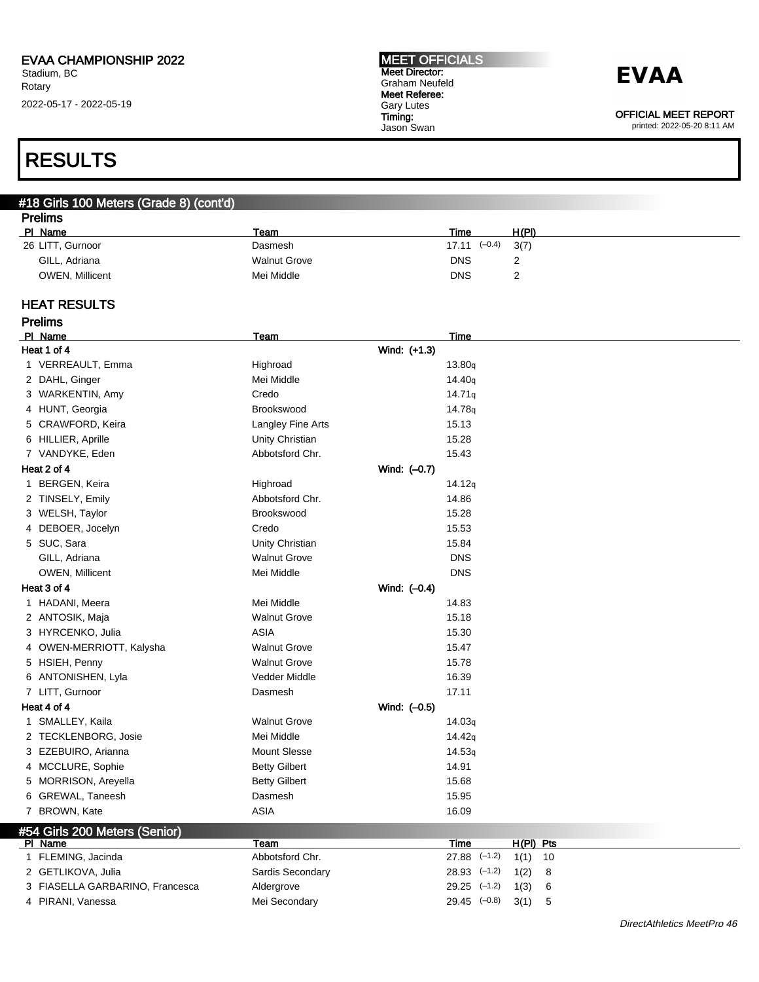#### MEET OFFICIALS Meet Director: Graham Neufeld Meet Referee: Gary Lutes Timing: Jason Swan

### **EVAA**

OFFICIAL MEET REPORT

printed: 2022-05-20 8:11 AM

### RESULTS

#### #18 Girls 100 Meters (Grade 8) (cont'd) Prelims

| <u>Figiliis</u>        |                     |                         |       |
|------------------------|---------------------|-------------------------|-------|
| PI Name                | Team                | Time                    | H(PI) |
| 26 LITT, Gurnoor       | Dasmesh             | $17.11$ $(-0.4)$ $3(7)$ |       |
| GILL, Adriana          | <b>Walnut Grove</b> | <b>DNS</b>              | ∸     |
| <b>OWEN, Millicent</b> | Mei Middle          | <b>DNS</b>              |       |

#### HEAT RESULTS

Prelims

| PI Name                         | Team                 | Time                           |
|---------------------------------|----------------------|--------------------------------|
| Heat 1 of 4                     | Wind: (+1.3)         |                                |
| 1 VERREAULT, Emma               | Highroad             | 13.80q                         |
| 2 DAHL, Ginger                  | Mei Middle           | 14.40 <sub>q</sub>             |
| 3 WARKENTIN, Amy                | Credo                | 14.71q                         |
| 4 HUNT, Georgia                 | Brookswood           | 14.78g                         |
| 5 CRAWFORD, Keira               | Langley Fine Arts    | 15.13                          |
| 6 HILLIER, Aprille              | Unity Christian      | 15.28                          |
| 7 VANDYKE, Eden                 | Abbotsford Chr.      | 15.43                          |
| Heat 2 of 4                     | Wind: (-0.7)         |                                |
| 1 BERGEN, Keira                 | Highroad             | 14.12q                         |
| 2 TINSELY, Emily                | Abbotsford Chr.      | 14.86                          |
| 3 WELSH, Taylor                 | Brookswood           | 15.28                          |
| 4 DEBOER, Jocelyn               | Credo                | 15.53                          |
| 5 SUC, Sara                     | Unity Christian      | 15.84                          |
| GILL, Adriana                   | <b>Walnut Grove</b>  | <b>DNS</b>                     |
| OWEN, Millicent                 | Mei Middle           | <b>DNS</b>                     |
| Heat 3 of 4                     | Wind: (-0.4)         |                                |
| 1 HADANI, Meera                 | Mei Middle           | 14.83                          |
| 2 ANTOSIK, Maja                 | <b>Walnut Grove</b>  | 15.18                          |
| 3 HYRCENKO, Julia               | <b>ASIA</b>          | 15.30                          |
| 4 OWEN-MERRIOTT, Kalysha        | <b>Walnut Grove</b>  | 15.47                          |
| 5 HSIEH, Penny                  | <b>Walnut Grove</b>  | 15.78                          |
| 6 ANTONISHEN, Lyla              | Vedder Middle        | 16.39                          |
| 7 LITT, Gurnoor                 | Dasmesh              | 17.11                          |
| Heat 4 of 4                     | Wind: (-0.5)         |                                |
| 1 SMALLEY, Kaila                | <b>Walnut Grove</b>  | 14.03q                         |
| 2 TECKLENBORG, Josie            | Mei Middle           | 14.42q                         |
| 3 EZEBUIRO, Arianna             | <b>Mount Slesse</b>  | 14.53q                         |
| 4 MCCLURE, Sophie               | <b>Betty Gilbert</b> | 14.91                          |
| 5 MORRISON, Areyella            | <b>Betty Gilbert</b> | 15.68                          |
| 6 GREWAL, Taneesh               | Dasmesh              | 15.95                          |
| 7 BROWN, Kate                   | <b>ASIA</b>          | 16.09                          |
| #54 Girls 200 Meters (Senior)   |                      |                                |
| PI Name                         | Team                 | Time<br>$H(PI)$ Pts            |
| 1 FLEMING, Jacinda              | Abbotsford Chr.      | $27.88$ $(-1.2)$<br>1(1)<br>10 |
| 2 GETLIKOVA, Julia              | Sardis Secondary     | $28.93$ $(-1.2)$<br>1(2)<br>8  |
| 3 FIASELLA GARBARINO, Francesca | Aldergrove           | $29.25$ $(-1.2)$<br>1(3)<br>6  |
| 4 PIRANI, Vanessa               | Mei Secondary        | $29.45$ $(-0.8)$<br>5<br>3(1)  |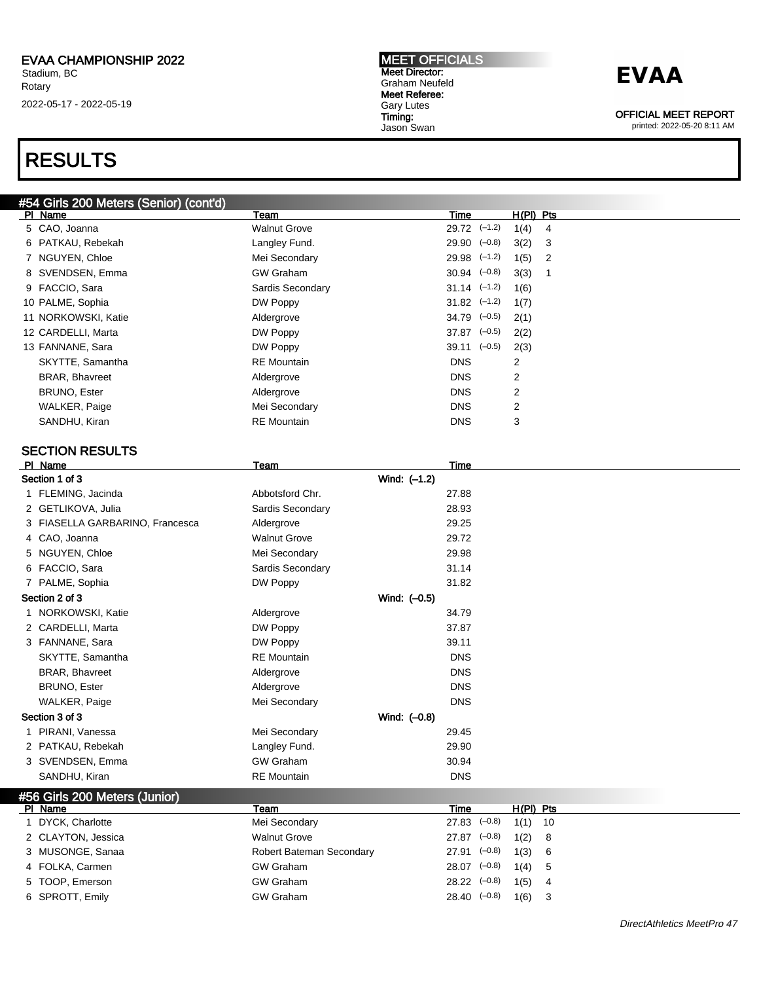#54 Girls 200 Meters (Senior) (cont'd)

Stadium, BC Rotary 2022-05-17 - 2022-05-19

## RESULTS

MEET OFFICIALS Meet Director: Graham Neufeld Meet Referee: Gary Lutes Timing: Jason Swan

### **EVAA**

OFFICIAL MEET REPORT

| PI Name                         | Team                     |              | Time                        | <u>H(PI) Pts</u> |    |
|---------------------------------|--------------------------|--------------|-----------------------------|------------------|----|
| 5 CAO, Joanna                   | <b>Walnut Grove</b>      |              | $29.72$ $(-1.2)$            | 1(4)             | 4  |
| 6 PATKAU, Rebekah               | Langley Fund.            |              | $29.90$ $(-0.8)$            | 3(2)             | 3  |
| 7 NGUYEN, Chloe                 | Mei Secondary            |              | $29.98$ $(-1.2)$            | 1(5)             | 2  |
| 8 SVENDSEN, Emma                | <b>GW Graham</b>         |              | $30.94$ $(-0.8)$            | 3(3)             | 1  |
| 9 FACCIO, Sara                  | Sardis Secondary         |              | $31.14$ $(-1.2)$            | 1(6)             |    |
| 10 PALME, Sophia                | DW Poppy                 |              | $31.82$ $(-1.2)$            | 1(7)             |    |
| 11 NORKOWSKI, Katie             | Aldergrove               |              | $34.79$ $(-0.5)$            | 2(1)             |    |
| 12 CARDELLI, Marta              | DW Poppy                 |              | $37.87$ $(-0.5)$            | 2(2)             |    |
| 13 FANNANE, Sara                | DW Poppy                 |              | $39.11 \left( -0.5 \right)$ | 2(3)             |    |
| SKYTTE, Samantha                | <b>RE</b> Mountain       |              | <b>DNS</b>                  | 2                |    |
| <b>BRAR, Bhavreet</b>           | Aldergrove               |              | <b>DNS</b>                  | 2                |    |
| <b>BRUNO, Ester</b>             | Aldergrove               |              | <b>DNS</b>                  | 2                |    |
| <b>WALKER, Paige</b>            | Mei Secondary            |              | <b>DNS</b>                  | 2                |    |
| SANDHU, Kiran                   | <b>RE</b> Mountain       |              | <b>DNS</b>                  | 3                |    |
|                                 |                          |              |                             |                  |    |
| <b>SECTION RESULTS</b>          |                          |              |                             |                  |    |
| PI Name                         | Team                     |              | Time                        |                  |    |
| Section 1 of 3                  |                          | Wind: (-1.2) |                             |                  |    |
| 1 FLEMING, Jacinda              | Abbotsford Chr.          |              | 27.88                       |                  |    |
| 2 GETLIKOVA, Julia              | Sardis Secondary         |              | 28.93                       |                  |    |
| 3 FIASELLA GARBARINO, Francesca | Aldergrove               |              | 29.25                       |                  |    |
| 4 CAO, Joanna                   | <b>Walnut Grove</b>      |              | 29.72                       |                  |    |
| 5 NGUYEN, Chloe                 | Mei Secondary            |              | 29.98                       |                  |    |
| 6 FACCIO, Sara                  | Sardis Secondary         |              | 31.14                       |                  |    |
| 7 PALME, Sophia                 | DW Poppy                 |              | 31.82                       |                  |    |
| Section 2 of 3                  |                          | Wind: (-0.5) |                             |                  |    |
| 1 NORKOWSKI, Katie              | Aldergrove               |              | 34.79                       |                  |    |
| 2 CARDELLI, Marta               | DW Poppy                 |              | 37.87                       |                  |    |
| 3 FANNANE, Sara                 | DW Poppy                 |              | 39.11                       |                  |    |
| SKYTTE, Samantha                | <b>RE</b> Mountain       |              | <b>DNS</b>                  |                  |    |
| <b>BRAR, Bhavreet</b>           | Aldergrove               |              | <b>DNS</b>                  |                  |    |
| <b>BRUNO, Ester</b>             | Aldergrove               |              | <b>DNS</b>                  |                  |    |
| WALKER, Paige                   | Mei Secondary            |              | <b>DNS</b>                  |                  |    |
| Section 3 of 3                  |                          | Wind: (-0.8) |                             |                  |    |
| 1 PIRANI, Vanessa               | Mei Secondary            |              | 29.45                       |                  |    |
| 2 PATKAU, Rebekah               | Langley Fund.            |              | 29.90                       |                  |    |
| 3 SVENDSEN, Emma                | <b>GW Graham</b>         |              | 30.94                       |                  |    |
| SANDHU, Kiran                   | <b>RE</b> Mountain       |              | <b>DNS</b>                  |                  |    |
| #56 Girls 200 Meters (Junior)   |                          |              |                             |                  |    |
| PI Name                         | Team                     |              | <b>Time</b>                 | $H(PI)$ Pts      |    |
| 1 DYCK, Charlotte               | Mei Secondary            |              | $27.83$ $(-0.8)$            | 1(1)             | 10 |
| 2 CLAYTON, Jessica              | <b>Walnut Grove</b>      |              | $27.87$ $(-0.8)$            | 1(2)             | 8  |
| 3 MUSONGE, Sanaa                | Robert Bateman Secondary |              | $27.91$ $(-0.8)$            | 1(3)             | 6  |
| 4 FOLKA, Carmen                 | <b>GW Graham</b>         |              | $28.07$ $(-0.8)$            | 1(4)             | 5  |
| 5 TOOP, Emerson                 | <b>GW Graham</b>         |              | $28.22$ $(-0.8)$            | 1(5)             | 4  |
| 6 SPROTT, Emily                 | <b>GW Graham</b>         |              | $28.40 (-0.8)$              | 1(6)             | 3  |
|                                 |                          |              |                             |                  |    |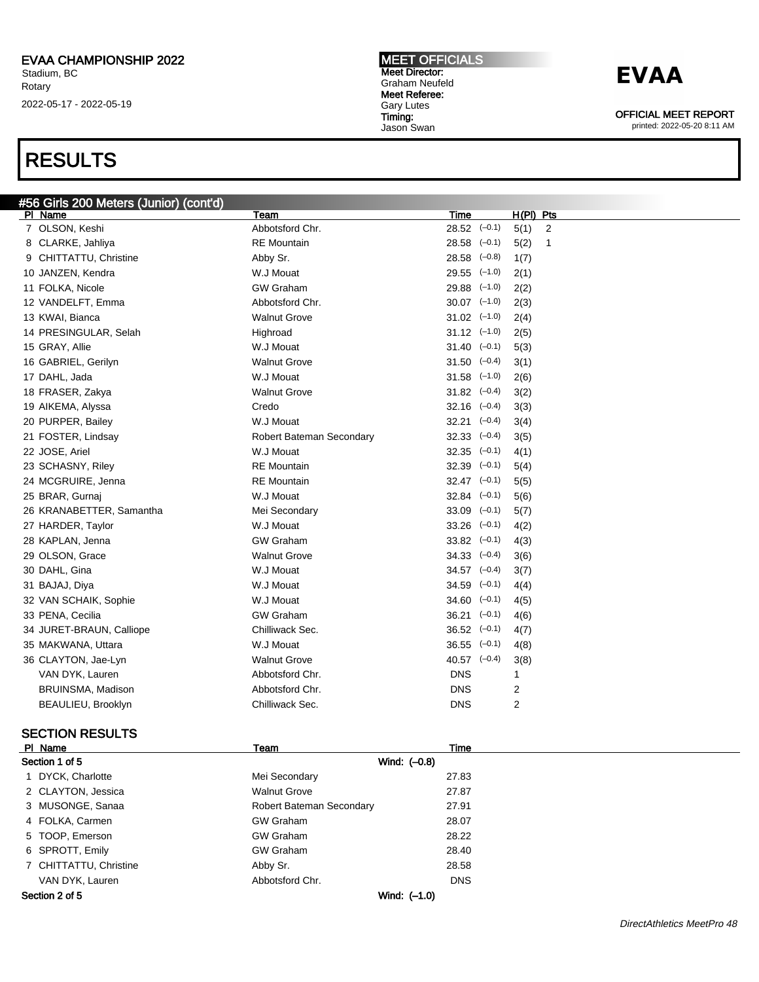### RESULTS

#### MEET OFFICIALS Meet Director: Graham Neufeld Meet Referee: Gary Lutes Timing:

Jason Swan

## **EVAA**

OFFICIAL MEET REPORT

printed: 2022-05-20 8:11 AM

| #56 Girls 200 Meters (Junior) (cont'd) |                          |                             |                        |
|----------------------------------------|--------------------------|-----------------------------|------------------------|
| PI Name                                | Team                     | Time                        | $H(PI)$ Pts            |
| 7 OLSON, Keshi                         | Abbotsford Chr.          | $28.52$ $(-0.1)$            | 5(1)<br>$\overline{2}$ |
| 8 CLARKE, Jahliya                      | <b>RE</b> Mountain       | $28.58$ $(-0.1)$            | 5(2)<br>1              |
| 9 CHITTATTU, Christine                 | Abby Sr.                 | $28.58$ $(-0.8)$            | 1(7)                   |
| 10 JANZEN, Kendra                      | W.J Mouat                | $29.55$ $(-1.0)$            | 2(1)                   |
| 11 FOLKA, Nicole                       | <b>GW Graham</b>         | $29.88$ $(-1.0)$            | 2(2)                   |
| 12 VANDELFT, Emma                      | Abbotsford Chr.          | $30.07$ $(-1.0)$            | 2(3)                   |
| 13 KWAI, Bianca                        | <b>Walnut Grove</b>      | $31.02$ $(-1.0)$            | 2(4)                   |
| 14 PRESINGULAR, Selah                  | Highroad                 | $31.12 \quad (-1.0)$        | 2(5)                   |
| 15 GRAY, Allie                         | W.J Mouat                | $31.40 \left(-0.1\right)$   | 5(3)                   |
| 16 GABRIEL, Gerilyn                    | <b>Walnut Grove</b>      | $31.50 \left(-0.4\right)$   | 3(1)                   |
| 17 DAHL, Jada                          | W.J Mouat                | $31.58$ $(-1.0)$            | 2(6)                   |
| 18 FRASER, Zakya                       | <b>Walnut Grove</b>      | $31.82 \quad (-0.4)$        | 3(2)                   |
| 19 AIKEMA, Alyssa                      | Credo                    | $32.16 \quad (-0.4)$        | 3(3)                   |
| 20 PURPER, Bailey                      | W.J Mouat                | $32.21 \left(-0.4\right)$   | 3(4)                   |
| 21 FOSTER, Lindsay                     | Robert Bateman Secondary | $32.33$ $(-0.4)$            | 3(5)                   |
| 22 JOSE, Ariel                         | W.J Mouat                | $32.35 \quad (-0.1)$        | 4(1)                   |
| 23 SCHASNY, Riley                      | <b>RE</b> Mountain       | $32.39$ $(-0.1)$            | 5(4)                   |
| 24 MCGRUIRE, Jenna                     | <b>RE</b> Mountain       | $32.47$ $(-0.1)$            | 5(5)                   |
| 25 BRAR, Gurnaj                        | W.J Mouat                | $32.84$ $(-0.1)$            | 5(6)                   |
| 26 KRANABETTER, Samantha               | Mei Secondary            | $33.09$ $(-0.1)$            | 5(7)                   |
| 27 HARDER, Taylor                      | W.J Mouat                | 33.26<br>$(-0.1)$           | 4(2)                   |
| 28 KAPLAN, Jenna                       | <b>GW Graham</b>         | $33.82$ $(-0.1)$            | 4(3)                   |
| 29 OLSON, Grace                        | <b>Walnut Grove</b>      | $34.33$ $(-0.4)$            | 3(6)                   |
| 30 DAHL, Gina                          | W.J Mouat                | $34.57$ $(-0.4)$            | 3(7)                   |
| 31 BAJAJ, Diya                         | W.J Mouat                | $34.59$ $(-0.1)$            | 4(4)                   |
| 32 VAN SCHAIK, Sophie                  | W.J Mouat                | $34.60 \left( -0.1 \right)$ | 4(5)                   |
| 33 PENA, Cecilia                       | <b>GW Graham</b>         | $36.21$ $(-0.1)$            | 4(6)                   |
| 34 JURET-BRAUN, Calliope               | Chilliwack Sec.          | $36.52$ $(-0.1)$            | 4(7)                   |
| 35 MAKWANA, Uttara                     | W.J Mouat                | $36.55 \left(-0.1\right)$   | 4(8)                   |
| 36 CLAYTON, Jae-Lyn                    | <b>Walnut Grove</b>      | $40.57$ $(-0.4)$            | 3(8)                   |
| VAN DYK, Lauren                        | Abbotsford Chr.          | <b>DNS</b>                  | 1                      |
| BRUINSMA, Madison                      | Abbotsford Chr.          | <b>DNS</b>                  | $\overline{c}$         |
| BEAULIEU, Brooklyn                     | Chilliwack Sec.          | <b>DNS</b>                  | $\overline{2}$         |
|                                        |                          |                             |                        |

### SECTION RESULTS

| PI Name                        | Team                     | Time         |  |
|--------------------------------|--------------------------|--------------|--|
| Section 1 of 5<br>Wind: (-0.8) |                          |              |  |
| 1 DYCK, Charlotte              | Mei Secondary            | 27.83        |  |
| 2 CLAYTON, Jessica             | <b>Walnut Grove</b>      | 27.87        |  |
| 3 MUSONGE, Sanaa               | Robert Bateman Secondary | 27.91        |  |
| 4 FOLKA, Carmen                | <b>GW Graham</b>         | 28.07        |  |
| 5 TOOP, Emerson                | <b>GW Graham</b>         | 28.22        |  |
| 6 SPROTT, Emily                | <b>GW Graham</b>         | 28.40        |  |
| 7 CHITTATTU, Christine         | Abby Sr.                 | 28.58        |  |
| VAN DYK, Lauren                | Abbotsford Chr.          | <b>DNS</b>   |  |
| Section 2 of 5                 |                          | Wind: (-1.0) |  |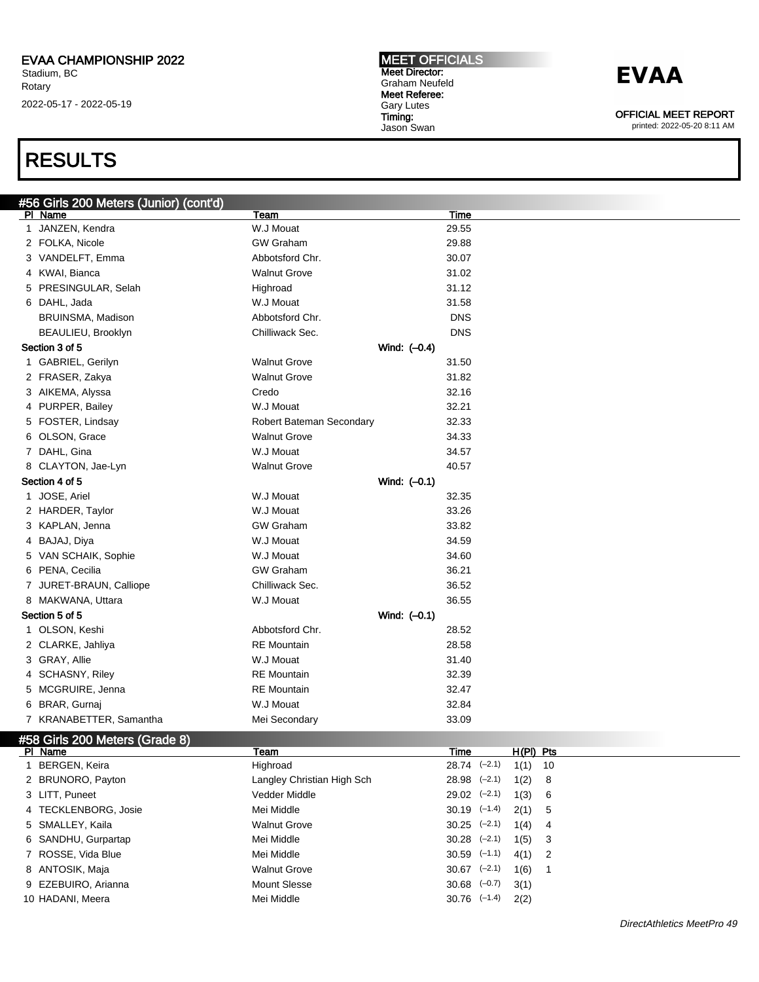### RESULTS

| #56 Girls 200 Meters (Junior) (cont'd) |                            |              |                  |             |   |  |
|----------------------------------------|----------------------------|--------------|------------------|-------------|---|--|
| PI Name                                | Team                       |              | <b>Time</b>      |             |   |  |
| 1 JANZEN, Kendra                       | W.J Mouat                  |              | 29.55            |             |   |  |
| 2 FOLKA, Nicole                        | <b>GW Graham</b>           |              | 29.88            |             |   |  |
| 3 VANDELFT, Emma                       | Abbotsford Chr.            |              | 30.07            |             |   |  |
| 4 KWAI, Bianca                         | <b>Walnut Grove</b>        |              | 31.02            |             |   |  |
| 5 PRESINGULAR, Selah                   | Highroad                   |              | 31.12            |             |   |  |
| 6 DAHL, Jada                           | W.J Mouat                  |              | 31.58            |             |   |  |
| BRUINSMA, Madison                      | Abbotsford Chr.            |              | <b>DNS</b>       |             |   |  |
| BEAULIEU, Brooklyn                     | Chilliwack Sec.            |              | <b>DNS</b>       |             |   |  |
| Section 3 of 5                         |                            | Wind: (-0.4) |                  |             |   |  |
| 1 GABRIEL, Gerilyn                     | <b>Walnut Grove</b>        |              | 31.50            |             |   |  |
| 2 FRASER, Zakya                        | <b>Walnut Grove</b>        |              | 31.82            |             |   |  |
| 3 AIKEMA, Alyssa                       | Credo                      |              | 32.16            |             |   |  |
| 4 PURPER, Bailey                       | W.J Mouat                  |              | 32.21            |             |   |  |
| 5 FOSTER, Lindsay                      | Robert Bateman Secondary   |              | 32.33            |             |   |  |
| 6 OLSON, Grace                         | <b>Walnut Grove</b>        |              | 34.33            |             |   |  |
| 7 DAHL, Gina                           | W.J Mouat                  |              | 34.57            |             |   |  |
| 8 CLAYTON, Jae-Lyn                     | <b>Walnut Grove</b>        |              | 40.57            |             |   |  |
| Section 4 of 5                         |                            | Wind: (-0.1) |                  |             |   |  |
| 1 JOSE, Ariel                          | W.J Mouat                  |              | 32.35            |             |   |  |
| 2 HARDER, Taylor                       | W.J Mouat                  |              | 33.26            |             |   |  |
| 3 KAPLAN, Jenna                        | <b>GW Graham</b>           |              | 33.82            |             |   |  |
| 4 BAJAJ, Diya                          | W.J Mouat                  |              | 34.59            |             |   |  |
| 5 VAN SCHAIK, Sophie                   | W.J Mouat                  |              | 34.60            |             |   |  |
| 6 PENA, Cecilia                        | <b>GW Graham</b>           |              | 36.21            |             |   |  |
| 7 JURET-BRAUN, Calliope                | Chilliwack Sec.            |              | 36.52            |             |   |  |
| 8 MAKWANA, Uttara                      | W.J Mouat                  |              | 36.55            |             |   |  |
| Section 5 of 5                         |                            | Wind: (-0.1) |                  |             |   |  |
| 1 OLSON, Keshi                         | Abbotsford Chr.            |              | 28.52            |             |   |  |
| 2 CLARKE, Jahliya                      | <b>RE</b> Mountain         |              | 28.58            |             |   |  |
| 3 GRAY, Allie                          | W.J Mouat                  |              | 31.40            |             |   |  |
| 4 SCHASNY, Riley                       | <b>RE</b> Mountain         |              | 32.39            |             |   |  |
| 5 MCGRUIRE, Jenna                      | <b>RE</b> Mountain         |              | 32.47            |             |   |  |
| 6 BRAR, Gurnai                         | W.J Mouat                  |              | 32.84            |             |   |  |
| 7 KRANABETTER, Samantha                | Mei Secondary              |              | 33.09            |             |   |  |
| #58 Girls 200 Meters (Grade 8)         |                            |              |                  |             |   |  |
| PI Name                                | <u>Team</u>                |              | <u>Time</u>      | $H(PI)$ Pts |   |  |
| 1 BERGEN, Keira                        | Highroad                   |              | $28.74$ $(-2.1)$ | $1(1)$ 10   |   |  |
| 2 BRUNORO, Payton                      | Langley Christian High Sch |              | $28.98$ $(-2.1)$ | 1(2)        | 8 |  |
| 3 LITT, Puneet                         | Vedder Middle              |              | $29.02$ $(-2.1)$ | 1(3)        | 6 |  |
| 4 TECKLENBORG, Josie                   | Mei Middle                 |              | $30.19$ $(-1.4)$ | 2(1)        | 5 |  |
| 5 SMALLEY, Kaila                       | <b>Walnut Grove</b>        |              | $30.25$ $(-2.1)$ | 1(4)        | 4 |  |
| 6 SANDHU, Gurpartap                    | Mei Middle                 |              | $30.28$ $(-2.1)$ | 1(5)        | 3 |  |
| 7 ROSSE, Vida Blue                     | Mei Middle                 |              | $30.59$ $(-1.1)$ | 4(1)        | 2 |  |
| 8 ANTOSIK, Maja                        | <b>Walnut Grove</b>        |              | $30.67$ $(-2.1)$ | 1(6)        | 1 |  |
| 9 EZEBUIRO, Arianna                    | <b>Mount Slesse</b>        |              | $30.68$ $(-0.7)$ | 3(1)        |   |  |
| 10 HADANI, Meera                       | Mei Middle                 |              | $30.76$ $(-1.4)$ | 2(2)        |   |  |

MEET OFFICIALS Meet Director: Graham Neufeld Meet Referee: Gary Lutes Timing: Jason Swan

## **EVAA**

OFFICIAL MEET REPORT printed: 2022-05-20 8:11 AM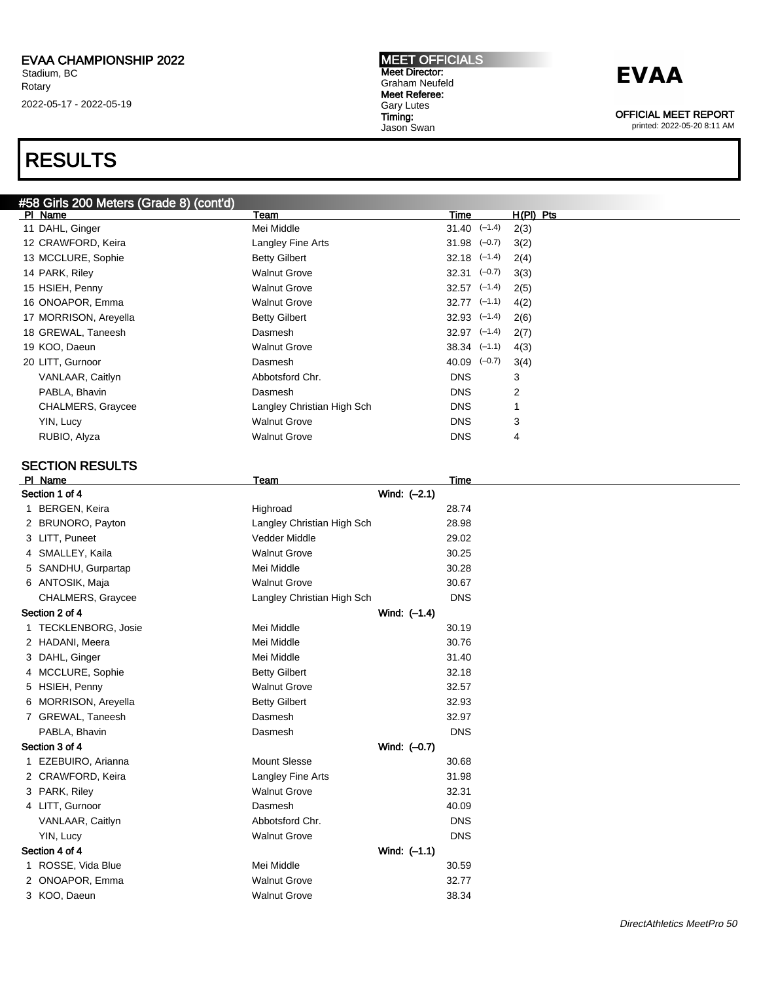### RESULTS

### #58 Girls 200 Meters (Grade 8) (cont'd)

| PI Name                  | Team                       | Time                        | $H(PI)$ Pts |
|--------------------------|----------------------------|-----------------------------|-------------|
| 11 DAHL, Ginger          | Mei Middle                 | $31.40 \left( -1.4 \right)$ | 2(3)        |
| 12 CRAWFORD, Keira       | Langley Fine Arts          | $31.98$ $(-0.7)$            | 3(2)        |
| 13 MCCLURE, Sophie       | <b>Betty Gilbert</b>       | $32.18$ $(-1.4)$            | 2(4)        |
| 14 PARK, Riley           | <b>Walnut Grove</b>        | $32.31 \left(-0.7\right)$   | 3(3)        |
| 15 HSIEH, Penny          | <b>Walnut Grove</b>        | $32.57$ $(-1.4)$            | 2(5)        |
| 16 ONOAPOR, Emma         | <b>Walnut Grove</b>        | $32.77$ $(-1.1)$            | 4(2)        |
| 17 MORRISON, Areyella    | <b>Betty Gilbert</b>       | $32.93$ $(-1.4)$            | 2(6)        |
| 18 GREWAL, Taneesh       | Dasmesh                    | $32.97$ $(-1.4)$            | 2(7)        |
| 19 KOO, Daeun            | <b>Walnut Grove</b>        | $38.34 \quad (-1.1)$        | 4(3)        |
| 20 LITT, Gurnoor         | Dasmesh                    | $40.09$ $(-0.7)$            | 3(4)        |
| VANLAAR, Caitlyn         | Abbotsford Chr.            | <b>DNS</b>                  | 3           |
| PABLA, Bhavin            | Dasmesh                    | <b>DNS</b>                  | 2           |
| <b>CHALMERS, Graycee</b> | Langley Christian High Sch | <b>DNS</b>                  | 1           |
| YIN, Lucy                | <b>Walnut Grove</b>        | <b>DNS</b>                  | 3           |
| RUBIO, Alyza             | <b>Walnut Grove</b>        | <b>DNS</b>                  | 4           |
|                          |                            |                             |             |

### SECTION RESULTS

| PI Name                        | Team                       | Time         |  |
|--------------------------------|----------------------------|--------------|--|
| Section 1 of 4                 |                            | Wind: (-2.1) |  |
| 1 BERGEN, Keira                | Highroad                   | 28.74        |  |
| 2 BRUNORO, Payton              | Langley Christian High Sch | 28.98        |  |
| 3 LITT, Puneet                 | Vedder Middle              | 29.02        |  |
| SMALLEY, Kaila<br>4            | <b>Walnut Grove</b>        | 30.25        |  |
| SANDHU, Gurpartap<br>5         | Mei Middle                 | 30.28        |  |
| 6 ANTOSIK, Maja                | <b>Walnut Grove</b>        | 30.67        |  |
| CHALMERS, Graycee              | Langley Christian High Sch | <b>DNS</b>   |  |
| Section 2 of 4                 |                            | Wind: (-1.4) |  |
| 1 TECKLENBORG, Josie           | Mei Middle                 | 30.19        |  |
| 2 HADANI, Meera                | Mei Middle                 | 30.76        |  |
| DAHL, Ginger<br>3              | Mei Middle                 | 31.40        |  |
| MCCLURE, Sophie<br>4           | <b>Betty Gilbert</b>       | 32.18        |  |
| HSIEH, Penny<br>5              | <b>Walnut Grove</b>        | 32.57        |  |
| <b>MORRISON, Areyella</b><br>6 | <b>Betty Gilbert</b>       | 32.93        |  |
| GREWAL, Taneesh<br>7           | Dasmesh                    | 32.97        |  |
| PABLA, Bhavin                  | Dasmesh                    | <b>DNS</b>   |  |
| Section 3 of 4                 |                            | Wind: (-0.7) |  |
| EZEBUIRO, Arianna<br>1.        | <b>Mount Slesse</b>        | 30.68        |  |
| 2 CRAWFORD, Keira              | Langley Fine Arts          | 31.98        |  |
| 3 PARK, Riley                  | <b>Walnut Grove</b>        | 32.31        |  |
| 4 LITT, Gurnoor                | Dasmesh                    | 40.09        |  |
| VANLAAR, Caitlyn               | Abbotsford Chr.            | <b>DNS</b>   |  |
| YIN, Lucy                      | <b>Walnut Grove</b>        | <b>DNS</b>   |  |
| Section 4 of 4                 |                            | Wind: (-1.1) |  |
| 1 ROSSE, Vida Blue             | Mei Middle                 | 30.59        |  |
| 2 ONOAPOR, Emma                | <b>Walnut Grove</b>        | 32.77        |  |
| 3 KOO, Daeun                   | <b>Walnut Grove</b>        | 38.34        |  |
|                                |                            |              |  |

| <b>IMEET OFFICIALS</b> |
|------------------------|
| <b>Meet Director:</b>  |
| Graham Neufeld         |
| Meet Referee:          |
| <b>Gary Lutes</b>      |
| Timing:                |
| Jason Swan             |

## **EVAA**

OFFICIAL MEET REPORT printed: 2022-05-20 8:11 AM

DirectAthletics MeetPro 50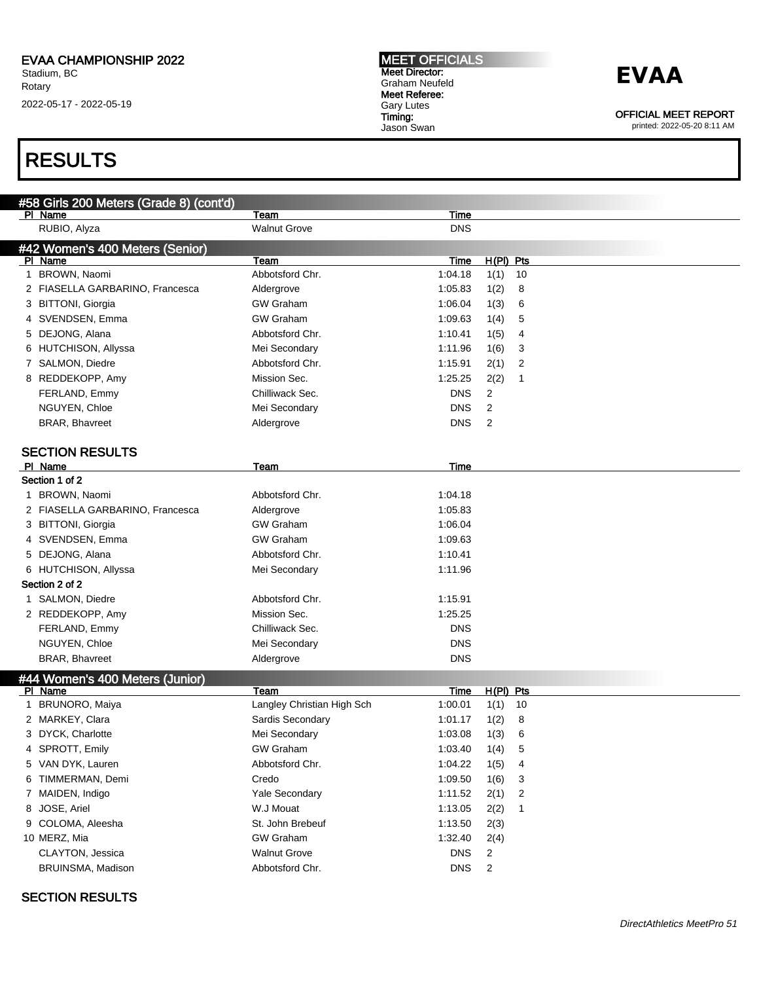### RESULTS

| #58 Girls 200 Meters (Grade 8) (cont'd) |                            |             |             |  |
|-----------------------------------------|----------------------------|-------------|-------------|--|
| PI Name                                 | Team                       | Time        |             |  |
| RUBIO, Alyza                            | <b>Walnut Grove</b>        | <b>DNS</b>  |             |  |
| #42 Women's 400 Meters (Senior)         |                            |             |             |  |
| PI Name                                 | Team                       | Time        | $H(PI)$ Pts |  |
| 1 BROWN, Naomi                          | Abbotsford Chr.            | 1:04.18     | 1(1)<br>10  |  |
| 2 FIASELLA GARBARINO, Francesca         | Aldergrove                 | 1:05.83     | 8<br>1(2)   |  |
| 3 BITTONI, Giorgia                      | <b>GW Graham</b>           | 1:06.04     | 1(3)<br>6   |  |
| 4 SVENDSEN, Emma                        | <b>GW Graham</b>           | 1:09.63     | 1(4)<br>5   |  |
| 5 DEJONG, Alana                         | Abbotsford Chr.            | 1:10.41     | 1(5)<br>4   |  |
| 6 HUTCHISON, Allyssa                    | Mei Secondary              | 1:11.96     | 1(6)<br>3   |  |
| 7 SALMON, Diedre                        | Abbotsford Chr.            | 1:15.91     | 2(1)<br>2   |  |
| 8 REDDEKOPP, Amy                        | Mission Sec.               | 1:25.25     | 2(2)<br>1   |  |
| FERLAND, Emmy                           | Chilliwack Sec.            | <b>DNS</b>  | 2           |  |
| NGUYEN, Chloe                           | Mei Secondary              | <b>DNS</b>  | 2           |  |
| <b>BRAR, Bhavreet</b>                   | Aldergrove                 | <b>DNS</b>  | 2           |  |
|                                         |                            |             |             |  |
| <b>SECTION RESULTS</b>                  |                            |             |             |  |
| PI Name                                 | Team                       | Time        |             |  |
| Section 1 of 2                          |                            |             |             |  |
| 1 BROWN, Naomi                          | Abbotsford Chr.            | 1:04.18     |             |  |
| 2 FIASELLA GARBARINO, Francesca         | Aldergrove                 | 1:05.83     |             |  |
| 3 BITTONI, Giorgia                      | <b>GW Graham</b>           | 1:06.04     |             |  |
| 4 SVENDSEN, Emma                        | <b>GW Graham</b>           | 1:09.63     |             |  |
| 5 DEJONG, Alana                         | Abbotsford Chr.            | 1:10.41     |             |  |
| 6 HUTCHISON, Allyssa                    | Mei Secondary              | 1:11.96     |             |  |
| Section 2 of 2                          |                            |             |             |  |
| 1 SALMON, Diedre                        | Abbotsford Chr.            | 1:15.91     |             |  |
| 2 REDDEKOPP, Amy                        | Mission Sec.               | 1:25.25     |             |  |
| FERLAND, Emmy                           | Chilliwack Sec.            | DNS         |             |  |
| NGUYEN, Chloe                           | Mei Secondary              | <b>DNS</b>  |             |  |
| <b>BRAR, Bhavreet</b>                   | Aldergrove                 | <b>DNS</b>  |             |  |
| #44 Women's 400 Meters (Junior)         |                            |             |             |  |
| PI Name                                 | Team                       | <b>Time</b> | $H(PI)$ Pts |  |
| 1 BRUNORO, Maiya                        | Langley Christian High Sch | 1:00.01     | 1(1)<br>10  |  |
| 2 MARKEY, Clara                         | Sardis Secondary           | 1:01.17     | 1(2)<br>8   |  |
| 3 DYCK, Charlotte                       | Mei Secondary              | 1:03.08     | 1(3)<br>6   |  |
| 4 SPROTT, Emily                         | <b>GW Graham</b>           | 1:03.40     | 1(4)<br>5   |  |
| 5 VAN DYK, Lauren                       | Abbotsford Chr.            | 1:04.22     | 1(5)<br>4   |  |
| 6 TIMMERMAN, Demi                       | Credo                      | 1:09.50     | 1(6)<br>3   |  |
| 7 MAIDEN, Indigo                        | Yale Secondary             | 1:11.52     | 2(1)<br>2   |  |
| 8 JOSE, Ariel                           | W.J Mouat                  | 1:13.05     | 2(2)<br>1   |  |
| 9 COLOMA, Aleesha                       | St. John Brebeuf           | 1:13.50     | 2(3)        |  |
| 10 MERZ, Mia                            | <b>GW Graham</b>           | 1:32.40     | 2(4)        |  |
| CLAYTON, Jessica                        | <b>Walnut Grove</b>        | <b>DNS</b>  | 2           |  |
| BRUINSMA, Madison                       | Abbotsford Chr.            | <b>DNS</b>  | 2           |  |
|                                         |                            |             |             |  |

MEET OFFICIALS Meet Director: Graham Neufeld Meet Referee: Gary Lutes Timing: Jason Swan

### SECTION RESULTS

**EVAA** 

OFFICIAL MEET REPORT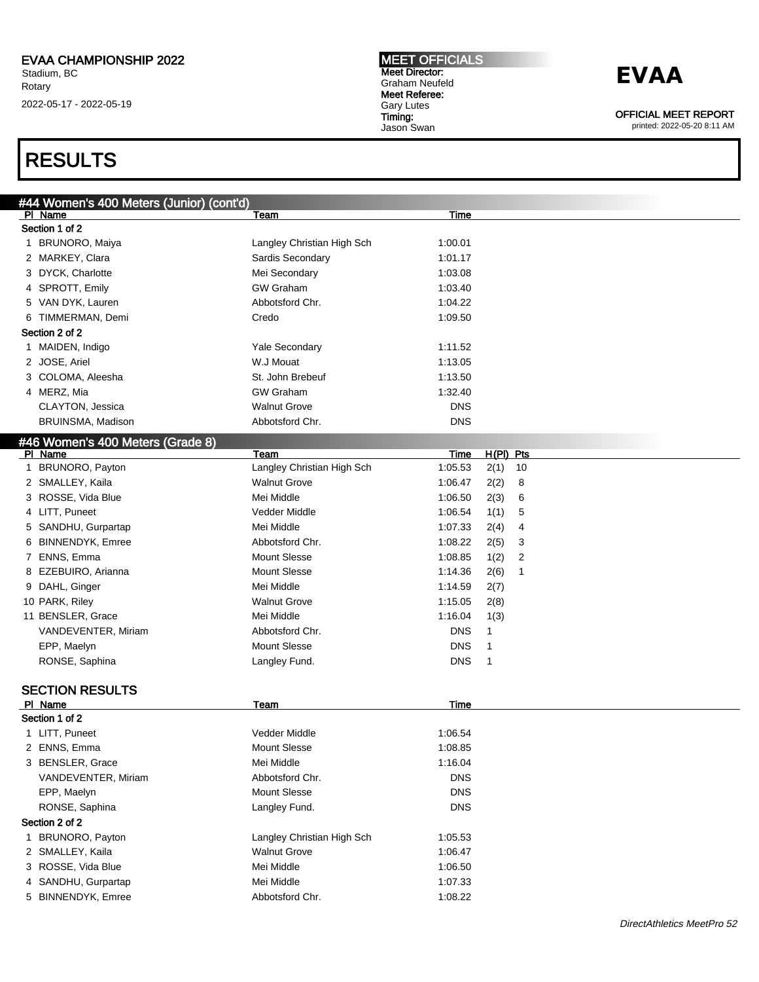## RESULTS

|   | #44 Women's 400 Meters (Junior) (cont'd) |                            |             |              |
|---|------------------------------------------|----------------------------|-------------|--------------|
|   | PI Name                                  | Team                       | <b>Time</b> |              |
|   | Section 1 of 2                           |                            |             |              |
|   | 1 BRUNORO, Maiya                         | Langley Christian High Sch | 1:00.01     |              |
|   | 2 MARKEY, Clara                          | Sardis Secondary           | 1:01.17     |              |
|   | 3 DYCK, Charlotte                        | Mei Secondary              | 1:03.08     |              |
|   | 4 SPROTT, Emily                          | <b>GW</b> Graham           | 1:03.40     |              |
|   | 5 VAN DYK, Lauren                        | Abbotsford Chr.            | 1:04.22     |              |
|   | 6 TIMMERMAN, Demi                        | Credo                      | 1:09.50     |              |
|   | Section 2 of 2                           |                            |             |              |
|   | 1 MAIDEN, Indigo                         | <b>Yale Secondary</b>      | 1:11.52     |              |
|   | 2 JOSE, Ariel                            | W.J Mouat                  | 1:13.05     |              |
|   | 3 COLOMA, Aleesha                        | St. John Brebeuf           | 1:13.50     |              |
|   | 4 MERZ, Mia                              | <b>GW Graham</b>           | 1:32.40     |              |
|   | CLAYTON, Jessica                         | <b>Walnut Grove</b>        | <b>DNS</b>  |              |
|   | BRUINSMA, Madison                        | Abbotsford Chr.            | <b>DNS</b>  |              |
|   | #46 Women's 400 Meters (Grade 8)         |                            |             |              |
|   | PI Name                                  | Team                       | Time        | H(PI) Pts    |
| 1 | BRUNORO, Payton                          | Langley Christian High Sch | 1:05.53     | 2(1)<br>10   |
|   | 2 SMALLEY, Kaila                         | <b>Walnut Grove</b>        | 1:06.47     | 2(2)<br>8    |
|   | 3 ROSSE, Vida Blue                       | Mei Middle                 | 1:06.50     | 2(3)<br>6    |
|   | 4 LITT, Puneet                           | Vedder Middle              | 1:06.54     | 1(1)<br>5    |
|   | 5 SANDHU, Gurpartap                      | Mei Middle                 | 1:07.33     | 2(4)<br>4    |
|   | 6 BINNENDYK, Emree                       | Abbotsford Chr.            | 1:08.22     | 2(5)<br>3    |
|   | 7 ENNS, Emma                             | <b>Mount Slesse</b>        | 1:08.85     | 1(2)<br>2    |
|   | 8 EZEBUIRO, Arianna                      | <b>Mount Slesse</b>        | 1:14.36     | 2(6)<br>1    |
|   | 9 DAHL, Ginger                           | Mei Middle                 | 1:14.59     | 2(7)         |
|   | 10 PARK, Riley                           | <b>Walnut Grove</b>        | 1:15.05     | 2(8)         |
|   | 11 BENSLER, Grace                        | Mei Middle                 | 1:16.04     | 1(3)         |
|   | VANDEVENTER, Miriam                      | Abbotsford Chr.            | <b>DNS</b>  | $\mathbf{1}$ |
|   | EPP, Maelyn                              | <b>Mount Slesse</b>        | <b>DNS</b>  | -1           |
|   | RONSE, Saphina                           | Langley Fund.              | <b>DNS</b>  | $\mathbf{1}$ |
|   |                                          |                            |             |              |
|   | <b>SECTION RESULTS</b>                   |                            |             |              |
|   | PI Name                                  | <b>Team</b>                | Time        |              |
|   | Section 1 of 2                           |                            |             |              |
|   | 1 LITT, Puneet                           | Vedder Middle              | 1:06.54     |              |
|   | 2 ENNS, Emma                             | <b>Mount Slesse</b>        | 1:08.85     |              |
|   | 3 BENSLER, Grace                         | Mei Middle                 | 1:16.04     |              |
|   | VANDEVENTER, Miriam                      | Abbotsford Chr.            | <b>DNS</b>  |              |
|   | EPP, Maelyn                              | <b>Mount Slesse</b>        | <b>DNS</b>  |              |
|   | RONSE, Saphina                           | Langley Fund.              | <b>DNS</b>  |              |
|   | Section 2 of 2                           |                            |             |              |
| 1 | <b>BRUNORO, Payton</b>                   | Langley Christian High Sch | 1:05.53     |              |
|   | 2 SMALLEY, Kaila                         | <b>Walnut Grove</b>        | 1:06.47     |              |
|   | 3 ROSSE, Vida Blue                       | Mei Middle                 | 1:06.50     |              |
|   | 4 SANDHU, Gurpartap                      | Mei Middle                 | 1:07.33     |              |
|   | 5 BINNENDYK, Emree                       | Abbotsford Chr.            | 1:08.22     |              |

MEET OFFICIALS Meet Director: Graham Neufeld Meet Referee: Gary Lutes Timing: Jason Swan

## **EVAA**

OFFICIAL MEET REPORT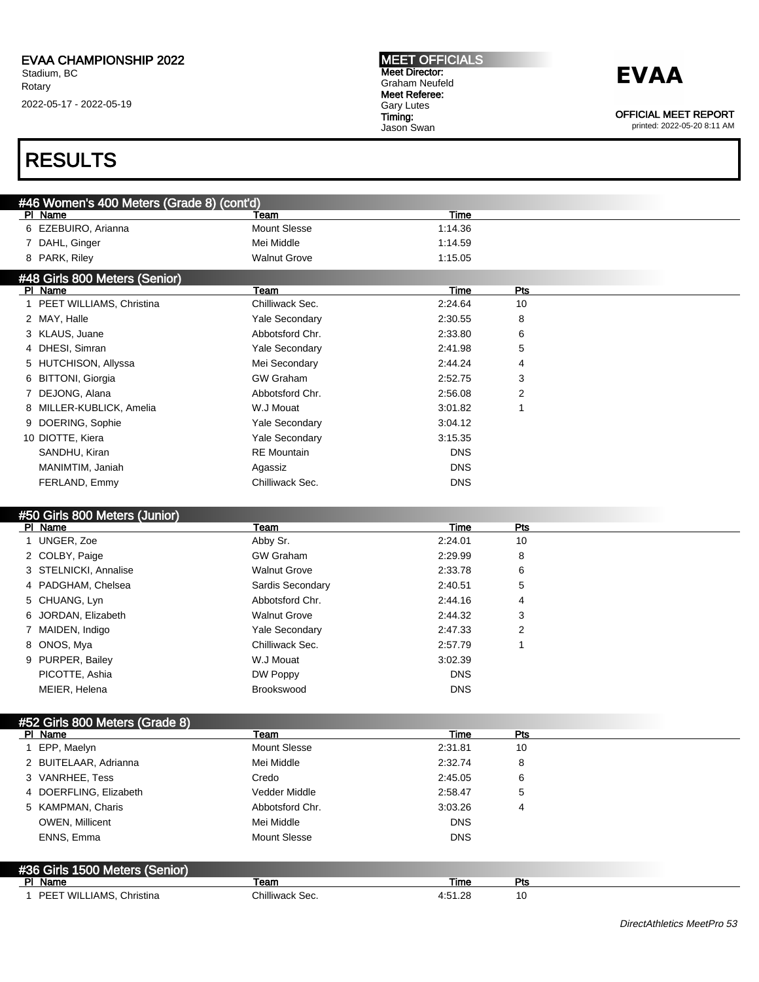MEET OFFICIALS Meet Director: Graham Neufeld Meet Referee: Gary Lutes Timing: Jason Swan

## **EVAA**

OFFICIAL MEET REPORT

printed: 2022-05-20 8:11 AM

### RESULTS

| #46 Women's 400 Meters (Grade 8) (cont'd) |                     |         |  |
|-------------------------------------------|---------------------|---------|--|
| PI Name                                   | Team                | Time    |  |
| 6 EZEBUIRO, Arianna                       | Mount Slesse        | 1:14.36 |  |
| 7 DAHL, Ginger                            | Mei Middle          | 1:14.59 |  |
| 8 PARK, Riley                             | <b>Walnut Grove</b> | 1:15.05 |  |
| #48 Girls 800 Meters (Senior)             |                     |         |  |

| PI Name                    | Team                  | Time       | Pts |  |
|----------------------------|-----------------------|------------|-----|--|
| 1 PEET WILLIAMS, Christina | Chilliwack Sec.       | 2:24.64    | 10  |  |
| 2 MAY, Halle               | <b>Yale Secondary</b> | 2:30.55    | 8   |  |
| 3 KLAUS, Juane             | Abbotsford Chr.       | 2:33.80    | 6   |  |
| 4 DHESI, Simran            | <b>Yale Secondary</b> | 2:41.98    | 5   |  |
| 5 HUTCHISON, Allyssa       | Mei Secondary         | 2:44.24    | 4   |  |
| 6 BITTONI, Giorgia         | <b>GW Graham</b>      | 2:52.75    | 3   |  |
| 7 DEJONG, Alana            | Abbotsford Chr.       | 2:56.08    | 2   |  |
| 8 MILLER-KUBLICK, Amelia   | W.J Mouat             | 3:01.82    |     |  |
| 9 DOERING, Sophie          | <b>Yale Secondary</b> | 3:04.12    |     |  |
| 10 DIOTTE, Kiera           | <b>Yale Secondary</b> | 3:15.35    |     |  |
| SANDHU, Kiran              | <b>RE</b> Mountain    | <b>DNS</b> |     |  |
| MANIMTIM, Janiah           | Agassiz               | <b>DNS</b> |     |  |
| FERLAND, Emmy              | Chilliwack Sec.       | <b>DNS</b> |     |  |

#### #50 Girls 800 Meters (Junior)

| PI Name               | Team                  | Time       | Pts |
|-----------------------|-----------------------|------------|-----|
| 1 UNGER, Zoe          | Abby Sr.              | 2:24.01    | 10  |
| 2 COLBY, Paige        | <b>GW Graham</b>      | 2:29.99    | 8   |
| 3 STELNICKI, Annalise | <b>Walnut Grove</b>   | 2:33.78    | 6   |
| 4 PADGHAM, Chelsea    | Sardis Secondary      | 2:40.51    | 5   |
| 5 CHUANG, Lyn         | Abbotsford Chr.       | 2:44.16    | 4   |
| 6 JORDAN, Elizabeth   | <b>Walnut Grove</b>   | 2:44.32    | 3   |
| 7 MAIDEN, Indigo      | <b>Yale Secondary</b> | 2:47.33    | 2   |
| 8 ONOS, Mya           | Chilliwack Sec.       | 2:57.79    |     |
| 9 PURPER, Bailey      | W.J Mouat             | 3:02.39    |     |
| PICOTTE, Ashia        | DW Poppy              | <b>DNS</b> |     |
| MEIER, Helena         | Brookswood            | <b>DNS</b> |     |

| #52 Girls 800 Meters (Grade 8) |                 |            |     |  |
|--------------------------------|-----------------|------------|-----|--|
| PI Name                        | Team            | Time       | Pts |  |
| EPP, Maelyn                    | Mount Slesse    | 2:31.81    | 10  |  |
| 2 BUITELAAR, Adrianna          | Mei Middle      | 2:32.74    | 8   |  |
| 3 VANRHEE, Tess                | Credo           | 2:45.05    | 6   |  |
| 4 DOERFLING, Elizabeth         | Vedder Middle   | 2:58.47    | 5   |  |
| 5 KAMPMAN, Charis              | Abbotsford Chr. | 3:03.26    | 4   |  |
| <b>OWEN, Millicent</b>         | Mei Middle      | <b>DNS</b> |     |  |
| ENNS, Emma                     | Mount Slesse    | <b>DNS</b> |     |  |
| #36 Girls 1500 Meters (Senior) |                 |            |     |  |
| PI Name                        | Team            | Time       | Pts |  |
| PEET WILLIAMS, Christina       | Chilliwack Sec. | 4:51.28    | 10  |  |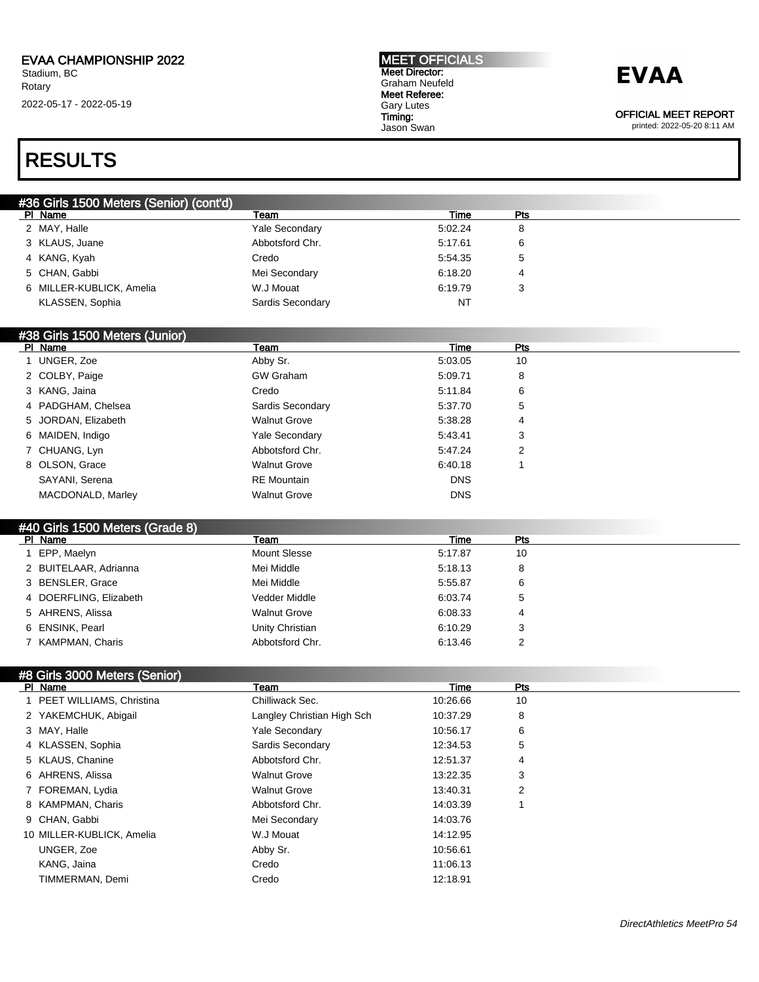#### MEET OFFICIALS Meet Director: Graham Neufeld Meet Referee: Gary Lutes Timing: Jason Swan

### **EVAA**

OFFICIAL MEET REPORT

printed: 2022-05-20 8:11 AM

### RESULTS

| #36 Girls 1500 Meters (Senior) (cont'd) |                          |                       |         |        |  |
|-----------------------------------------|--------------------------|-----------------------|---------|--------|--|
|                                         | PI Name                  | Team                  | Time    | Pts    |  |
|                                         | 2 MAY, Halle             | <b>Yale Secondary</b> | 5:02.24 | 8      |  |
|                                         | 3 KLAUS, Juane           | Abbotsford Chr.       | 5:17.61 | 6      |  |
|                                         | 4 KANG, Kyah             | Credo                 | 5:54.35 | 5      |  |
|                                         | 5 CHAN, Gabbi            | Mei Secondary         | 6:18.20 |        |  |
|                                         | 6 MILLER-KUBLICK, Amelia | W.J Mouat             | 6:19.79 | ົ<br>C |  |
|                                         | KLASSEN, Sophia          | Sardis Secondary      | NT      |        |  |

#### #38 Girls 1500 Meters (Junior)

| PI Name             | Team                  | Time       | Pts |
|---------------------|-----------------------|------------|-----|
| UNGER, Zoe          | Abby Sr.              | 5:03.05    | 10  |
| 2 COLBY, Paige      | <b>GW Graham</b>      | 5:09.71    | 8   |
| 3 KANG, Jaina       | Credo                 | 5:11.84    | 6   |
| 4 PADGHAM, Chelsea  | Sardis Secondary      | 5:37.70    | 5   |
| 5 JORDAN, Elizabeth | <b>Walnut Grove</b>   | 5:38.28    | 4   |
| 6 MAIDEN, Indigo    | <b>Yale Secondary</b> | 5:43.41    | 3   |
| 7 CHUANG, Lyn       | Abbotsford Chr.       | 5:47.24    | 2   |
| 8 OLSON, Grace      | <b>Walnut Grove</b>   | 6:40.18    |     |
| SAYANI, Serena      | <b>RE</b> Mountain    | <b>DNS</b> |     |
| MACDONALD, Marley   | <b>Walnut Grove</b>   | <b>DNS</b> |     |
|                     |                       |            |     |

#### #40 Girls 1500 Meters (Grade 8)

| PI Name                | Team                | Time    | Pts |
|------------------------|---------------------|---------|-----|
| EPP, Maelyn            | Mount Slesse        | 5:17.87 | 10  |
| 2 BUITELAAR, Adrianna  | Mei Middle          | 5:18.13 | 8   |
| 3 BENSLER, Grace       | Mei Middle          | 5:55.87 | 6   |
| 4 DOERFLING, Elizabeth | Vedder Middle       | 6:03.74 | 5   |
| 5 AHRENS, Alissa       | <b>Walnut Grove</b> | 6:08.33 | 4   |
| 6 ENSINK, Pearl        | Unity Christian     | 6:10.29 | 3   |
| 7 KAMPMAN, Charis      | Abbotsford Chr.     | 6:13.46 | າ   |

### #8 Girls 3000 Meters (Senior)

| Team                       | Time     | Pts |  |
|----------------------------|----------|-----|--|
| Chilliwack Sec.            | 10:26.66 | 10  |  |
| Langley Christian High Sch | 10:37.29 | 8   |  |
| <b>Yale Secondary</b>      | 10:56.17 | 6   |  |
| Sardis Secondary           | 12:34.53 | 5   |  |
| Abbotsford Chr.            | 12:51.37 | 4   |  |
| <b>Walnut Grove</b>        | 13:22.35 | 3   |  |
| <b>Walnut Grove</b>        | 13:40.31 | 2   |  |
| Abbotsford Chr.            | 14:03.39 |     |  |
| Mei Secondary              | 14:03.76 |     |  |
| W.J Mouat                  | 14:12.95 |     |  |
| Abby Sr.                   | 10:56.61 |     |  |
| Credo                      | 11:06.13 |     |  |
| Credo                      | 12:18.91 |     |  |
|                            |          |     |  |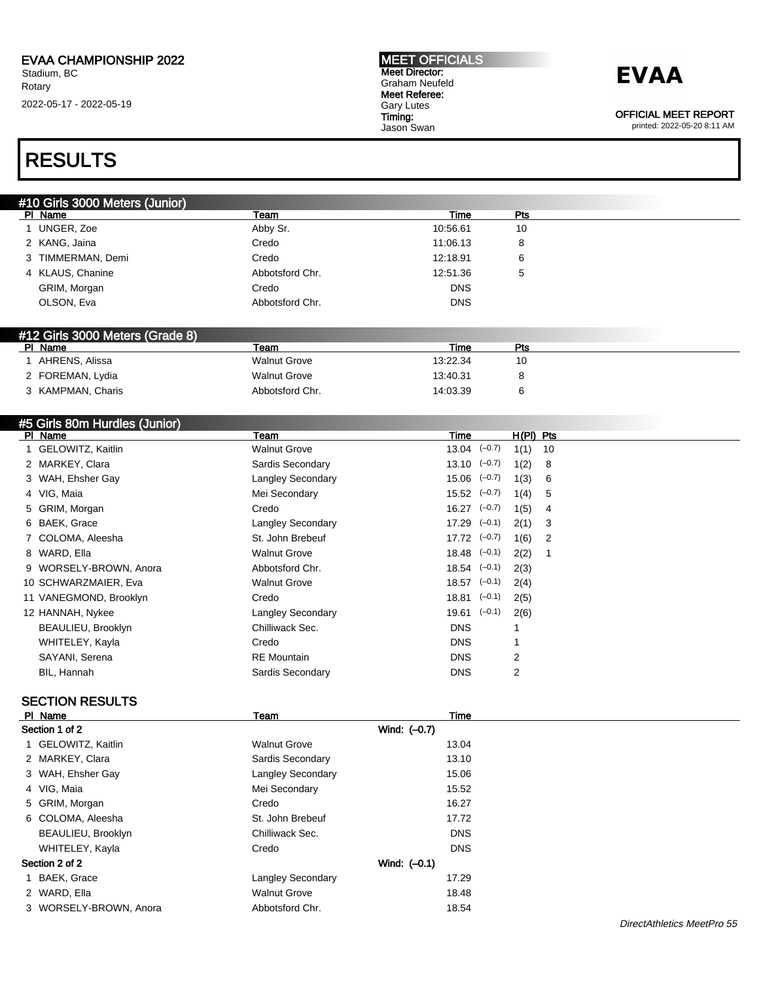#### MEET OFFICIALS Meet Director: Graham Neufeld Meet Referee: Gary Lutes Timing: Jason Swan

## **EVAA**

OFFICIAL MEET REPORT

printed: 2022-05-20 8:11 AM

### RESULTS

| #10 Girls 3000 Meters (Junior) |                 |            |     |
|--------------------------------|-----------------|------------|-----|
| PI Name                        | Team            | Time       | Pts |
| UNGER, Zoe                     | Abby Sr.        | 10:56.61   | 10  |
| 2 KANG, Jaina                  | Credo           | 11:06.13   | 8   |
| 3 TIMMERMAN, Demi              | Credo           | 12:18.91   | 6   |
| 4 KLAUS, Chanine               | Abbotsford Chr. | 12:51.36   | 5   |
| GRIM, Morgan                   | Credo           | <b>DNS</b> |     |
| OLSON, Eva                     | Abbotsford Chr. | DNS        |     |

#### #12 Girls 3000 Meters (Grade 8)

| PI Name           | Team                | Time     | Pts |  |
|-------------------|---------------------|----------|-----|--|
| AHRENS, Alissa    | <b>Walnut Grove</b> | 13:22.34 |     |  |
| 2 FOREMAN, Lydia  | <b>Walnut Grove</b> | 13:40.31 |     |  |
| 3 KAMPMAN, Charis | Abbotsford Chr.     | 14:03.39 |     |  |

#### #5 Girls 80m Hurdles (Junior)<br>Pl Name Pl Name Team Time H(Pl) Pts 1 GELOWITZ, Kaitlin 10 CHA CHA CHA Walnut Grove 13.04 (-0.7) 1(1) 10 2 MARKEY, Clara **Sardis Secondary** 13.10 (<sup>-0.7</sup>) 1(2) 8 3 WAH, Ehsher Gay **Langley Secondary** 15.06 (-0.7) 1(3) 6 4 VIG, Maia 15.52 (–0.7) 1(4) 5 5 GRIM, Morgan Credo 16.27 (–0.7) 1(5) 4 6 BAEK, Grace Langley Secondary 17.29 (–0.1) 2(1) 3 7 COLOMA, Aleesha St. John Brebeuf 17.72 (-0.7) 1(6) 2 8 WARD, Ella Walnut Grove 18.48 (–0.1) 2(2) 1 9 WORSELY-BROWN, Anora Abbotsford Chr. 18.54 (-0.1) 2(3) 10 SCHWARZMAIER, Eva Walnut Grove 18.57 (-0.1) 2(4) 11 VANEGMOND, Brooklyn Credo Credo 18.81 (-0.1) 2(5) 12 HANNAH, Nykee Langley Secondary 19.61 (-0.1) 2(6) BEAULIEU, Brooklyn **Chilliwack Sec. Chilliwack Sec. DNS** 1 WHITELEY, Kayla Credo DNS 1 SAYANI, Serena **RE Mountain** RE Mountain **RE Mountain** DNS 2 BIL, Hannah **Billis Secondary Constant Constant Constant Constant Constant Constant Constant Constant Constant Constant Constant Constant Constant Constant Constant Constant Constant Constant Constant Constant Constant C**

### SECTION RESULTS

| PI Name                | Team                     | Time           |  |
|------------------------|--------------------------|----------------|--|
| Section 1 of 2         |                          | Wind: (-0.7)   |  |
| 1 GELOWITZ, Kaitlin    | <b>Walnut Grove</b>      | 13.04          |  |
| 2 MARKEY, Clara        | Sardis Secondary         | 13.10          |  |
| 3 WAH, Ehsher Gay      | <b>Langley Secondary</b> | 15.06          |  |
| 4 VIG, Maia            | Mei Secondary            | 15.52          |  |
| 5 GRIM, Morgan         | Credo                    | 16.27          |  |
| 6 COLOMA, Aleesha      | St. John Brebeuf         | 17.72          |  |
| BEAULIEU, Brooklyn     | Chilliwack Sec.          | <b>DNS</b>     |  |
| WHITELEY, Kayla        | Credo                    | <b>DNS</b>     |  |
| Section 2 of 2         |                          | Wind: $(-0.1)$ |  |
| 1 BAEK, Grace          | <b>Langley Secondary</b> | 17.29          |  |
| 2 WARD, Ella           | <b>Walnut Grove</b>      | 18.48          |  |
| 3 WORSELY-BROWN, Anora | Abbotsford Chr.          | 18.54          |  |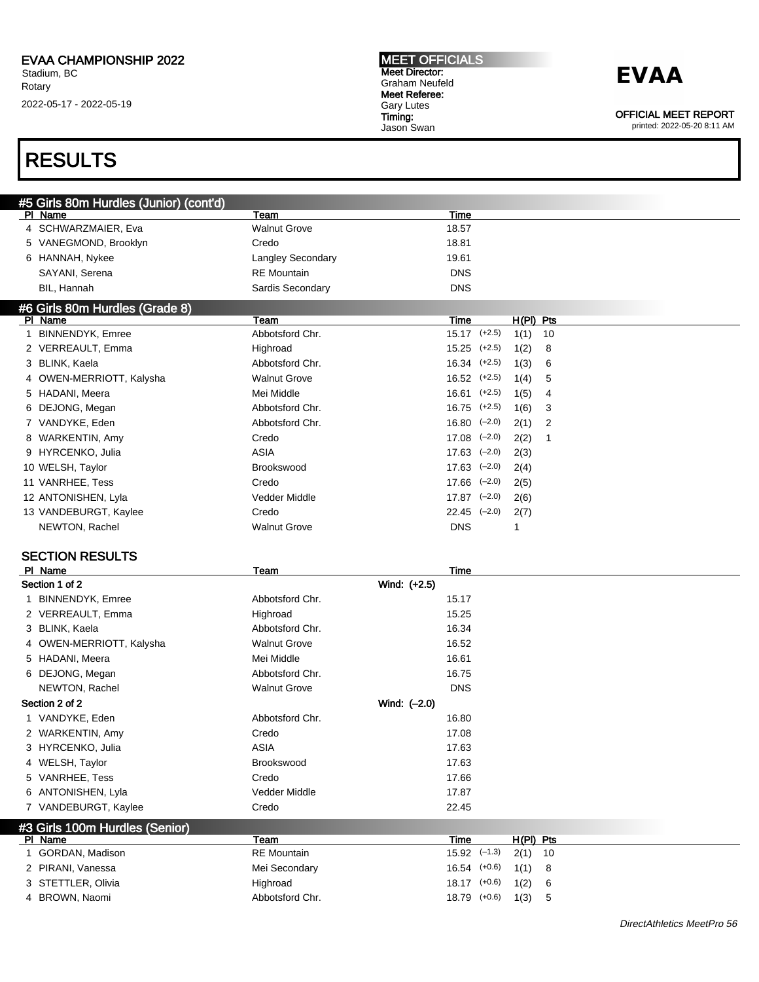#### MEET OFFICIALS Meet Director: Graham Neufeld Meet Referee: Gary Lutes Timing: Jason Swan

## **EVAA**

OFFICIAL MEET REPORT

printed: 2022-05-20 8:11 AM

### RESULTS

| PI Name<br>Team<br>Time<br>4 SCHWARZMAIER, Eva<br><b>Walnut Grove</b><br>18.57<br>5 VANEGMOND, Brooklyn<br>Credo<br>18.81<br>6 HANNAH, Nykee<br><b>Langley Secondary</b><br>19.61<br>SAYANI, Serena<br><b>RE</b> Mountain<br><b>DNS</b><br><b>DNS</b><br>BIL, Hannah<br>Sardis Secondary<br>#6 Girls 80m Hurdles (Grade 8)<br>PI Name<br>Team<br>Time<br>$H(PI)$ Pts<br>1 BINNENDYK, Emree<br>Abbotsford Chr.<br>$15.17$ $(+2.5)$<br>1(1)<br>10<br>2 VERREAULT, Emma<br>Highroad<br>$15.25$ $(+2.5)$<br>8<br>1(2)<br>3 BLINK, Kaela<br>Abbotsford Chr.<br>$16.34$ $(+2.5)$<br>1(3)<br>6<br>4 OWEN-MERRIOTT, Kalysha<br><b>Walnut Grove</b><br>$16.52$ $(+2.5)$<br>1(4)<br>5<br>$16.61$ $(+2.5)$<br>5 HADANI, Meera<br>Mei Middle<br>1(5)<br>4<br>6 DEJONG, Megan<br>Abbotsford Chr.<br>$16.75$ $(+2.5)$<br>1(6)<br>3<br>7 VANDYKE, Eden<br>Abbotsford Chr.<br>$16.80$ $(-2.0)$<br>$\overline{2}$<br>2(1)<br>Credo<br>$17.08$ $(-2.0)$<br>8 WARKENTIN, Amy<br>2(2)<br>1<br><b>ASIA</b><br>$17.63$ $(-2.0)$<br>9 HYRCENKO, Julia<br>2(3)<br>10 WELSH, Taylor<br>$17.63$ $(-2.0)$<br><b>Brookswood</b><br>2(4)<br>$17.66$ $(-2.0)$<br>11 VANRHEE, Tess<br>Credo<br>2(5)<br>Vedder Middle<br>$17.87$ $(-2.0)$<br>12 ANTONISHEN, Lyla<br>2(6)<br>Credo<br>13 VANDEBURGT, Kaylee<br>$22.45$ $(-2.0)$<br>2(7)<br><b>Walnut Grove</b><br><b>DNS</b><br>NEWTON, Rachel<br>$\mathbf{1}$<br><b>SECTION RESULTS</b><br>PI Name<br>Time<br>Team<br>Wind: (+2.5)<br>Section 1 of 2<br>1 BINNENDYK, Emree<br>Abbotsford Chr.<br>15.17<br>15.25<br>2 VERREAULT, Emma<br>Highroad<br>3 BLINK, Kaela<br>Abbotsford Chr.<br>16.34<br><b>Walnut Grove</b><br>16.52<br>4 OWEN-MERRIOTT, Kalysha<br>5 HADANI, Meera<br>Mei Middle<br>16.61<br>6 DEJONG, Megan<br>Abbotsford Chr.<br>16.75<br><b>DNS</b><br>NEWTON, Rachel<br><b>Walnut Grove</b><br>Section 2 of 2<br>Wind: (-2.0)<br>1 VANDYKE, Eden<br>Abbotsford Chr.<br>16.80<br>17.08<br>2 WARKENTIN, Amy<br>Credo<br><b>ASIA</b><br>3 HYRCENKO, Julia<br>17.63<br>Brookswood<br>17.63<br>4 WELSH, Taylor<br>5 VANRHEE, Tess<br>Credo<br>17.66<br>6 ANTONISHEN, Lyla<br>Vedder Middle<br>17.87<br>7 VANDEBURGT, Kaylee<br>Credo<br>22.45<br>#3 Girls 100m Hurdles (Senior) | #5 Girls 80m Hurdles (Junior) (cont'd) |  |  |  |
|-----------------------------------------------------------------------------------------------------------------------------------------------------------------------------------------------------------------------------------------------------------------------------------------------------------------------------------------------------------------------------------------------------------------------------------------------------------------------------------------------------------------------------------------------------------------------------------------------------------------------------------------------------------------------------------------------------------------------------------------------------------------------------------------------------------------------------------------------------------------------------------------------------------------------------------------------------------------------------------------------------------------------------------------------------------------------------------------------------------------------------------------------------------------------------------------------------------------------------------------------------------------------------------------------------------------------------------------------------------------------------------------------------------------------------------------------------------------------------------------------------------------------------------------------------------------------------------------------------------------------------------------------------------------------------------------------------------------------------------------------------------------------------------------------------------------------------------------------------------------------------------------------------------------------------------------------------------------------------------------------------------------------------------------------------------------------------------------------------------------------------------------------------------------------------------------------------------|----------------------------------------|--|--|--|
|                                                                                                                                                                                                                                                                                                                                                                                                                                                                                                                                                                                                                                                                                                                                                                                                                                                                                                                                                                                                                                                                                                                                                                                                                                                                                                                                                                                                                                                                                                                                                                                                                                                                                                                                                                                                                                                                                                                                                                                                                                                                                                                                                                                                           |                                        |  |  |  |
|                                                                                                                                                                                                                                                                                                                                                                                                                                                                                                                                                                                                                                                                                                                                                                                                                                                                                                                                                                                                                                                                                                                                                                                                                                                                                                                                                                                                                                                                                                                                                                                                                                                                                                                                                                                                                                                                                                                                                                                                                                                                                                                                                                                                           |                                        |  |  |  |
|                                                                                                                                                                                                                                                                                                                                                                                                                                                                                                                                                                                                                                                                                                                                                                                                                                                                                                                                                                                                                                                                                                                                                                                                                                                                                                                                                                                                                                                                                                                                                                                                                                                                                                                                                                                                                                                                                                                                                                                                                                                                                                                                                                                                           |                                        |  |  |  |
|                                                                                                                                                                                                                                                                                                                                                                                                                                                                                                                                                                                                                                                                                                                                                                                                                                                                                                                                                                                                                                                                                                                                                                                                                                                                                                                                                                                                                                                                                                                                                                                                                                                                                                                                                                                                                                                                                                                                                                                                                                                                                                                                                                                                           |                                        |  |  |  |
|                                                                                                                                                                                                                                                                                                                                                                                                                                                                                                                                                                                                                                                                                                                                                                                                                                                                                                                                                                                                                                                                                                                                                                                                                                                                                                                                                                                                                                                                                                                                                                                                                                                                                                                                                                                                                                                                                                                                                                                                                                                                                                                                                                                                           |                                        |  |  |  |
|                                                                                                                                                                                                                                                                                                                                                                                                                                                                                                                                                                                                                                                                                                                                                                                                                                                                                                                                                                                                                                                                                                                                                                                                                                                                                                                                                                                                                                                                                                                                                                                                                                                                                                                                                                                                                                                                                                                                                                                                                                                                                                                                                                                                           |                                        |  |  |  |
|                                                                                                                                                                                                                                                                                                                                                                                                                                                                                                                                                                                                                                                                                                                                                                                                                                                                                                                                                                                                                                                                                                                                                                                                                                                                                                                                                                                                                                                                                                                                                                                                                                                                                                                                                                                                                                                                                                                                                                                                                                                                                                                                                                                                           |                                        |  |  |  |
|                                                                                                                                                                                                                                                                                                                                                                                                                                                                                                                                                                                                                                                                                                                                                                                                                                                                                                                                                                                                                                                                                                                                                                                                                                                                                                                                                                                                                                                                                                                                                                                                                                                                                                                                                                                                                                                                                                                                                                                                                                                                                                                                                                                                           |                                        |  |  |  |
|                                                                                                                                                                                                                                                                                                                                                                                                                                                                                                                                                                                                                                                                                                                                                                                                                                                                                                                                                                                                                                                                                                                                                                                                                                                                                                                                                                                                                                                                                                                                                                                                                                                                                                                                                                                                                                                                                                                                                                                                                                                                                                                                                                                                           |                                        |  |  |  |
|                                                                                                                                                                                                                                                                                                                                                                                                                                                                                                                                                                                                                                                                                                                                                                                                                                                                                                                                                                                                                                                                                                                                                                                                                                                                                                                                                                                                                                                                                                                                                                                                                                                                                                                                                                                                                                                                                                                                                                                                                                                                                                                                                                                                           |                                        |  |  |  |
|                                                                                                                                                                                                                                                                                                                                                                                                                                                                                                                                                                                                                                                                                                                                                                                                                                                                                                                                                                                                                                                                                                                                                                                                                                                                                                                                                                                                                                                                                                                                                                                                                                                                                                                                                                                                                                                                                                                                                                                                                                                                                                                                                                                                           |                                        |  |  |  |
|                                                                                                                                                                                                                                                                                                                                                                                                                                                                                                                                                                                                                                                                                                                                                                                                                                                                                                                                                                                                                                                                                                                                                                                                                                                                                                                                                                                                                                                                                                                                                                                                                                                                                                                                                                                                                                                                                                                                                                                                                                                                                                                                                                                                           |                                        |  |  |  |
|                                                                                                                                                                                                                                                                                                                                                                                                                                                                                                                                                                                                                                                                                                                                                                                                                                                                                                                                                                                                                                                                                                                                                                                                                                                                                                                                                                                                                                                                                                                                                                                                                                                                                                                                                                                                                                                                                                                                                                                                                                                                                                                                                                                                           |                                        |  |  |  |
|                                                                                                                                                                                                                                                                                                                                                                                                                                                                                                                                                                                                                                                                                                                                                                                                                                                                                                                                                                                                                                                                                                                                                                                                                                                                                                                                                                                                                                                                                                                                                                                                                                                                                                                                                                                                                                                                                                                                                                                                                                                                                                                                                                                                           |                                        |  |  |  |
|                                                                                                                                                                                                                                                                                                                                                                                                                                                                                                                                                                                                                                                                                                                                                                                                                                                                                                                                                                                                                                                                                                                                                                                                                                                                                                                                                                                                                                                                                                                                                                                                                                                                                                                                                                                                                                                                                                                                                                                                                                                                                                                                                                                                           |                                        |  |  |  |
|                                                                                                                                                                                                                                                                                                                                                                                                                                                                                                                                                                                                                                                                                                                                                                                                                                                                                                                                                                                                                                                                                                                                                                                                                                                                                                                                                                                                                                                                                                                                                                                                                                                                                                                                                                                                                                                                                                                                                                                                                                                                                                                                                                                                           |                                        |  |  |  |
|                                                                                                                                                                                                                                                                                                                                                                                                                                                                                                                                                                                                                                                                                                                                                                                                                                                                                                                                                                                                                                                                                                                                                                                                                                                                                                                                                                                                                                                                                                                                                                                                                                                                                                                                                                                                                                                                                                                                                                                                                                                                                                                                                                                                           |                                        |  |  |  |
|                                                                                                                                                                                                                                                                                                                                                                                                                                                                                                                                                                                                                                                                                                                                                                                                                                                                                                                                                                                                                                                                                                                                                                                                                                                                                                                                                                                                                                                                                                                                                                                                                                                                                                                                                                                                                                                                                                                                                                                                                                                                                                                                                                                                           |                                        |  |  |  |
|                                                                                                                                                                                                                                                                                                                                                                                                                                                                                                                                                                                                                                                                                                                                                                                                                                                                                                                                                                                                                                                                                                                                                                                                                                                                                                                                                                                                                                                                                                                                                                                                                                                                                                                                                                                                                                                                                                                                                                                                                                                                                                                                                                                                           |                                        |  |  |  |
|                                                                                                                                                                                                                                                                                                                                                                                                                                                                                                                                                                                                                                                                                                                                                                                                                                                                                                                                                                                                                                                                                                                                                                                                                                                                                                                                                                                                                                                                                                                                                                                                                                                                                                                                                                                                                                                                                                                                                                                                                                                                                                                                                                                                           |                                        |  |  |  |
|                                                                                                                                                                                                                                                                                                                                                                                                                                                                                                                                                                                                                                                                                                                                                                                                                                                                                                                                                                                                                                                                                                                                                                                                                                                                                                                                                                                                                                                                                                                                                                                                                                                                                                                                                                                                                                                                                                                                                                                                                                                                                                                                                                                                           |                                        |  |  |  |
|                                                                                                                                                                                                                                                                                                                                                                                                                                                                                                                                                                                                                                                                                                                                                                                                                                                                                                                                                                                                                                                                                                                                                                                                                                                                                                                                                                                                                                                                                                                                                                                                                                                                                                                                                                                                                                                                                                                                                                                                                                                                                                                                                                                                           |                                        |  |  |  |
|                                                                                                                                                                                                                                                                                                                                                                                                                                                                                                                                                                                                                                                                                                                                                                                                                                                                                                                                                                                                                                                                                                                                                                                                                                                                                                                                                                                                                                                                                                                                                                                                                                                                                                                                                                                                                                                                                                                                                                                                                                                                                                                                                                                                           |                                        |  |  |  |
|                                                                                                                                                                                                                                                                                                                                                                                                                                                                                                                                                                                                                                                                                                                                                                                                                                                                                                                                                                                                                                                                                                                                                                                                                                                                                                                                                                                                                                                                                                                                                                                                                                                                                                                                                                                                                                                                                                                                                                                                                                                                                                                                                                                                           |                                        |  |  |  |
|                                                                                                                                                                                                                                                                                                                                                                                                                                                                                                                                                                                                                                                                                                                                                                                                                                                                                                                                                                                                                                                                                                                                                                                                                                                                                                                                                                                                                                                                                                                                                                                                                                                                                                                                                                                                                                                                                                                                                                                                                                                                                                                                                                                                           |                                        |  |  |  |
|                                                                                                                                                                                                                                                                                                                                                                                                                                                                                                                                                                                                                                                                                                                                                                                                                                                                                                                                                                                                                                                                                                                                                                                                                                                                                                                                                                                                                                                                                                                                                                                                                                                                                                                                                                                                                                                                                                                                                                                                                                                                                                                                                                                                           |                                        |  |  |  |
|                                                                                                                                                                                                                                                                                                                                                                                                                                                                                                                                                                                                                                                                                                                                                                                                                                                                                                                                                                                                                                                                                                                                                                                                                                                                                                                                                                                                                                                                                                                                                                                                                                                                                                                                                                                                                                                                                                                                                                                                                                                                                                                                                                                                           |                                        |  |  |  |
|                                                                                                                                                                                                                                                                                                                                                                                                                                                                                                                                                                                                                                                                                                                                                                                                                                                                                                                                                                                                                                                                                                                                                                                                                                                                                                                                                                                                                                                                                                                                                                                                                                                                                                                                                                                                                                                                                                                                                                                                                                                                                                                                                                                                           |                                        |  |  |  |
|                                                                                                                                                                                                                                                                                                                                                                                                                                                                                                                                                                                                                                                                                                                                                                                                                                                                                                                                                                                                                                                                                                                                                                                                                                                                                                                                                                                                                                                                                                                                                                                                                                                                                                                                                                                                                                                                                                                                                                                                                                                                                                                                                                                                           |                                        |  |  |  |
|                                                                                                                                                                                                                                                                                                                                                                                                                                                                                                                                                                                                                                                                                                                                                                                                                                                                                                                                                                                                                                                                                                                                                                                                                                                                                                                                                                                                                                                                                                                                                                                                                                                                                                                                                                                                                                                                                                                                                                                                                                                                                                                                                                                                           |                                        |  |  |  |
|                                                                                                                                                                                                                                                                                                                                                                                                                                                                                                                                                                                                                                                                                                                                                                                                                                                                                                                                                                                                                                                                                                                                                                                                                                                                                                                                                                                                                                                                                                                                                                                                                                                                                                                                                                                                                                                                                                                                                                                                                                                                                                                                                                                                           |                                        |  |  |  |
|                                                                                                                                                                                                                                                                                                                                                                                                                                                                                                                                                                                                                                                                                                                                                                                                                                                                                                                                                                                                                                                                                                                                                                                                                                                                                                                                                                                                                                                                                                                                                                                                                                                                                                                                                                                                                                                                                                                                                                                                                                                                                                                                                                                                           |                                        |  |  |  |
|                                                                                                                                                                                                                                                                                                                                                                                                                                                                                                                                                                                                                                                                                                                                                                                                                                                                                                                                                                                                                                                                                                                                                                                                                                                                                                                                                                                                                                                                                                                                                                                                                                                                                                                                                                                                                                                                                                                                                                                                                                                                                                                                                                                                           |                                        |  |  |  |
|                                                                                                                                                                                                                                                                                                                                                                                                                                                                                                                                                                                                                                                                                                                                                                                                                                                                                                                                                                                                                                                                                                                                                                                                                                                                                                                                                                                                                                                                                                                                                                                                                                                                                                                                                                                                                                                                                                                                                                                                                                                                                                                                                                                                           |                                        |  |  |  |
|                                                                                                                                                                                                                                                                                                                                                                                                                                                                                                                                                                                                                                                                                                                                                                                                                                                                                                                                                                                                                                                                                                                                                                                                                                                                                                                                                                                                                                                                                                                                                                                                                                                                                                                                                                                                                                                                                                                                                                                                                                                                                                                                                                                                           |                                        |  |  |  |
|                                                                                                                                                                                                                                                                                                                                                                                                                                                                                                                                                                                                                                                                                                                                                                                                                                                                                                                                                                                                                                                                                                                                                                                                                                                                                                                                                                                                                                                                                                                                                                                                                                                                                                                                                                                                                                                                                                                                                                                                                                                                                                                                                                                                           |                                        |  |  |  |
|                                                                                                                                                                                                                                                                                                                                                                                                                                                                                                                                                                                                                                                                                                                                                                                                                                                                                                                                                                                                                                                                                                                                                                                                                                                                                                                                                                                                                                                                                                                                                                                                                                                                                                                                                                                                                                                                                                                                                                                                                                                                                                                                                                                                           |                                        |  |  |  |
|                                                                                                                                                                                                                                                                                                                                                                                                                                                                                                                                                                                                                                                                                                                                                                                                                                                                                                                                                                                                                                                                                                                                                                                                                                                                                                                                                                                                                                                                                                                                                                                                                                                                                                                                                                                                                                                                                                                                                                                                                                                                                                                                                                                                           |                                        |  |  |  |
|                                                                                                                                                                                                                                                                                                                                                                                                                                                                                                                                                                                                                                                                                                                                                                                                                                                                                                                                                                                                                                                                                                                                                                                                                                                                                                                                                                                                                                                                                                                                                                                                                                                                                                                                                                                                                                                                                                                                                                                                                                                                                                                                                                                                           |                                        |  |  |  |
|                                                                                                                                                                                                                                                                                                                                                                                                                                                                                                                                                                                                                                                                                                                                                                                                                                                                                                                                                                                                                                                                                                                                                                                                                                                                                                                                                                                                                                                                                                                                                                                                                                                                                                                                                                                                                                                                                                                                                                                                                                                                                                                                                                                                           |                                        |  |  |  |
|                                                                                                                                                                                                                                                                                                                                                                                                                                                                                                                                                                                                                                                                                                                                                                                                                                                                                                                                                                                                                                                                                                                                                                                                                                                                                                                                                                                                                                                                                                                                                                                                                                                                                                                                                                                                                                                                                                                                                                                                                                                                                                                                                                                                           |                                        |  |  |  |

| PI Name            | Team               | Time                       | $H(PI)$ Pts |
|--------------------|--------------------|----------------------------|-------------|
| GORDAN, Madison    | <b>RE</b> Mountain | $15.92$ $(-1.3)$ $2(1)$ 10 |             |
| 2 PIRANI, Vanessa  | Mei Secondary      | $16.54$ $(+0.6)$ $1(1)$ 8  |             |
| 3 STETTLER, Olivia | Highroad           | 18.17 (+0.6) 1(2) 6        |             |
| 4 BROWN, Naomi     | Abbotsford Chr.    | $18.79$ $(+0.6)$ $1(3)$ 5  |             |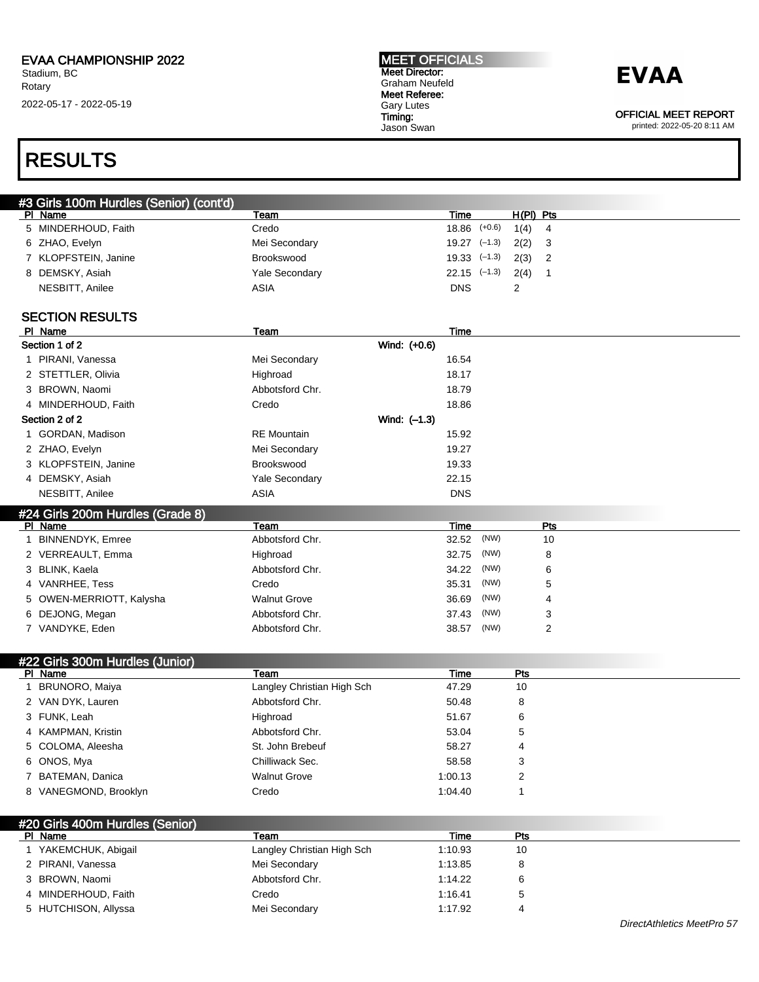#### MEET OFFICIALS Meet Director: Graham Neufeld Meet Referee: Gary Lutes Timing: Jason Swan

### **EVAA**

OFFICIAL MEET REPORT

printed: 2022-05-20 8:11 AM

### RESULTS

| #3 Girls 100m Hurdles (Senior) (cont'd)    |                            |                          |                   |                         |
|--------------------------------------------|----------------------------|--------------------------|-------------------|-------------------------|
| PI Name<br>5 MINDERHOUD, Faith             | Team<br>Credo              | Time<br>$18.86$ $(+0.6)$ | H(PI) Pts<br>1(4) | $\overline{\mathbf{4}}$ |
| 6 ZHAO, Evelyn                             | Mei Secondary              | $19.27$ $(-1.3)$         | 2(2)              | 3                       |
| 7 KLOPFSTEIN, Janine                       | Brookswood                 | $19.33$ $(-1.3)$         | 2(3)              | $\overline{2}$          |
|                                            |                            | $22.15$ $(-1.3)$         |                   |                         |
| 8 DEMSKY, Asiah                            | Yale Secondary             |                          | 2(4)              | $\mathbf{1}$            |
| NESBITT, Anilee                            | <b>ASIA</b>                | <b>DNS</b>               | $\overline{2}$    |                         |
| <b>SECTION RESULTS</b>                     |                            |                          |                   |                         |
| PI Name                                    | Team                       | Time                     |                   |                         |
| Section 1 of 2                             |                            | Wind: (+0.6)             |                   |                         |
| 1 PIRANI, Vanessa                          | Mei Secondary              | 16.54                    |                   |                         |
| 2 STETTLER, Olivia                         | Highroad                   | 18.17                    |                   |                         |
| 3 BROWN, Naomi                             | Abbotsford Chr.            | 18.79                    |                   |                         |
| 4 MINDERHOUD, Faith                        | Credo                      | 18.86                    |                   |                         |
| Section 2 of 2                             |                            | Wind: (-1.3)             |                   |                         |
| 1 GORDAN, Madison                          | <b>RE</b> Mountain         | 15.92                    |                   |                         |
| 2 ZHAO, Evelyn                             | Mei Secondary              | 19.27                    |                   |                         |
| 3 KLOPFSTEIN, Janine                       | Brookswood                 | 19.33                    |                   |                         |
| 4 DEMSKY, Asiah                            | <b>Yale Secondary</b>      | 22.15                    |                   |                         |
| NESBITT, Anilee                            | <b>ASIA</b>                | <b>DNS</b>               |                   |                         |
| #24 Girls 200m Hurdles (Grade 8)           |                            |                          |                   |                         |
| PI Name                                    | Team                       | Time                     |                   | Pts                     |
| 1 BINNENDYK, Emree                         | Abbotsford Chr.            | (NW)<br>32.52            |                   | 10                      |
| 2 VERREAULT, Emma                          | Highroad                   | (NW)<br>32.75            |                   | 8                       |
| 3 BLINK, Kaela                             | Abbotsford Chr.            | (NW)<br>34.22            |                   | 6                       |
| 4 VANRHEE, Tess                            | Credo                      | (NW)<br>35.31            |                   | 5                       |
| OWEN-MERRIOTT, Kalysha<br>5                | <b>Walnut Grove</b>        | (NW)<br>36.69            |                   | 4                       |
| 6 DEJONG, Megan                            | Abbotsford Chr.            | (NW)<br>37.43            |                   | 3                       |
| 7 VANDYKE, Eden                            | Abbotsford Chr.            | (NW)<br>38.57            |                   | 2                       |
|                                            |                            |                          |                   |                         |
| #22 Girls 300m Hurdles (Junior)<br>PI Name | Team                       | Time                     | Pts               |                         |
| 1 BRUNORO, Maiya                           | Langley Christian High Sch | 47.29                    | 10                |                         |
| 2 VAN DYK, Lauren                          | Abbotsford Chr.            | 50.48                    | 8                 |                         |
| 3 FUNK, Leah                               | Highroad                   | 51.67                    | 6                 |                         |
| <b>KAMPMAN, Kristin</b><br>4               | Abbotsford Chr.            | 53.04                    | 5                 |                         |
| 5 COLOMA, Aleesha                          | St. John Brebeuf           | 58.27                    | 4                 |                         |
|                                            |                            |                          |                   |                         |

6 ONOS, Mya **Chilliwack Sec.** 58.58 3 7 BATEMAN, Danica **1:00.13** 2 8 VANEGMOND, Brooklyn Credo Credo 1:04.40 1:04.40 1

| #20 Girls 400m Hurdles (Senior) |                            |         |     |  |  |
|---------------------------------|----------------------------|---------|-----|--|--|
| PI Name                         | Геаm                       | Time    | Pts |  |  |
| YAKEMCHUK, Abigail              | Langley Christian High Sch | 1:10.93 | 10  |  |  |
| 2 PIRANI, Vanessa               | Mei Secondary              | 1:13.85 | 8   |  |  |
| 3 BROWN, Naomi                  | Abbotsford Chr.            | 1:14.22 | 6   |  |  |
| 4 MINDERHOUD, Faith             | Credo                      | 1:16.41 | 5   |  |  |
| 5 HUTCHISON, Allyssa            | Mei Secondary              | 1:17.92 | 4   |  |  |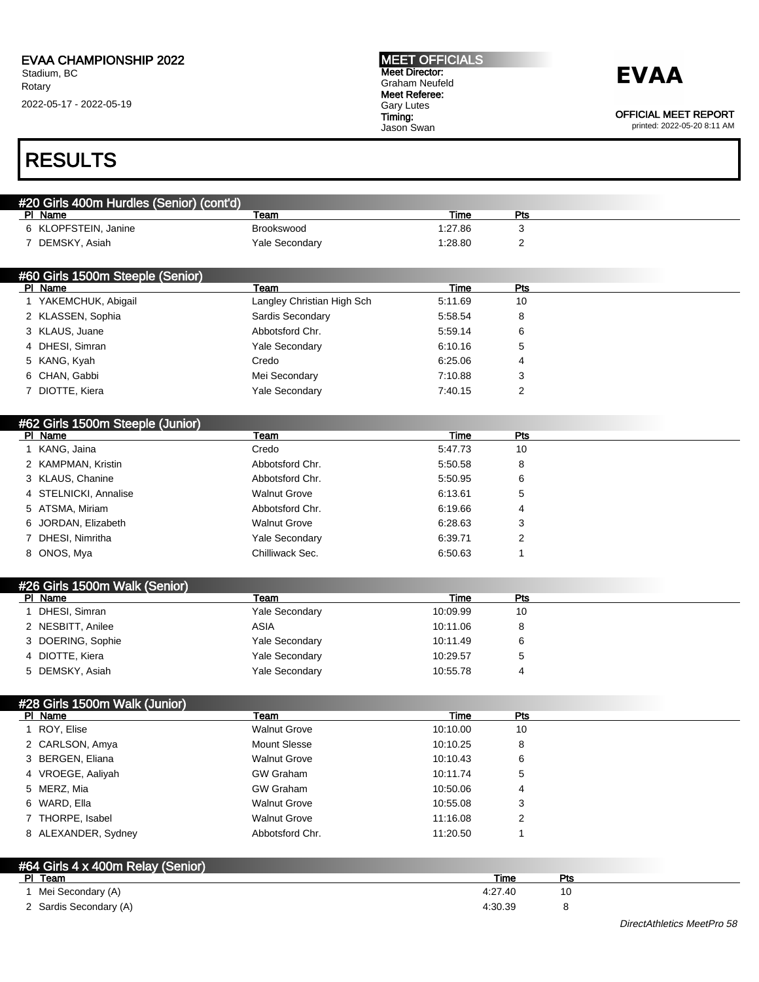#### MEET OFFICIALS Meet Director: Graham Neufeld Meet Referee: Gary Lutes Timing: Jason Swan

## **EVAA**

OFFICIAL MEET REPORT

printed: 2022-05-20 8:11 AM

### RESULTS

| #20 Girls 400m Hurdles (Senior) (cont'd)     |                            |             |                |     |  |
|----------------------------------------------|----------------------------|-------------|----------------|-----|--|
| PI Name                                      | Team                       | Time        | <u>Pts</u>     |     |  |
| 6 KLOPFSTEIN, Janine                         | Brookswood                 | 1:27.86     | 3              |     |  |
| 7 DEMSKY, Asiah                              | Yale Secondary             | 1:28.80     | 2              |     |  |
|                                              |                            |             |                |     |  |
| #60 Girls 1500m Steeple (Senior)<br>PI Name  | Team                       | <b>Time</b> | <b>Pts</b>     |     |  |
| 1 YAKEMCHUK, Abigail                         | Langley Christian High Sch | 5:11.69     | 10             |     |  |
| 2 KLASSEN, Sophia                            | Sardis Secondary           | 5:58.54     | 8              |     |  |
| 3 KLAUS, Juane                               | Abbotsford Chr.            | 5:59.14     | 6              |     |  |
| 4 DHESI, Simran                              | Yale Secondary             | 6:10.16     | 5              |     |  |
| 5 KANG, Kyah                                 | Credo                      | 6:25.06     | 4              |     |  |
| 6 CHAN, Gabbi                                | Mei Secondary              | 7:10.88     | 3              |     |  |
| 7 DIOTTE, Kiera                              | Yale Secondary             | 7:40.15     | $\overline{2}$ |     |  |
|                                              |                            |             |                |     |  |
| #62 Girls 1500m Steeple (Junior)<br>PI Name  | Team                       | <b>Time</b> | Pts            |     |  |
| 1 KANG, Jaina                                | Credo                      | 5:47.73     | 10             |     |  |
| 2 KAMPMAN, Kristin                           | Abbotsford Chr.            | 5:50.58     | 8              |     |  |
| 3 KLAUS, Chanine                             | Abbotsford Chr.            | 5:50.95     | 6              |     |  |
| 4 STELNICKI, Annalise                        | <b>Walnut Grove</b>        | 6:13.61     | 5              |     |  |
| 5 ATSMA, Miriam                              | Abbotsford Chr.            |             | 4              |     |  |
|                                              |                            | 6.19.66     |                |     |  |
| JORDAN, Elizabeth<br>6                       | <b>Walnut Grove</b>        | 6:28.63     | 3              |     |  |
| 7 DHESI, Nimritha                            | <b>Yale Secondary</b>      | 6:39.71     | 2              |     |  |
| 8 ONOS, Mya                                  | Chilliwack Sec.            | 6:50.63     | 1              |     |  |
| #26 Girls 1500m Walk (Senior)                |                            |             |                |     |  |
| PI Name                                      | Team                       | Time        | Pts            |     |  |
| 1 DHESI, Simran                              | Yale Secondary             | 10:09.99    | 10             |     |  |
| 2 NESBITT, Anilee                            | <b>ASIA</b>                | 10:11.06    | 8              |     |  |
| 3 DOERING, Sophie                            | Yale Secondary             | 10:11.49    | 6              |     |  |
| 4 DIOTTE, Kiera                              | Yale Secondary             | 10:29.57    | 5              |     |  |
| 5 DEMSKY, Asiah                              | <b>Yale Secondary</b>      | 10:55.78    | 4              |     |  |
| #28 Girls 1500m Walk (Junior)                |                            |             |                |     |  |
| PI Name                                      | Team                       | <b>Time</b> | <b>Pts</b>     |     |  |
| 1 ROY, Elise                                 | <b>Walnut Grove</b>        | 10:10.00    | 10             |     |  |
| 2 CARLSON, Amya                              | <b>Mount Slesse</b>        | 10:10.25    | 8              |     |  |
| 3 BERGEN, Eliana                             | <b>Walnut Grove</b>        | 10:10.43    | 6              |     |  |
| 4 VROEGE, Aaliyah                            | <b>GW Graham</b>           | 10:11.74    | 5              |     |  |
| 5 MERZ, Mia                                  | <b>GW Graham</b>           | 10:50.06    | 4              |     |  |
| 6 WARD, Ella                                 | <b>Walnut Grove</b>        | 10:55.08    | 3              |     |  |
| 7 THORPE, Isabel                             | <b>Walnut Grove</b>        | 11:16.08    | 2              |     |  |
| 8 ALEXANDER, Sydney                          | Abbotsford Chr.            | 11:20.50    | 1              |     |  |
|                                              |                            |             |                |     |  |
| #64 Girls 4 x 400m Relay (Senior)<br>PI Team |                            |             | Time           | Pts |  |
| 1 Mei Secondary (A)                          |                            |             | 4:27.40        | 10  |  |
| 2 Sardis Secondary (A)                       |                            |             | 4:30.39        | 8   |  |
|                                              |                            |             |                |     |  |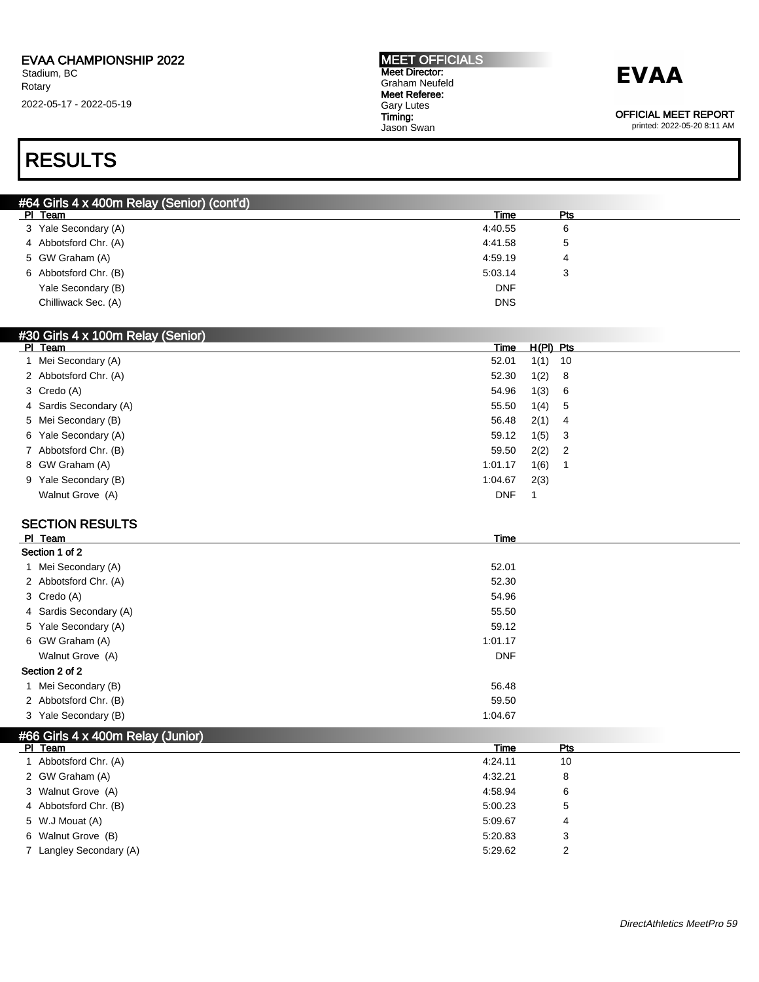## **EVAA**

OFFICIAL MEET REPORT

printed: 2022-05-20 8:11 AM

### RESULTS

| #64 Girls 4 x 400m Relay (Senior) (cont'd) |            |     |  |
|--------------------------------------------|------------|-----|--|
| PI Team                                    | Time       | Pts |  |
| 3 Yale Secondary (A)                       | 4:40.55    | 6   |  |
| 4 Abbotsford Chr. (A)                      | 4:41.58    | ა   |  |
| 5 GW Graham (A)                            | 4:59.19    | 4   |  |
| 6 Abbotsford Chr. (B)                      | 5:03.14    | 3   |  |
| Yale Secondary (B)                         | <b>DNF</b> |     |  |
| Chilliwack Sec. (A)                        | <b>DNS</b> |     |  |

#### #30 Girls 4 x 100m Relay (Senior)

| PI Team                | Time       | H(PI) Pts |                            |
|------------------------|------------|-----------|----------------------------|
| 1 Mei Secondary (A)    | 52.01      | 1(1)      | 10                         |
| 2 Abbotsford Chr. (A)  | 52.30      | 1(2)      | - 8                        |
| 3 Credo (A)            | 54.96      | 1(3)      | 6                          |
| 4 Sardis Secondary (A) | 55.50      | 1(4)      | - 5                        |
| 5 Mei Secondary (B)    | 56.48      | 2(1)      | - 4                        |
| 6 Yale Secondary (A)   | 59.12      | 1(5)      | - 3                        |
| 7 Abbotsford Chr. (B)  | 59.50      | 2(2)      | $\overline{\phantom{0}}^2$ |
| 8 GW Graham (A)        | 1:01.17    | 1(6)      |                            |
| 9 Yale Secondary (B)   | 1:04.67    | 2(3)      |                            |
| Walnut Grove (A)       | <b>DNF</b> |           |                            |
|                        |            |           |                            |

#### SECTION RESULTS

| PI Team                | Time       |  |
|------------------------|------------|--|
| Section 1 of 2         |            |  |
| 1 Mei Secondary (A)    | 52.01      |  |
| 2 Abbotsford Chr. (A)  | 52.30      |  |
| 3 Credo (A)            | 54.96      |  |
| 4 Sardis Secondary (A) | 55.50      |  |
| 5 Yale Secondary (A)   | 59.12      |  |
| 6 GW Graham (A)        | 1:01.17    |  |
| Walnut Grove (A)       | <b>DNF</b> |  |
| Section 2 of 2         |            |  |
| 1 Mei Secondary (B)    | 56.48      |  |
| 2 Abbotsford Chr. (B)  | 59.50      |  |
| 3 Yale Secondary (B)   | 1:04.67    |  |

| Pts<br>Time<br>PI Team<br>1 Abbotsford Chr. (A)<br>10<br>4:24.11<br>2 GW Graham (A)<br>4:32.21<br>8<br>3 Walnut Grove (A)<br>4:58.94<br>6<br>4 Abbotsford Chr. (B)<br>5<br>5:00.23<br>5 W.J Mouat (A)<br>5:09.67<br>4<br>6 Walnut Grove (B)<br>5:20.83<br>3<br>7 Langley Secondary (A)<br>2<br>5:29.62 | #66 Girls 4 x 400m Relay (Junior) |  |  |
|--------------------------------------------------------------------------------------------------------------------------------------------------------------------------------------------------------------------------------------------------------------------------------------------------------|-----------------------------------|--|--|
|                                                                                                                                                                                                                                                                                                        |                                   |  |  |
|                                                                                                                                                                                                                                                                                                        |                                   |  |  |
|                                                                                                                                                                                                                                                                                                        |                                   |  |  |
|                                                                                                                                                                                                                                                                                                        |                                   |  |  |
|                                                                                                                                                                                                                                                                                                        |                                   |  |  |
|                                                                                                                                                                                                                                                                                                        |                                   |  |  |
|                                                                                                                                                                                                                                                                                                        |                                   |  |  |
|                                                                                                                                                                                                                                                                                                        |                                   |  |  |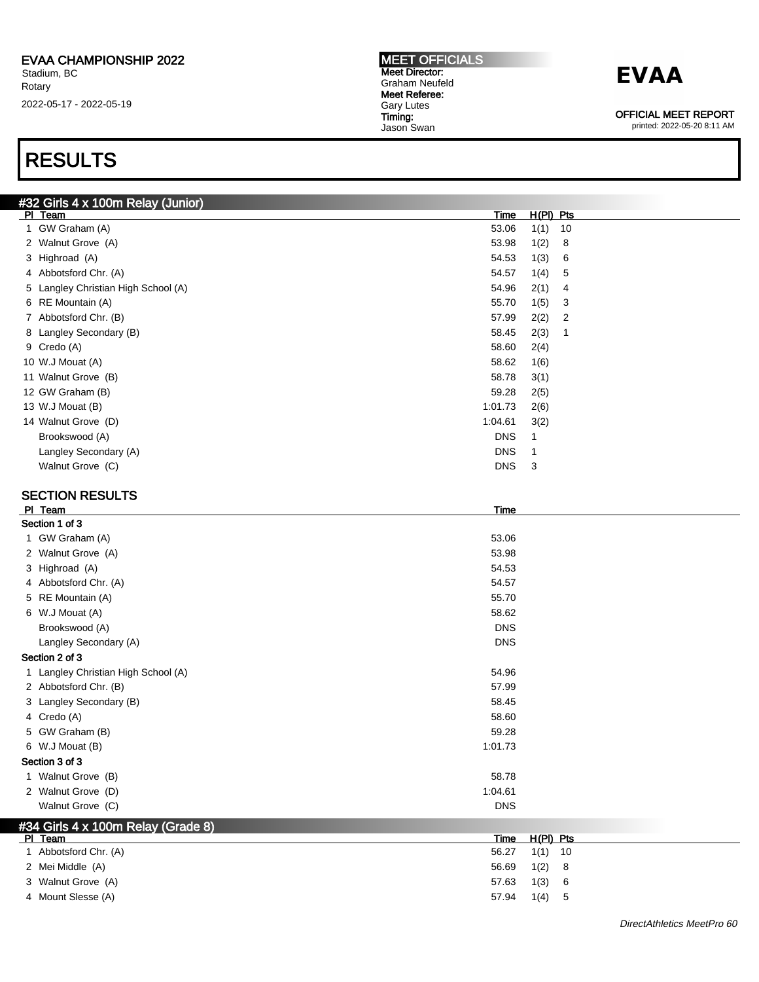#### MEET OFFICIALS Meet Director: Graham Neufeld Meet Referee: Gary Lutes Timing: Jason Swan

## **EVAA**

OFFICIAL MEET REPORT

printed: 2022-05-20 8:11 AM

### RESULTS

| #32 Girls 4 x 100m Relay (Junior)   |            |             |                |
|-------------------------------------|------------|-------------|----------------|
| PI Team                             | Time       | $H(PI)$ Pts |                |
| 1 GW Graham (A)                     | 53.06      | 1(1)        | 10             |
| 2 Walnut Grove (A)                  | 53.98      | 1(2)        | 8              |
| 3 Highroad (A)                      | 54.53      | 1(3)        | 6              |
| 4 Abbotsford Chr. (A)               | 54.57      | 1(4)        | 5              |
| 5 Langley Christian High School (A) | 54.96      | 2(1)        | 4              |
| 6 RE Mountain (A)                   | 55.70      | 1(5)        | 3              |
| 7 Abbotsford Chr. (B)               | 57.99      | 2(2)        | $\overline{2}$ |
| 8 Langley Secondary (B)             | 58.45      | 2(3)        | 1              |
| 9 Credo (A)                         | 58.60      | 2(4)        |                |
| 10 W.J Mouat (A)                    | 58.62      | 1(6)        |                |
| 11 Walnut Grove (B)                 | 58.78      | 3(1)        |                |
| 12 GW Graham (B)                    | 59.28      | 2(5)        |                |
| 13 W.J Mouat (B)                    | 1:01.73    | 2(6)        |                |
| 14 Walnut Grove (D)                 | 1:04.61    | 3(2)        |                |
| Brookswood (A)                      | <b>DNS</b> | 1           |                |
| Langley Secondary (A)               | <b>DNS</b> | -1          |                |
| Walnut Grove (C)                    | <b>DNS</b> | 3           |                |
|                                     |            |             |                |

#### SECTION RESULTS

| PI Team                             | Time       |             |    |  |  |
|-------------------------------------|------------|-------------|----|--|--|
| Section 1 of 3                      |            |             |    |  |  |
| 1 GW Graham (A)                     | 53.06      |             |    |  |  |
| 2 Walnut Grove (A)                  | 53.98      |             |    |  |  |
| 3 Highroad (A)                      | 54.53      |             |    |  |  |
| 4 Abbotsford Chr. (A)               | 54.57      |             |    |  |  |
| 5 RE Mountain (A)                   | 55.70      |             |    |  |  |
| 6 W.J Mouat (A)                     | 58.62      |             |    |  |  |
| Brookswood (A)                      | <b>DNS</b> |             |    |  |  |
| Langley Secondary (A)               | <b>DNS</b> |             |    |  |  |
| Section 2 of 3                      |            |             |    |  |  |
| 1 Langley Christian High School (A) | 54.96      |             |    |  |  |
| 2 Abbotsford Chr. (B)               | 57.99      |             |    |  |  |
| 3 Langley Secondary (B)             | 58.45      |             |    |  |  |
| 4 Credo (A)                         | 58.60      |             |    |  |  |
| 5 GW Graham (B)                     | 59.28      |             |    |  |  |
| 6 W.J Mouat (B)                     | 1:01.73    |             |    |  |  |
| Section 3 of 3                      |            |             |    |  |  |
| 1 Walnut Grove (B)                  | 58.78      |             |    |  |  |
| 2 Walnut Grove (D)                  | 1:04.61    |             |    |  |  |
| Walnut Grove (C)                    | <b>DNS</b> |             |    |  |  |
| #34 Girls 4 x 100m Relay (Grade 8)  |            |             |    |  |  |
| PI Team                             | Time       | $H(PI)$ Pts |    |  |  |
| 1 Abbotsford Chr. (A)               | 56.27      | 1(1)        | 10 |  |  |
| 2 Mei Middle (A)                    | 56.69      | 1(2)        | 8  |  |  |
| 3 Walnut Grove (A)                  | 57.63      | 1(3)        | 6  |  |  |

4 Mount Slesse (A) 57.94 1(4) 5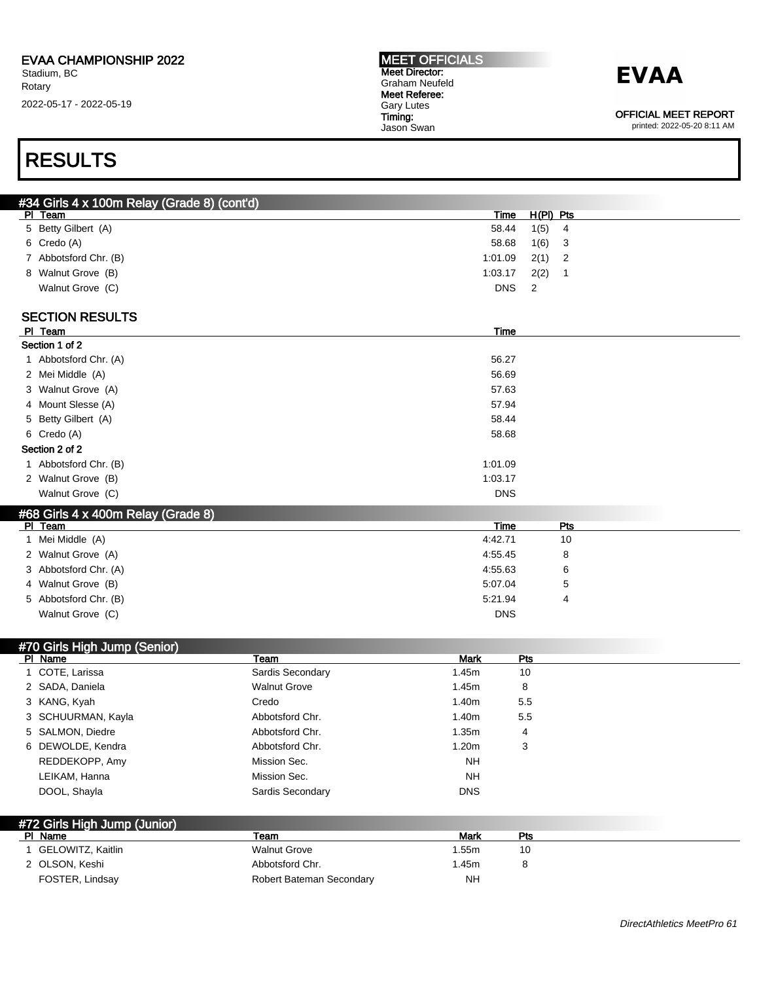OFFICIAL MEET REPORT

#### printed: 2022-05-20 8:11 AM

### RESULTS

| #34 Girls 4 x 100m Relay (Grade 8) (cont'd) |                          |                 |             |                  |
|---------------------------------------------|--------------------------|-----------------|-------------|------------------|
| PI Team                                     |                          | <b>Time</b>     | $H(PI)$ Pts |                  |
| 5 Betty Gilbert (A)                         |                          | 58.44           | 1(5)        | 4                |
| 6 Credo (A)                                 |                          | 58.68           | 1(6)        | 3                |
| 7 Abbotsford Chr. (B)                       |                          | 1:01.09         | 2(1)        | $\overline{2}$   |
| 8 Walnut Grove (B)                          |                          | 1:03.17         | 2(2)        | $\mathbf{1}$     |
| Walnut Grove (C)                            |                          | <b>DNS</b>      | 2           |                  |
|                                             |                          |                 |             |                  |
| <b>SECTION RESULTS</b>                      |                          |                 |             |                  |
| PI Team<br>Section 1 of 2                   |                          | <b>Time</b>     |             |                  |
| 1 Abbotsford Chr. (A)                       |                          | 56.27           |             |                  |
| 2 Mei Middle (A)                            |                          | 56.69           |             |                  |
| 3 Walnut Grove (A)                          |                          | 57.63           |             |                  |
| 4 Mount Slesse (A)                          |                          | 57.94           |             |                  |
| 5 Betty Gilbert (A)                         |                          | 58.44           |             |                  |
| 6 Credo (A)                                 |                          | 58.68           |             |                  |
| Section 2 of 2                              |                          |                 |             |                  |
| 1 Abbotsford Chr. (B)                       |                          | 1:01.09         |             |                  |
|                                             |                          | 1:03.17         |             |                  |
| 2 Walnut Grove (B)                          |                          |                 |             |                  |
| Walnut Grove (C)                            |                          | <b>DNS</b>      |             |                  |
| #68 Girls 4 x 400m Relay (Grade 8)          |                          |                 |             |                  |
| PI Team<br>1 Mei Middle (A)                 |                          | Time<br>4:42.71 |             | <b>Pts</b><br>10 |
| 2 Walnut Grove (A)                          |                          | 4:55.45         |             | 8                |
| 3 Abbotsford Chr. (A)                       |                          | 4:55.63         |             | 6                |
| 4 Walnut Grove (B)                          |                          | 5:07.04         |             | 5                |
| 5 Abbotsford Chr. (B)                       |                          | 5:21.94         |             | 4                |
| Walnut Grove (C)                            |                          | <b>DNS</b>      |             |                  |
|                                             |                          |                 |             |                  |
| #70 Girls High Jump (Senior)                |                          |                 |             |                  |
| PI Name                                     | Team                     | Mark            | <u>Pts</u>  |                  |
| 1 COTE, Larissa                             | Sardis Secondary         | 1.45m           | 10          |                  |
| 2 SADA, Daniela                             | <b>Walnut Grove</b>      | 1.45m           | 8           |                  |
| 3 KANG, Kyah                                | Credo                    | 1.40m           | 5.5         |                  |
| 3 SCHUURMAN, Kayla                          | Abbotsford Chr.          | 1.40m           | 5.5         |                  |
| 5 SALMON, Diedre                            | Abbotsford Chr.          | 1.35m           | 4           |                  |
| 6 DEWOLDE, Kendra                           | Abbotsford Chr.          | 1.20m           | 3           |                  |
| REDDEKOPP, Amy                              | Mission Sec.             | NΗ              |             |                  |
| LEIKAM, Hanna                               | Mission Sec.             | <b>NH</b>       |             |                  |
| DOOL, Shayla                                | Sardis Secondary         | <b>DNS</b>      |             |                  |
|                                             |                          |                 |             |                  |
| #72 Girls High Jump (Junior)                |                          |                 |             |                  |
| PI Name                                     | Team                     | <b>Mark</b>     | Pts         |                  |
| 1 GELOWITZ, Kaitlin                         | <b>Walnut Grove</b>      | 1.55m           | 10          |                  |
| 2 OLSON, Keshi                              | Abbotsford Chr.          | 1.45m           | 8           |                  |
| FOSTER, Lindsay                             | Robert Bateman Secondary | <b>NH</b>       |             |                  |
|                                             |                          |                 |             |                  |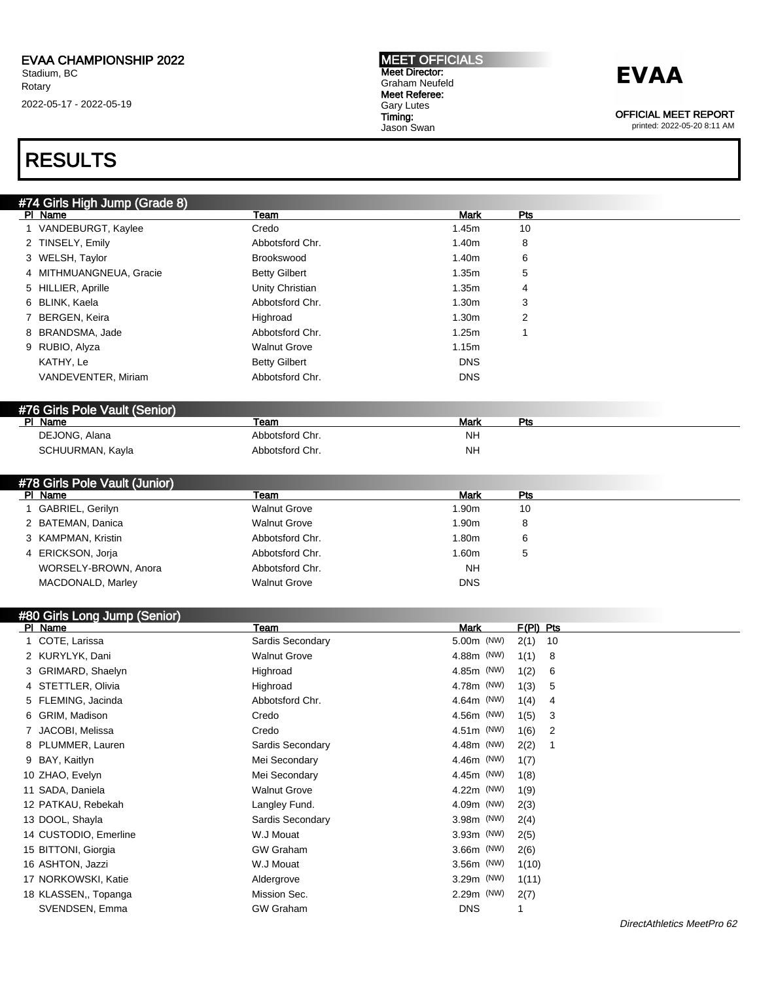### RESULTS

| #74 Girls High Jump (Grade 8) |                      |             |                        |
|-------------------------------|----------------------|-------------|------------------------|
| PI Name                       | <b>Team</b>          | Mark        | <u>Pts</u>             |
| 1 VANDEBURGT, Kaylee          | Credo                | 1.45m       | 10                     |
| 2 TINSELY, Emily              | Abbotsford Chr.      | 1.40m       | 8                      |
| 3 WELSH, Taylor               | Brookswood           | 1.40m       | 6                      |
| 4 MITHMUANGNEUA, Gracie       | <b>Betty Gilbert</b> | 1.35m       | 5                      |
| 5 HILLIER, Aprille            | Unity Christian      | 1.35m       | 4                      |
| 6 BLINK, Kaela                | Abbotsford Chr.      | 1.30m       | 3                      |
| 7 BERGEN, Keira               | Highroad             | 1.30m       | 2                      |
| 8 BRANDSMA, Jade              | Abbotsford Chr.      | 1.25m       | $\mathbf 1$            |
| 9 RUBIO, Alyza                | <b>Walnut Grove</b>  | 1.15m       |                        |
| KATHY, Le                     | <b>Betty Gilbert</b> | <b>DNS</b>  |                        |
| VANDEVENTER, Miriam           | Abbotsford Chr.      | <b>DNS</b>  |                        |
|                               |                      |             |                        |
| #76 Girls Pole Vault (Senior) |                      |             |                        |
| PI Name                       | Team                 | <b>Mark</b> | <b>Pts</b>             |
| DEJONG, Alana                 | Abbotsford Chr.      | <b>NH</b>   |                        |
| SCHUURMAN, Kayla              | Abbotsford Chr.      | <b>NH</b>   |                        |
|                               |                      |             |                        |
| #78 Girls Pole Vault (Junior) |                      |             |                        |
| PI Name                       | Team                 | <b>Mark</b> | Pts                    |
| 1 GABRIEL, Gerilyn            | <b>Walnut Grove</b>  | 1.90m       | 10                     |
| 2 BATEMAN, Danica             | <b>Walnut Grove</b>  | 1.90m       | 8                      |
| 3 KAMPMAN, Kristin            | Abbotsford Chr.      | 1.80m       | 6                      |
| 4 ERICKSON, Jorja             | Abbotsford Chr.      | 1.60m       | 5                      |
| WORSELY-BROWN, Anora          | Abbotsford Chr.      | <b>NH</b>   |                        |
| MACDONALD, Marley             | <b>Walnut Grove</b>  | <b>DNS</b>  |                        |
|                               |                      |             |                        |
| #80 Girls Long Jump (Senior)  |                      |             |                        |
| PI Name                       | Team                 | <b>Mark</b> | $F(PI)$ Pts            |
| 1 COTE, Larissa               | Sardis Secondary     | 5.00m (NW)  | 10<br>2(1)             |
| 2 KURYLYK, Dani               | <b>Walnut Grove</b>  | 4.88m (NW)  | 1(1)<br>8              |
| 3 GRIMARD, Shaelyn            | Highroad             | 4.85m (NW)  | 1(2)<br>6              |
| 4 STETTLER, Olivia            | Highroad             | 4.78m (NW)  | 1(3)<br>5              |
| 5 FLEMING, Jacinda            | Abbotsford Chr.      | 4.64m (NW)  | 1(4)<br>4              |
| 6 GRIM, Madison               | Credo                | 4.56m (NW)  | 1(5)<br>3              |
| 7 JACOBI, Melissa             | Credo                | 4.51m (NW)  | $\overline{2}$<br>1(6) |
| 8 PLUMMER, Lauren             | Sardis Secondary     | 4.48m (NW)  | 2(2)<br>1              |
| 9 BAY, Kaitlyn                | Mei Secondary        | 4.46m (NW)  | 1(7)                   |
| 10 ZHAO, Evelyn               | Mei Secondary        | 4.45m (NW)  | 1(8)                   |
| 11 SADA, Daniela              | <b>Walnut Grove</b>  | 4.22m (NW)  | 1(9)                   |
| 12 PATKAU, Rebekah            | Langley Fund.        | 4.09m (NW)  | 2(3)                   |
| 13 DOOL, Shayla               | Sardis Secondary     | 3.98m (NW)  | 2(4)                   |
| 14 CUSTODIO, Emerline         | W.J Mouat            | 3.93m (NW)  | 2(5)                   |

15 BITTONI, Giorgia **COM Graham** GW Graham 3.66m (NW) 2(6) 16 ASHTON, Jazzi W.J Mouat 3.56m (NW) 1(10) 17 NORKOWSKI, Katie **18 November 2018** Aldergrove 19 Assember 2014 11: 3.29m (NW) 1(11) 18 KLASSEN,, Topanga **Mission Sec.** 2.29m (NW) 2(7) SVENDSEN, Emma GW Graham GW Graham DNS 1

MEET OFFICIALS Meet Director: Graham Neufeld Meet Referee: Gary Lutes Timing:

Jason Swan

## **EVAA**

OFFICIAL MEET REPORT printed: 2022-05-20 8:11 AM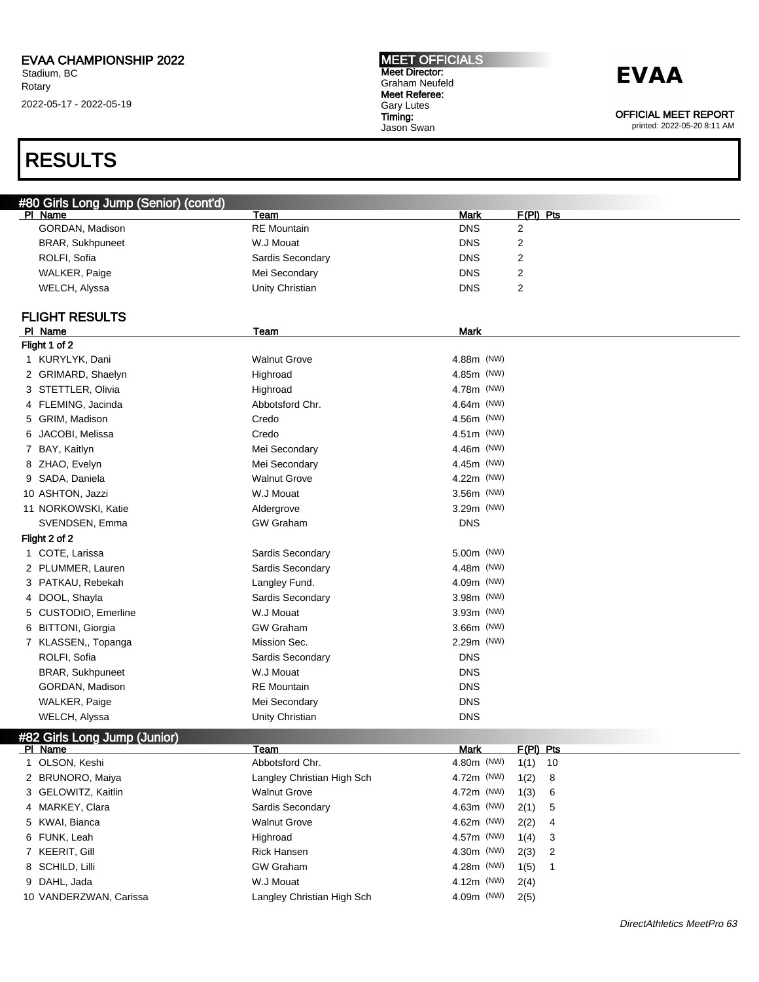## RESULTS

## **EVAA**

OFFICIAL MEET REPORT

| #80 Girls Long Jump (Senior) (cont'd) |                               |                    |                      |  |
|---------------------------------------|-------------------------------|--------------------|----------------------|--|
| PI Name<br>GORDAN, Madison            | Team<br><b>RE</b> Mountain    | <b>Mark</b>        | F(PI) Pts            |  |
|                                       | W.J Mouat                     | <b>DNS</b>         | 2                    |  |
| BRAR, Sukhpuneet                      |                               | <b>DNS</b>         | 2                    |  |
| ROLFI, Sofia                          | Sardis Secondary              | <b>DNS</b>         | 2                    |  |
| WALKER, Paige                         | Mei Secondary                 | <b>DNS</b>         | 2                    |  |
| WELCH, Alyssa                         | Unity Christian               | <b>DNS</b>         | $\overline{2}$       |  |
| <b>FLIGHT RESULTS</b>                 |                               |                    |                      |  |
| PI Name                               | Team                          | <b>Mark</b>        |                      |  |
| Flight 1 of 2                         |                               |                    |                      |  |
| 1 KURYLYK, Dani                       | <b>Walnut Grove</b>           | 4.88m (NW)         |                      |  |
| 2 GRIMARD, Shaelyn                    | Highroad                      | 4.85m (NW)         |                      |  |
| 3 STETTLER, Olivia                    | Highroad                      | 4.78m (NW)         |                      |  |
| FLEMING, Jacinda<br>4                 | Abbotsford Chr.               | 4.64m (NW)         |                      |  |
| GRIM, Madison<br>5                    | Credo                         | 4.56m (NW)         |                      |  |
| JACOBI, Melissa<br>6                  | Credo                         | 4.51m (NW)         |                      |  |
| BAY, Kaitlyn<br>7                     | Mei Secondary                 | 4.46m (NW)         |                      |  |
| ZHAO, Evelyn<br>8                     | Mei Secondary                 | 4.45m (NW)         |                      |  |
| 9 SADA, Daniela                       | <b>Walnut Grove</b>           | 4.22m (NW)         |                      |  |
| 10 ASHTON, Jazzi                      | W.J Mouat                     | 3.56m (NW)         |                      |  |
| 11 NORKOWSKI, Katie                   | Aldergrove                    | 3.29m (NW)         |                      |  |
| SVENDSEN, Emma                        | <b>GW Graham</b>              | <b>DNS</b>         |                      |  |
| Flight 2 of 2                         |                               |                    |                      |  |
| 1 COTE, Larissa                       | Sardis Secondary              | 5.00m (NW)         |                      |  |
| 2 PLUMMER, Lauren                     | Sardis Secondary              | 4.48m (NW)         |                      |  |
| PATKAU, Rebekah<br>3                  | Langley Fund.                 | 4.09m (NW)         |                      |  |
| DOOL, Shayla<br>4                     | Sardis Secondary              | 3.98m (NW)         |                      |  |
| CUSTODIO, Emerline<br>5               | W.J Mouat                     | 3.93m (NW)         |                      |  |
|                                       | <b>GW Graham</b>              | 3.66m (NW)         |                      |  |
| <b>BITTONI, Giorgia</b><br>6          | Mission Sec.                  | 2.29m (NW)         |                      |  |
| 7 KLASSEN,, Topanga                   |                               | <b>DNS</b>         |                      |  |
| ROLFI, Sofia                          | Sardis Secondary<br>W.J Mouat | <b>DNS</b>         |                      |  |
| BRAR, Sukhpuneet                      |                               |                    |                      |  |
| GORDAN, Madison                       | <b>RE</b> Mountain            | <b>DNS</b>         |                      |  |
| WALKER, Paige                         | Mei Secondary                 | <b>DNS</b>         |                      |  |
| WELCH, Alyssa                         | Unity Christian               | <b>DNS</b>         |                      |  |
| #82 Girls Long Jump (Junior)          |                               |                    |                      |  |
| PI Name<br>1 OLSON, Keshi             | Team<br>Abbotsford Chr.       | Mark<br>4.80m (NW) | F(PI) Pts            |  |
| 2 BRUNORO, Maiya                      | Langley Christian High Sch    | 4.72m (NW)         | $1(1)$ 10            |  |
|                                       |                               |                    | 1(2)<br>8            |  |
| 3 GELOWITZ, Kaitlin                   | <b>Walnut Grove</b>           | 4.72m (NW)         | 1(3)<br>6            |  |
| 4 MARKEY, Clara                       | Sardis Secondary              | 4.63m (NW)         | 2(1)<br>5            |  |
| 5 KWAI, Bianca                        | <b>Walnut Grove</b>           | 4.62m (NW)         | 2(2)<br>4            |  |
| 6 FUNK, Leah                          | Highroad                      | 4.57m (NW)         | 1(4)<br>3            |  |
| 7 KEERIT, Gill                        | Rick Hansen                   | 4.30m (NW)         | 2<br>2(3)            |  |
| 8 SCHILD, Lilli                       | <b>GW Graham</b>              | 4.28m (NW)         | 1(5)<br>$\mathbf{1}$ |  |
| 9 DAHL, Jada                          | W.J Mouat                     | 4.12m (NW)         | 2(4)                 |  |
| 10 VANDERZWAN, Carissa                | Langley Christian High Sch    | 4.09m (NW)         | 2(5)                 |  |
|                                       |                               |                    |                      |  |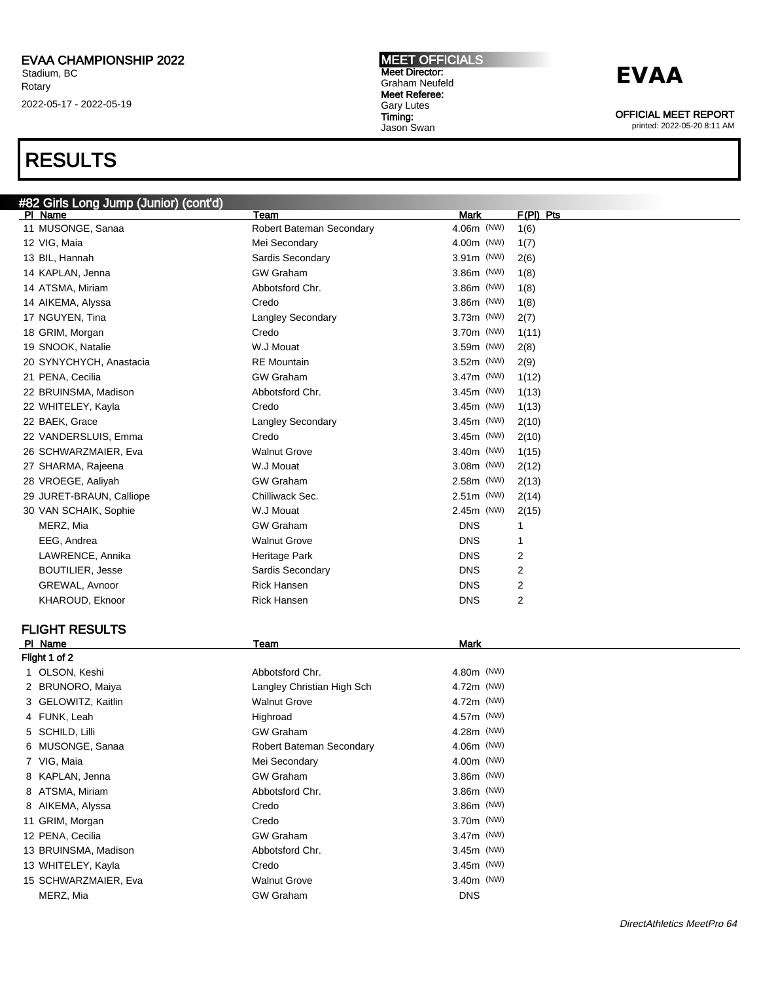### RESULTS

#### MEET OFFICIALS Meet Director: Graham Neufeld Meet Referee: Gary Lutes Timing: Jason Swan

### **EVAA**

OFFICIAL MEET REPORT

printed: 2022-05-20 8:11 AM

| #82 Girls Long Jump (Junior) (cont'd) |                            |              |             |
|---------------------------------------|----------------------------|--------------|-------------|
| PI Name                               | Team                       | Mark         | $F(PI)$ Pts |
| 11 MUSONGE, Sanaa                     | Robert Bateman Secondary   | 4.06m (NW)   | 1(6)        |
| 12 VIG, Maia                          | Mei Secondary              | 4.00m (NW)   | 1(7)        |
| 13 BIL, Hannah                        | Sardis Secondary           | $3.91m$ (NW) | 2(6)        |
| 14 KAPLAN, Jenna                      | <b>GW Graham</b>           | 3.86m (NW)   | 1(8)        |
| 14 ATSMA, Miriam                      | Abbotsford Chr.            | 3.86m (NW)   | 1(8)        |
| 14 AIKEMA, Alyssa                     | Credo                      | 3.86m (NW)   | 1(8)        |
| 17 NGUYEN, Tina                       | Langley Secondary          | $3.73m$ (NW) | 2(7)        |
| 18 GRIM, Morgan                       | Credo                      | 3.70m (NW)   | 1(11)       |
| 19 SNOOK, Natalie                     | W.J Mouat                  | 3.59m (NW)   | 2(8)        |
| 20 SYNYCHYCH, Anastacia               | <b>RE</b> Mountain         | 3.52m (NW)   | 2(9)        |
| 21 PENA, Cecilia                      | <b>GW Graham</b>           | $3.47m$ (NW) | 1(12)       |
| 22 BRUINSMA, Madison                  | Abbotsford Chr.            | $3.45m$ (NW) | 1(13)       |
| 22 WHITELEY, Kayla                    | Credo                      | $3.45m$ (NW) | 1(13)       |
| 22 BAEK, Grace                        | Langley Secondary          | $3.45m$ (NW) | 2(10)       |
| 22 VANDERSLUIS, Emma                  | Credo                      | $3.45m$ (NW) | 2(10)       |
| 26 SCHWARZMAIER, Eva                  | <b>Walnut Grove</b>        | 3.40m (NW)   | 1(15)       |
| 27 SHARMA, Rajeena                    | W.J Mouat                  | $3.08m$ (NW) | 2(12)       |
| 28 VROEGE, Aaliyah                    | <b>GW Graham</b>           | 2.58m (NW)   | 2(13)       |
| 29 JURET-BRAUN, Calliope              | Chilliwack Sec.            | $2.51m$ (NW) | 2(14)       |
| 30 VAN SCHAIK, Sophie                 | W.J Mouat                  | 2.45m (NW)   | 2(15)       |
| MERZ, Mia                             | <b>GW Graham</b>           | <b>DNS</b>   | 1           |
| EEG, Andrea                           | <b>Walnut Grove</b>        | <b>DNS</b>   | 1           |
| LAWRENCE, Annika                      | Heritage Park              | <b>DNS</b>   | 2           |
| <b>BOUTILIER, Jesse</b>               | Sardis Secondary           | <b>DNS</b>   | 2           |
| GREWAL, Avnoor                        | <b>Rick Hansen</b>         | <b>DNS</b>   | 2           |
| KHAROUD, Eknoor                       | <b>Rick Hansen</b>         | <b>DNS</b>   | 2           |
|                                       |                            |              |             |
| <b>FLIGHT RESULTS</b>                 |                            |              |             |
| PI Name                               | Team                       | <b>Mark</b>  |             |
| Flight 1 of 2                         |                            |              |             |
| 1 OLSON, Keshi                        | Abbotsford Chr.            | 4.80m (NW)   |             |
| 2 BRUNORO, Maiya                      | Langley Christian High Sch | 4.72m (NW)   |             |
| 3 GELOWITZ, Kaitlin                   | <b>Walnut Grove</b>        | 4.72m (NW)   |             |
| 4 FUNK, Leah                          | Highroad                   | 4.57m (NW)   |             |
| 5 SCHILD, Lilli                       | <b>GW Graham</b>           | 4.28m (NW)   |             |
| 6 MUSONGE, Sanaa                      | Robert Bateman Secondary   | 4.06m (NW)   |             |
| 7 VIG, Maia                           | Mei Secondary              | 4.00m (NW)   |             |
| 8 KAPLAN, Jenna                       | <b>GW Graham</b>           | 3.86m (NW)   |             |
| 8 ATSMA, Miriam                       | Abbotsford Chr.            | 3.86m (NW)   |             |
| 8 AIKEMA, Alyssa                      | Credo                      | 3.86m (NW)   |             |
| 11 GRIM, Morgan                       | Credo                      | 3.70m (NW)   |             |
| 12 PENA, Cecilia                      | <b>GW Graham</b>           | 3.47m (NW)   |             |
| 13 BRUINSMA, Madison                  | Abbotsford Chr.            | 3.45m (NW)   |             |
| 13 WHITELEY, Kayla                    | Credo                      | 3.45m (NW)   |             |
| 15 SCHWARZMAIER, Eva                  | <b>Walnut Grove</b>        | 3.40m (NW)   |             |

MERZ, Mia **DISCONSING CONTRACT CONTRACT CONTRACT CONTRACT CONTRACT CONTRACT CONTRACT CONTRACT CONTRACT CONTRACT CONTRACT CONTRACT CONTRACT CONTRACT CONTRACT CONTRACT CONTRACT CONTRACT CONTRACT CONTRACT CONTRACT CONTRACT CO**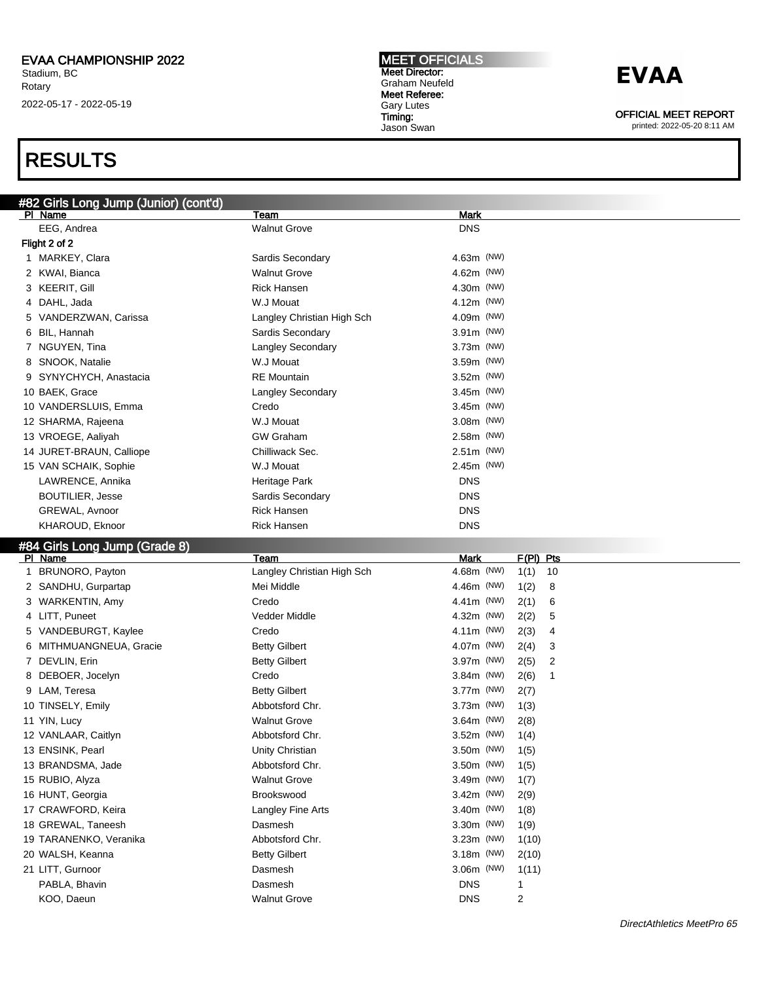## RESULTS

| #82 Girls Long Jump (Junior) (cont'd) |                                |                                               |  |  |  |
|---------------------------------------|--------------------------------|-----------------------------------------------|--|--|--|
| PI Name                               | Team                           | <b>Mark</b>                                   |  |  |  |
| EEG, Andrea                           | <b>Walnut Grove</b>            | <b>DNS</b>                                    |  |  |  |
| Flight 2 of 2                         |                                |                                               |  |  |  |
| 1 MARKEY, Clara                       | Sardis Secondary               | $4.63m$ (NW)                                  |  |  |  |
| 2 KWAI, Bianca                        | <b>Walnut Grove</b>            | 4.62m (NW)                                    |  |  |  |
| 3 KEERIT, Gill                        | <b>Rick Hansen</b>             | 4.30m (NW)                                    |  |  |  |
| 4 DAHL, Jada                          | W.J Mouat                      | 4.12m (NW)                                    |  |  |  |
| 5 VANDERZWAN, Carissa                 | Langley Christian High Sch     | 4.09m (NW)                                    |  |  |  |
| BIL, Hannah<br>6                      | Sardis Secondary               | $3.91m$ (NW)                                  |  |  |  |
| 7 NGUYEN, Tina                        | Langley Secondary              | $3.73m$ (NW)                                  |  |  |  |
| 8 SNOOK, Natalie                      | W.J Mouat                      | 3.59m (NW)                                    |  |  |  |
| 9 SYNYCHYCH, Anastacia                | <b>RE</b> Mountain             | $3.52m$ (NW)                                  |  |  |  |
| 10 BAEK, Grace                        | Langley Secondary              | $3.45m$ (NW)                                  |  |  |  |
| 10 VANDERSLUIS, Emma                  | Credo                          | $3.45m$ (NW)                                  |  |  |  |
| 12 SHARMA, Rajeena                    | W.J Mouat                      | $3.08m$ (NW)                                  |  |  |  |
|                                       | <b>GW Graham</b>               |                                               |  |  |  |
| 13 VROEGE, Aaliyah                    |                                | 2.58m (NW)                                    |  |  |  |
| 14 JURET-BRAUN, Calliope              | Chilliwack Sec.                | $2.51m$ (NW)                                  |  |  |  |
| 15 VAN SCHAIK, Sophie                 | W.J Mouat                      | 2.45m (NW)                                    |  |  |  |
| LAWRENCE, Annika                      | Heritage Park                  | <b>DNS</b>                                    |  |  |  |
| <b>BOUTILIER, Jesse</b>               | Sardis Secondary               | <b>DNS</b>                                    |  |  |  |
| GREWAL, Avnoor                        | <b>Rick Hansen</b>             | <b>DNS</b>                                    |  |  |  |
| KHAROUD, Eknoor                       | <b>Rick Hansen</b>             | <b>DNS</b>                                    |  |  |  |
| #84 Girls Long Jump (Grade 8)         |                                |                                               |  |  |  |
|                                       |                                |                                               |  |  |  |
| PI Name                               | Team                           | <b>Mark</b><br>$F(PI)$ Pts                    |  |  |  |
| 1 BRUNORO, Payton                     | Langley Christian High Sch     | 4.68m (NW)<br>10<br>1(1)                      |  |  |  |
| 2 SANDHU, Gurpartap                   | Mei Middle                     | 4.46m (NW)<br>1(2)<br>8                       |  |  |  |
| 3 WARKENTIN, Amy                      | Credo                          | 4.41 $m$ (NW)<br>2(1)<br>6                    |  |  |  |
| 4 LITT, Puneet                        | Vedder Middle                  | 4.32m (NW)<br>2(2)<br>5                       |  |  |  |
| VANDEBURGT, Kaylee<br>5               | Credo                          | 4.11 $m$ (NW)<br>2(3)<br>4                    |  |  |  |
| MITHMUANGNEUA, Gracie<br>6            | <b>Betty Gilbert</b>           | 4.07m (NW)<br>2(4)<br>3                       |  |  |  |
| 7 DEVLIN, Erin                        | <b>Betty Gilbert</b>           | 3.97m (NW)<br>2(5)<br>2                       |  |  |  |
| 8 DEBOER, Jocelyn                     | Credo                          | $3.84m$ (NW)<br>1                             |  |  |  |
| 9 LAM, Teresa                         | <b>Betty Gilbert</b>           | 2(6)<br>3.77m (NW)                            |  |  |  |
| 10 TINSELY, Emily                     | Abbotsford Chr.                | 2(7)<br>$3.73m$ (NW)                          |  |  |  |
|                                       | <b>Walnut Grove</b>            | 1(3)<br>$3.64m$ (NW)                          |  |  |  |
| 11 YIN, Lucy                          | Abbotsford Chr.                | 2(8)<br>3.52m (NW)                            |  |  |  |
| 12 VANLAAR, Caitlyn                   |                                | 1(4)                                          |  |  |  |
| 13 ENSINK, Pearl                      | Unity Christian                | 3.50m (NW)<br>1(5)                            |  |  |  |
| 13 BRANDSMA, Jade                     | Abbotsford Chr.                | 3.50m (NW)<br>1(5)                            |  |  |  |
| 15 RUBIO, Alyza                       | <b>Walnut Grove</b>            | 3.49m (NW)<br>1(7)                            |  |  |  |
| 16 HUNT, Georgia                      | <b>Brookswood</b>              | 3.42m (NW)<br>2(9)                            |  |  |  |
| 17 CRAWFORD, Keira                    | Langley Fine Arts              | 3.40m (NW)<br>1(8)                            |  |  |  |
| 18 GREWAL, Taneesh                    | Dasmesh                        | 3.30m (NW)<br>1(9)                            |  |  |  |
| 19 TARANENKO, Veranika                | Abbotsford Chr.                | 3.23m (NW)<br>1(10)                           |  |  |  |
| 20 WALSH, Keanna                      | <b>Betty Gilbert</b>           | 3.18m (NW)<br>2(10)                           |  |  |  |
| 21 LITT, Gurnoor                      | Dasmesh                        | 3.06m (NW)<br>1(11)                           |  |  |  |
| PABLA, Bhavin<br>KOO, Daeun           | Dasmesh<br><b>Walnut Grove</b> | <b>DNS</b><br>$\mathbf{1}$<br>2<br><b>DNS</b> |  |  |  |

MEET OFFICIALS Meet Director: Graham Neufeld Meet Referee: Gary Lutes Timing: Jason Swan

## **EVAA**

OFFICIAL MEET REPORT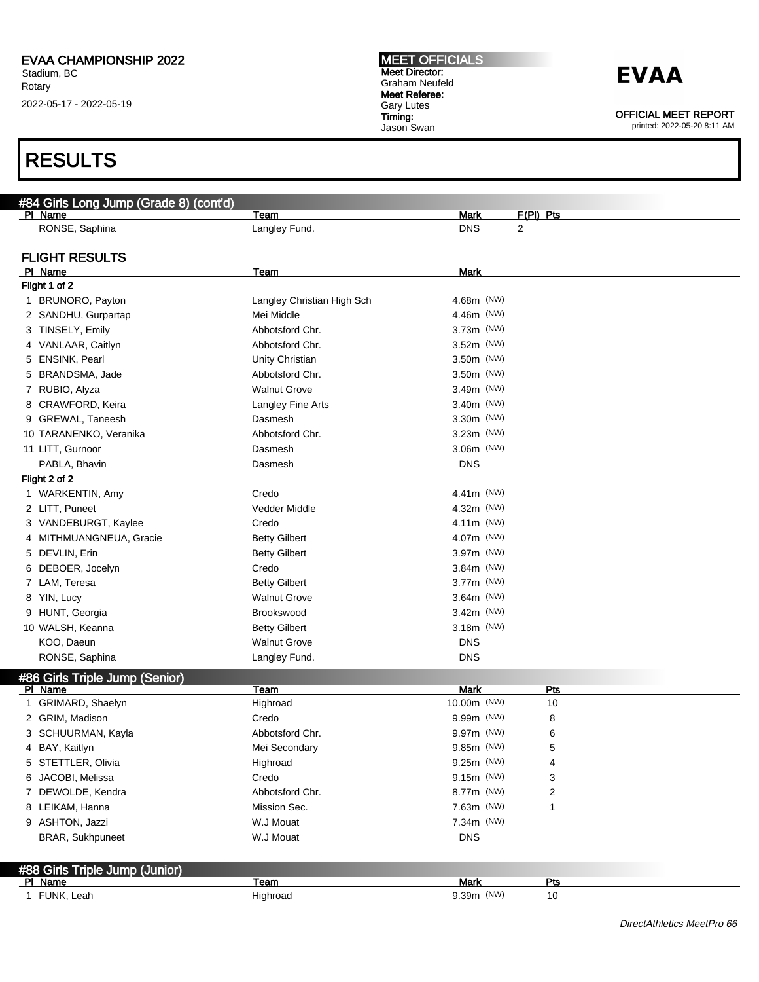### RESULTS

| #84 Girls Long Jump (Grade 8) (cont'd)    |                            |              |             |  |
|-------------------------------------------|----------------------------|--------------|-------------|--|
| PI Name                                   | Team                       | Mark         | $F(PI)$ Pts |  |
| RONSE, Saphina                            | Langley Fund.              | <b>DNS</b>   | 2           |  |
|                                           |                            |              |             |  |
| <b>FLIGHT RESULTS</b>                     |                            |              |             |  |
| PI Name                                   | Team                       | Mark         |             |  |
| Flight 1 of 2                             |                            |              |             |  |
| 1 BRUNORO, Payton                         | Langley Christian High Sch | 4.68m (NW)   |             |  |
| 2 SANDHU, Gurpartap                       | Mei Middle                 | 4.46m (NW)   |             |  |
| 3 TINSELY, Emily                          | Abbotsford Chr.            | $3.73m$ (NW) |             |  |
| 4 VANLAAR, Caitlyn                        | Abbotsford Chr.            | $3.52m$ (NW) |             |  |
| 5 ENSINK, Pearl                           | Unity Christian            | 3.50m (NW)   |             |  |
| 5 BRANDSMA, Jade                          | Abbotsford Chr.            | 3.50m (NW)   |             |  |
| 7 RUBIO, Alyza                            | <b>Walnut Grove</b>        | $3.49m$ (NW) |             |  |
| 8 CRAWFORD, Keira                         | Langley Fine Arts          | $3.40m$ (NW) |             |  |
| 9 GREWAL, Taneesh                         | Dasmesh                    | $3.30m$ (NW) |             |  |
| 10 TARANENKO, Veranika                    | Abbotsford Chr.            | 3.23m (NW)   |             |  |
| 11 LITT, Gurnoor                          | Dasmesh                    | 3.06m (NW)   |             |  |
| PABLA, Bhavin                             | Dasmesh                    | <b>DNS</b>   |             |  |
| Flight 2 of 2                             |                            |              |             |  |
| 1 WARKENTIN, Amy                          | Credo                      | 4.41m (NW)   |             |  |
| 2 LITT, Puneet                            | Vedder Middle              | 4.32m (NW)   |             |  |
| 3 VANDEBURGT, Kaylee                      | Credo                      | 4.11m (NW)   |             |  |
| 4 MITHMUANGNEUA, Gracie                   | <b>Betty Gilbert</b>       | 4.07m (NW)   |             |  |
| 5 DEVLIN, Erin                            | <b>Betty Gilbert</b>       | 3.97m (NW)   |             |  |
| 6 DEBOER, Jocelyn                         | Credo                      | $3.84m$ (NW) |             |  |
| 7 LAM, Teresa                             | <b>Betty Gilbert</b>       | 3.77m (NW)   |             |  |
| 8 YIN, Lucy                               | <b>Walnut Grove</b>        | $3.64m$ (NW) |             |  |
| 9 HUNT, Georgia                           | Brookswood                 | 3.42m (NW)   |             |  |
| 10 WALSH, Keanna                          | <b>Betty Gilbert</b>       | $3.18m$ (NW) |             |  |
| KOO, Daeun                                | <b>Walnut Grove</b>        | <b>DNS</b>   |             |  |
| RONSE, Saphina                            | Langley Fund.              | <b>DNS</b>   |             |  |
| #86 Girls Triple Jump (Senior)            |                            |              |             |  |
| PI Name                                   | Team                       | <b>Mark</b>  | <b>Pts</b>  |  |
| 1 GRIMARD, Shaelyn                        | Highroad                   | 10.00m (NW)  | 10          |  |
| 2 GRIM, Madison                           | Credo                      | 9.99m (NW)   | 8           |  |
| 3 SCHUURMAN, Kayla                        | Abbotsford Chr.            | 9.97m (NW)   | 6           |  |
| 4 BAY, Kaitlyn                            | Mei Secondary              | 9.85m (NW)   | 5           |  |
| 5 STETTLER, Olivia                        | Highroad                   | 9.25m (NW)   | 4           |  |
| 6 JACOBI, Melissa                         | Credo                      | 9.15m (NW)   | 3           |  |
| 7 DEWOLDE, Kendra                         | Abbotsford Chr.            | 8.77m (NW)   | 2           |  |
| 8 LEIKAM, Hanna                           | Mission Sec.               | 7.63m (NW)   | 1           |  |
| 9 ASHTON, Jazzi                           | W.J Mouat                  | 7.34m (NW)   |             |  |
| <b>BRAR, Sukhpuneet</b>                   | W.J Mouat                  | <b>DNS</b>   |             |  |
|                                           |                            |              |             |  |
|                                           |                            |              |             |  |
| #88 Girls Triple Jump (Junior)<br>PI Name | Team                       | Mark         | Pts         |  |
| 1 FUNK, Leah                              | Highroad                   | 9.39m (NW)   | 10          |  |
|                                           |                            |              |             |  |

MEET OFFICIALS Meet Director: Graham Neufeld Meet Referee: Gary Lutes Timing: Jason Swan

OFFICIAL MEET REPORT

printed: 2022-05-20 8:11 AM

DirectAthletics MeetPro 66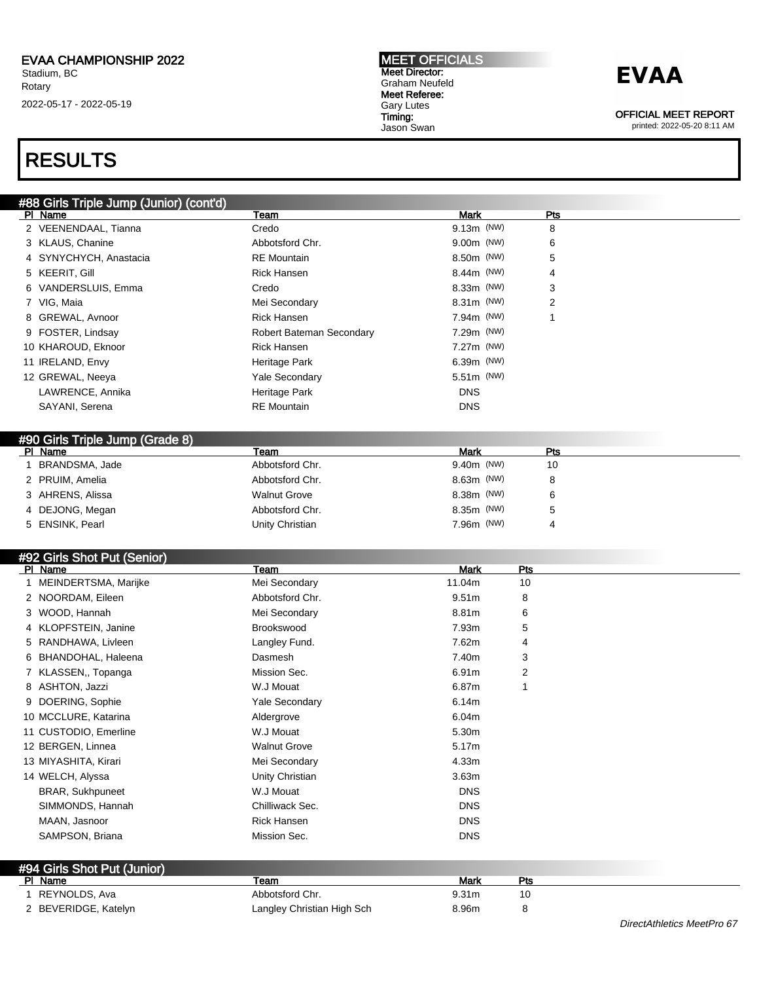#### MEET OFFICIALS Meet Director: Graham Neufeld Meet Referee: Gary Lutes Timing: Jason Swan

## **EVAA**

OFFICIAL MEET REPORT

printed: 2022-05-20 8:11 AM

DirectAthletics MeetPro 67

### RESULTS

| #88 Girls Triple Jump (Junior) (cont'd)<br>PI Name | Team                     | Mark         | Pts |
|----------------------------------------------------|--------------------------|--------------|-----|
| 2 VEENENDAAL, Tianna                               | Credo                    | $9.13m$ (NW) | 8   |
| 3 KLAUS, Chanine                                   | Abbotsford Chr.          | 9.00m (NW)   | 6   |
| 4 SYNYCHYCH, Anastacia                             | <b>RE</b> Mountain       | 8.50m (NW)   | 5   |
| 5 KEERIT, Gill                                     | <b>Rick Hansen</b>       | $8.44m$ (NW) | 4   |
| 6 VANDERSLUIS, Emma                                | Credo                    | 8.33m (NW)   | 3   |
| 7 VIG, Maia                                        | Mei Secondary            | 8.31m (NW)   | 2   |
| 8 GREWAL, Avnoor                                   | <b>Rick Hansen</b>       | 7.94m (NW)   |     |
| 9 FOSTER, Lindsay                                  | Robert Bateman Secondary | 7.29m (NW)   |     |
| 10 KHAROUD, Eknoor                                 | Rick Hansen              | 7.27m (NW)   |     |
| 11 IRELAND, Envy                                   | Heritage Park            | $6.39m$ (NW) |     |
| 12 GREWAL, Neeya                                   | <b>Yale Secondary</b>    | 5.51m (NW)   |     |
| LAWRENCE, Annika                                   | Heritage Park            | <b>DNS</b>   |     |
| SAYANI, Serena                                     | <b>RE</b> Mountain       | <b>DNS</b>   |     |

| $1.00$ Child Thip Camp (Class C) |                     |                        |     |
|----------------------------------|---------------------|------------------------|-----|
| PI Name                          | Team                | Mark                   | Pts |
| BRANDSMA, Jade                   | Abbotsford Chr.     | 9.40 <sub>m</sub> (NW) | 10  |
| 2 PRUIM, Amelia                  | Abbotsford Chr.     | 8.63m (NW)             |     |
| 3 AHRENS, Alissa                 | <b>Walnut Grove</b> | 8.38m (NW)             |     |
| 4 DEJONG, Megan                  | Abbotsford Chr.     | 8.35m (NW)             |     |
| 5 ENSINK, Pearl                  | Unity Christian     | 7.96m (NW)             |     |
|                                  |                     |                        |     |

### #92 Girls Shot Put (Senior)

| PI Name                 | Team                  | <b>Mark</b>       | Pts |  |
|-------------------------|-----------------------|-------------------|-----|--|
| MEINDERTSMA, Marijke    | Mei Secondary         | 11.04m            | 10  |  |
| 2 NOORDAM, Eileen       | Abbotsford Chr.       | 9.51 <sub>m</sub> | 8   |  |
| 3 WOOD, Hannah          | Mei Secondary         | 8.81m             | 6   |  |
| 4 KLOPFSTEIN, Janine    | Brookswood            | 7.93m             | 5   |  |
| RANDHAWA, Livleen<br>5  | Langley Fund.         | 7.62m             | 4   |  |
| BHANDOHAL, Haleena<br>6 | Dasmesh               | 7.40m             | 3   |  |
| KLASSEN, Topanga        | Mission Sec.          | 6.91m             | 2   |  |
| 8 ASHTON, Jazzi         | W.J Mouat             | 6.87m             | 1   |  |
| DOERING, Sophie<br>9    | <b>Yale Secondary</b> | 6.14m             |     |  |
| 10 MCCLURE, Katarina    | Aldergrove            | 6.04m             |     |  |
| 11 CUSTODIO, Emerline   | W.J Mouat             | 5.30m             |     |  |
| 12 BERGEN, Linnea       | <b>Walnut Grove</b>   | 5.17m             |     |  |
| 13 MIYASHITA, Kirari    | Mei Secondary         | 4.33m             |     |  |
| 14 WELCH, Alyssa        | Unity Christian       | 3.63m             |     |  |
| <b>BRAR, Sukhpuneet</b> | W.J Mouat             | <b>DNS</b>        |     |  |
| SIMMONDS, Hannah        | Chilliwack Sec.       | <b>DNS</b>        |     |  |
| MAAN, Jasnoor           | <b>Rick Hansen</b>    | <b>DNS</b>        |     |  |
| SAMPSON, Briana         | Mission Sec.          | <b>DNS</b>        |     |  |

| PI Name              | ⊺eam                       | Mark              | Dto |  |
|----------------------|----------------------------|-------------------|-----|--|
| REYNOLDS, Ava        | Abbotsford Chr.            | 9.31 <sub>m</sub> | 10  |  |
| 2 BEVERIDGE, Katelyn | Langley Christian High Sch | 8.96m             |     |  |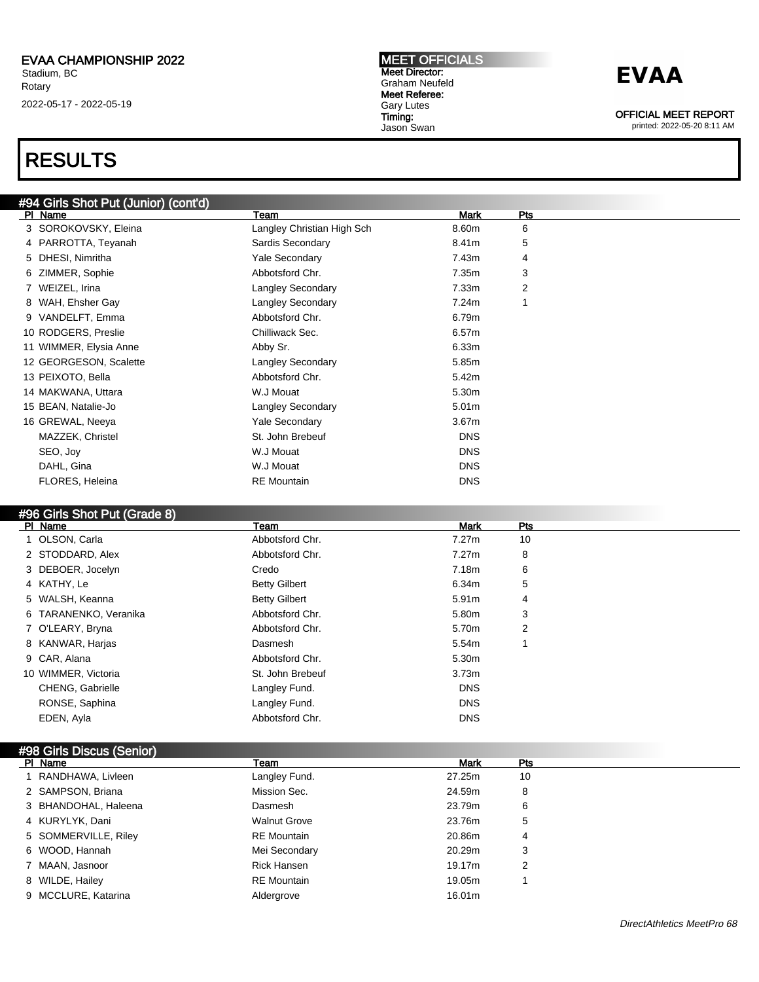### RESULTS

### #94 Girls Shot Put (Junior) (cont'd)

| PI Name                | Team                       | Mark              | Pts            |
|------------------------|----------------------------|-------------------|----------------|
| 3 SOROKOVSKY, Eleina   | Langley Christian High Sch | 8.60m             | 6              |
| 4 PARROTTA, Teyanah    | Sardis Secondary           | 8.41m             | 5              |
| 5 DHESI, Nimritha      | <b>Yale Secondary</b>      | 7.43m             | 4              |
| 6 ZIMMER, Sophie       | Abbotsford Chr.            | 7.35m             | 3              |
| 7 WEIZEL, Irina        | <b>Langley Secondary</b>   | 7.33m             | $\overline{2}$ |
| 8 WAH, Ehsher Gay      | <b>Langley Secondary</b>   | 7.24m             |                |
| 9 VANDELFT, Emma       | Abbotsford Chr.            | 6.79m             |                |
| 10 RODGERS, Preslie    | Chilliwack Sec.            | 6.57m             |                |
| 11 WIMMER, Elysia Anne | Abby Sr.                   | 6.33m             |                |
| 12 GEORGESON, Scalette | <b>Langley Secondary</b>   | 5.85m             |                |
| 13 PEIXOTO, Bella      | Abbotsford Chr.            | 5.42m             |                |
| 14 MAKWANA, Uttara     | W.J Mouat                  | 5.30m             |                |
| 15 BEAN, Natalie-Jo    | <b>Langley Secondary</b>   | 5.01m             |                |
| 16 GREWAL, Neeya       | <b>Yale Secondary</b>      | 3.67 <sub>m</sub> |                |
| MAZZEK, Christel       | St. John Brebeuf           | <b>DNS</b>        |                |
| SEO, Joy               | W.J Mouat                  | <b>DNS</b>        |                |
| DAHL, Gina             | W.J Mouat                  | <b>DNS</b>        |                |
| FLORES, Heleina        | <b>RE</b> Mountain         | <b>DNS</b>        |                |
|                        |                            |                   |                |

### #96 Girls Shot Put (Grade 8)

| PI Name               | Team                 | <b>Mark</b> | Pts |  |
|-----------------------|----------------------|-------------|-----|--|
| 1 OLSON, Carla        | Abbotsford Chr.      | 7.27m       | 10  |  |
| 2 STODDARD, Alex      | Abbotsford Chr.      | 7.27m       | 8   |  |
| 3 DEBOER, Jocelyn     | Credo                | 7.18m       | 6   |  |
| 4 KATHY, Le           | <b>Betty Gilbert</b> | 6.34m       | 5   |  |
| 5 WALSH, Keanna       | <b>Betty Gilbert</b> | 5.91m       | 4   |  |
| 6 TARANENKO, Veranika | Abbotsford Chr.      | 5.80m       | 3   |  |
| 7 O'LEARY, Bryna      | Abbotsford Chr.      | 5.70m       | 2   |  |
| 8 KANWAR, Harjas      | Dasmesh              | 5.54m       |     |  |
| 9 CAR, Alana          | Abbotsford Chr.      | 5.30m       |     |  |
| 10 WIMMER, Victoria   | St. John Brebeuf     | 3.73m       |     |  |
| CHENG, Gabrielle      | Langley Fund.        | <b>DNS</b>  |     |  |
| RONSE, Saphina        | Langley Fund.        | <b>DNS</b>  |     |  |
| EDEN, Ayla            | Abbotsford Chr.      | <b>DNS</b>  |     |  |
|                       |                      |             |     |  |

#### #98 Girls Discus (Senior)<br>PL Name Pl Name Team Mark Pts 1 RANDHAWA, Livleen **Langley Fund.** 27.25m 10 2 SAMPSON, Briana **Mission Sec.** 24.59m 8 3 BHANDOHAL, Haleena Dasmesh 23.79m 6 4 KURYLYK, Dani Walnut Grove 23.76m 5 5 SOMMERVILLE, Riley **RE Mountain** RE Mountain 20.86m 4 6 WOOD, Hannah Mei Secondary 20.29m 3 7 MAAN, Jasnoor **Rick Hansen** Rick Hansen 2 8 WILDE, Hailey **RE Mountain** 19.05m 1 9 MCCLURE, Katarina **16.01m** Aldergrove Aldergrove 16.01m

MEET OFFICIALS Meet Director: Graham Neufeld Meet Referee: Gary Lutes Timing: Jason Swan

## **EVAA**

OFFICIAL MEET REPORT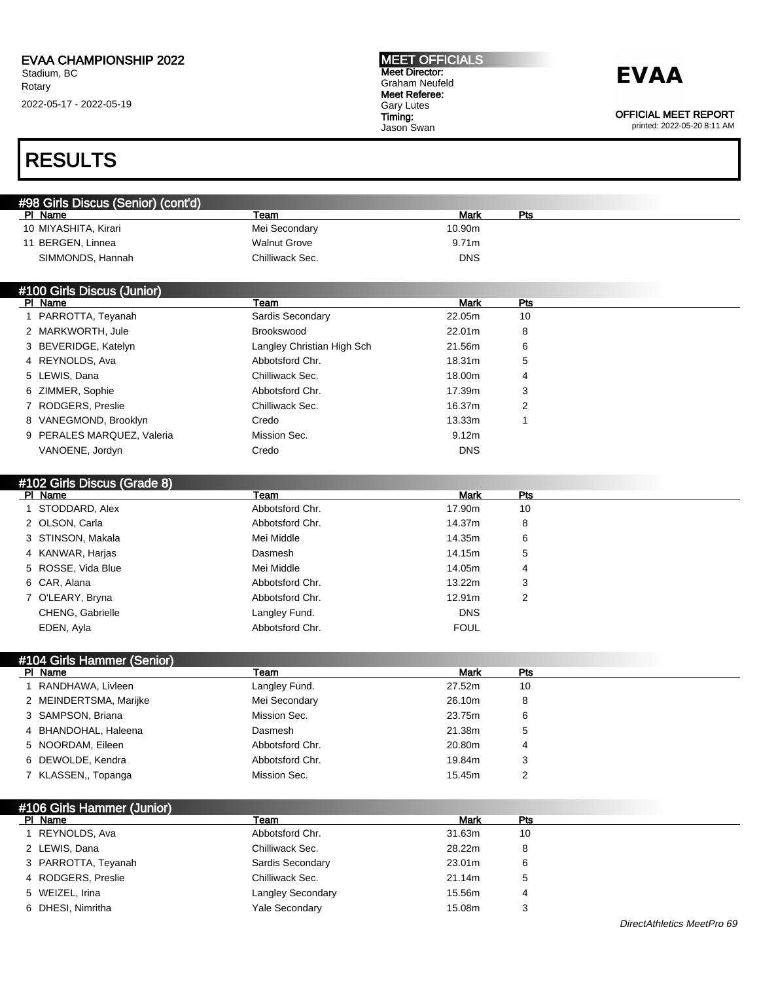#### MEET OFFICIALS Meet Director: Graham Neufeld Meet Referee: Gary Lutes Timing: Jason Swan

## **EVAA**

OFFICIAL MEET REPORT

printed: 2022-05-20 8:11 AM

### RESULTS

| #98 Girls Discus (Senior) (cont'd) |                            |             |                |  |
|------------------------------------|----------------------------|-------------|----------------|--|
| PI Name                            | Team                       | <b>Mark</b> | Pts            |  |
| 10 MIYASHITA, Kirari               | Mei Secondary              | 10.90m      |                |  |
| 11 BERGEN, Linnea                  | <b>Walnut Grove</b>        | 9.71m       |                |  |
| SIMMONDS, Hannah                   | Chilliwack Sec.            | <b>DNS</b>  |                |  |
|                                    |                            |             |                |  |
| #100 Girls Discus (Junior)         |                            |             |                |  |
| PI Name                            | Team                       | <b>Mark</b> | <b>Pts</b>     |  |
| 1 PARROTTA, Teyanah                | Sardis Secondary           | 22.05m      | 10             |  |
| 2 MARKWORTH, Jule                  | Brookswood                 | 22.01m      | 8              |  |
| 3 BEVERIDGE, Katelyn               | Langley Christian High Sch | 21.56m      | 6              |  |
| 4 REYNOLDS, Ava                    | Abbotsford Chr.            | 18.31m      | 5              |  |
| 5 LEWIS, Dana                      | Chilliwack Sec.            | 18.00m      | 4              |  |
| 6 ZIMMER, Sophie                   | Abbotsford Chr.            | 17.39m      | 3              |  |
| 7 RODGERS, Preslie                 | Chilliwack Sec.            | 16.37m      | 2              |  |
| 8 VANEGMOND, Brooklyn              | Credo                      | 13.33m      | 1              |  |
| 9 PERALES MARQUEZ, Valeria         | Mission Sec.               | 9.12m       |                |  |
| VANOENE, Jordyn                    | Credo                      | <b>DNS</b>  |                |  |
|                                    |                            |             |                |  |
| #102 Girls Discus (Grade 8)        |                            |             |                |  |
| PI Name                            | Team                       | <b>Mark</b> | Pts            |  |
| 1 STODDARD, Alex                   | Abbotsford Chr.            | 17.90m      | 10             |  |
| 2 OLSON, Carla                     | Abbotsford Chr.            | 14.37m      | 8              |  |
| 3 STINSON, Makala                  | Mei Middle                 | 14.35m      | 6              |  |
| 4 KANWAR, Harjas                   | Dasmesh                    | 14.15m      | 5              |  |
| ROSSE, Vida Blue<br>5              | Mei Middle                 | 14.05m      | 4              |  |
| 6 CAR, Alana                       | Abbotsford Chr.            | 13.22m      | 3              |  |
| 7 O'LEARY, Bryna                   | Abbotsford Chr.            | 12.91m      | $\overline{2}$ |  |
| CHENG, Gabrielle                   | Langley Fund.              | <b>DNS</b>  |                |  |
| EDEN, Ayla                         | Abbotsford Chr.            | <b>FOUL</b> |                |  |
|                                    |                            |             |                |  |
| #104 Girls Hammer (Senior)         |                            |             |                |  |
| PI Name                            | Team                       | <b>Mark</b> | Pts            |  |
| 1 RANDHAWA, Livleen                | Langley Fund.              | 27.52m      | 10             |  |
| 2 MEINDERTSMA, Marijke             | Mei Secondary              | 26.10m      | 8              |  |
| 3 SAMPSON, Briana                  | Mission Sec.               | 23.75m      | 6              |  |
| BHANDOHAL, Haleena<br>4            | Dasmesh                    | 21.38m      | 5              |  |
| 5 NOORDAM, Eileen                  | Abbotsford Chr.            | 20.80m      | 4              |  |
| 6 DEWOLDE, Kendra                  | Abbotsford Chr.            | 19.84m      | 3              |  |
| 7 KLASSEN,, Topanga                | Mission Sec.               | 15.45m      | 2              |  |
|                                    |                            |             |                |  |
| #106 Girls Hammer (Junior)         |                            |             |                |  |
| PI Name                            | Team                       | <b>Mark</b> | <b>Pts</b>     |  |
| 1 REYNOLDS, Ava                    | Abbotsford Chr.            | 31.63m      | 10             |  |
| 2 LEWIS, Dana                      | Chilliwack Sec.            | 28.22m      | 8              |  |
| 3 PARROTTA, Teyanah                | Sardis Secondary           | 23.01m      | 6              |  |
| 4 RODGERS, Preslie                 | Chilliwack Sec.            | 21.14m      | 5              |  |
| 5 WEIZEL, Irina                    | Langley Secondary          | 15.56m      | 4              |  |
| 6 DHESI, Nimritha                  | Yale Secondary             | 15.08m      | 3              |  |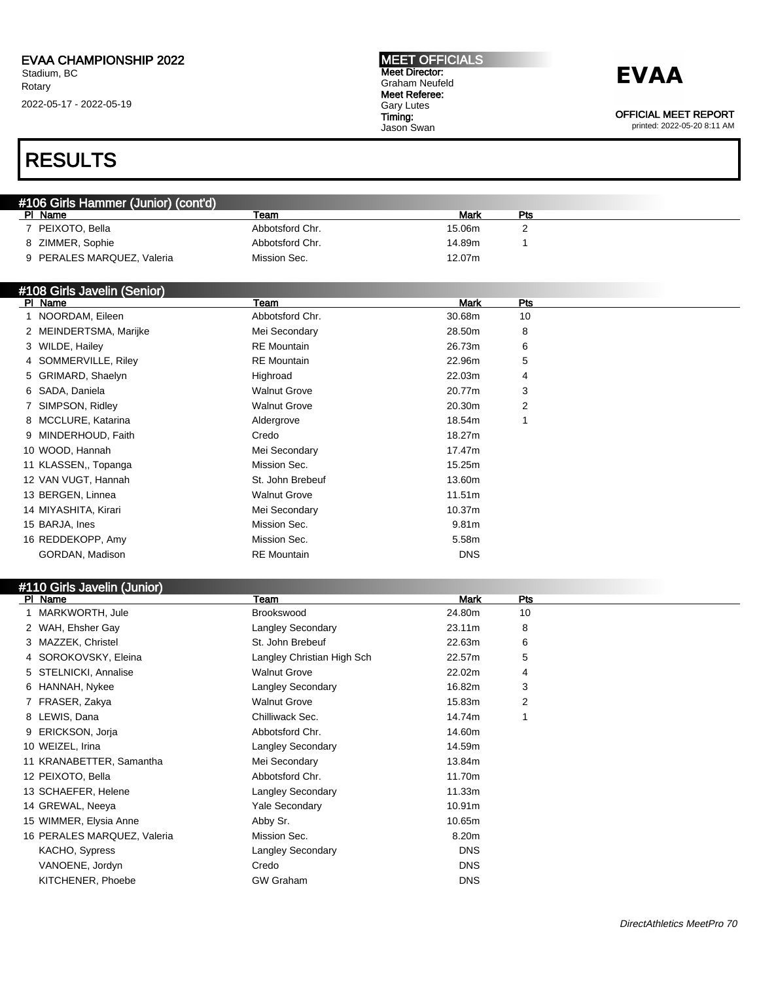#### MEET OFFICIALS Meet Director: Graham Neufeld Meet Referee: Gary Lutes Timing: Jason Swan

### **EVAA**

OFFICIAL MEET REPORT

printed: 2022-05-20 8:11 AM

### RESULTS

| #106 Girls Hammer (Junior) (cont'd) |                 |        |     |  |  |
|-------------------------------------|-----------------|--------|-----|--|--|
| Name<br>PI.                         | Team            | Mark   | Pts |  |  |
| PEIXOTO, Bella                      | Abbotsford Chr. | 15.06m |     |  |  |
| ZIMMER, Sophie                      | Abbotsford Chr. | 14.89m |     |  |  |
| 9 PERALES MARQUEZ, Valeria          | Mission Sec.    | 12.07m |     |  |  |

#### #108 Girls Javelin (Senior)

| $\pi$ roo Oms cavem (Ochior)<br>PI Name | Team                | <b>Mark</b> | Pts |  |
|-----------------------------------------|---------------------|-------------|-----|--|
| 1 NOORDAM, Eileen                       | Abbotsford Chr.     | 30.68m      | 10  |  |
| 2 MEINDERTSMA, Marijke                  | Mei Secondary       | 28.50m      | 8   |  |
| 3 WILDE, Hailey                         | <b>RE</b> Mountain  | 26.73m      | 6   |  |
| 4 SOMMERVILLE, Riley                    | <b>RE</b> Mountain  | 22.96m      | 5   |  |
| 5 GRIMARD, Shaelyn                      | Highroad            | 22.03m      | 4   |  |
| 6 SADA, Daniela                         | <b>Walnut Grove</b> | 20.77m      | 3   |  |
| 7 SIMPSON, Ridley                       | <b>Walnut Grove</b> | 20.30m      | 2   |  |
| 8 MCCLURE, Katarina                     | Aldergrove          | 18.54m      |     |  |
| 9 MINDERHOUD, Faith                     | Credo               | 18.27m      |     |  |
| 10 WOOD, Hannah                         | Mei Secondary       | 17.47m      |     |  |
| 11 KLASSEN, Topanga                     | Mission Sec.        | 15.25m      |     |  |
| 12 VAN VUGT, Hannah                     | St. John Brebeuf    | 13.60m      |     |  |
| 13 BERGEN, Linnea                       | <b>Walnut Grove</b> | 11.51m      |     |  |
| 14 MIYASHITA, Kirari                    | Mei Secondary       | 10.37m      |     |  |
| 15 BARJA, Ines                          | Mission Sec.        | 9.81m       |     |  |
| 16 REDDEKOPP, Amy                       | Mission Sec.        | 5.58m       |     |  |
| GORDAN, Madison                         | <b>RE</b> Mountain  | <b>DNS</b>  |     |  |

#### #110 Girls Javelin (Junior)

| PI Name          |                             | Team                       | <b>Mark</b>        | Pts |
|------------------|-----------------------------|----------------------------|--------------------|-----|
|                  | MARKWORTH, Jule             | Brookswood                 | 24.80m             | 10  |
|                  | 2 WAH, Ehsher Gay           | <b>Langley Secondary</b>   | 23.11m             | 8   |
|                  | 3 MAZZEK, Christel          | St. John Brebeuf           | 22.63m             | 6   |
|                  | 4 SOROKOVSKY, Eleina        | Langley Christian High Sch | 22.57m             | 5   |
|                  | 5 STELNICKI, Annalise       | <b>Walnut Grove</b>        | 22.02m             | 4   |
|                  | 6 HANNAH, Nykee             | <b>Langley Secondary</b>   | 16.82m             | 3   |
|                  | 7 FRASER, Zakya             | <b>Walnut Grove</b>        | 15.83m             | 2   |
| 8 LEWIS, Dana    |                             | Chilliwack Sec.            | 14.74m             |     |
|                  | 9 ERICKSON, Jorja           | Abbotsford Chr.            | 14.60m             |     |
| 10 WEIZEL, Irina |                             | <b>Langley Secondary</b>   | 14.59m             |     |
|                  | 11 KRANABETTER, Samantha    | Mei Secondary              | 13.84m             |     |
|                  | 12 PEIXOTO, Bella           | Abbotsford Chr.            | 11.70m             |     |
|                  | 13 SCHAEFER, Helene         | <b>Langley Secondary</b>   | 11.33m             |     |
|                  | 14 GREWAL, Neeya            | <b>Yale Secondary</b>      | 10.91 <sub>m</sub> |     |
|                  | 15 WIMMER, Elysia Anne      | Abby Sr.                   | 10.65m             |     |
|                  | 16 PERALES MARQUEZ, Valeria | Mission Sec.               | 8.20m              |     |
|                  | KACHO, Sypress              | <b>Langley Secondary</b>   | <b>DNS</b>         |     |
|                  | VANOENE, Jordyn             | Credo                      | <b>DNS</b>         |     |
|                  | KITCHENER, Phoebe           | <b>GW Graham</b>           | <b>DNS</b>         |     |